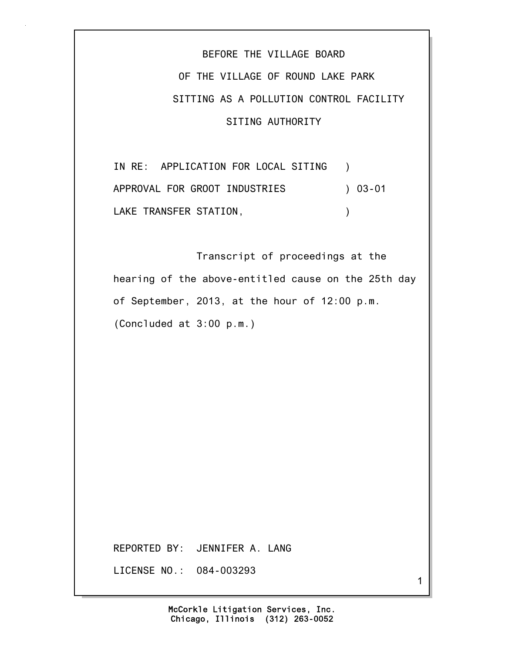BEFORE THE VILLAGE BOARD OF THE VILLAGE OF ROUND LAKE PARK SITTING AS A POLLUTION CONTROL FACILITY SITING AUTHORITY

IN RE: APPLICATION FOR LOCAL SITING ) APPROVAL FOR GROOT INDUSTRIES ) 03-01 LAKE TRANSFER STATION, THE RESERVE OF STATION

 Transcript of proceedings at the hearing of the above-entitled cause on the 25th day of September, 2013, at the hour of 12:00 p.m. (Concluded at 3:00 p.m.)

REPORTED BY: JENNIFER A. LANG

LICENSE NO.: 084-003293

1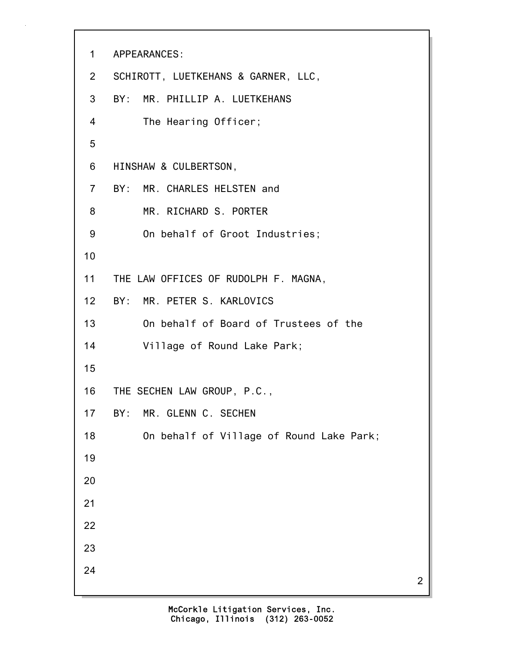```
1 APPEARANCES:
2 SCHIROTT, LUETKEHANS & GARNER, LLC,
3 BY: MR. PHILLIP A. LUETKEHANS
4 The Hearing Officer;
5
6 HINSHAW & CULBERTSON,
7 BY: MR. CHARLES HELSTEN and
8 MR. RICHARD S. PORTER
9 On behalf of Groot Industries;
10
11 THE LAW OFFICES OF RUDOLPH F. MAGNA,
12 BY: MR. PETER S. KARLOVICS
13 On behalf of Board of Trustees of the
14 Village of Round Lake Park;
15
16 THE SECHEN LAW GROUP, P.C.,
17 BY: MR. GLENN C. SECHEN
18 On behalf of Village of Round Lake Park;
19
20
21
22
23
24
```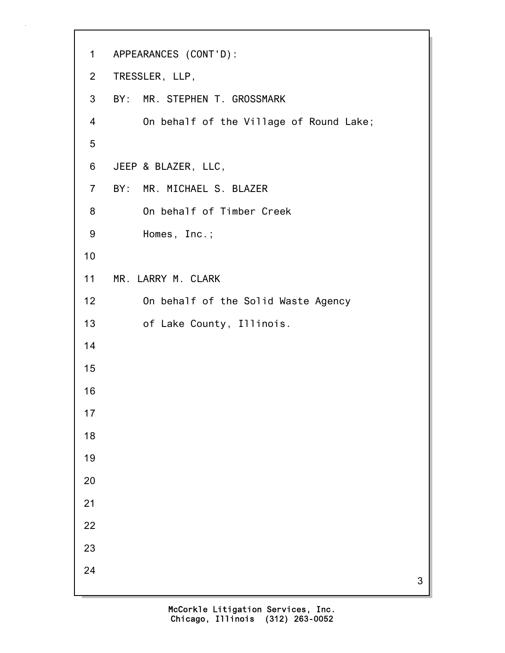```
1 APPEARANCES (CONT'D):
2 TRESSLER, LLP,
3 BY: MR. STEPHEN T. GROSSMARK
4 On behalf of the Village of Round Lake;
5
6 JEEP & BLAZER, LLC,
7 BY: MR. MICHAEL S. BLAZER
8 On behalf of Timber Creek
9 Homes, Inc.;
10
11 MR. LARRY M. CLARK
12 On behalf of the Solid Waste Agency
13 of Lake County, Illinois.
14
15
16
17
18
19
20
21
22
23
24
```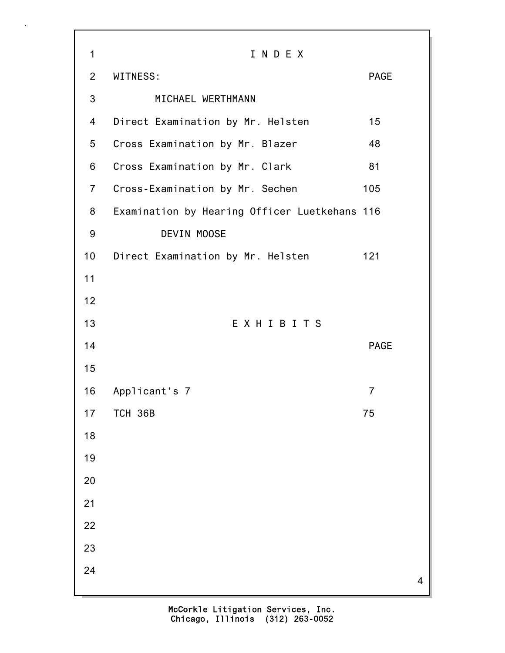| 1              | INDEX                                         |                |   |
|----------------|-----------------------------------------------|----------------|---|
| $\overline{2}$ | WITNESS:                                      | <b>PAGE</b>    |   |
| 3              | MICHAEL WERTHMANN                             |                |   |
| 4              | Direct Examination by Mr. Helsten             | 15             |   |
| 5              | Cross Examination by Mr. Blazer               | 48             |   |
| 6              | Cross Examination by Mr. Clark                | 81             |   |
| $\overline{7}$ | Cross-Examination by Mr. Sechen               | 105            |   |
| 8              | Examination by Hearing Officer Luetkehans 116 |                |   |
| 9              | DEVIN MOOSE                                   |                |   |
| 10             | Direct Examination by Mr. Helsten             | 121            |   |
| 11             |                                               |                |   |
| 12             |                                               |                |   |
| 13             | EXHIBITS                                      |                |   |
| 14             |                                               | <b>PAGE</b>    |   |
| 15             |                                               |                |   |
| 16             | Applicant's 7                                 | $\overline{7}$ |   |
| 17             | <b>TCH 36B</b>                                | 75             |   |
| 18             |                                               |                |   |
| 19             |                                               |                |   |
| 20             |                                               |                |   |
| 21             |                                               |                |   |
| 22             |                                               |                |   |
| 23             |                                               |                |   |
| 24             |                                               |                | 4 |
|                |                                               |                |   |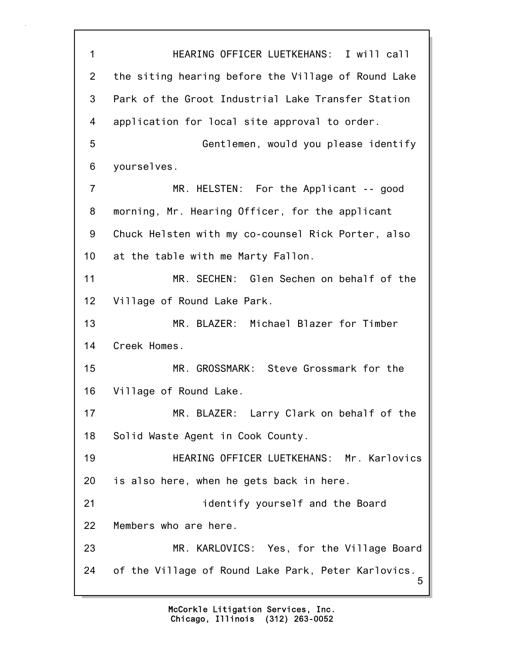5 1 HEARING OFFICER LUETKEHANS: I will call 2 the siting hearing before the Village of Round Lake 3 Park of the Groot Industrial Lake Transfer Station 4 application for local site approval to order. 5 Gentlemen, would you please identify 6 yourselves. 7 MR. HELSTEN: For the Applicant -- good 8 morning, Mr. Hearing Officer, for the applicant 9 Chuck Helsten with my co-counsel Rick Porter, also 10 at the table with me Marty Fallon. 11 MR. SECHEN: Glen Sechen on behalf of the 12 Village of Round Lake Park. 13 MR. BLAZER: Michael Blazer for Timber 14 Creek Homes. 15 MR. GROSSMARK: Steve Grossmark for the 16 Village of Round Lake. 17 MR. BLAZER: Larry Clark on behalf of the 18 Solid Waste Agent in Cook County. 19 HEARING OFFICER LUETKEHANS: Mr. Karlovics 20 is also here, when he gets back in here. 21 identify yourself and the Board 22 Members who are here. 23 MR. KARLOVICS: Yes, for the Village Board 24 of the Village of Round Lake Park, Peter Karlovics.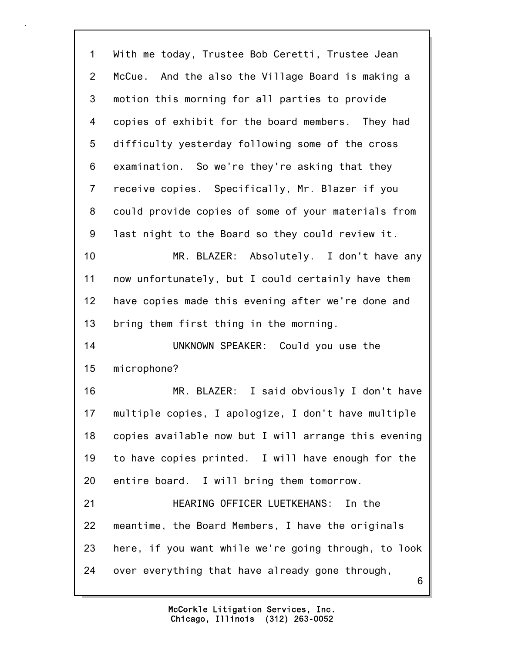6 1 With me today, Trustee Bob Ceretti, Trustee Jean 2 McCue. And the also the Village Board is making a 3 motion this morning for all parties to provide 4 copies of exhibit for the board members. They had 5 difficulty yesterday following some of the cross 6 examination. So we're they're asking that they 7 receive copies. Specifically, Mr. Blazer if you 8 could provide copies of some of your materials from 9 last night to the Board so they could review it. 10 MR. BLAZER: Absolutely. I don't have any 11 now unfortunately, but I could certainly have them 12 have copies made this evening after we're done and 13 bring them first thing in the morning. 14 UNKNOWN SPEAKER: Could you use the 15 microphone? 16 MR. BLAZER: I said obviously I don't have 17 multiple copies, I apologize, I don't have multiple 18 copies available now but I will arrange this evening 19 to have copies printed. I will have enough for the 20 entire board. I will bring them tomorrow. 21 HEARING OFFICER LUETKEHANS: In the 22 meantime, the Board Members, I have the originals 23 here, if you want while we're going through, to look 24 over everything that have already gone through,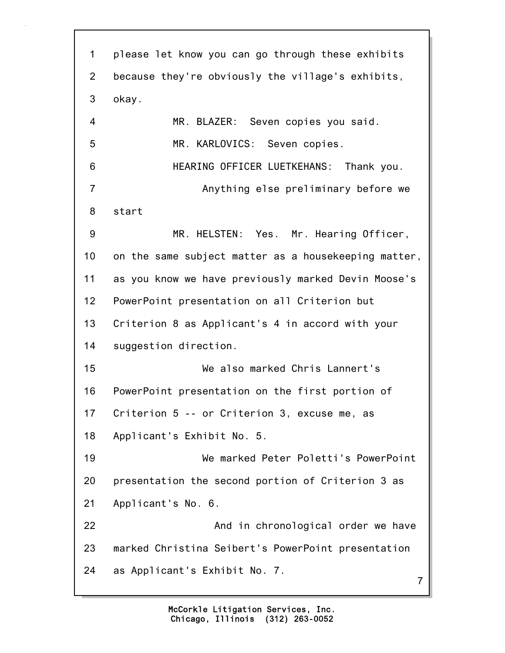7 1 please let know you can go through these exhibits 2 because they're obviously the village's exhibits, 3 okay. 4 MR. BLAZER: Seven copies you said. 5 MR. KARLOVICS: Seven copies. 6 HEARING OFFICER LUETKEHANS: Thank you. 7 Anything else preliminary before we 8 start 9 MR. HELSTEN: Yes. Mr. Hearing Officer, 10 on the same subject matter as a housekeeping matter, 11 as you know we have previously marked Devin Moose's 12 PowerPoint presentation on all Criterion but 13 Criterion 8 as Applicant's 4 in accord with your 14 suggestion direction. 15 We also marked Chris Lannert's 16 PowerPoint presentation on the first portion of 17 Criterion 5 -- or Criterion 3, excuse me, as 18 Applicant's Exhibit No. 5. 19 We marked Peter Poletti's PowerPoint 20 presentation the second portion of Criterion 3 as 21 Applicant's No. 6. 22 **And in chronological order we have** 23 marked Christina Seibert's PowerPoint presentation 24 as Applicant's Exhibit No. 7.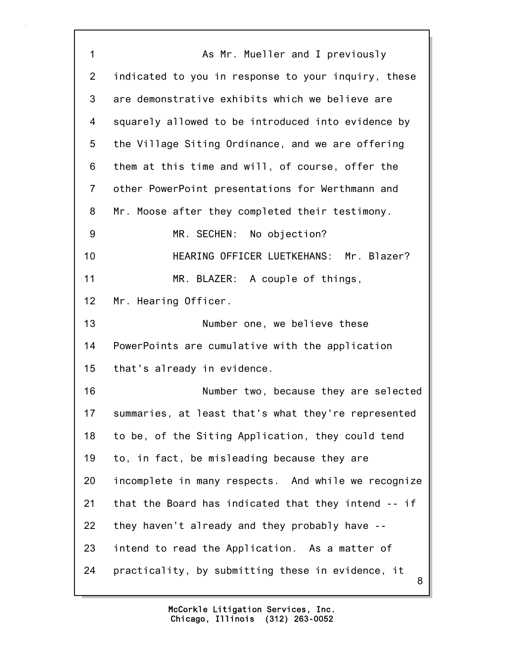8 1 As Mr. Mueller and I previously 2 indicated to you in response to your inquiry, these 3 are demonstrative exhibits which we believe are 4 squarely allowed to be introduced into evidence by 5 the Village Siting Ordinance, and we are offering 6 them at this time and will, of course, offer the 7 other PowerPoint presentations for Werthmann and 8 Mr. Moose after they completed their testimony. 9 MR. SECHEN: No objection? 10 HEARING OFFICER LUETKEHANS: Mr. Blazer? 11 MR. BLAZER: A couple of things, 12 Mr. Hearing Officer. 13 Number one, we believe these 14 PowerPoints are cumulative with the application 15 that's already in evidence. 16 Number two, because they are selected 17 summaries, at least that's what they're represented 18 to be, of the Siting Application, they could tend 19 to, in fact, be misleading because they are 20 incomplete in many respects. And while we recognize 21 that the Board has indicated that they intend -- if 22 they haven't already and they probably have -- 23 intend to read the Application. As a matter of 24 practicality, by submitting these in evidence, it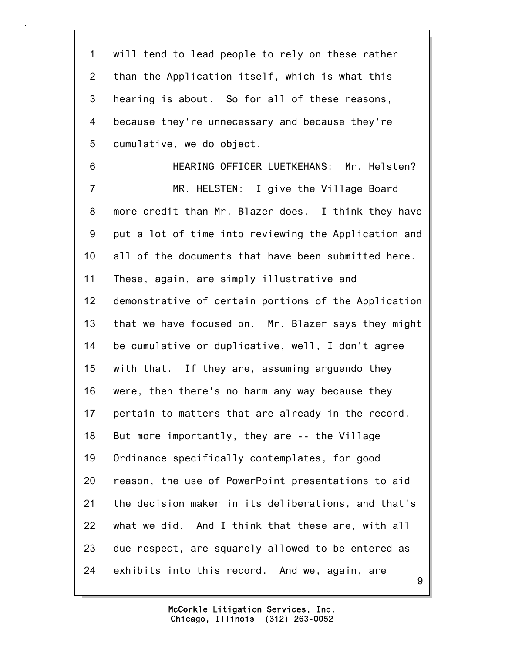9 1 will tend to lead people to rely on these rather 2 than the Application itself, which is what this 3 hearing is about. So for all of these reasons, 4 because they're unnecessary and because they're 5 cumulative, we do object. 6 HEARING OFFICER LUETKEHANS: Mr. Helsten? 7 MR. HELSTEN: I give the Village Board 8 more credit than Mr. Blazer does. I think they have 9 put a lot of time into reviewing the Application and 10 all of the documents that have been submitted here. 11 These, again, are simply illustrative and 12 demonstrative of certain portions of the Application 13 that we have focused on. Mr. Blazer says they might 14 be cumulative or duplicative, well, I don't agree 15 with that. If they are, assuming arguendo they 16 were, then there's no harm any way because they 17 pertain to matters that are already in the record. 18 But more importantly, they are -- the Village 19 Ordinance specifically contemplates, for good 20 reason, the use of PowerPoint presentations to aid 21 the decision maker in its deliberations, and that's 22 what we did. And I think that these are, with all 23 due respect, are squarely allowed to be entered as 24 exhibits into this record. And we, again, are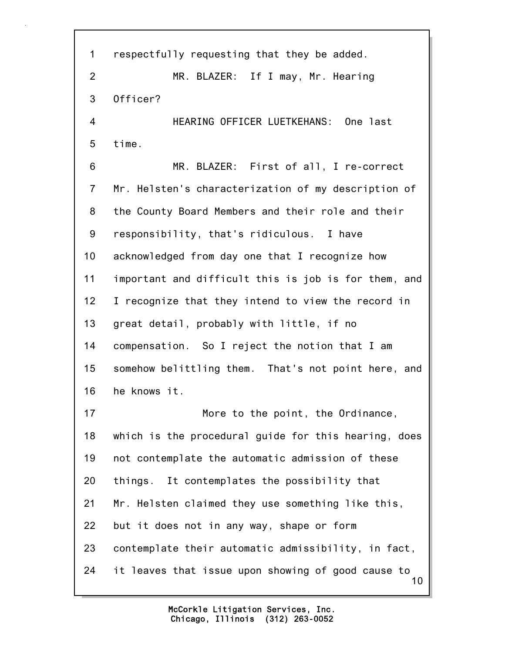10 1 respectfully requesting that they be added. 2 MR. BLAZER: If I may, Mr. Hearing 3 Officer? 4 HEARING OFFICER LUETKEHANS: One last 5 time. 6 MR. BLAZER: First of all, I re-correct 7 Mr. Helsten's characterization of my description of 8 the County Board Members and their role and their 9 responsibility, that's ridiculous. I have 10 acknowledged from day one that I recognize how 11 important and difficult this is job is for them, and 12 I recognize that they intend to view the record in 13 great detail, probably with little, if no 14 compensation. So I reject the notion that I am 15 somehow belittling them. That's not point here, and 16 he knows it. 17 More to the point, the Ordinance, 18 which is the procedural guide for this hearing, does 19 not contemplate the automatic admission of these 20 things. It contemplates the possibility that 21 Mr. Helsten claimed they use something like this, 22 but it does not in any way, shape or form 23 contemplate their automatic admissibility, in fact, 24 it leaves that issue upon showing of good cause to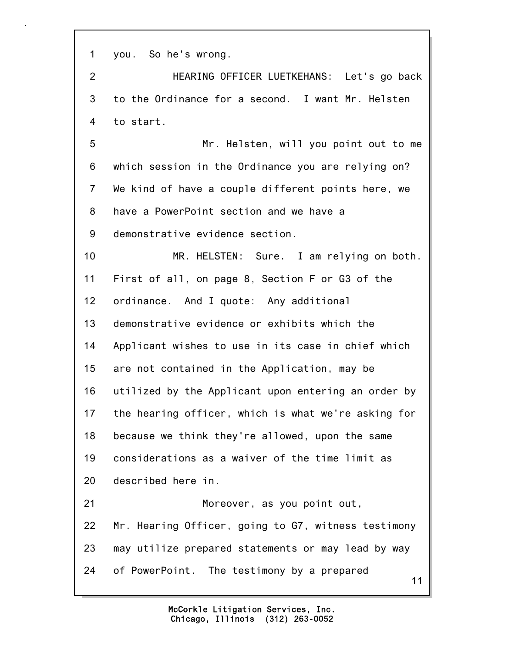1 you. So he's wrong.

2 HEARING OFFICER LUETKEHANS: Let's go back 3 to the Ordinance for a second. I want Mr. Helsten 4 to start.

5 Mr. Helsten, will you point out to me 6 which session in the Ordinance you are relying on? 7 We kind of have a couple different points here, we 8 have a PowerPoint section and we have a 9 demonstrative evidence section.

11 10 MR. HELSTEN: Sure. I am relying on both. 11 First of all, on page 8, Section F or G3 of the 12 ordinance. And I quote: Any additional 13 demonstrative evidence or exhibits which the 14 Applicant wishes to use in its case in chief which 15 are not contained in the Application, may be 16 utilized by the Applicant upon entering an order by 17 the hearing officer, which is what we're asking for 18 because we think they're allowed, upon the same 19 considerations as a waiver of the time limit as 20 described here in. 21 Moreover, as you point out, 22 Mr. Hearing Officer, going to G7, witness testimony 23 may utilize prepared statements or may lead by way 24 of PowerPoint. The testimony by a prepared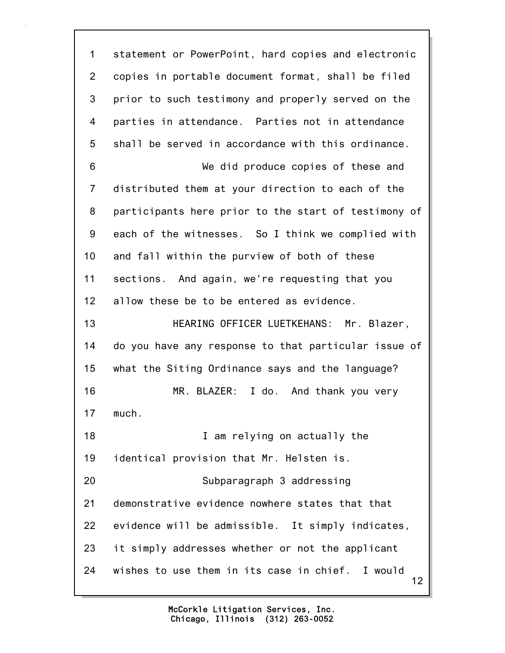12 1 statement or PowerPoint, hard copies and electronic 2 copies in portable document format, shall be filed 3 prior to such testimony and properly served on the 4 parties in attendance. Parties not in attendance 5 shall be served in accordance with this ordinance. 6 We did produce copies of these and 7 distributed them at your direction to each of the 8 participants here prior to the start of testimony of 9 each of the witnesses. So I think we complied with 10 and fall within the purview of both of these 11 sections. And again, we're requesting that you 12 allow these be to be entered as evidence. 13 HEARING OFFICER LUETKEHANS: Mr. Blazer, 14 do you have any response to that particular issue of 15 what the Siting Ordinance says and the language? 16 MR. BLAZER: I do. And thank you very 17 much. 18 **I** am relying on actually the 19 identical provision that Mr. Helsten is. 20 Subparagraph 3 addressing 21 demonstrative evidence nowhere states that that 22 evidence will be admissible. It simply indicates, 23 it simply addresses whether or not the applicant 24 wishes to use them in its case in chief. I would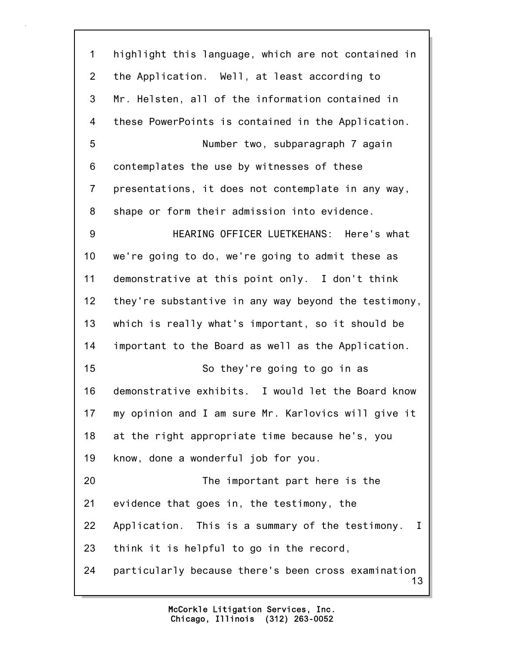13 1 highlight this language, which are not contained in 2 the Application. Well, at least according to 3 Mr. Helsten, all of the information contained in 4 these PowerPoints is contained in the Application. 5 Number two, subparagraph 7 again 6 contemplates the use by witnesses of these 7 presentations, it does not contemplate in any way, 8 shape or form their admission into evidence. 9 HEARING OFFICER LUETKEHANS: Here's what 10 we're going to do, we're going to admit these as 11 demonstrative at this point only. I don't think 12 they're substantive in any way beyond the testimony, 13 which is really what's important, so it should be 14 important to the Board as well as the Application. 15 So they're going to go in as 16 demonstrative exhibits. I would let the Board know 17 my opinion and I am sure Mr. Karlovics will give it 18 at the right appropriate time because he's, you 19 know, done a wonderful job for you. 20 The important part here is the 21 evidence that goes in, the testimony, the 22 Application. This is a summary of the testimony. I 23 think it is helpful to go in the record, 24 particularly because there's been cross examination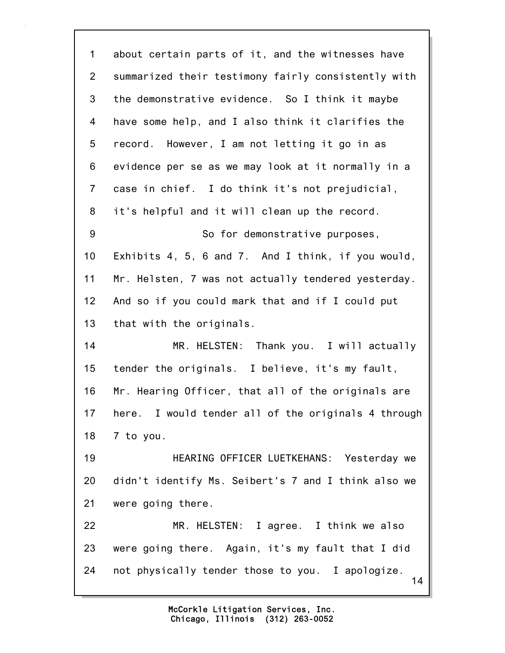14 1 about certain parts of it, and the witnesses have 2 summarized their testimony fairly consistently with 3 the demonstrative evidence. So I think it maybe 4 have some help, and I also think it clarifies the 5 record. However, I am not letting it go in as 6 evidence per se as we may look at it normally in a 7 case in chief. I do think it's not prejudicial, 8 it's helpful and it will clean up the record. 9 So for demonstrative purposes, 10 Exhibits 4, 5, 6 and 7. And I think, if you would, 11 Mr. Helsten, 7 was not actually tendered yesterday. 12 And so if you could mark that and if I could put 13 that with the originals. 14 MR. HELSTEN: Thank you. I will actually 15 tender the originals. I believe, it's my fault, 16 Mr. Hearing Officer, that all of the originals are 17 here. I would tender all of the originals 4 through 18 7 to you. 19 HEARING OFFICER LUETKEHANS: Yesterday we 20 didn't identify Ms. Seibert's 7 and I think also we 21 were going there. 22 MR. HELSTEN: I agree. I think we also 23 were going there. Again, it's my fault that I did 24 not physically tender those to you. I apologize.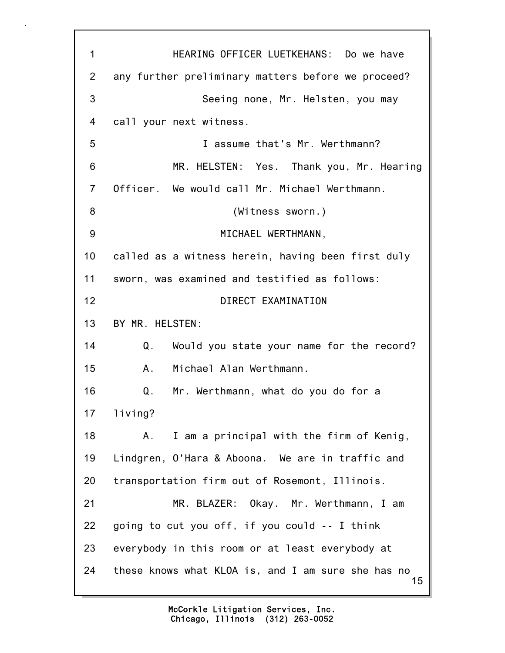15 1 HEARING OFFICER LUETKEHANS: Do we have 2 any further preliminary matters before we proceed? 3 Seeing none, Mr. Helsten, you may 4 call your next witness. 5 I assume that's Mr. Werthmann? 6 MR. HELSTEN: Yes. Thank you, Mr. Hearing 7 Officer. We would call Mr. Michael Werthmann. 8 (Witness sworn.) 9 MICHAEL WERTHMANN, 10 called as a witness herein, having been first duly 11 sworn, was examined and testified as follows: 12 DIRECT EXAMINATION 13 BY MR. HELSTEN: 14 Q. Would you state your name for the record? 15 A. Michael Alan Werthmann. 16 Q. Mr. Werthmann, what do you do for a 17 living? 18 A. I am a principal with the firm of Kenig, 19 Lindgren, O'Hara & Aboona. We are in traffic and 20 transportation firm out of Rosemont, Illinois. 21 MR. BLAZER: Okay. Mr. Werthmann, I am 22 going to cut you off, if you could -- I think 23 everybody in this room or at least everybody at 24 these knows what KLOA is, and I am sure she has no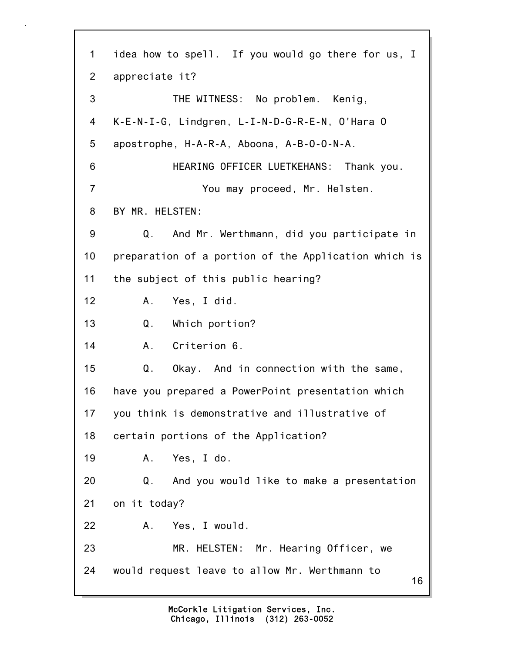16 1 idea how to spell. If you would go there for us, I 2 appreciate it? 3 THE WITNESS: No problem. Kenig, 4 K-E-N-I-G, Lindgren, L-I-N-D-G-R-E-N, O'Hara O 5 apostrophe, H-A-R-A, Aboona, A-B-O-O-N-A. 6 HEARING OFFICER LUETKEHANS: Thank you. 7 You may proceed, Mr. Helsten. 8 BY MR. HELSTEN: 9 Q. And Mr. Werthmann, did you participate in 10 preparation of a portion of the Application which is 11 the subject of this public hearing? 12 A. Yes, I did. 13 Q. Which portion? 14 A. Criterion 6. 15 Q. Okay. And in connection with the same, 16 have you prepared a PowerPoint presentation which 17 you think is demonstrative and illustrative of 18 certain portions of the Application? 19 A. Yes, I do. 20 Q. And you would like to make a presentation 21 on it today? 22 A. Yes, I would. 23 MR. HELSTEN: Mr. Hearing Officer, we 24 would request leave to allow Mr. Werthmann to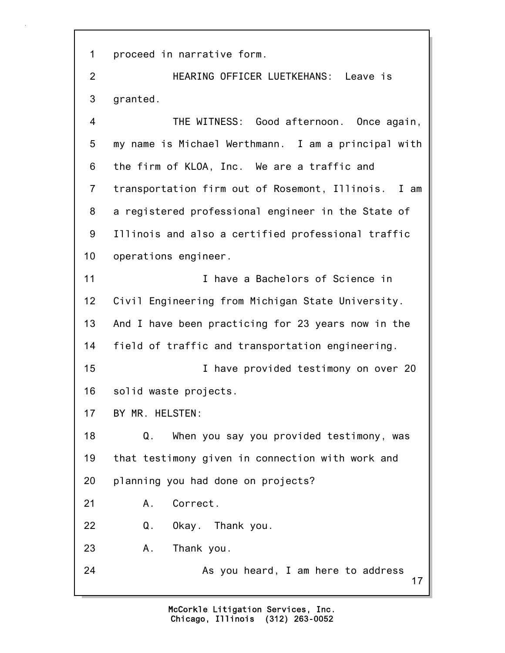1 proceed in narrative form.

2 HEARING OFFICER LUETKEHANS: Leave is 3 granted.

17 4 THE WITNESS: Good afternoon. Once again, 5 my name is Michael Werthmann. I am a principal with 6 the firm of KLOA, Inc. We are a traffic and 7 transportation firm out of Rosemont, Illinois. I am 8 a registered professional engineer in the State of 9 Illinois and also a certified professional traffic 10 operations engineer. 11 I have a Bachelors of Science in 12 Civil Engineering from Michigan State University. 13 And I have been practicing for 23 years now in the 14 field of traffic and transportation engineering. 15 **I** have provided testimony on over 20 16 solid waste projects. 17 BY MR. HELSTEN: 18 Q. When you say you provided testimony, was 19 that testimony given in connection with work and 20 planning you had done on projects? 21 A. Correct. 22 Q. Okay. Thank you. 23 A. Thank you. 24 As you heard, I am here to address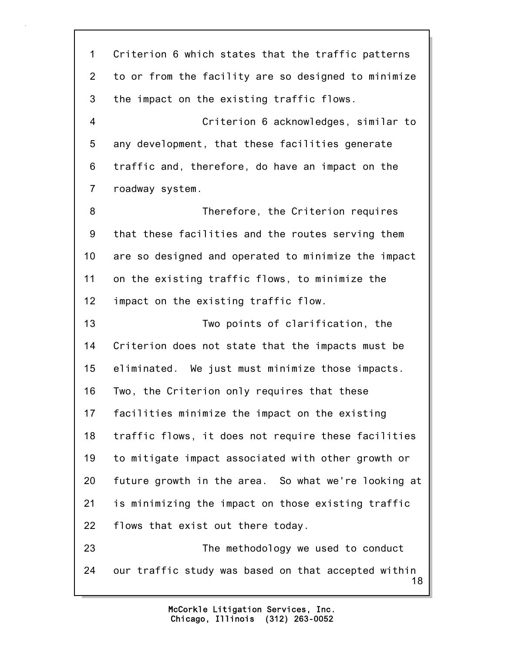18 1 Criterion 6 which states that the traffic patterns 2 to or from the facility are so designed to minimize 3 the impact on the existing traffic flows. 4 Criterion 6 acknowledges, similar to 5 any development, that these facilities generate 6 traffic and, therefore, do have an impact on the 7 roadway system. 8 Therefore, the Criterion requires 9 that these facilities and the routes serving them 10 are so designed and operated to minimize the impact 11 on the existing traffic flows, to minimize the 12 impact on the existing traffic flow. 13 Two points of clarification, the 14 Criterion does not state that the impacts must be 15 eliminated. We just must minimize those impacts. 16 Two, the Criterion only requires that these 17 facilities minimize the impact on the existing 18 traffic flows, it does not require these facilities 19 to mitigate impact associated with other growth or 20 future growth in the area. So what we're looking at 21 is minimizing the impact on those existing traffic 22 flows that exist out there today. 23 The methodology we used to conduct 24 our traffic study was based on that accepted within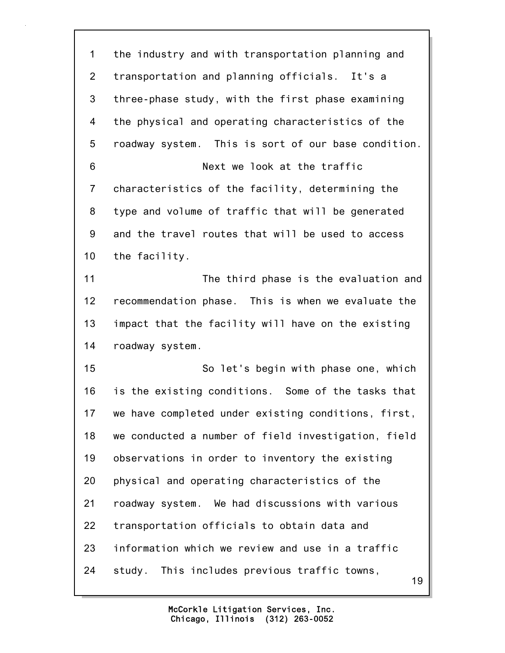19 1 the industry and with transportation planning and 2 transportation and planning officials. It's a 3 three-phase study, with the first phase examining 4 the physical and operating characteristics of the 5 roadway system. This is sort of our base condition. 6 Next we look at the traffic 7 characteristics of the facility, determining the 8 type and volume of traffic that will be generated 9 and the travel routes that will be used to access 10 the facility. 11 The third phase is the evaluation and 12 recommendation phase. This is when we evaluate the 13 impact that the facility will have on the existing 14 roadway system. 15 So let's begin with phase one, which 16 is the existing conditions. Some of the tasks that 17 we have completed under existing conditions, first, 18 we conducted a number of field investigation, field 19 observations in order to inventory the existing 20 physical and operating characteristics of the 21 roadway system. We had discussions with various 22 transportation officials to obtain data and 23 information which we review and use in a traffic 24 study. This includes previous traffic towns,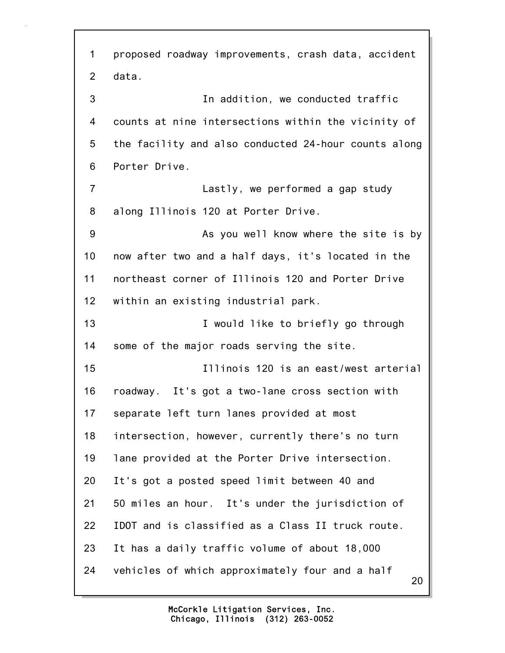20 1 proposed roadway improvements, crash data, accident 2 data. 3 In addition, we conducted traffic 4 counts at nine intersections within the vicinity of 5 the facility and also conducted 24-hour counts along 6 Porter Drive. 7 Lastly, we performed a gap study 8 along Illinois 120 at Porter Drive. 9 As you well know where the site is by 10 now after two and a half days, it's located in the 11 northeast corner of Illinois 120 and Porter Drive 12 within an existing industrial park. 13 **I** would like to briefly go through 14 some of the major roads serving the site. 15 Illinois 120 is an east/west arterial 16 roadway. It's got a two-lane cross section with 17 separate left turn lanes provided at most 18 intersection, however, currently there's no turn 19 lane provided at the Porter Drive intersection. 20 It's got a posted speed limit between 40 and 21 50 miles an hour. It's under the jurisdiction of 22 IDOT and is classified as a Class II truck route. 23 It has a daily traffic volume of about 18,000 24 vehicles of which approximately four and a half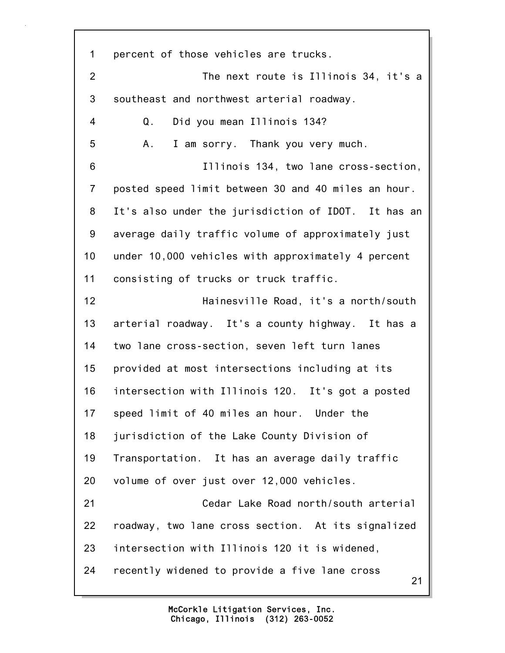21 1 percent of those vehicles are trucks. 2 The next route is Illinois 34, it's a 3 southeast and northwest arterial roadway. 4 Q. Did you mean Illinois 134? 5 A. I am sorry. Thank you very much. 6 Illinois 134, two lane cross-section, 7 posted speed limit between 30 and 40 miles an hour. 8 It's also under the jurisdiction of IDOT. It has an 9 average daily traffic volume of approximately just 10 under 10,000 vehicles with approximately 4 percent 11 consisting of trucks or truck traffic. 12 Hainesville Road, it's a north/south 13 arterial roadway. It's a county highway. It has a 14 two lane cross-section, seven left turn lanes 15 provided at most intersections including at its 16 intersection with Illinois 120. It's got a posted 17 speed limit of 40 miles an hour. Under the 18 jurisdiction of the Lake County Division of 19 Transportation. It has an average daily traffic 20 volume of over just over 12,000 vehicles. 21 Cedar Lake Road north/south arterial 22 roadway, two lane cross section. At its signalized 23 intersection with Illinois 120 it is widened, 24 recently widened to provide a five lane cross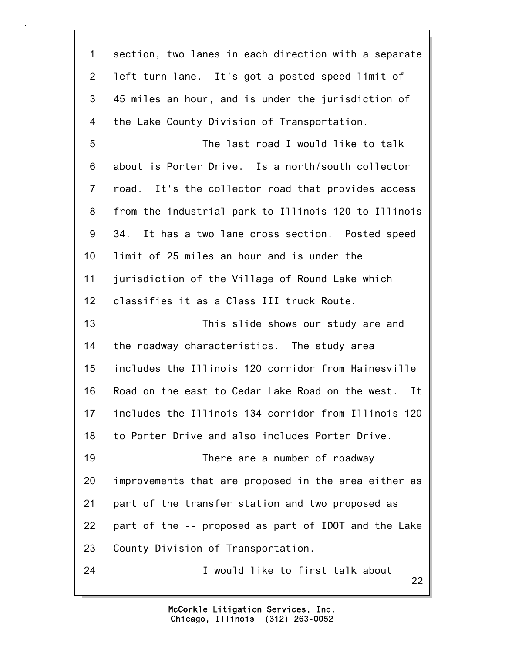| $\mathbf 1$    | section, two lanes in each direction with a separate   |
|----------------|--------------------------------------------------------|
| $\overline{2}$ | left turn lane. It's got a posted speed limit of       |
| 3              | 45 miles an hour, and is under the jurisdiction of     |
| 4              | the Lake County Division of Transportation.            |
| 5              | The last road I would like to talk                     |
| 6              | about is Porter Drive. Is a north/south collector      |
| $\overline{7}$ | road. It's the collector road that provides access     |
| 8              | from the industrial park to Illinois 120 to Illinois   |
| 9              | 34.<br>It has a two lane cross section. Posted speed   |
| 10             | limit of 25 miles an hour and is under the             |
| 11             | jurisdiction of the Village of Round Lake which        |
| 12             | classifies it as a Class III truck Route.              |
|                |                                                        |
| 13             | This slide shows our study are and                     |
| 14             | the roadway characteristics. The study area            |
| 15             | includes the Illinois 120 corridor from Hainesville    |
| 16             | Road on the east to Cedar Lake Road on the west.<br>It |
| 17             | includes the Illinois 134 corridor from Illinois 120   |
| 18             | to Porter Drive and also includes Porter Drive.        |
| 19             | There are a number of roadway                          |
| 20             | improvements that are proposed in the area either as   |
| 21             | part of the transfer station and two proposed as       |
| 22             | part of the -- proposed as part of IDOT and the Lake   |
| 23             | County Division of Transportation.                     |

l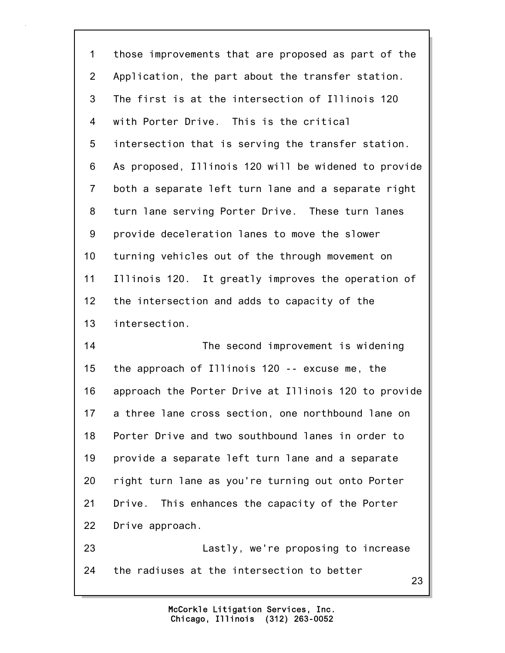23 1 those improvements that are proposed as part of the 2 Application, the part about the transfer station. 3 The first is at the intersection of Illinois 120 4 with Porter Drive. This is the critical 5 intersection that is serving the transfer station. 6 As proposed, Illinois 120 will be widened to provide 7 both a separate left turn lane and a separate right 8 turn lane serving Porter Drive. These turn lanes 9 provide deceleration lanes to move the slower 10 turning vehicles out of the through movement on 11 Illinois 120. It greatly improves the operation of 12 the intersection and adds to capacity of the 13 intersection. 14 The second improvement is widening 15 the approach of Illinois 120 -- excuse me, the 16 approach the Porter Drive at Illinois 120 to provide 17 a three lane cross section, one northbound lane on 18 Porter Drive and two southbound lanes in order to 19 provide a separate left turn lane and a separate 20 right turn lane as you're turning out onto Porter 21 Drive. This enhances the capacity of the Porter 22 Drive approach. 23 Lastly, we're proposing to increase 24 the radiuses at the intersection to better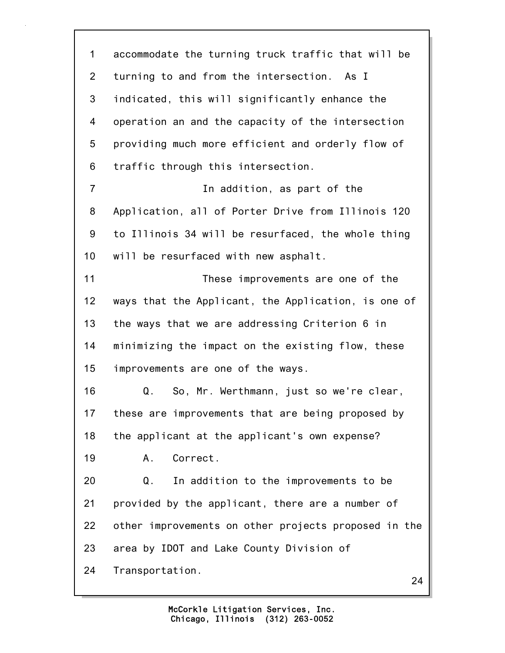24 1 accommodate the turning truck traffic that will be 2 turning to and from the intersection. As I 3 indicated, this will significantly enhance the 4 operation an and the capacity of the intersection 5 providing much more efficient and orderly flow of 6 traffic through this intersection. 7 In addition, as part of the 8 Application, all of Porter Drive from Illinois 120 9 to Illinois 34 will be resurfaced, the whole thing 10 will be resurfaced with new asphalt. 11 These improvements are one of the 12 ways that the Applicant, the Application, is one of 13 the ways that we are addressing Criterion 6 in 14 minimizing the impact on the existing flow, these 15 improvements are one of the ways. 16 Q. So, Mr. Werthmann, just so we're clear, 17 these are improvements that are being proposed by 18 the applicant at the applicant's own expense? 19 A. Correct. 20 Q. In addition to the improvements to be 21 provided by the applicant, there are a number of 22 other improvements on other projects proposed in the 23 area by IDOT and Lake County Division of 24 Transportation.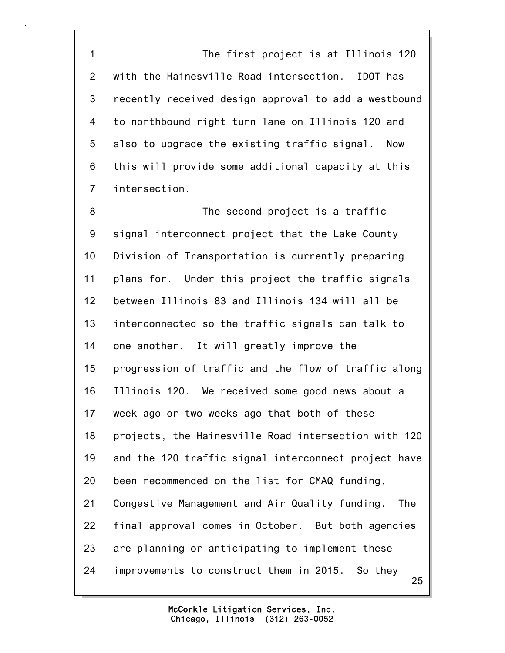1 The first project is at Illinois 120 2 with the Hainesville Road intersection. IDOT has 3 recently received design approval to add a westbound 4 to northbound right turn lane on Illinois 120 and 5 also to upgrade the existing traffic signal. Now 6 this will provide some additional capacity at this 7 intersection.

25 8 The second project is a traffic 9 signal interconnect project that the Lake County 10 Division of Transportation is currently preparing 11 plans for. Under this project the traffic signals 12 between Illinois 83 and Illinois 134 will all be 13 interconnected so the traffic signals can talk to 14 one another. It will greatly improve the 15 progression of traffic and the flow of traffic along 16 Illinois 120. We received some good news about a 17 week ago or two weeks ago that both of these 18 projects, the Hainesville Road intersection with 120 19 and the 120 traffic signal interconnect project have 20 been recommended on the list for CMAQ funding, 21 Congestive Management and Air Quality funding. The 22 final approval comes in October. But both agencies 23 are planning or anticipating to implement these 24 improvements to construct them in 2015. So they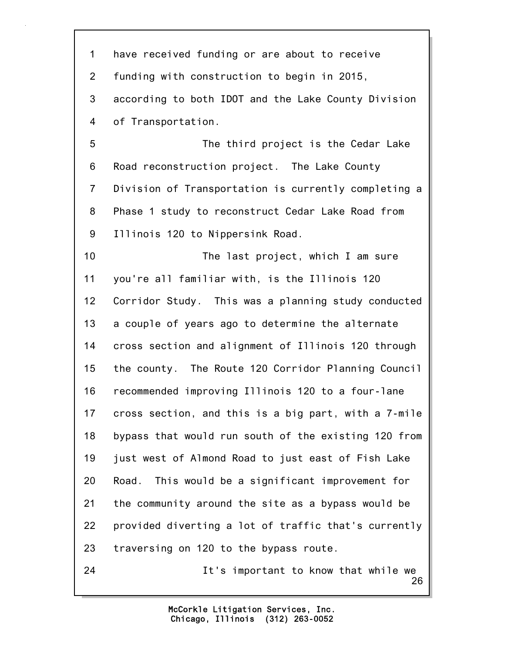26 1 have received funding or are about to receive 2 funding with construction to begin in 2015, 3 according to both IDOT and the Lake County Division 4 of Transportation. 5 The third project is the Cedar Lake 6 Road reconstruction project. The Lake County 7 Division of Transportation is currently completing a 8 Phase 1 study to reconstruct Cedar Lake Road from 9 Illinois 120 to Nippersink Road. 10 The last project, which I am sure 11 you're all familiar with, is the Illinois 120 12 Corridor Study. This was a planning study conducted 13 a couple of years ago to determine the alternate 14 cross section and alignment of Illinois 120 through 15 the county. The Route 120 Corridor Planning Council 16 recommended improving Illinois 120 to a four-lane 17 cross section, and this is a big part, with a 7-mile 18 bypass that would run south of the existing 120 from 19 just west of Almond Road to just east of Fish Lake 20 Road. This would be a significant improvement for 21 the community around the site as a bypass would be 22 provided diverting a lot of traffic that's currently 23 traversing on 120 to the bypass route. 24 It's important to know that while we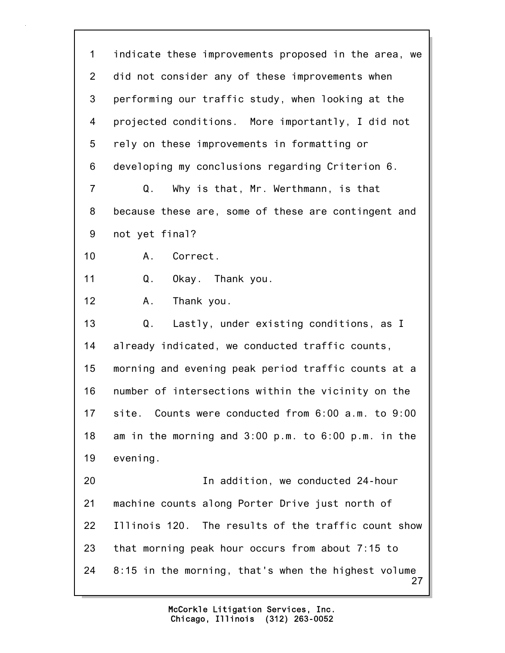27 1 indicate these improvements proposed in the area, we 2 did not consider any of these improvements when 3 performing our traffic study, when looking at the 4 projected conditions. More importantly, I did not 5 rely on these improvements in formatting or 6 developing my conclusions regarding Criterion 6. 7 Q. Why is that, Mr. Werthmann, is that 8 because these are, some of these are contingent and 9 not yet final? 10 A. Correct. 11 Q. Okay. Thank you. 12 A. Thank you. 13 Q. Lastly, under existing conditions, as I 14 already indicated, we conducted traffic counts, 15 morning and evening peak period traffic counts at a 16 number of intersections within the vicinity on the 17 site. Counts were conducted from 6:00 a.m. to 9:00 18 am in the morning and 3:00 p.m. to 6:00 p.m. in the 19 evening. 20 In addition, we conducted 24-hour 21 machine counts along Porter Drive just north of 22 Illinois 120. The results of the traffic count show 23 that morning peak hour occurs from about 7:15 to 24 8:15 in the morning, that's when the highest volume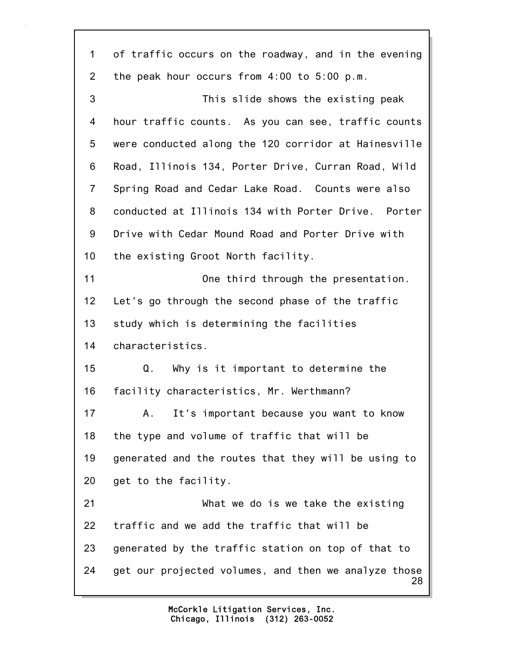28 1 of traffic occurs on the roadway, and in the evening 2 the peak hour occurs from 4:00 to 5:00 p.m. 3 This slide shows the existing peak 4 hour traffic counts. As you can see, traffic counts 5 were conducted along the 120 corridor at Hainesville 6 Road, Illinois 134, Porter Drive, Curran Road, Wild 7 Spring Road and Cedar Lake Road. Counts were also 8 conducted at Illinois 134 with Porter Drive. Porter 9 Drive with Cedar Mound Road and Porter Drive with 10 the existing Groot North facility. 11 One third through the presentation. 12 Let's go through the second phase of the traffic 13 study which is determining the facilities 14 characteristics. 15 Q. Why is it important to determine the 16 facility characteristics, Mr. Werthmann? 17 A. It's important because you want to know 18 the type and volume of traffic that will be 19 generated and the routes that they will be using to 20 get to the facility. 21 What we do is we take the existing 22 traffic and we add the traffic that will be 23 generated by the traffic station on top of that to 24 get our projected volumes, and then we analyze those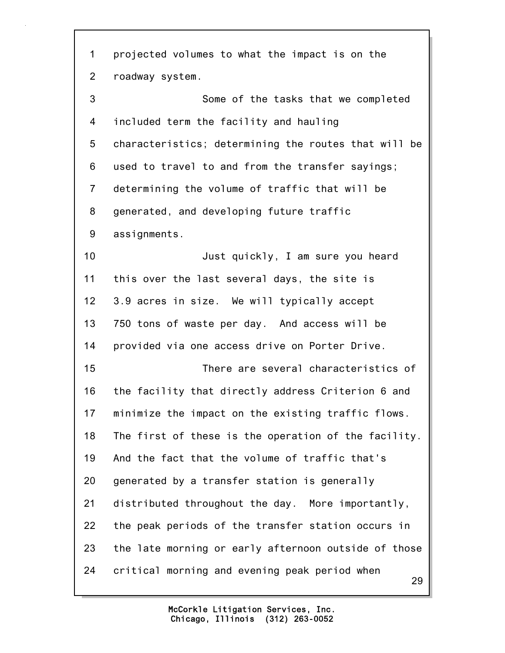29 1 projected volumes to what the impact is on the 2 roadway system. 3 Some of the tasks that we completed 4 included term the facility and hauling 5 characteristics; determining the routes that will be 6 used to travel to and from the transfer sayings; 7 determining the volume of traffic that will be 8 generated, and developing future traffic 9 assignments. 10 Just quickly, I am sure you heard 11 this over the last several days, the site is 12 3.9 acres in size. We will typically accept 13 750 tons of waste per day. And access will be 14 provided via one access drive on Porter Drive. 15 There are several characteristics of 16 the facility that directly address Criterion 6 and 17 minimize the impact on the existing traffic flows. 18 The first of these is the operation of the facility. 19 And the fact that the volume of traffic that's 20 generated by a transfer station is generally 21 distributed throughout the day. More importantly, 22 the peak periods of the transfer station occurs in 23 the late morning or early afternoon outside of those 24 critical morning and evening peak period when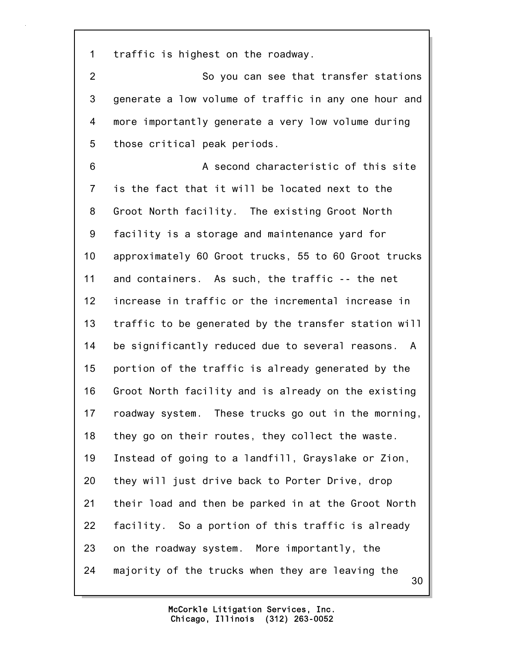1 traffic is highest on the roadway.

2 So you can see that transfer stations 3 generate a low volume of traffic in any one hour and 4 more importantly generate a very low volume during 5 those critical peak periods.

30 6 A second characteristic of this site 7 is the fact that it will be located next to the 8 Groot North facility. The existing Groot North 9 facility is a storage and maintenance yard for 10 approximately 60 Groot trucks, 55 to 60 Groot trucks 11 and containers. As such, the traffic -- the net 12 increase in traffic or the incremental increase in 13 traffic to be generated by the transfer station will 14 be significantly reduced due to several reasons. A 15 portion of the traffic is already generated by the 16 Groot North facility and is already on the existing 17 roadway system. These trucks go out in the morning, 18 they go on their routes, they collect the waste. 19 Instead of going to a landfill, Grayslake or Zion, 20 they will just drive back to Porter Drive, drop 21 their load and then be parked in at the Groot North 22 facility. So a portion of this traffic is already 23 on the roadway system. More importantly, the 24 majority of the trucks when they are leaving the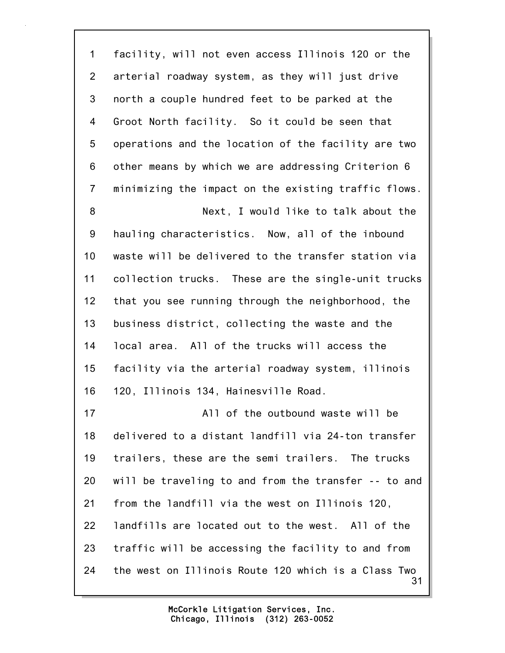31 1 facility, will not even access Illinois 120 or the 2 arterial roadway system, as they will just drive 3 north a couple hundred feet to be parked at the 4 Groot North facility. So it could be seen that 5 operations and the location of the facility are two 6 other means by which we are addressing Criterion 6 7 minimizing the impact on the existing traffic flows. 8 Next, I would like to talk about the 9 hauling characteristics. Now, all of the inbound 10 waste will be delivered to the transfer station via 11 collection trucks. These are the single-unit trucks 12 that you see running through the neighborhood, the 13 business district, collecting the waste and the 14 local area. All of the trucks will access the 15 facility via the arterial roadway system, illinois 16 120, Illinois 134, Hainesville Road. 17 All of the outbound waste will be 18 delivered to a distant landfill via 24-ton transfer 19 trailers, these are the semi trailers. The trucks 20 will be traveling to and from the transfer -- to and 21 from the landfill via the west on Illinois 120, 22 landfills are located out to the west. All of the 23 traffic will be accessing the facility to and from 24 the west on Illinois Route 120 which is a Class Two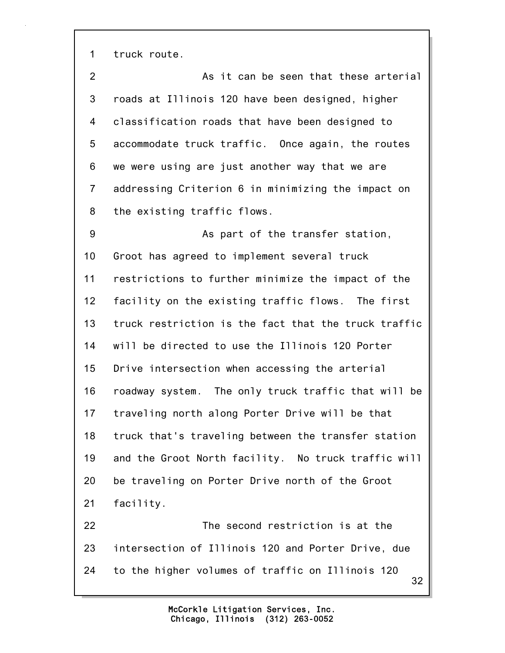1 truck route.

2 As it can be seen that these arterial 3 roads at Illinois 120 have been designed, higher 4 classification roads that have been designed to 5 accommodate truck traffic. Once again, the routes 6 we were using are just another way that we are 7 addressing Criterion 6 in minimizing the impact on 8 the existing traffic flows. 9 As part of the transfer station, 10 Groot has agreed to implement several truck 11 restrictions to further minimize the impact of the 12 facility on the existing traffic flows. The first 13 truck restriction is the fact that the truck traffic 14 will be directed to use the Illinois 120 Porter 15 Drive intersection when accessing the arterial 16 roadway system. The only truck traffic that will be 17 traveling north along Porter Drive will be that 18 truck that's traveling between the transfer station 19 and the Groot North facility. No truck traffic will 20 be traveling on Porter Drive north of the Groot

21 facility.

32 22 The second restriction is at the 23 intersection of Illinois 120 and Porter Drive, due 24 to the higher volumes of traffic on Illinois 120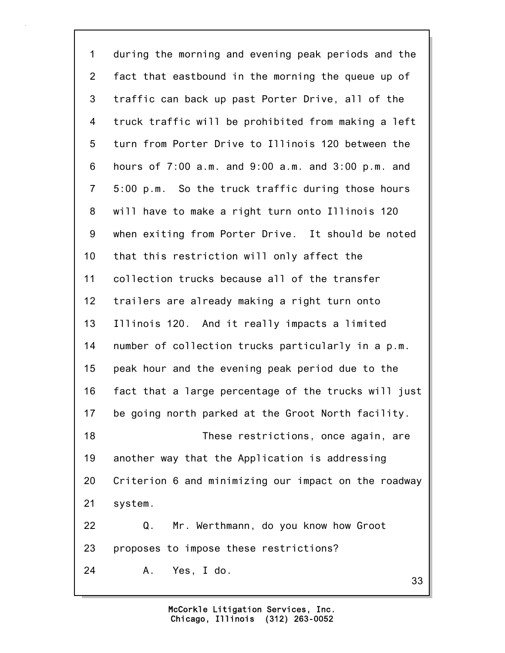33 1 during the morning and evening peak periods and the 2 fact that eastbound in the morning the queue up of 3 traffic can back up past Porter Drive, all of the 4 truck traffic will be prohibited from making a left 5 turn from Porter Drive to Illinois 120 between the 6 hours of 7:00 a.m. and 9:00 a.m. and 3:00 p.m. and 7 5:00 p.m. So the truck traffic during those hours 8 will have to make a right turn onto Illinois 120 9 when exiting from Porter Drive. It should be noted 10 that this restriction will only affect the 11 collection trucks because all of the transfer 12 trailers are already making a right turn onto 13 Illinois 120. And it really impacts a limited 14 number of collection trucks particularly in a p.m. 15 peak hour and the evening peak period due to the 16 fact that a large percentage of the trucks will just 17 be going north parked at the Groot North facility. 18 These restrictions, once again, are 19 another way that the Application is addressing 20 Criterion 6 and minimizing our impact on the roadway 21 system. 22 Q. Mr. Werthmann, do you know how Groot 23 proposes to impose these restrictions? 24 A. Yes, I do.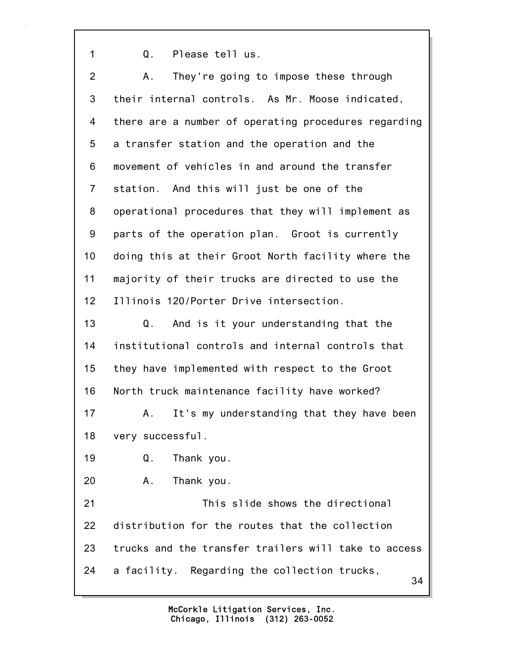1 Q. Please tell us.

34 2 A. They're going to impose these through 3 their internal controls. As Mr. Moose indicated, 4 there are a number of operating procedures regarding 5 a transfer station and the operation and the 6 movement of vehicles in and around the transfer 7 station. And this will just be one of the 8 operational procedures that they will implement as 9 parts of the operation plan. Groot is currently 10 doing this at their Groot North facility where the 11 majority of their trucks are directed to use the 12 Illinois 120/Porter Drive intersection. 13 Q. And is it your understanding that the 14 institutional controls and internal controls that 15 they have implemented with respect to the Groot 16 North truck maintenance facility have worked? 17 A. It's my understanding that they have been 18 very successful. 19 Q. Thank you. 20 A. Thank you. 21 This slide shows the directional 22 distribution for the routes that the collection 23 trucks and the transfer trailers will take to access 24 a facility. Regarding the collection trucks,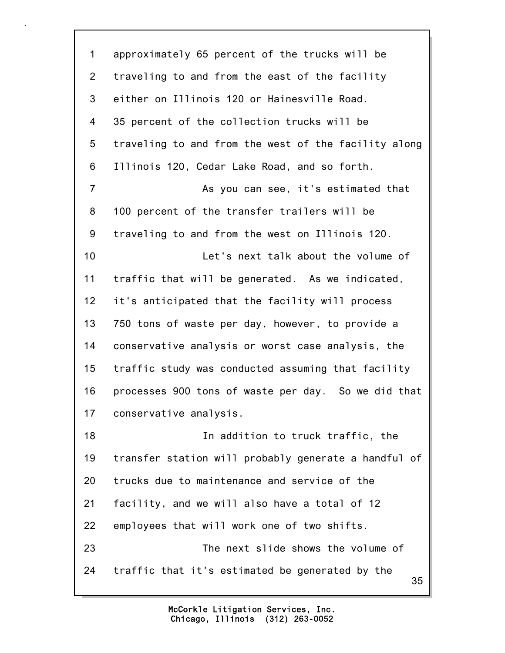35 1 approximately 65 percent of the trucks will be 2 traveling to and from the east of the facility 3 either on Illinois 120 or Hainesville Road. 4 35 percent of the collection trucks will be 5 traveling to and from the west of the facility along 6 Illinois 120, Cedar Lake Road, and so forth. 7 As you can see, it's estimated that 8 100 percent of the transfer trailers will be 9 traveling to and from the west on Illinois 120. 10 Let's next talk about the volume of 11 traffic that will be generated. As we indicated, 12 it's anticipated that the facility will process 13 750 tons of waste per day, however, to provide a 14 conservative analysis or worst case analysis, the 15 traffic study was conducted assuming that facility 16 processes 900 tons of waste per day. So we did that 17 conservative analysis. 18 In addition to truck traffic, the 19 transfer station will probably generate a handful of 20 trucks due to maintenance and service of the 21 facility, and we will also have a total of 12 22 employees that will work one of two shifts. 23 The next slide shows the volume of 24 traffic that it's estimated be generated by the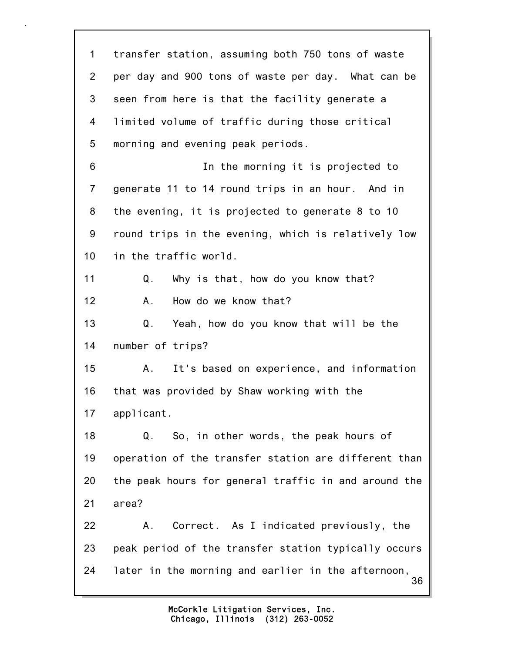36 1 transfer station, assuming both 750 tons of waste 2 per day and 900 tons of waste per day. What can be 3 seen from here is that the facility generate a 4 limited volume of traffic during those critical 5 morning and evening peak periods. 6 In the morning it is projected to 7 generate 11 to 14 round trips in an hour. And in 8 the evening, it is projected to generate 8 to 10 9 round trips in the evening, which is relatively low 10 in the traffic world. 11 Q. Why is that, how do you know that? 12 A. How do we know that? 13 Q. Yeah, how do you know that will be the 14 number of trips? 15 A. It's based on experience, and information 16 that was provided by Shaw working with the 17 applicant. 18 Q. So, in other words, the peak hours of 19 operation of the transfer station are different than 20 the peak hours for general traffic in and around the 21 area? 22 A. Correct. As I indicated previously, the 23 peak period of the transfer station typically occurs 24 later in the morning and earlier in the afternoon,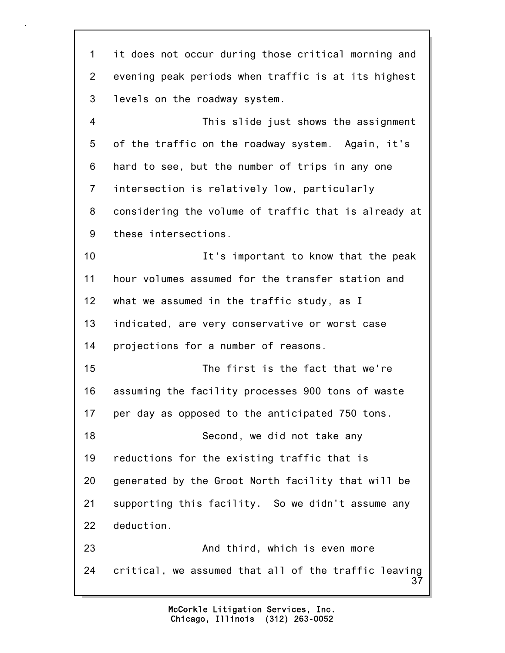37 1 it does not occur during those critical morning and 2 evening peak periods when traffic is at its highest 3 levels on the roadway system. 4 This slide just shows the assignment 5 of the traffic on the roadway system. Again, it's 6 hard to see, but the number of trips in any one 7 intersection is relatively low, particularly 8 considering the volume of traffic that is already at 9 these intersections. 10 **It's important to know that the peak** 11 hour volumes assumed for the transfer station and 12 what we assumed in the traffic study, as I 13 indicated, are very conservative or worst case 14 projections for a number of reasons. 15 The first is the fact that we're 16 assuming the facility processes 900 tons of waste 17 per day as opposed to the anticipated 750 tons. 18 Second, we did not take any 19 reductions for the existing traffic that is 20 generated by the Groot North facility that will be 21 supporting this facility. So we didn't assume any 22 deduction. 23 And third, which is even more 24 critical, we assumed that all of the traffic leaving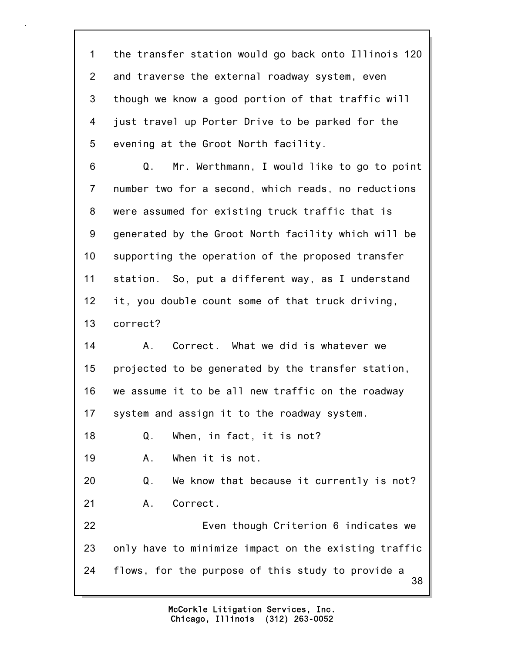1 the transfer station would go back onto Illinois 120 2 and traverse the external roadway system, even 3 though we know a good portion of that traffic will 4 just travel up Porter Drive to be parked for the 5 evening at the Groot North facility.

6 Q. Mr. Werthmann, I would like to go to point 7 number two for a second, which reads, no reductions 8 were assumed for existing truck traffic that is 9 generated by the Groot North facility which will be 10 supporting the operation of the proposed transfer 11 station. So, put a different way, as I understand 12 it, you double count some of that truck driving, 13 correct?

14 A. Correct. What we did is whatever we 15 projected to be generated by the transfer station, 16 we assume it to be all new traffic on the roadway 17 system and assign it to the roadway system.

18 Q. When, in fact, it is not?

19 A. When it is not.

20 Q. We know that because it currently is not? 21 A. Correct.

38 22 Even though Criterion 6 indicates we 23 only have to minimize impact on the existing traffic 24 flows, for the purpose of this study to provide a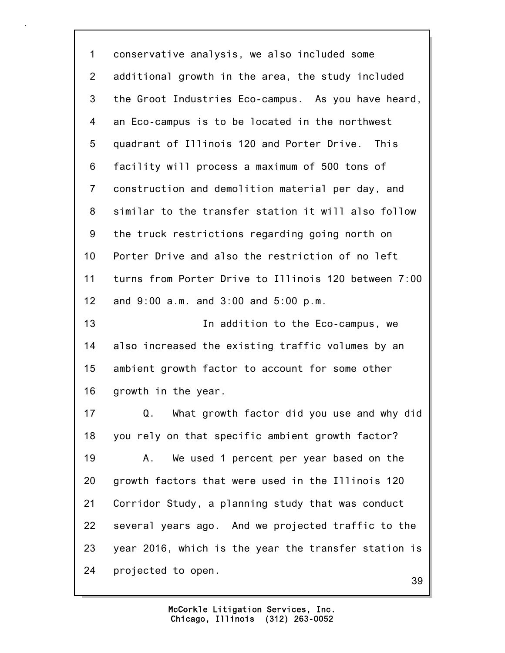1 conservative analysis, we also included some 2 additional growth in the area, the study included 3 the Groot Industries Eco-campus. As you have heard, 4 an Eco-campus is to be located in the northwest 5 quadrant of Illinois 120 and Porter Drive. This 6 facility will process a maximum of 500 tons of 7 construction and demolition material per day, and 8 similar to the transfer station it will also follow 9 the truck restrictions regarding going north on 10 Porter Drive and also the restriction of no left 11 turns from Porter Drive to Illinois 120 between 7:00 12 and 9:00 a.m. and 3:00 and 5:00 p.m. 13 **In addition to the Eco-campus, we** 14 also increased the existing traffic volumes by an 15 ambient growth factor to account for some other 16 growth in the year. 17 Q. What growth factor did you use and why did 18 you rely on that specific ambient growth factor? 19 A. We used 1 percent per year based on the 20 growth factors that were used in the Illinois 120 21 Corridor Study, a planning study that was conduct 22 several years ago. And we projected traffic to the 23 year 2016, which is the year the transfer station is 24 projected to open.

39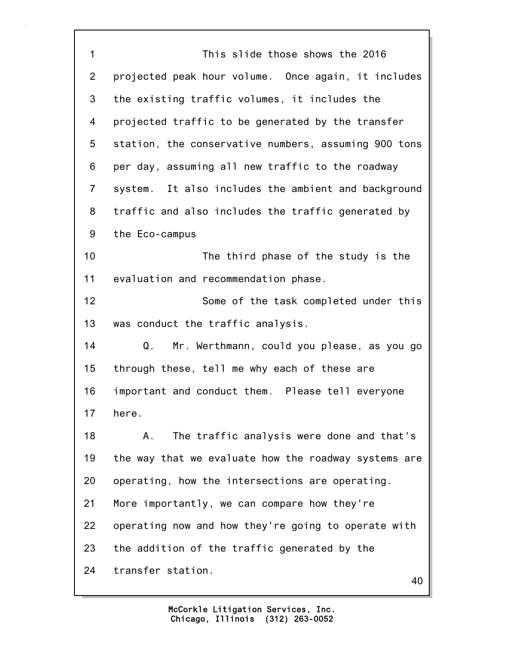1 This slide those shows the 2016 2 projected peak hour volume. Once again, it includes 3 the existing traffic volumes, it includes the 4 projected traffic to be generated by the transfer 5 station, the conservative numbers, assuming 900 tons 6 per day, assuming all new traffic to the roadway 7 system. It also includes the ambient and background 8 traffic and also includes the traffic generated by 9 the Eco-campus 10 The third phase of the study is the 11 evaluation and recommendation phase. 12 Some of the task completed under this 13 was conduct the traffic analysis. 14 Q. Mr. Werthmann, could you please, as you go 15 through these, tell me why each of these are 16 important and conduct them. Please tell everyone 17 here. 18 A. The traffic analysis were done and that's 19 the way that we evaluate how the roadway systems are 20 operating, how the intersections are operating. 21 More importantly, we can compare how they're 22 operating now and how they're going to operate with 23 the addition of the traffic generated by the 24 transfer station.

40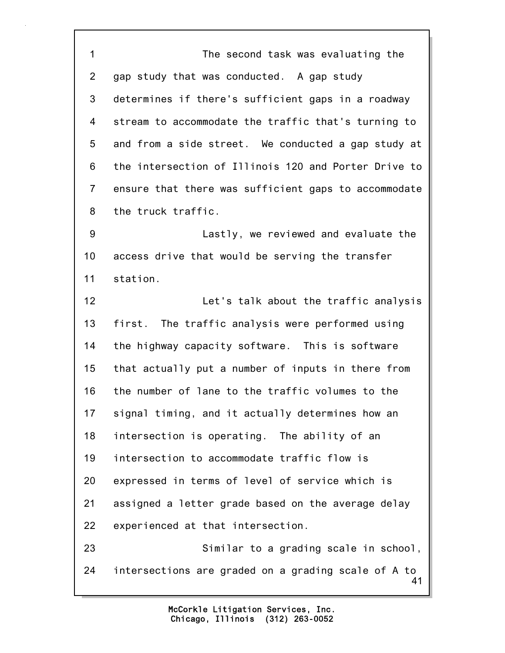41 1 The second task was evaluating the 2 gap study that was conducted. A gap study 3 determines if there's sufficient gaps in a roadway 4 stream to accommodate the traffic that's turning to 5 and from a side street. We conducted a gap study at 6 the intersection of Illinois 120 and Porter Drive to 7 ensure that there was sufficient gaps to accommodate 8 the truck traffic. 9 Lastly, we reviewed and evaluate the 10 access drive that would be serving the transfer 11 station. 12 Let's talk about the traffic analysis 13 first. The traffic analysis were performed using 14 the highway capacity software. This is software 15 that actually put a number of inputs in there from 16 the number of lane to the traffic volumes to the 17 signal timing, and it actually determines how an 18 intersection is operating. The ability of an 19 intersection to accommodate traffic flow is 20 expressed in terms of level of service which is 21 assigned a letter grade based on the average delay 22 experienced at that intersection. 23 Similar to a grading scale in school, 24 intersections are graded on a grading scale of A to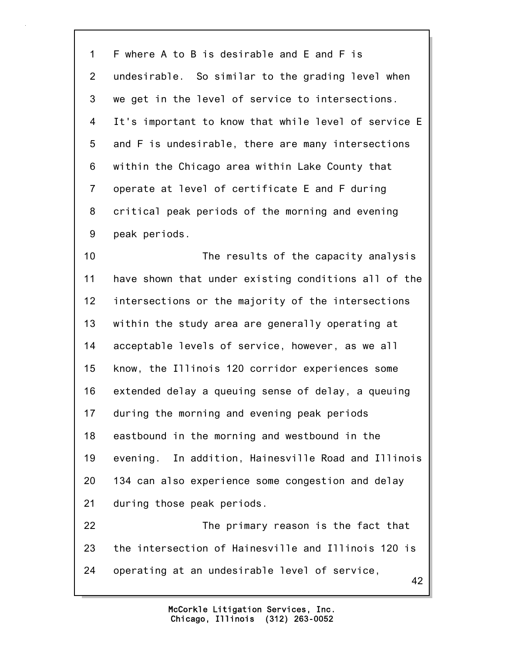1 F where A to B is desirable and E and F is 2 undesirable. So similar to the grading level when 3 we get in the level of service to intersections. 4 It's important to know that while level of service E 5 and F is undesirable, there are many intersections 6 within the Chicago area within Lake County that 7 operate at level of certificate E and F during 8 critical peak periods of the morning and evening 9 peak periods.

10 The results of the capacity analysis 11 have shown that under existing conditions all of the 12 intersections or the majority of the intersections 13 within the study area are generally operating at 14 acceptable levels of service, however, as we all 15 know, the Illinois 120 corridor experiences some 16 extended delay a queuing sense of delay, a queuing 17 during the morning and evening peak periods 18 eastbound in the morning and westbound in the 19 evening. In addition, Hainesville Road and Illinois 20 134 can also experience some congestion and delay 21 during those peak periods.

42 22 The primary reason is the fact that 23 the intersection of Hainesville and Illinois 120 is 24 operating at an undesirable level of service,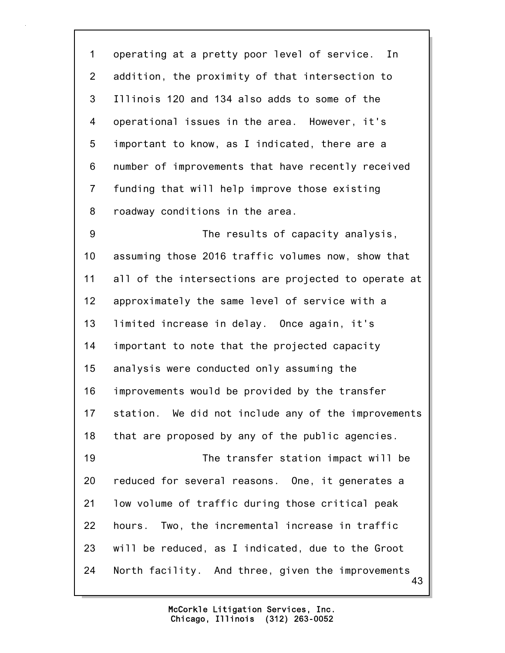1 operating at a pretty poor level of service. In 2 addition, the proximity of that intersection to 3 Illinois 120 and 134 also adds to some of the 4 operational issues in the area. However, it's 5 important to know, as I indicated, there are a 6 number of improvements that have recently received 7 funding that will help improve those existing 8 roadway conditions in the area. 9 The results of capacity analysis, 10 assuming those 2016 traffic volumes now, show that 11 all of the intersections are projected to operate at 12 approximately the same level of service with a 13 limited increase in delay. Once again, it's 14 important to note that the projected capacity 15 analysis were conducted only assuming the 16 improvements would be provided by the transfer 17 station. We did not include any of the improvements 18 that are proposed by any of the public agencies. 19 The transfer station impact will be 20 reduced for several reasons. One, it generates a

43 21 low volume of traffic during those critical peak 22 hours. Two, the incremental increase in traffic 23 will be reduced, as I indicated, due to the Groot 24 North facility. And three, given the improvements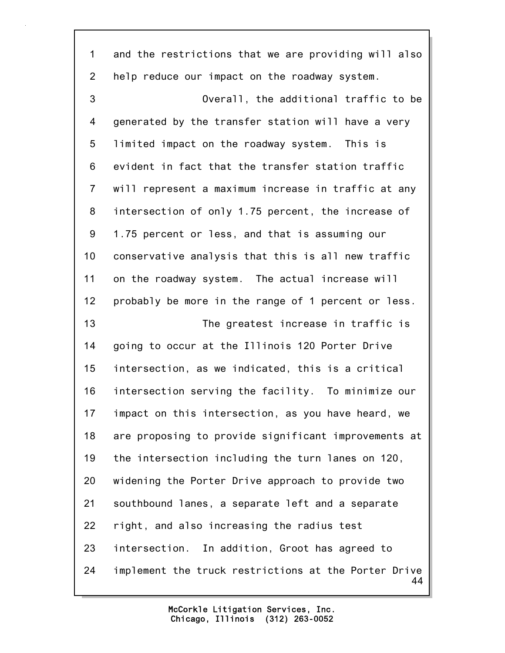44 1 and the restrictions that we are providing will also 2 help reduce our impact on the roadway system. 3 Overall, the additional traffic to be 4 generated by the transfer station will have a very 5 limited impact on the roadway system. This is 6 evident in fact that the transfer station traffic 7 will represent a maximum increase in traffic at any 8 intersection of only 1.75 percent, the increase of 9 1.75 percent or less, and that is assuming our 10 conservative analysis that this is all new traffic 11 on the roadway system. The actual increase will 12 probably be more in the range of 1 percent or less. 13 The greatest increase in traffic is 14 going to occur at the Illinois 120 Porter Drive 15 intersection, as we indicated, this is a critical 16 intersection serving the facility. To minimize our 17 impact on this intersection, as you have heard, we 18 are proposing to provide significant improvements at 19 the intersection including the turn lanes on 120, 20 widening the Porter Drive approach to provide two 21 southbound lanes, a separate left and a separate 22 right, and also increasing the radius test 23 intersection. In addition, Groot has agreed to 24 implement the truck restrictions at the Porter Drive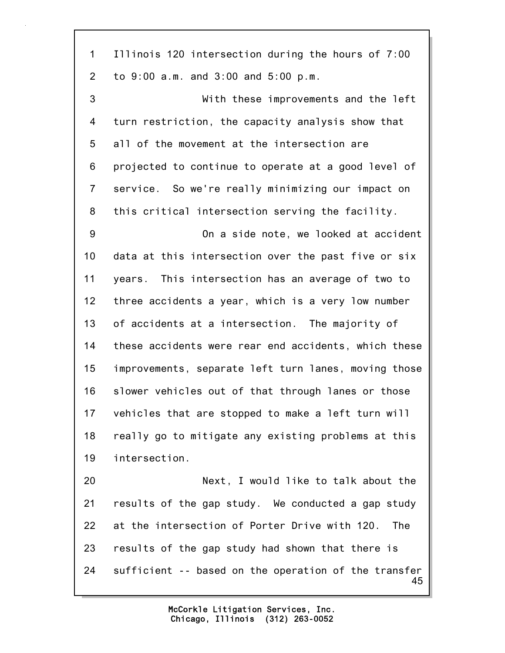45 1 Illinois 120 intersection during the hours of 7:00 2 to 9:00 a.m. and 3:00 and 5:00 p.m. 3 With these improvements and the left 4 turn restriction, the capacity analysis show that 5 all of the movement at the intersection are 6 projected to continue to operate at a good level of 7 service. So we're really minimizing our impact on 8 this critical intersection serving the facility. 9 On a side note, we looked at accident 10 data at this intersection over the past five or six 11 years. This intersection has an average of two to 12 three accidents a year, which is a very low number 13 of accidents at a intersection. The majority of 14 these accidents were rear end accidents, which these 15 improvements, separate left turn lanes, moving those 16 slower vehicles out of that through lanes or those 17 vehicles that are stopped to make a left turn will 18 really go to mitigate any existing problems at this 19 intersection. 20 Next, I would like to talk about the 21 results of the gap study. We conducted a gap study 22 at the intersection of Porter Drive with 120. The 23 results of the gap study had shown that there is 24 sufficient -- based on the operation of the transfer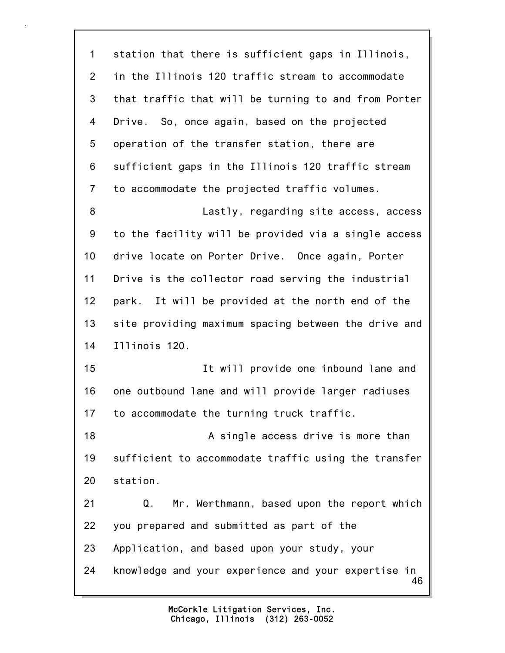46 1 station that there is sufficient gaps in Illinois, 2 in the Illinois 120 traffic stream to accommodate 3 that traffic that will be turning to and from Porter 4 Drive. So, once again, based on the projected 5 operation of the transfer station, there are 6 sufficient gaps in the Illinois 120 traffic stream 7 to accommodate the projected traffic volumes. 8 Lastly, regarding site access, access 9 to the facility will be provided via a single access 10 drive locate on Porter Drive. Once again, Porter 11 Drive is the collector road serving the industrial 12 park. It will be provided at the north end of the 13 site providing maximum spacing between the drive and 14 Illinois 120. 15 It will provide one inbound lane and 16 one outbound lane and will provide larger radiuses 17 to accommodate the turning truck traffic. 18 A single access drive is more than 19 sufficient to accommodate traffic using the transfer 20 station. 21 Q. Mr. Werthmann, based upon the report which 22 you prepared and submitted as part of the 23 Application, and based upon your study, your 24 knowledge and your experience and your expertise in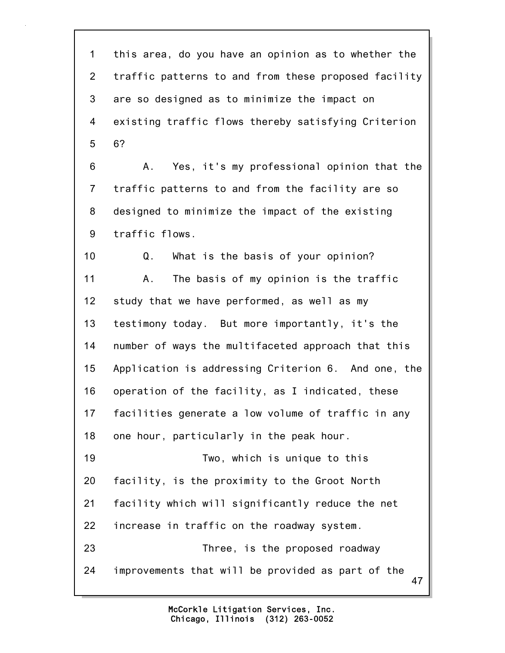1 this area, do you have an opinion as to whether the 2 traffic patterns to and from these proposed facility 3 are so designed as to minimize the impact on 4 existing traffic flows thereby satisfying Criterion 5 6?

6 A. Yes, it's my professional opinion that the 7 traffic patterns to and from the facility are so 8 designed to minimize the impact of the existing 9 traffic flows.

47 10 Q. What is the basis of your opinion? 11 A. The basis of my opinion is the traffic 12 study that we have performed, as well as my 13 testimony today. But more importantly, it's the 14 number of ways the multifaceted approach that this 15 Application is addressing Criterion 6. And one, the 16 operation of the facility, as I indicated, these 17 facilities generate a low volume of traffic in any 18 one hour, particularly in the peak hour. 19 Two, which is unique to this 20 facility, is the proximity to the Groot North 21 facility which will significantly reduce the net 22 increase in traffic on the roadway system. 23 Three, is the proposed roadway 24 improvements that will be provided as part of the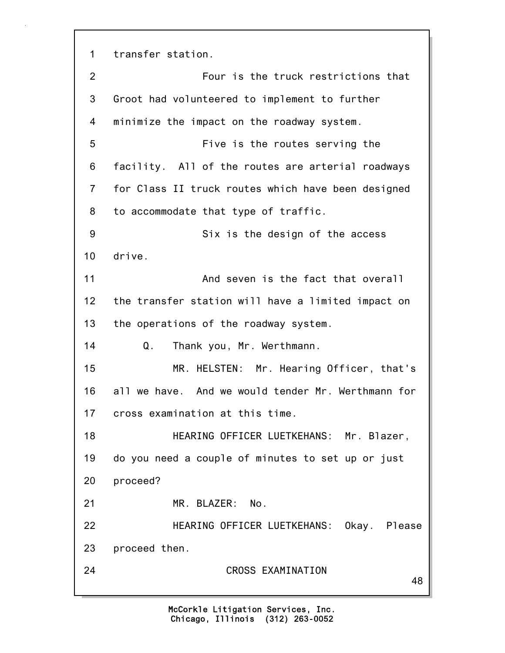1 transfer station.

| 3<br>Groot had volunteered to implement to further<br>minimize the impact on the roadway system.<br>4<br>5<br>Five is the routes serving the<br>6<br>facility. All of the routes are arterial roadways<br>$\overline{7}$<br>for Class II truck routes which have been designed<br>8<br>to accommodate that type of traffic.<br>9<br>Six is the design of the access<br>10<br>drive.<br>11<br>And seven is the fact that overall<br>12<br>the transfer station will have a limited impact on<br>13<br>the operations of the roadway system.<br>14<br>Thank you, Mr. Werthmann.<br>Q.<br>15<br>MR. HELSTEN: Mr. Hearing Officer, that's<br>16<br>all we have. And we would tender Mr. Werthmann for<br>cross examination at this time.<br>17<br>HEARING OFFICER LUETKEHANS: Mr. Blazer,<br>18<br>19<br>do you need a couple of minutes to set up or just<br>proceed?<br>20<br>21<br>MR. BLAZER: No.<br>22<br>23<br>proceed then. | $\overline{2}$ | Four is the truck restrictions that      |
|--------------------------------------------------------------------------------------------------------------------------------------------------------------------------------------------------------------------------------------------------------------------------------------------------------------------------------------------------------------------------------------------------------------------------------------------------------------------------------------------------------------------------------------------------------------------------------------------------------------------------------------------------------------------------------------------------------------------------------------------------------------------------------------------------------------------------------------------------------------------------------------------------------------------------------|----------------|------------------------------------------|
|                                                                                                                                                                                                                                                                                                                                                                                                                                                                                                                                                                                                                                                                                                                                                                                                                                                                                                                                |                |                                          |
|                                                                                                                                                                                                                                                                                                                                                                                                                                                                                                                                                                                                                                                                                                                                                                                                                                                                                                                                |                |                                          |
|                                                                                                                                                                                                                                                                                                                                                                                                                                                                                                                                                                                                                                                                                                                                                                                                                                                                                                                                |                |                                          |
|                                                                                                                                                                                                                                                                                                                                                                                                                                                                                                                                                                                                                                                                                                                                                                                                                                                                                                                                |                |                                          |
|                                                                                                                                                                                                                                                                                                                                                                                                                                                                                                                                                                                                                                                                                                                                                                                                                                                                                                                                |                |                                          |
|                                                                                                                                                                                                                                                                                                                                                                                                                                                                                                                                                                                                                                                                                                                                                                                                                                                                                                                                |                |                                          |
|                                                                                                                                                                                                                                                                                                                                                                                                                                                                                                                                                                                                                                                                                                                                                                                                                                                                                                                                |                |                                          |
|                                                                                                                                                                                                                                                                                                                                                                                                                                                                                                                                                                                                                                                                                                                                                                                                                                                                                                                                |                |                                          |
|                                                                                                                                                                                                                                                                                                                                                                                                                                                                                                                                                                                                                                                                                                                                                                                                                                                                                                                                |                |                                          |
|                                                                                                                                                                                                                                                                                                                                                                                                                                                                                                                                                                                                                                                                                                                                                                                                                                                                                                                                |                |                                          |
|                                                                                                                                                                                                                                                                                                                                                                                                                                                                                                                                                                                                                                                                                                                                                                                                                                                                                                                                |                |                                          |
|                                                                                                                                                                                                                                                                                                                                                                                                                                                                                                                                                                                                                                                                                                                                                                                                                                                                                                                                |                |                                          |
|                                                                                                                                                                                                                                                                                                                                                                                                                                                                                                                                                                                                                                                                                                                                                                                                                                                                                                                                |                |                                          |
|                                                                                                                                                                                                                                                                                                                                                                                                                                                                                                                                                                                                                                                                                                                                                                                                                                                                                                                                |                |                                          |
|                                                                                                                                                                                                                                                                                                                                                                                                                                                                                                                                                                                                                                                                                                                                                                                                                                                                                                                                |                |                                          |
|                                                                                                                                                                                                                                                                                                                                                                                                                                                                                                                                                                                                                                                                                                                                                                                                                                                                                                                                |                |                                          |
|                                                                                                                                                                                                                                                                                                                                                                                                                                                                                                                                                                                                                                                                                                                                                                                                                                                                                                                                |                |                                          |
|                                                                                                                                                                                                                                                                                                                                                                                                                                                                                                                                                                                                                                                                                                                                                                                                                                                                                                                                |                |                                          |
|                                                                                                                                                                                                                                                                                                                                                                                                                                                                                                                                                                                                                                                                                                                                                                                                                                                                                                                                |                |                                          |
|                                                                                                                                                                                                                                                                                                                                                                                                                                                                                                                                                                                                                                                                                                                                                                                                                                                                                                                                |                | HEARING OFFICER LUETKEHANS: Okay. Please |
|                                                                                                                                                                                                                                                                                                                                                                                                                                                                                                                                                                                                                                                                                                                                                                                                                                                                                                                                |                |                                          |
| 24<br>CROSS EXAMINATION                                                                                                                                                                                                                                                                                                                                                                                                                                                                                                                                                                                                                                                                                                                                                                                                                                                                                                        |                | 48                                       |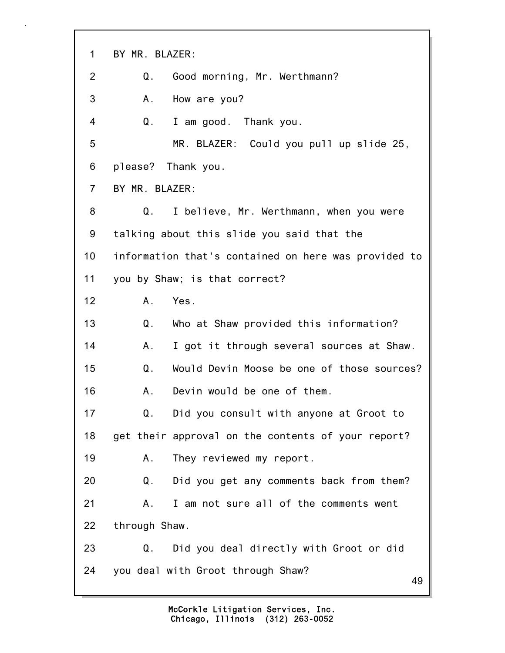49 1 BY MR. BLAZER: 2 Q. Good morning, Mr. Werthmann? 3 A. How are you? 4 Q. I am good. Thank you. 5 MR. BLAZER: Could you pull up slide 25, 6 please? Thank you. 7 BY MR. BLAZER: 8 Q. I believe, Mr. Werthmann, when you were 9 talking about this slide you said that the 10 information that's contained on here was provided to 11 you by Shaw; is that correct? 12 A. Yes. 13 Q. Who at Shaw provided this information? 14 A. I got it through several sources at Shaw. 15 Q. Would Devin Moose be one of those sources? 16 A. Devin would be one of them. 17 Q. Did you consult with anyone at Groot to 18 get their approval on the contents of your report? 19 A. They reviewed my report. 20 Q. Did you get any comments back from them? 21 A. I am not sure all of the comments went 22 through Shaw. 23 Q. Did you deal directly with Groot or did 24 you deal with Groot through Shaw?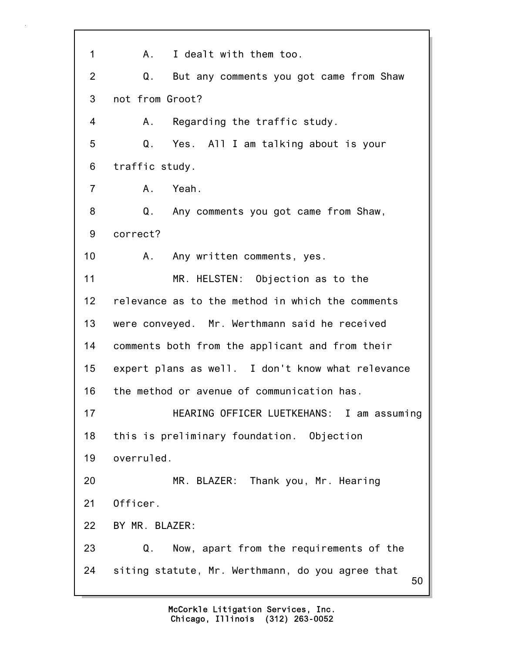50 1 A. I dealt with them too. 2 Q. But any comments you got came from Shaw 3 not from Groot? 4 A. Regarding the traffic study. 5 Q. Yes. All I am talking about is your 6 traffic study. 7 A. Yeah. 8 Q. Any comments you got came from Shaw, 9 correct? 10 A. Any written comments, yes. 11 MR. HELSTEN: Objection as to the 12 relevance as to the method in which the comments 13 were conveyed. Mr. Werthmann said he received 14 comments both from the applicant and from their 15 expert plans as well. I don't know what relevance 16 the method or avenue of communication has. 17 HEARING OFFICER LUETKEHANS: I am assuming 18 this is preliminary foundation. Objection 19 overruled. 20 MR. BLAZER: Thank you, Mr. Hearing 21 Officer. 22 BY MR. BLAZER: 23 Q. Now, apart from the requirements of the 24 siting statute, Mr. Werthmann, do you agree that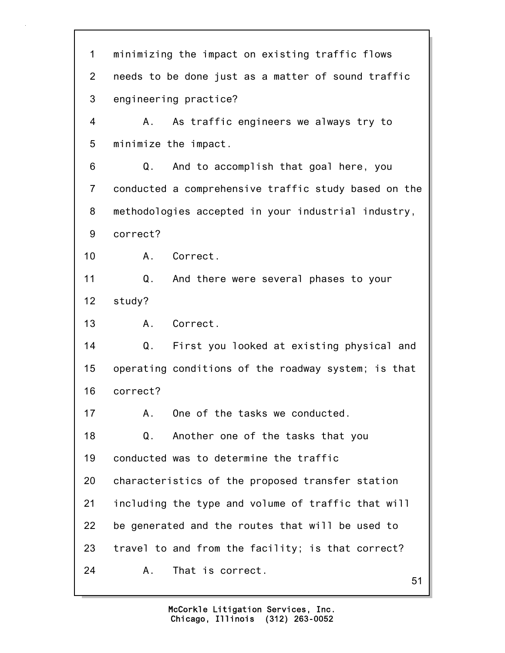51 1 minimizing the impact on existing traffic flows 2 needs to be done just as a matter of sound traffic 3 engineering practice? 4 A. As traffic engineers we always try to 5 minimize the impact. 6 Q. And to accomplish that goal here, you 7 conducted a comprehensive traffic study based on the 8 methodologies accepted in your industrial industry, 9 correct? 10 A. Correct. 11 Q. And there were several phases to your 12 study? 13 A. Correct. 14 Q. First you looked at existing physical and 15 operating conditions of the roadway system; is that 16 correct? 17 A. One of the tasks we conducted. 18 Q. Another one of the tasks that you 19 conducted was to determine the traffic 20 characteristics of the proposed transfer station 21 including the type and volume of traffic that will 22 be generated and the routes that will be used to 23 travel to and from the facility; is that correct? 24 A. That is correct.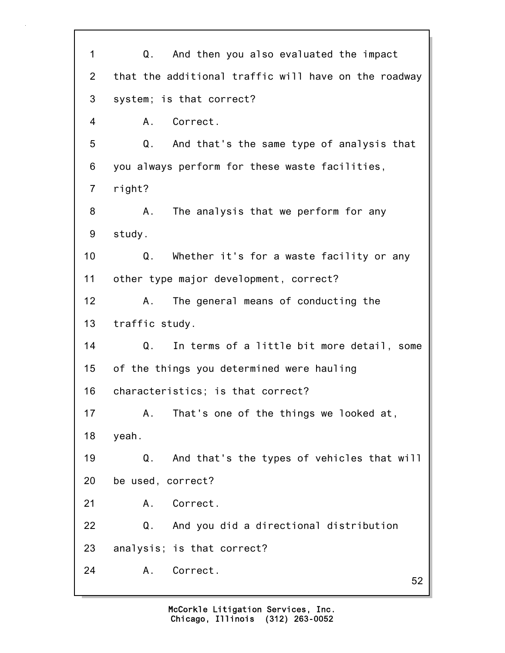52 1 Q. And then you also evaluated the impact 2 that the additional traffic will have on the roadway 3 system; is that correct? 4 A. Correct. 5 Q. And that's the same type of analysis that 6 you always perform for these waste facilities, 7 right? 8 A. The analysis that we perform for any 9 study. 10 Q. Whether it's for a waste facility or any 11 other type major development, correct? 12 A. The general means of conducting the 13 traffic study. 14 Q. In terms of a little bit more detail, some 15 of the things you determined were hauling 16 characteristics; is that correct? 17 A. That's one of the things we looked at, 18 yeah. 19 Q. And that's the types of vehicles that will 20 be used, correct? 21 A. Correct. 22 Q. And you did a directional distribution 23 analysis; is that correct? 24 A. Correct.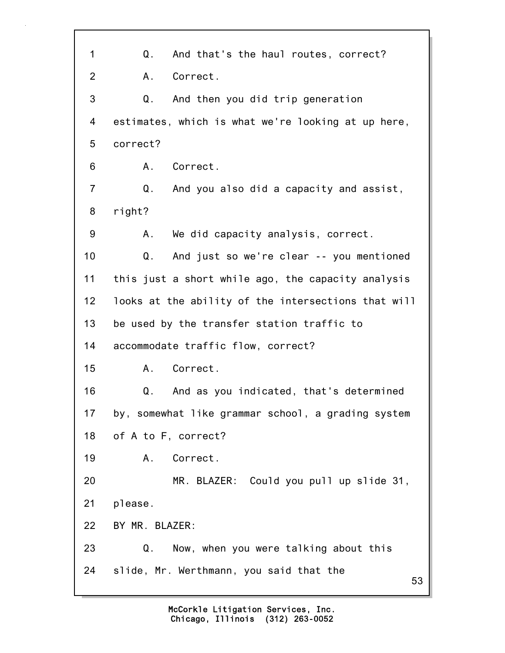53 1 Q. And that's the haul routes, correct? 2 A. Correct. 3 Q. And then you did trip generation 4 estimates, which is what we're looking at up here, 5 correct? 6 A. Correct. 7 Q. And you also did a capacity and assist, 8 right? 9 A. We did capacity analysis, correct. 10 Q. And just so we're clear -- you mentioned 11 this just a short while ago, the capacity analysis 12 looks at the ability of the intersections that will 13 be used by the transfer station traffic to 14 accommodate traffic flow, correct? 15 A. Correct. 16 Q. And as you indicated, that's determined 17 by, somewhat like grammar school, a grading system 18 of A to F, correct? 19 A. Correct. 20 MR. BLAZER: Could you pull up slide 31, 21 please. 22 BY MR. BLAZER: 23 Q. Now, when you were talking about this 24 slide, Mr. Werthmann, you said that the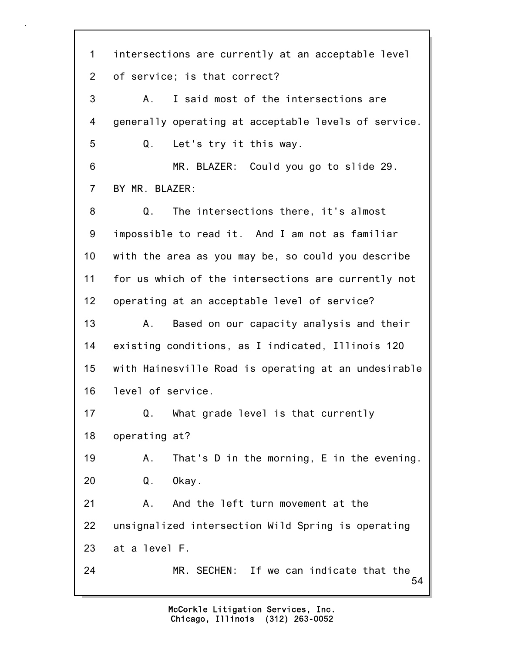54 1 intersections are currently at an acceptable level 2 of service; is that correct? 3 A. I said most of the intersections are 4 generally operating at acceptable levels of service. 5 Q. Let's try it this way. 6 MR. BLAZER: Could you go to slide 29. 7 BY MR. BLAZER: 8 Q. The intersections there, it's almost 9 impossible to read it. And I am not as familiar 10 with the area as you may be, so could you describe 11 for us which of the intersections are currently not 12 operating at an acceptable level of service? 13 A. Based on our capacity analysis and their 14 existing conditions, as I indicated, Illinois 120 15 with Hainesville Road is operating at an undesirable 16 level of service. 17 Q. What grade level is that currently 18 operating at? 19 A. That's D in the morning, E in the evening. 20 Q. Okay. 21 A. And the left turn movement at the 22 unsignalized intersection Wild Spring is operating 23 at a level F. 24 MR. SECHEN: If we can indicate that the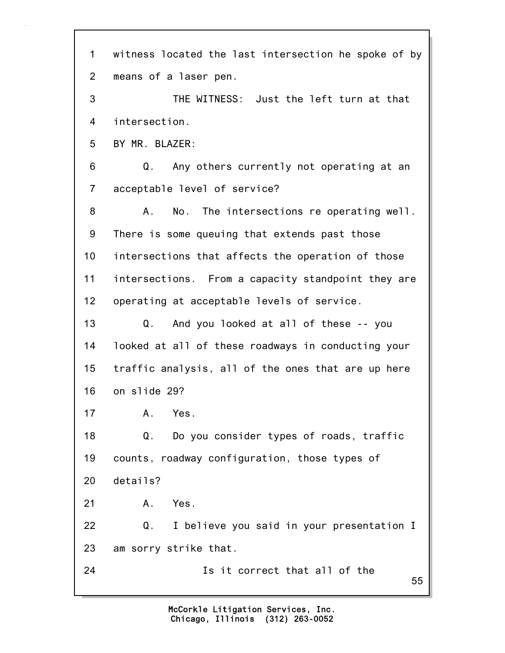55 1 witness located the last intersection he spoke of by 2 means of a laser pen. 3 THE WITNESS: Just the left turn at that 4 intersection. 5 BY MR. BLAZER: 6 Q. Any others currently not operating at an 7 acceptable level of service? 8 A. No. The intersections re operating well. 9 There is some queuing that extends past those 10 intersections that affects the operation of those 11 intersections. From a capacity standpoint they are 12 operating at acceptable levels of service. 13 Q. And you looked at all of these -- you 14 looked at all of these roadways in conducting your 15 traffic analysis, all of the ones that are up here 16 on slide 29? 17 A. Yes. 18 Q. Do you consider types of roads, traffic 19 counts, roadway configuration, those types of 20 details? 21 A. Yes. 22 Q. I believe you said in your presentation I 23 am sorry strike that. 24 Is it correct that all of the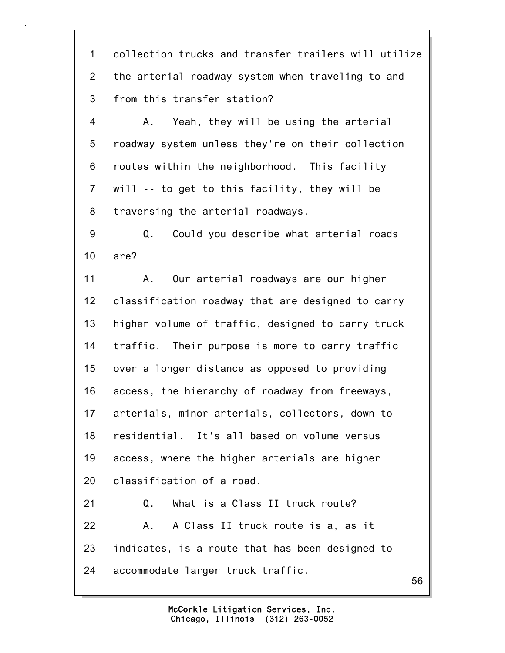1 collection trucks and transfer trailers will utilize 2 the arterial roadway system when traveling to and 3 from this transfer station?

4 A. Yeah, they will be using the arterial 5 roadway system unless they're on their collection 6 routes within the neighborhood. This facility 7 will -- to get to this facility, they will be 8 traversing the arterial roadways.

9 Q. Could you describe what arterial roads 10 are?

11 A. Our arterial roadways are our higher 12 classification roadway that are designed to carry 13 higher volume of traffic, designed to carry truck 14 traffic. Their purpose is more to carry traffic 15 over a longer distance as opposed to providing 16 access, the hierarchy of roadway from freeways, 17 arterials, minor arterials, collectors, down to 18 residential. It's all based on volume versus 19 access, where the higher arterials are higher 20 classification of a road. 21 Q. What is a Class II truck route? 22 A. A Class II truck route is a, as it 23 indicates, is a route that has been designed to 24 accommodate larger truck traffic.

56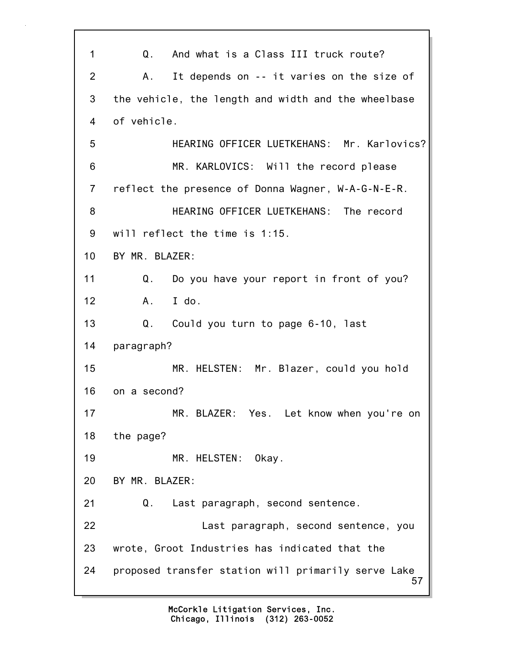57 1 Q. And what is a Class III truck route? 2 A. It depends on -- it varies on the size of 3 the vehicle, the length and width and the wheelbase 4 of vehicle. 5 HEARING OFFICER LUETKEHANS: Mr. Karlovics? 6 MR. KARLOVICS: Will the record please 7 reflect the presence of Donna Wagner, W-A-G-N-E-R. 8 HEARING OFFICER LUETKEHANS: The record 9 will reflect the time is 1:15. 10 BY MR. BLAZER: 11 Q. Do you have your report in front of you? 12 A. I do. 13 Q. Could you turn to page 6-10, last 14 paragraph? 15 MR. HELSTEN: Mr. Blazer, could you hold 16 on a second? 17 MR. BLAZER: Yes. Let know when you're on 18 the page? 19 MR. HELSTEN: Okay. 20 BY MR. BLAZER: 21 Q. Last paragraph, second sentence. 22 Last paragraph, second sentence, you 23 wrote, Groot Industries has indicated that the 24 proposed transfer station will primarily serve Lake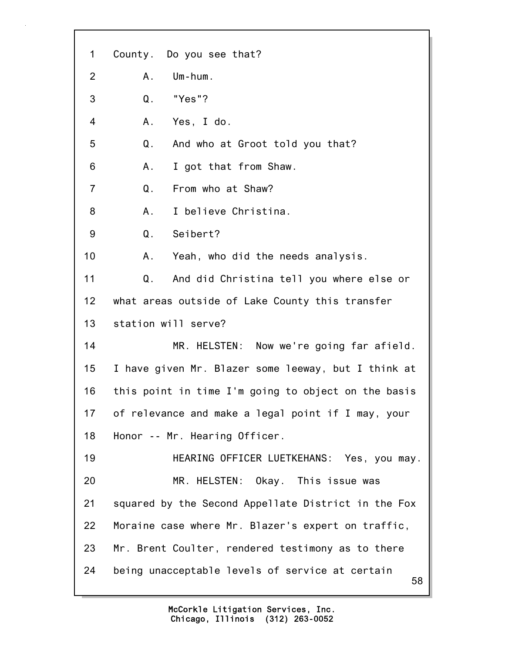| $\mathbf{1}$   | County. Do you see that?                              |
|----------------|-------------------------------------------------------|
| $\overline{2}$ | Um-hum.<br>Α.                                         |
| 3              | "Yes"?<br>Q.                                          |
| 4              | Yes, I do.<br>A.                                      |
| 5              | Q.<br>And who at Groot told you that?                 |
| 6              | Α.<br>I got that from Shaw.                           |
| $\overline{7}$ | From who at Shaw?<br>Q.                               |
| 8              | I believe Christina.<br>Α.                            |
| 9              | Seibert?<br>Q.                                        |
| 10             | Yeah, who did the needs analysis.<br>Α.               |
| 11             | And did Christina tell you where else or<br>Q.        |
| 12             | what areas outside of Lake County this transfer       |
| 13             | station will serve?                                   |
| 14             | MR. HELSTEN: Now we're going far afield.              |
| 15             | I have given Mr. Blazer some leeway, but I think at   |
| 16             | this point in time I'm going to object on the basis   |
| 17             | of relevance and make a legal point if I may, your    |
| 18             | Honor -- Mr. Hearing Officer.                         |
| 19             | HEARING OFFICER LUETKEHANS: Yes, you may.             |
| 20             | MR. HELSTEN: Okay. This issue was                     |
| 21             | squared by the Second Appellate District in the Fox   |
| 22             | Moraine case where Mr. Blazer's expert on traffic,    |
| 23             | Mr. Brent Coulter, rendered testimony as to there     |
| 24             | being unacceptable levels of service at certain<br>58 |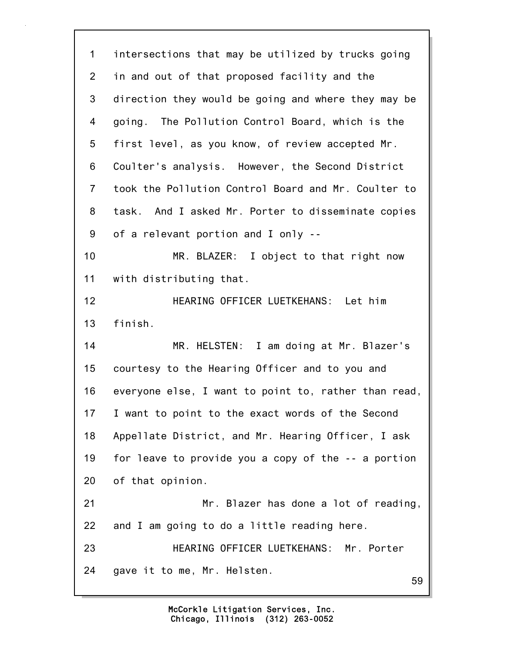59 1 intersections that may be utilized by trucks going 2 in and out of that proposed facility and the 3 direction they would be going and where they may be 4 going. The Pollution Control Board, which is the 5 first level, as you know, of review accepted Mr. 6 Coulter's analysis. However, the Second District 7 took the Pollution Control Board and Mr. Coulter to 8 task. And I asked Mr. Porter to disseminate copies 9 of a relevant portion and I only -- 10 MR. BLAZER: I object to that right now 11 with distributing that. 12 HEARING OFFICER LUETKEHANS: Let him 13 finish. 14 MR. HELSTEN: I am doing at Mr. Blazer's 15 courtesy to the Hearing Officer and to you and 16 everyone else, I want to point to, rather than read, 17 I want to point to the exact words of the Second 18 Appellate District, and Mr. Hearing Officer, I ask 19 for leave to provide you a copy of the -- a portion 20 of that opinion. 21 Mr. Blazer has done a lot of reading, 22 and I am going to do a little reading here. 23 HEARING OFFICER LUETKEHANS: Mr. Porter 24 gave it to me, Mr. Helsten.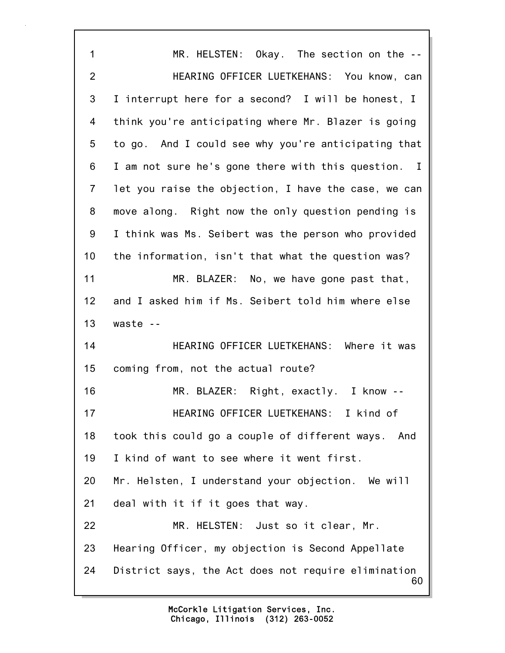60 1 MR. HELSTEN: Okay. The section on the -- 2 HEARING OFFICER LUETKEHANS: You know, can 3 I interrupt here for a second? I will be honest, I 4 think you're anticipating where Mr. Blazer is going 5 to go. And I could see why you're anticipating that 6 I am not sure he's gone there with this question. I 7 let you raise the objection, I have the case, we can 8 move along. Right now the only question pending is 9 I think was Ms. Seibert was the person who provided 10 the information, isn't that what the question was? 11 MR. BLAZER: No, we have gone past that, 12 and I asked him if Ms. Seibert told him where else 13 waste -- 14 HEARING OFFICER LUETKEHANS: Where it was 15 coming from, not the actual route? 16 MR. BLAZER: Right, exactly. I know -- 17 HEARING OFFICER LUETKEHANS: I kind of 18 took this could go a couple of different ways. And 19 I kind of want to see where it went first. 20 Mr. Helsten, I understand your objection. We will 21 deal with it if it goes that way. 22 MR. HELSTEN: Just so it clear, Mr. 23 Hearing Officer, my objection is Second Appellate 24 District says, the Act does not require elimination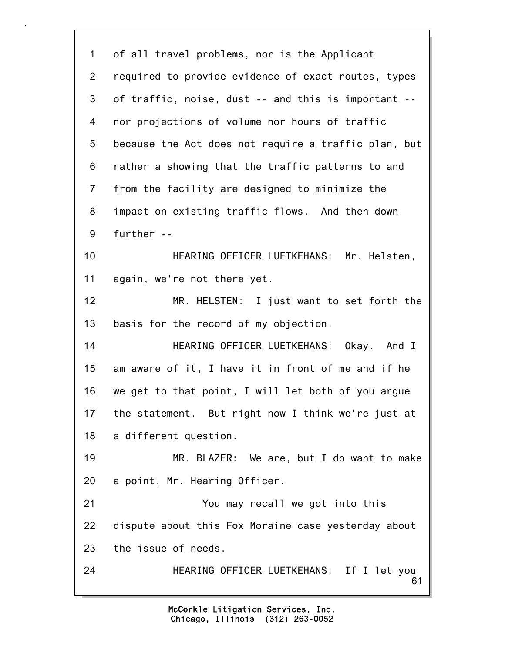61 1 of all travel problems, nor is the Applicant 2 required to provide evidence of exact routes, types 3 of traffic, noise, dust -- and this is important -- 4 nor projections of volume nor hours of traffic 5 because the Act does not require a traffic plan, but 6 rather a showing that the traffic patterns to and 7 from the facility are designed to minimize the 8 impact on existing traffic flows. And then down 9 further -- 10 HEARING OFFICER LUETKEHANS: Mr. Helsten, 11 again, we're not there yet. 12 MR. HELSTEN: I just want to set forth the 13 basis for the record of my objection. 14 HEARING OFFICER LUETKEHANS: Okay. And I 15 am aware of it, I have it in front of me and if he 16 we get to that point, I will let both of you argue 17 the statement. But right now I think we're just at 18 a different question. 19 MR. BLAZER: We are, but I do want to make 20 a point, Mr. Hearing Officer. 21 You may recall we got into this 22 dispute about this Fox Moraine case yesterday about 23 the issue of needs. 24 HEARING OFFICER LUETKEHANS: If I let you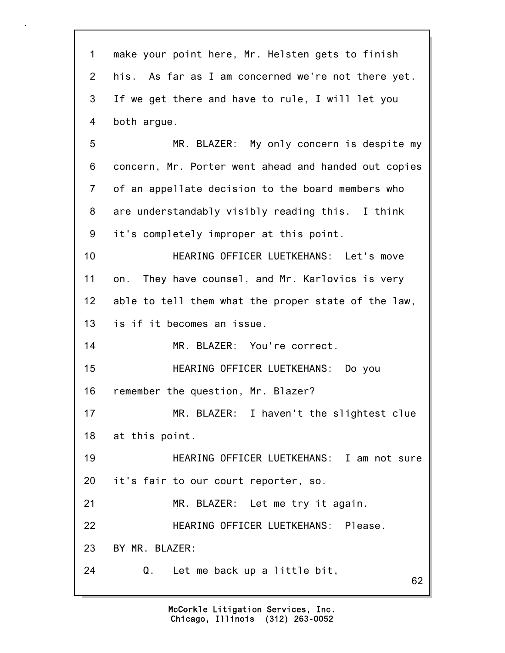| $\mathbf 1$    | make your point here, Mr. Helsten gets to finish     |
|----------------|------------------------------------------------------|
| $\overline{2}$ | his. As far as I am concerned we're not there yet.   |
| 3              | If we get there and have to rule, I will let you     |
| 4              | both argue.                                          |
| 5              | MR. BLAZER: My only concern is despite my            |
| 6              | concern, Mr. Porter went ahead and handed out copies |
| $\overline{7}$ | of an appellate decision to the board members who    |
| 8              | are understandably visibly reading this. I think     |
| 9              | it's completely improper at this point.              |
| 10             | HEARING OFFICER LUETKEHANS: Let's move               |
| 11             | on. They have counsel, and Mr. Karlovics is very     |
| 12             | able to tell them what the proper state of the law,  |
| 13             | is if it becomes an issue.                           |
| 14             | MR. BLAZER: You're correct.                          |
| 15             | HEARING OFFICER LUETKEHANS: Do you                   |
| 16             | remember the question, Mr. Blazer?                   |
| 17             | MR. BLAZER: I haven't the slightest clue             |
| 18             | at this point.                                       |
| 19             | HEARING OFFICER LUETKEHANS: I am not sure            |
| 20             | it's fair to our court reporter, so.                 |
| 21             | MR. BLAZER: Let me try it again.                     |
| 22             | HEARING OFFICER LUETKEHANS: Please.                  |
| 23             | BY MR. BLAZER:                                       |
| 24             | Q.<br>Let me back up a little bit,<br>62             |
|                |                                                      |

٦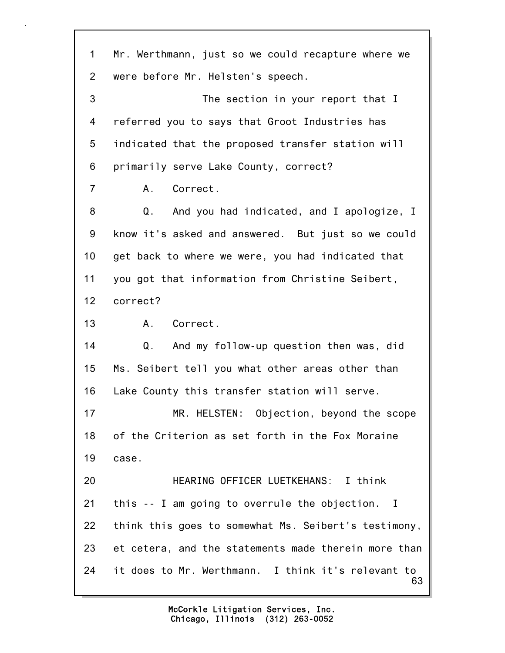63 1 Mr. Werthmann, just so we could recapture where we 2 were before Mr. Helsten's speech. 3 The section in your report that I 4 referred you to says that Groot Industries has 5 indicated that the proposed transfer station will 6 primarily serve Lake County, correct? 7 A. Correct. 8 Q. And you had indicated, and I apologize, I 9 know it's asked and answered. But just so we could 10 get back to where we were, you had indicated that 11 you got that information from Christine Seibert, 12 correct? 13 A. Correct. 14 Q. And my follow-up question then was, did 15 Ms. Seibert tell you what other areas other than 16 Lake County this transfer station will serve. 17 MR. HELSTEN: Objection, beyond the scope 18 of the Criterion as set forth in the Fox Moraine 19 case. 20 HEARING OFFICER LUETKEHANS: I think 21 this -- I am going to overrule the objection. I 22 think this goes to somewhat Ms. Seibert's testimony, 23 et cetera, and the statements made therein more than 24 it does to Mr. Werthmann. I think it's relevant to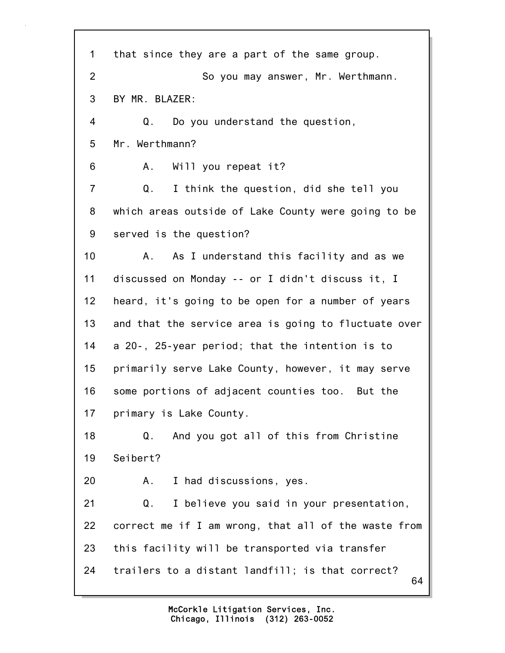| 1              | that since they are a part of the same group.          |
|----------------|--------------------------------------------------------|
| $\overline{2}$ | So you may answer, Mr. Werthmann.                      |
| 3              | BY MR. BLAZER:                                         |
| 4              | Q. Do you understand the question,                     |
| 5              | Mr. Werthmann?                                         |
| 6              | A. Will you repeat it?                                 |
| $\overline{7}$ | Q.<br>I think the question, did she tell you           |
| 8              | which areas outside of Lake County were going to be    |
| 9              | served is the question?                                |
| 10             | A. As I understand this facility and as we             |
| 11             | discussed on Monday -- or I didn't discuss it, I       |
| 12             | heard, it's going to be open for a number of years     |
| 13             | and that the service area is going to fluctuate over   |
| 14             | a 20-, 25-year period; that the intention is to        |
| 15             | primarily serve Lake County, however, it may serve     |
| 16             | some portions of adjacent counties too. But the        |
| 17             | primary is Lake County.                                |
| 18             | And you got all of this from Christine<br>Q.           |
| 19             | Seibert?                                               |
| 20             | I had discussions, yes.<br>A.                          |
| 21             | Q.<br>I believe you said in your presentation,         |
| 22             | correct me if I am wrong, that all of the waste from   |
| 23             | this facility will be transported via transfer         |
| 24             | trailers to a distant landfill; is that correct?<br>64 |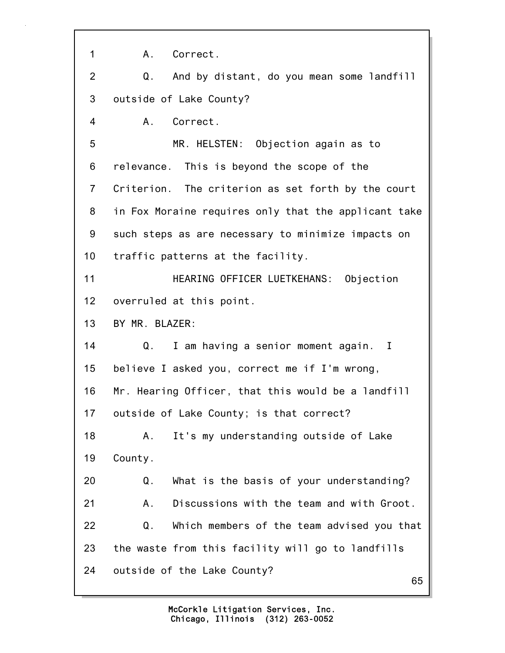65 1 A. Correct. 2 Q. And by distant, do you mean some landfill 3 outside of Lake County? 4 A. Correct. 5 MR. HELSTEN: Objection again as to 6 relevance. This is beyond the scope of the 7 Criterion. The criterion as set forth by the court 8 in Fox Moraine requires only that the applicant take 9 such steps as are necessary to minimize impacts on 10 traffic patterns at the facility. 11 HEARING OFFICER LUETKEHANS: Objection 12 overruled at this point. 13 BY MR. BLAZER: 14 Q. I am having a senior moment again. I 15 believe I asked you, correct me if I'm wrong, 16 Mr. Hearing Officer, that this would be a landfill 17 outside of Lake County; is that correct? 18 A. It's my understanding outside of Lake 19 County. 20 Q. What is the basis of your understanding? 21 A. Discussions with the team and with Groot. 22 Q. Which members of the team advised you that 23 the waste from this facility will go to landfills 24 outside of the Lake County?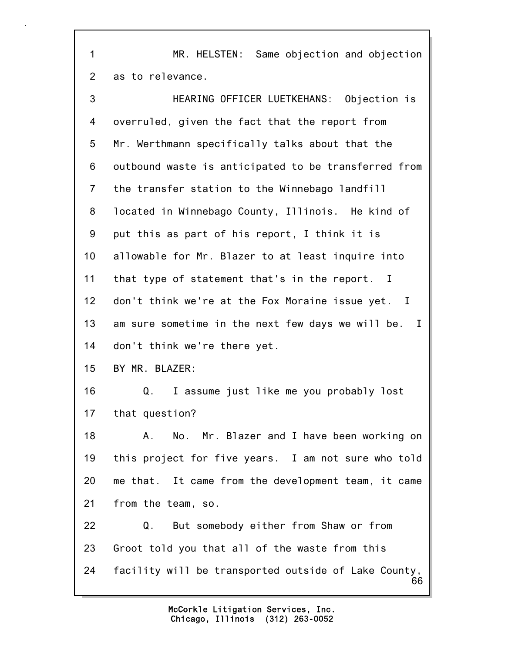1 MR. HELSTEN: Same objection and objection 2 as to relevance.

| 3              | HEARING OFFICER LUETKEHANS: Objection is                   |
|----------------|------------------------------------------------------------|
| 4              | overruled, given the fact that the report from             |
| 5              | Mr. Werthmann specifically talks about that the            |
| 6              | outbound waste is anticipated to be transferred from       |
| $\overline{7}$ | the transfer station to the Winnebago landfill             |
| 8              | located in Winnebago County, Illinois. He kind of          |
| 9              | put this as part of his report, I think it is              |
| 10             | allowable for Mr. Blazer to at least inquire into          |
| 11             | that type of statement that's in the report. I             |
| 12             | don't think we're at the Fox Moraine issue yet. I          |
| 13             | am sure sometime in the next few days we will be. I        |
| 14             | don't think we're there yet.                               |
| 15             | BY MR. BLAZER:                                             |
| 16             | I assume just like me you probably lost<br>Q.              |
| 17             | that question?                                             |
| 18             | No. Mr. Blazer and I have been working on<br>А.            |
| 19             | this project for five years. I am not sure who told        |
| 20             | me that. It came from the development team, it came        |
| 21             | from the team, so.                                         |
| 22             | But somebody either from Shaw or from<br>Q.                |
| 23             | Groot told you that all of the waste from this             |
| 24             | facility will be transported outside of Lake County,<br>66 |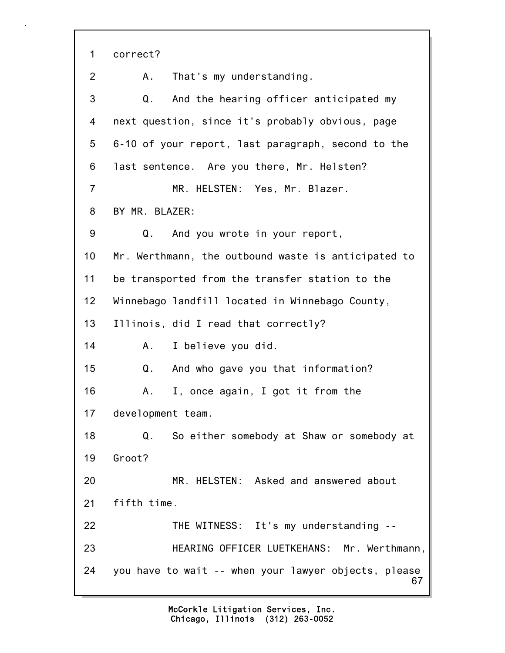67 1 correct? 2 A. That's my understanding. 3 Q. And the hearing officer anticipated my 4 next question, since it's probably obvious, page 5 6-10 of your report, last paragraph, second to the 6 last sentence. Are you there, Mr. Helsten? 7 MR. HELSTEN: Yes, Mr. Blazer. 8 BY MR. BLAZER: 9 Q. And you wrote in your report, 10 Mr. Werthmann, the outbound waste is anticipated to 11 be transported from the transfer station to the 12 Winnebago landfill located in Winnebago County, 13 Illinois, did I read that correctly? 14 A. I believe you did. 15 Q. And who gave you that information? 16 A. I, once again, I got it from the 17 development team. 18 Q. So either somebody at Shaw or somebody at 19 Groot? 20 MR. HELSTEN: Asked and answered about 21 fifth time. 22 THE WITNESS: It's my understanding -- 23 HEARING OFFICER LUETKEHANS: Mr. Werthmann, 24 you have to wait -- when your lawyer objects, please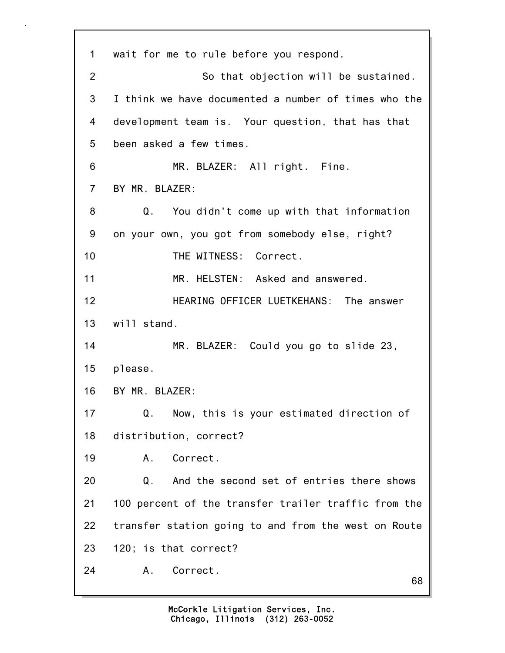68 1 wait for me to rule before you respond. 2 So that objection will be sustained. 3 I think we have documented a number of times who the 4 development team is. Your question, that has that 5 been asked a few times. 6 MR. BLAZER: All right. Fine. 7 BY MR. BLAZER: 8 Q. You didn't come up with that information 9 on your own, you got from somebody else, right? 10 THE WITNESS: Correct. 11 MR. HELSTEN: Asked and answered. 12 HEARING OFFICER LUETKEHANS: The answer 13 will stand. 14 MR. BLAZER: Could you go to slide 23, 15 please. 16 BY MR. BLAZER: 17 Q. Now, this is your estimated direction of 18 distribution, correct? 19 A. Correct. 20 Q. And the second set of entries there shows 21 100 percent of the transfer trailer traffic from the 22 transfer station going to and from the west on Route 23 120; is that correct? 24 A. Correct.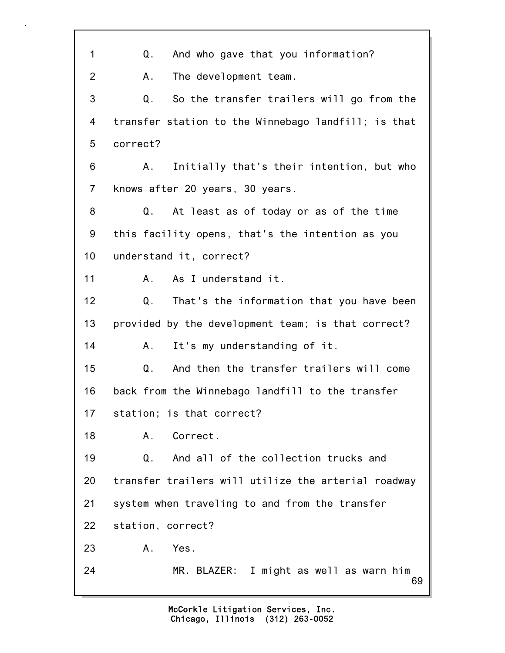| 1              | And who gave that you information?<br>Q.            |
|----------------|-----------------------------------------------------|
| $\overline{2}$ | The development team.<br>Α.                         |
| 3              | So the transfer trailers will go from the<br>Q.     |
| 4              | transfer station to the Winnebago landfill; is that |
| 5              | correct?                                            |
| 6              | Initially that's their intention, but who<br>A.     |
| $\overline{7}$ | knows after 20 years, 30 years.                     |
| 8              | At least as of today or as of the time<br>Q.        |
| 9              | this facility opens, that's the intention as you    |
| 10             | understand it, correct?                             |
| 11             | As I understand it.<br>А.                           |
| 12             | That's the information that you have been<br>Q.     |
| 13             | provided by the development team; is that correct?  |
| 14             | It's my understanding of it.<br>Α.                  |
| 15             | And then the transfer trailers will come<br>Q.      |
| 16             | back from the Winnebago landfill to the transfer    |
| 17             | station; is that correct?                           |
| 18             | Correct.<br>Α.                                      |
| 19             | And all of the collection trucks and<br>Q.          |
| 20             | transfer trailers will utilize the arterial roadway |
| 21             | system when traveling to and from the transfer      |
| 22             | station, correct?                                   |
| 23             | Yes.<br>Α.                                          |
| 24             | MR. BLAZER: I might as well as warn him<br>69       |

7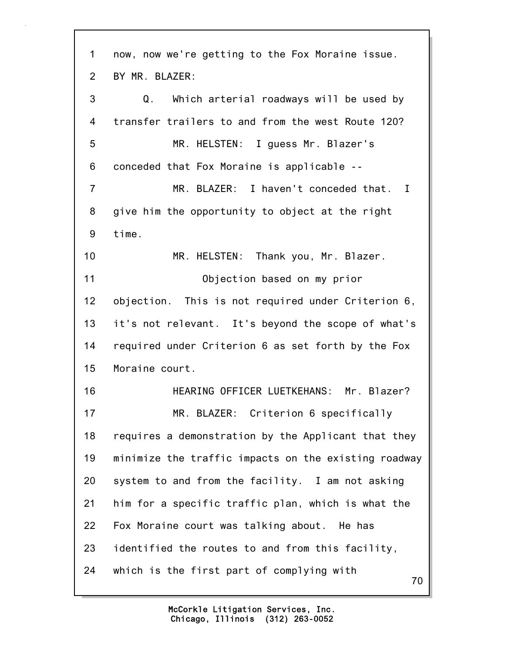70 1 now, now we're getting to the Fox Moraine issue. 2 BY MR. BLAZER: 3 Q. Which arterial roadways will be used by 4 transfer trailers to and from the west Route 120? 5 MR. HELSTEN: I guess Mr. Blazer's 6 conceded that Fox Moraine is applicable -- 7 MR. BLAZER: I haven't conceded that. I 8 give him the opportunity to object at the right 9 time. 10 MR. HELSTEN: Thank you, Mr. Blazer. 11 Objection based on my prior 12 objection. This is not required under Criterion 6, 13 it's not relevant. It's beyond the scope of what's 14 required under Criterion 6 as set forth by the Fox 15 Moraine court. 16 HEARING OFFICER LUETKEHANS: Mr. Blazer? 17 MR. BLAZER: Criterion 6 specifically 18 requires a demonstration by the Applicant that they 19 minimize the traffic impacts on the existing roadway 20 system to and from the facility. I am not asking 21 him for a specific traffic plan, which is what the 22 Fox Moraine court was talking about. He has 23 identified the routes to and from this facility, 24 which is the first part of complying with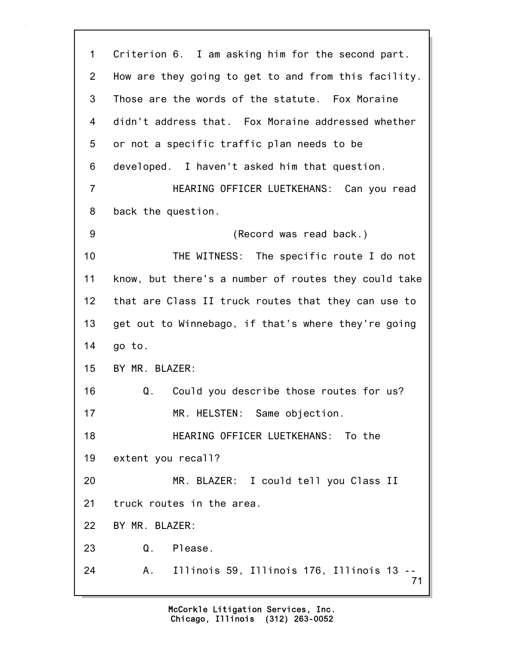| 1              | Criterion 6. I am asking him for the second part.     |
|----------------|-------------------------------------------------------|
| $\overline{2}$ | How are they going to get to and from this facility.  |
| 3              | Those are the words of the statute. Fox Moraine       |
| 4              | didn't address that. Fox Moraine addressed whether    |
| 5              | or not a specific traffic plan needs to be            |
| 6              | developed. I haven't asked him that question.         |
| $\overline{7}$ | HEARING OFFICER LUETKEHANS: Can you read              |
| 8              | back the question.                                    |
| 9              | (Record was read back.)                               |
| 10             | THE WITNESS: The specific route I do not              |
| 11             | know, but there's a number of routes they could take  |
| 12             | that are Class II truck routes that they can use to   |
| 13             | get out to Winnebago, if that's where they're going   |
| 14             | go to.                                                |
| 15             | BY MR. BLAZER:                                        |
| 16             | Could you describe those routes for us?<br>Q.         |
| 17             | MR. HELSTEN: Same objection.                          |
| 18             | HEARING OFFICER LUETKEHANS: To the                    |
| 19             | extent you recall?                                    |
| 20             | MR. BLAZER: I could tell you Class II                 |
| 21             | truck routes in the area.                             |
| 22             | BY MR. BLAZER:                                        |
| 23             | Q. Please.                                            |
| 24             | Illinois 59, Illinois 176, Illinois 13 --<br>Α.<br>71 |

L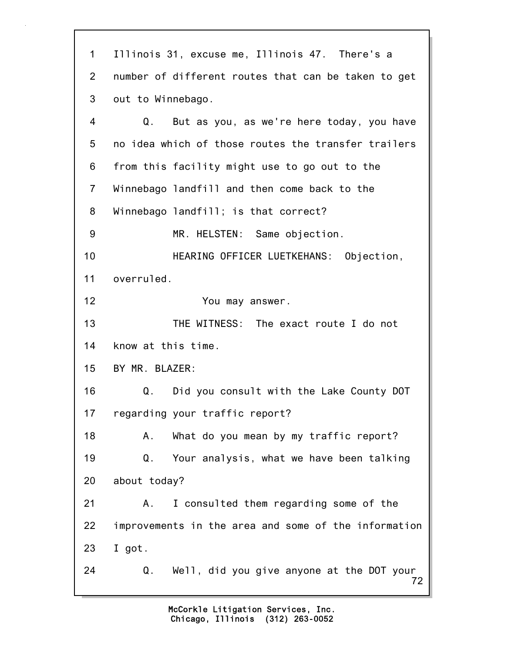72 1 Illinois 31, excuse me, Illinois 47. There's a 2 number of different routes that can be taken to get 3 out to Winnebago. 4 Q. But as you, as we're here today, you have 5 no idea which of those routes the transfer trailers 6 from this facility might use to go out to the 7 Winnebago landfill and then come back to the 8 Winnebago landfill; is that correct? 9 MR. HELSTEN: Same objection. 10 HEARING OFFICER LUETKEHANS: Objection, 11 overruled. 12 You may answer. 13 THE WITNESS: The exact route I do not 14 know at this time. 15 BY MR. BLAZER: 16 Q. Did you consult with the Lake County DOT 17 regarding your traffic report? 18 A. What do you mean by my traffic report? 19 Q. Your analysis, what we have been talking 20 about today? 21 A. I consulted them regarding some of the 22 improvements in the area and some of the information 23 I got. 24 Q. Well, did you give anyone at the DOT your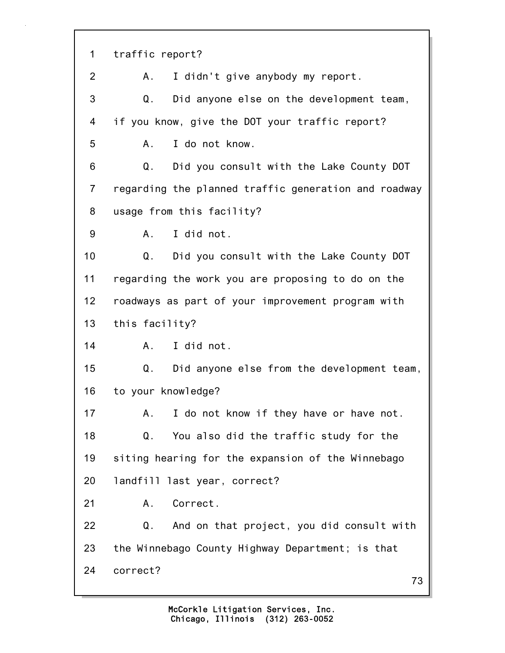73 1 traffic report? 2 A. I didn't give anybody my report. 3 Q. Did anyone else on the development team, 4 if you know, give the DOT your traffic report? 5 A. I do not know. 6 Q. Did you consult with the Lake County DOT 7 regarding the planned traffic generation and roadway 8 usage from this facility? 9 A. I did not. 10 Q. Did you consult with the Lake County DOT 11 regarding the work you are proposing to do on the 12 roadways as part of your improvement program with 13 this facility? 14 A. I did not. 15 Q. Did anyone else from the development team, 16 to your knowledge? 17 A. I do not know if they have or have not. 18 Q. You also did the traffic study for the 19 siting hearing for the expansion of the Winnebago 20 landfill last year, correct? 21 A. Correct. 22 Q. And on that project, you did consult with 23 the Winnebago County Highway Department; is that 24 correct?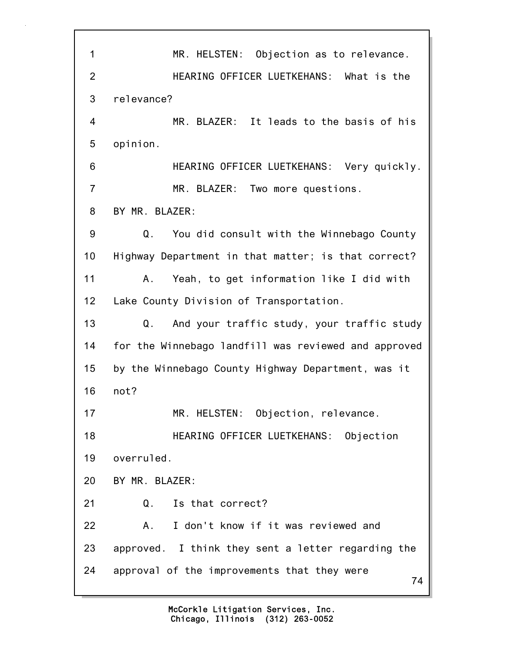74 1 MR. HELSTEN: Objection as to relevance. 2 HEARING OFFICER LUETKEHANS: What is the 3 relevance? 4 MR. BLAZER: It leads to the basis of his 5 opinion. 6 HEARING OFFICER LUETKEHANS: Very quickly. 7 MR. BLAZER: Two more questions. 8 BY MR. BLAZER: 9 Q. You did consult with the Winnebago County 10 Highway Department in that matter; is that correct? 11 A. Yeah, to get information like I did with 12 Lake County Division of Transportation. 13 Q. And your traffic study, your traffic study 14 for the Winnebago landfill was reviewed and approved 15 by the Winnebago County Highway Department, was it 16 not? 17 MR. HELSTEN: Objection, relevance. 18 HEARING OFFICER LUETKEHANS: Objection 19 overruled. 20 BY MR. BLAZER: 21 Q. Is that correct? 22 A. I don't know if it was reviewed and 23 approved. I think they sent a letter regarding the 24 approval of the improvements that they were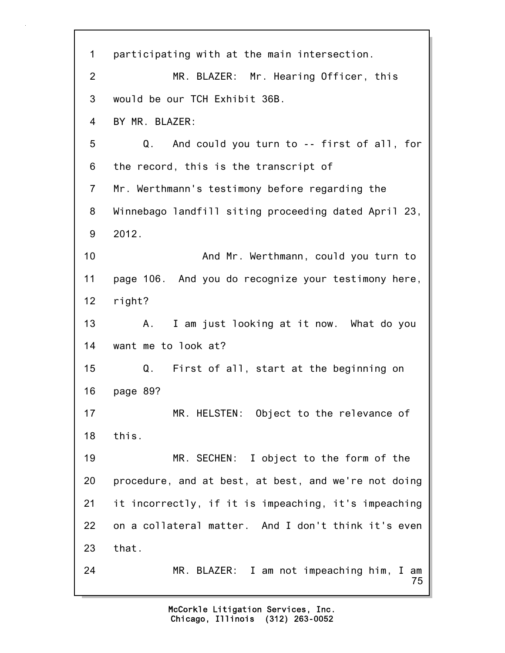75 1 participating with at the main intersection. 2 MR. BLAZER: Mr. Hearing Officer, this 3 would be our TCH Exhibit 36B. 4 BY MR. BLAZER: 5 Q. And could you turn to -- first of all, for 6 the record, this is the transcript of 7 Mr. Werthmann's testimony before regarding the 8 Winnebago landfill siting proceeding dated April 23, 9 2012. 10 And Mr. Werthmann, could you turn to 11 page 106. And you do recognize your testimony here, 12 right? 13 A. I am just looking at it now. What do you 14 want me to look at? 15 Q. First of all, start at the beginning on 16 page 89? 17 MR. HELSTEN: Object to the relevance of 18 this. 19 MR. SECHEN: I object to the form of the 20 procedure, and at best, at best, and we're not doing 21 it incorrectly, if it is impeaching, it's impeaching 22 on a collateral matter. And I don't think it's even 23 that. 24 MR. BLAZER: I am not impeaching him, I am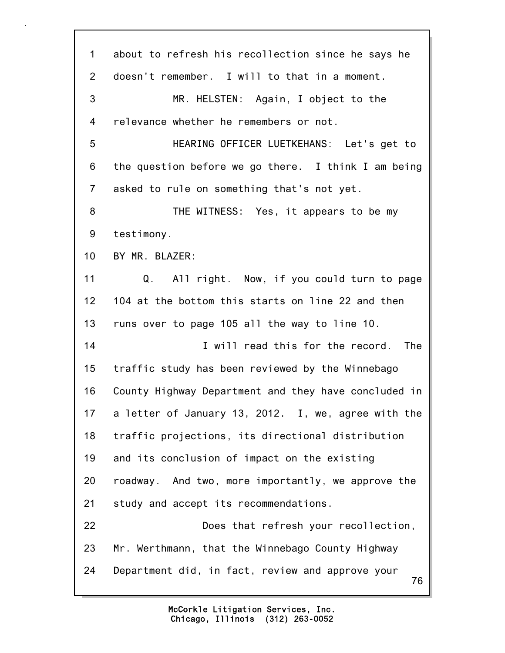| 1              | about to refresh his recollection since he says he     |
|----------------|--------------------------------------------------------|
| $\overline{2}$ | doesn't remember. I will to that in a moment.          |
| 3              | MR. HELSTEN: Again, I object to the                    |
| 4              | relevance whether he remembers or not.                 |
| 5              | HEARING OFFICER LUETKEHANS: Let's get to               |
| 6              | the question before we go there. I think I am being    |
| $\overline{7}$ | asked to rule on something that's not yet.             |
| 8              | THE WITNESS: Yes, it appears to be my                  |
| 9              | testimony.                                             |
| 10             | BY MR. BLAZER:                                         |
| 11             | All right. Now, if you could turn to page<br>Q.        |
| 12             | 104 at the bottom this starts on line 22 and then      |
| 13             | runs over to page 105 all the way to line 10.          |
| 14             | I will read this for the record.<br>The                |
| 15             | traffic study has been reviewed by the Winnebago       |
| 16             | County Highway Department and they have concluded in   |
| 17             | a letter of January 13, 2012. I, we, agree with the    |
| 18             | traffic projections, its directional distribution      |
| 19             | and its conclusion of impact on the existing           |
| 20             | roadway. And two, more importantly, we approve the     |
| 21             | study and accept its recommendations.                  |
| 22             | Does that refresh your recollection,                   |
| 23             | Mr. Werthmann, that the Winnebago County Highway       |
| 24             | Department did, in fact, review and approve your<br>76 |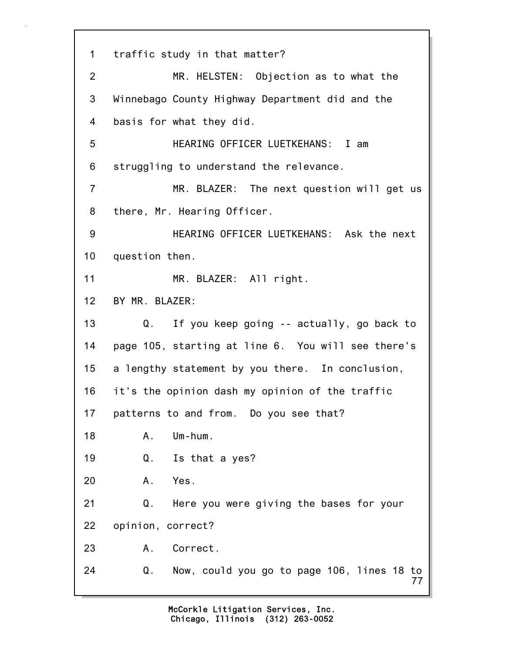77 1 traffic study in that matter? 2 MR. HELSTEN: Objection as to what the 3 Winnebago County Highway Department did and the 4 basis for what they did. 5 HEARING OFFICER LUETKEHANS: I am 6 struggling to understand the relevance. 7 MR. BLAZER: The next question will get us 8 there, Mr. Hearing Officer. 9 HEARING OFFICER LUETKEHANS: Ask the next 10 question then. 11 MR. BLAZER: All right. 12 BY MR. BLAZER: 13 Q. If you keep going -- actually, go back to 14 page 105, starting at line 6. You will see there's 15 a lengthy statement by you there. In conclusion, 16 it's the opinion dash my opinion of the traffic 17 patterns to and from. Do you see that? 18 A. Um-hum. 19 Q. Is that a yes? 20 A. Yes. 21 Q. Here you were giving the bases for your 22 opinion, correct? 23 A. Correct. 24 Q. Now, could you go to page 106, lines 18 to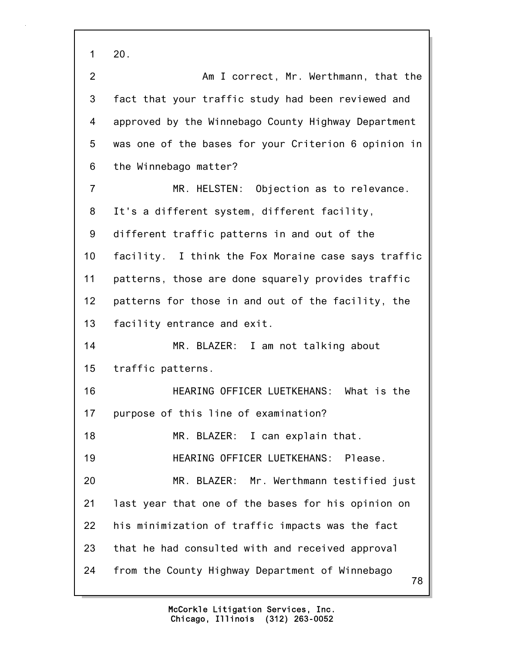78 1 20. 2 Am I correct, Mr. Werthmann, that the 3 fact that your traffic study had been reviewed and 4 approved by the Winnebago County Highway Department 5 was one of the bases for your Criterion 6 opinion in 6 the Winnebago matter? 7 MR. HELSTEN: Objection as to relevance. 8 It's a different system, different facility, 9 different traffic patterns in and out of the 10 facility. I think the Fox Moraine case says traffic 11 patterns, those are done squarely provides traffic 12 patterns for those in and out of the facility, the 13 facility entrance and exit. 14 MR. BLAZER: I am not talking about 15 traffic patterns. 16 HEARING OFFICER LUETKEHANS: What is the 17 purpose of this line of examination? 18 MR. BLAZER: I can explain that. 19 HEARING OFFICER LUETKEHANS: Please. 20 MR. BLAZER: Mr. Werthmann testified just 21 last year that one of the bases for his opinion on 22 his minimization of traffic impacts was the fact 23 that he had consulted with and received approval 24 from the County Highway Department of Winnebago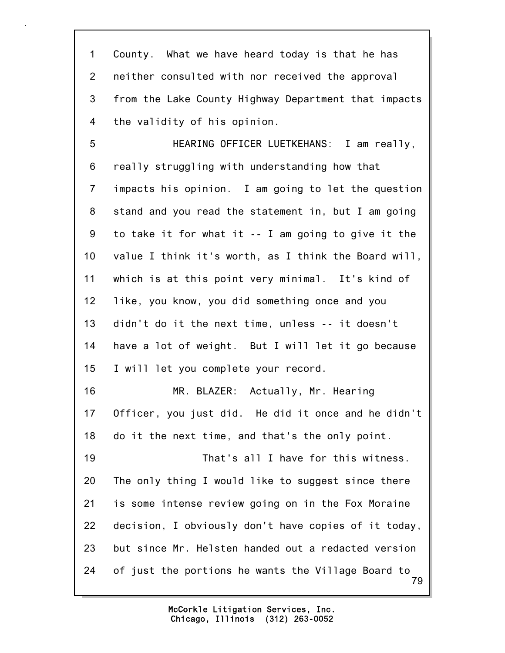1 County. What we have heard today is that he has 2 neither consulted with nor received the approval 3 from the Lake County Highway Department that impacts 4 the validity of his opinion.

79 5 HEARING OFFICER LUETKEHANS: I am really, 6 really struggling with understanding how that 7 impacts his opinion. I am going to let the question 8 stand and you read the statement in, but I am going 9 to take it for what it -- I am going to give it the 10 value I think it's worth, as I think the Board will, 11 which is at this point very minimal. It's kind of 12 like, you know, you did something once and you 13 didn't do it the next time, unless -- it doesn't 14 have a lot of weight. But I will let it go because 15 I will let you complete your record. 16 MR. BLAZER: Actually, Mr. Hearing 17 Officer, you just did. He did it once and he didn't 18 do it the next time, and that's the only point. 19 That's all I have for this witness. 20 The only thing I would like to suggest since there 21 is some intense review going on in the Fox Moraine 22 decision, I obviously don't have copies of it today, 23 but since Mr. Helsten handed out a redacted version 24 of just the portions he wants the Village Board to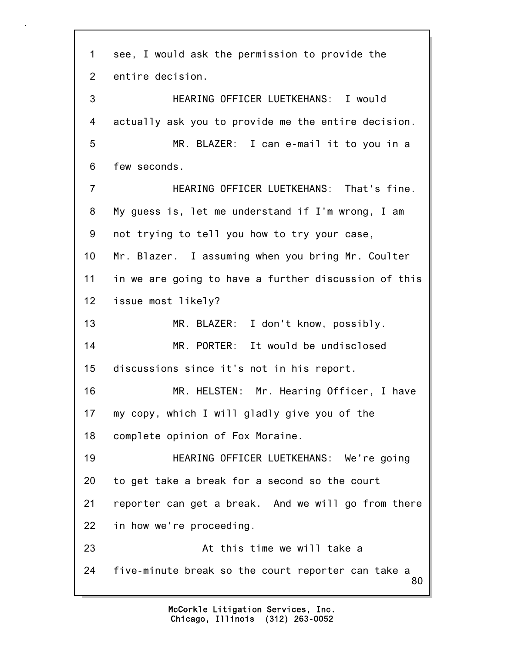80 1 see, I would ask the permission to provide the 2 entire decision. 3 HEARING OFFICER LUETKEHANS: I would 4 actually ask you to provide me the entire decision. 5 MR. BLAZER: I can e-mail it to you in a 6 few seconds. 7 HEARING OFFICER LUETKEHANS: That's fine. 8 My guess is, let me understand if I'm wrong, I am 9 not trying to tell you how to try your case, 10 Mr. Blazer. I assuming when you bring Mr. Coulter 11 in we are going to have a further discussion of this 12 issue most likely? 13 MR. BLAZER: I don't know, possibly. 14 MR. PORTER: It would be undisclosed 15 discussions since it's not in his report. 16 MR. HELSTEN: Mr. Hearing Officer, I have 17 my copy, which I will gladly give you of the 18 complete opinion of Fox Moraine. 19 HEARING OFFICER LUETKEHANS: We're going 20 to get take a break for a second so the court 21 reporter can get a break. And we will go from there 22 in how we're proceeding. 23 At this time we will take a 24 five-minute break so the court reporter can take a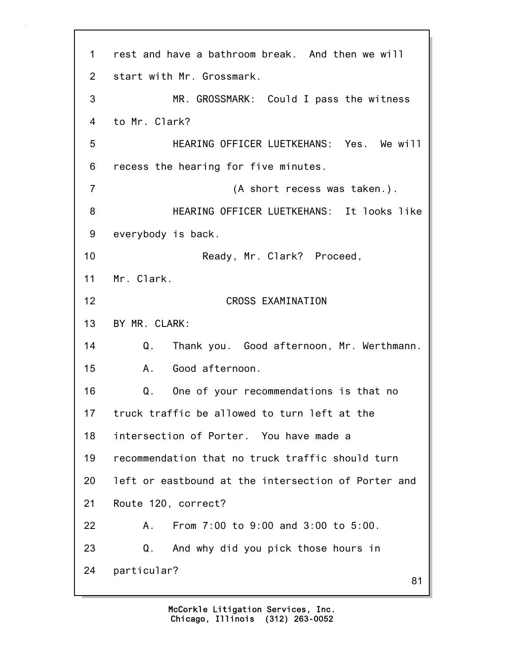81 1 rest and have a bathroom break. And then we will 2 start with Mr. Grossmark. 3 MR. GROSSMARK: Could I pass the witness 4 to Mr. Clark? 5 HEARING OFFICER LUETKEHANS: Yes. We will 6 recess the hearing for five minutes. 7 (A short recess was taken.). 8 HEARING OFFICER LUETKEHANS: It looks like 9 everybody is back. 10 Ready, Mr. Clark? Proceed, 11 Mr. Clark. 12 CROSS EXAMINATION 13 BY MR. CLARK: 14 Q. Thank you. Good afternoon, Mr. Werthmann. 15 A. Good afternoon. 16 Q. One of your recommendations is that no 17 truck traffic be allowed to turn left at the 18 intersection of Porter. You have made a 19 recommendation that no truck traffic should turn 20 left or eastbound at the intersection of Porter and 21 Route 120, correct? 22 A. From 7:00 to 9:00 and 3:00 to 5:00. 23 Q. And why did you pick those hours in 24 particular?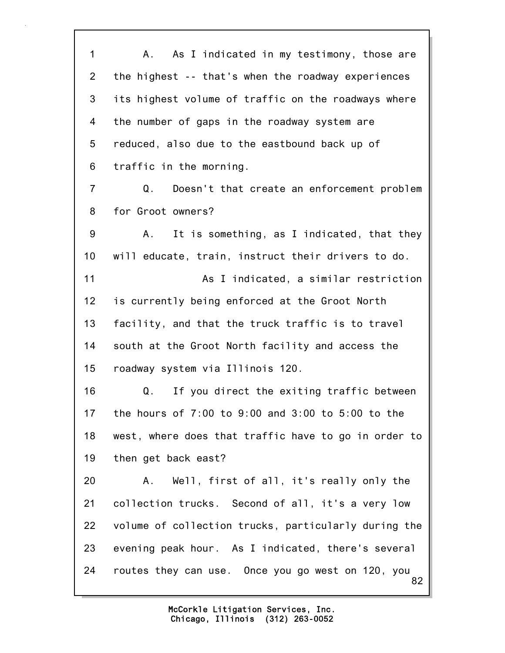82 1 A. As I indicated in my testimony, those are 2 the highest -- that's when the roadway experiences 3 its highest volume of traffic on the roadways where 4 the number of gaps in the roadway system are 5 reduced, also due to the eastbound back up of 6 traffic in the morning. 7 Q. Doesn't that create an enforcement problem 8 for Groot owners? 9 A. It is something, as I indicated, that they 10 will educate, train, instruct their drivers to do. 11 As I indicated, a similar restriction 12 is currently being enforced at the Groot North 13 facility, and that the truck traffic is to travel 14 south at the Groot North facility and access the 15 roadway system via Illinois 120. 16 Q. If you direct the exiting traffic between 17 the hours of 7:00 to 9:00 and 3:00 to 5:00 to the 18 west, where does that traffic have to go in order to 19 then get back east? 20 A. Well, first of all, it's really only the 21 collection trucks. Second of all, it's a very low 22 volume of collection trucks, particularly during the 23 evening peak hour. As I indicated, there's several 24 routes they can use. Once you go west on 120, you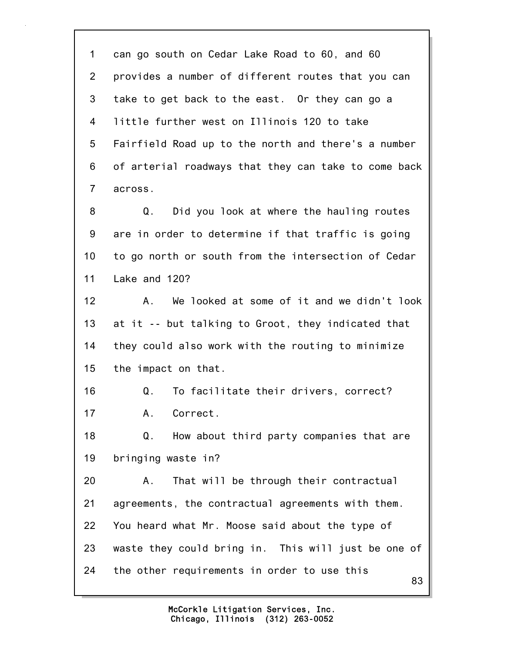83 1 can go south on Cedar Lake Road to 60, and 60 2 provides a number of different routes that you can 3 take to get back to the east. Or they can go a 4 little further west on Illinois 120 to take 5 Fairfield Road up to the north and there's a number 6 of arterial roadways that they can take to come back 7 across. 8 Q. Did you look at where the hauling routes 9 are in order to determine if that traffic is going 10 to go north or south from the intersection of Cedar 11 Lake and 120? 12 A. We looked at some of it and we didn't look 13 at it -- but talking to Groot, they indicated that 14 they could also work with the routing to minimize 15 the impact on that. 16 Q. To facilitate their drivers, correct? 17 A. Correct. 18 Q. How about third party companies that are 19 bringing waste in? 20 A. That will be through their contractual 21 agreements, the contractual agreements with them. 22 You heard what Mr. Moose said about the type of 23 waste they could bring in. This will just be one of 24 the other requirements in order to use this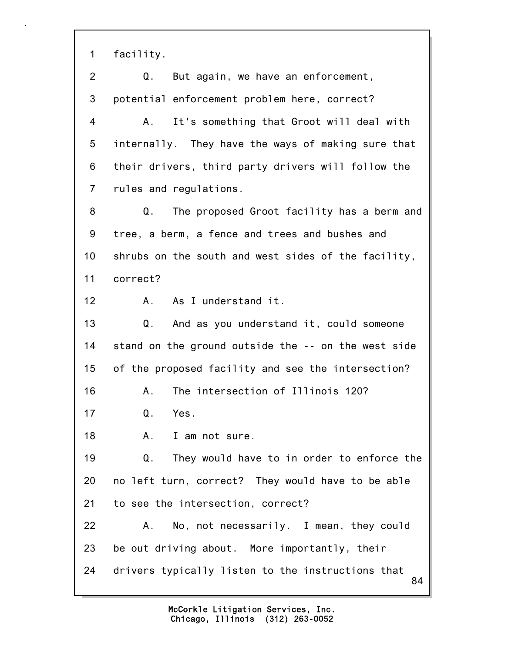1 facility.

| $\overline{2}$ | But again, we have an enforcement,<br>Q.                |
|----------------|---------------------------------------------------------|
| 3              | potential enforcement problem here, correct?            |
| 4              | It's something that Groot will deal with<br>A.          |
| 5              | internally. They have the ways of making sure that      |
| 6              | their drivers, third party drivers will follow the      |
| $\overline{7}$ | rules and regulations.                                  |
| 8              | The proposed Groot facility has a berm and<br>Q.        |
| 9              | tree, a berm, a fence and trees and bushes and          |
| 10             | shrubs on the south and west sides of the facility,     |
| 11             | correct?                                                |
| 12             | As I understand it.<br>A.                               |
| 13             | And as you understand it, could someone<br>Q.           |
| 14             | stand on the ground outside the -- on the west side     |
| 15             | of the proposed facility and see the intersection?      |
| 16             | The intersection of Illinois 120?<br>Α.                 |
| 17             | $Q_{\cdot}$<br>Yes.                                     |
| 18             | A. I am not sure.                                       |
| 19             | They would have to in order to enforce the<br>Q.        |
| 20             | no left turn, correct? They would have to be able       |
| 21             | to see the intersection, correct?                       |
| 22             | No, not necessarily. I mean, they could<br>А.           |
| 23             | be out driving about. More importantly, their           |
| 24             | drivers typically listen to the instructions that<br>84 |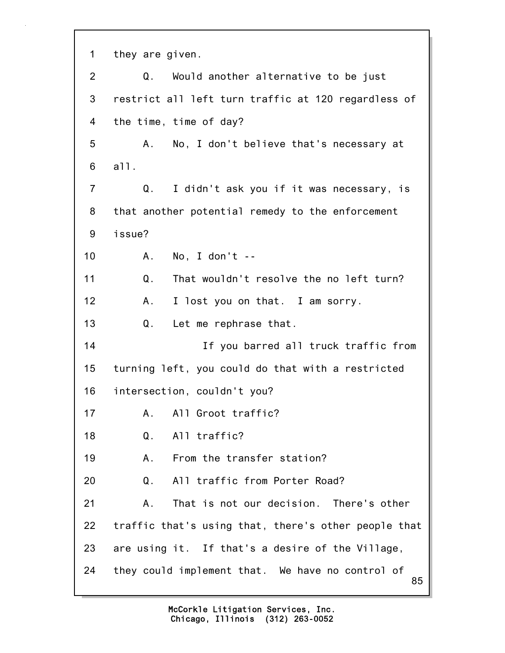85 1 they are given. 2 Q. Would another alternative to be just 3 restrict all left turn traffic at 120 regardless of 4 the time, time of day? 5 A. No, I don't believe that's necessary at 6 all. 7 Q. I didn't ask you if it was necessary, is 8 that another potential remedy to the enforcement 9 issue? 10 A. No, I don't -- 11 Q. That wouldn't resolve the no left turn? 12 A. I lost you on that. I am sorry. 13 Q. Let me rephrase that. 14 If you barred all truck traffic from 15 turning left, you could do that with a restricted 16 intersection, couldn't you? 17 A. All Groot traffic? 18 Q. All traffic? 19 A. From the transfer station? 20 Q. All traffic from Porter Road? 21 A. That is not our decision. There's other 22 traffic that's using that, there's other people that 23 are using it. If that's a desire of the Village, 24 they could implement that. We have no control of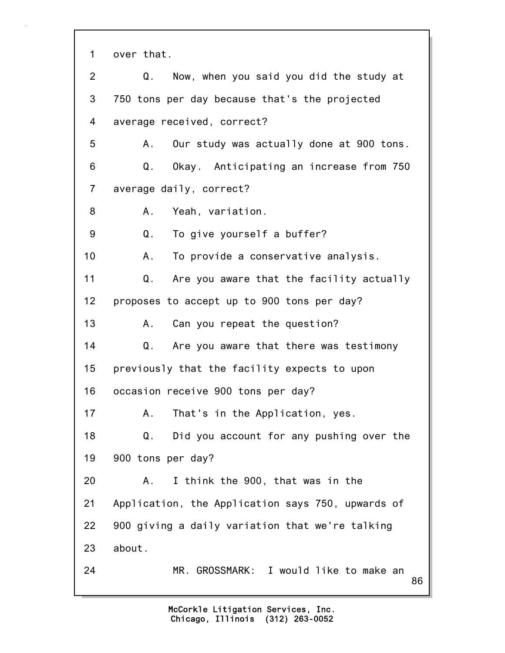| 1              | over that.                                        |
|----------------|---------------------------------------------------|
| $\overline{2}$ | Now, when you said you did the study at<br>Q.     |
| 3              | 750 tons per day because that's the projected     |
| 4              | average received, correct?                        |
| 5              | Our study was actually done at 900 tons.<br>А.    |
| 6              | Q.<br>Okay. Anticipating an increase from 750     |
| $\overline{7}$ | average daily, correct?                           |
| 8              | Yeah, variation.<br>А.                            |
| 9              | To give yourself a buffer?<br>Q.                  |
| 10             | To provide a conservative analysis.<br>A.         |
| 11             | Are you aware that the facility actually<br>Q.    |
| 12             | proposes to accept up to 900 tons per day?        |
| 13             | Can you repeat the question?<br>A.                |
| 14             | Q. Are you aware that there was testimony         |
| 15             | previously that the facility expects to upon      |
| 16             | occasion receive 900 tons per day?                |
| 17             | That's in the Application, yes.<br>Α.             |
| 18             | Did you account for any pushing over the<br>Q.    |
| 19             | 900 tons per day?                                 |
| 20             | I think the 900, that was in the<br>Α.            |
| 21             | Application, the Application says 750, upwards of |
| 22             | 900 giving a daily variation that we're talking   |
| 23             | about.                                            |
| 24             | MR. GROSSMARK: I would like to make an<br>86      |
|                |                                                   |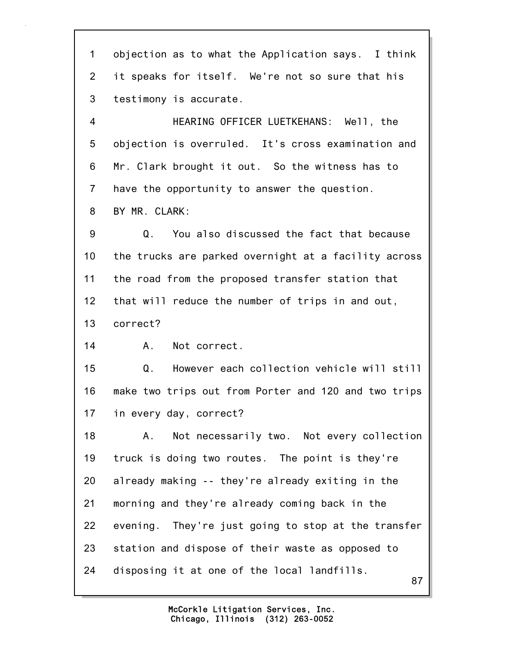1 objection as to what the Application says. I think 2 it speaks for itself. We're not so sure that his 3 testimony is accurate.

4 HEARING OFFICER LUETKEHANS: Well, the 5 objection is overruled. It's cross examination and 6 Mr. Clark brought it out. So the witness has to 7 have the opportunity to answer the question. 8 BY MR. CLARK:

9 Q. You also discussed the fact that because 10 the trucks are parked overnight at a facility across 11 the road from the proposed transfer station that 12 that will reduce the number of trips in and out, 13 correct?

14 A. Not correct.

15 Q. However each collection vehicle will still 16 make two trips out from Porter and 120 and two trips 17 in every day, correct?

87 18 A. Not necessarily two. Not every collection 19 truck is doing two routes. The point is they're 20 already making -- they're already exiting in the 21 morning and they're already coming back in the 22 evening. They're just going to stop at the transfer 23 station and dispose of their waste as opposed to 24 disposing it at one of the local landfills.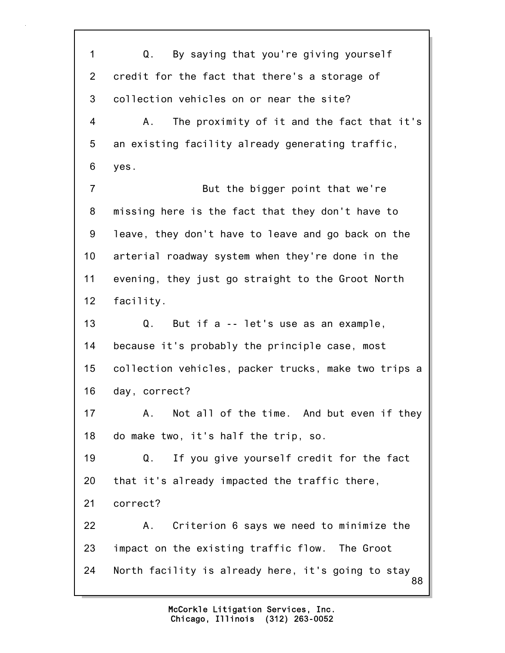88 1 Q. By saying that you're giving yourself 2 credit for the fact that there's a storage of 3 collection vehicles on or near the site? 4 A. The proximity of it and the fact that it's 5 an existing facility already generating traffic, 6 yes. 7 But the bigger point that we're 8 missing here is the fact that they don't have to 9 leave, they don't have to leave and go back on the 10 arterial roadway system when they're done in the 11 evening, they just go straight to the Groot North 12 facility. 13 Q. But if a -- let's use as an example, 14 because it's probably the principle case, most 15 collection vehicles, packer trucks, make two trips a 16 day, correct? 17 A. Not all of the time. And but even if they 18 do make two, it's half the trip, so. 19 Q. If you give yourself credit for the fact 20 that it's already impacted the traffic there, 21 correct? 22 A. Criterion 6 says we need to minimize the 23 impact on the existing traffic flow. The Groot 24 North facility is already here, it's going to stay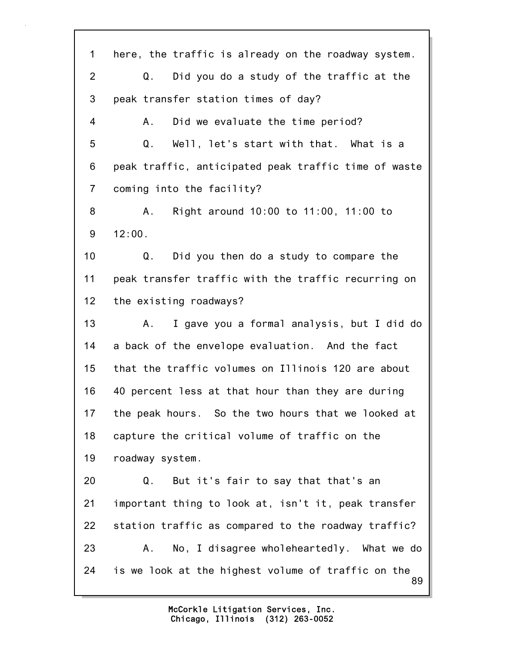89 1 here, the traffic is already on the roadway system. 2 Q. Did you do a study of the traffic at the 3 peak transfer station times of day? 4 A. Did we evaluate the time period? 5 Q. Well, let's start with that. What is a 6 peak traffic, anticipated peak traffic time of waste 7 coming into the facility? 8 A. Right around 10:00 to 11:00, 11:00 to 9 12:00. 10 Q. Did you then do a study to compare the 11 peak transfer traffic with the traffic recurring on 12 the existing roadways? 13 A. I gave you a formal analysis, but I did do 14 a back of the envelope evaluation. And the fact 15 that the traffic volumes on Illinois 120 are about 16 40 percent less at that hour than they are during 17 the peak hours. So the two hours that we looked at 18 capture the critical volume of traffic on the 19 roadway system. 20 Q. But it's fair to say that that's an 21 important thing to look at, isn't it, peak transfer 22 station traffic as compared to the roadway traffic? 23 A. No, I disagree wholeheartedly. What we do 24 is we look at the highest volume of traffic on the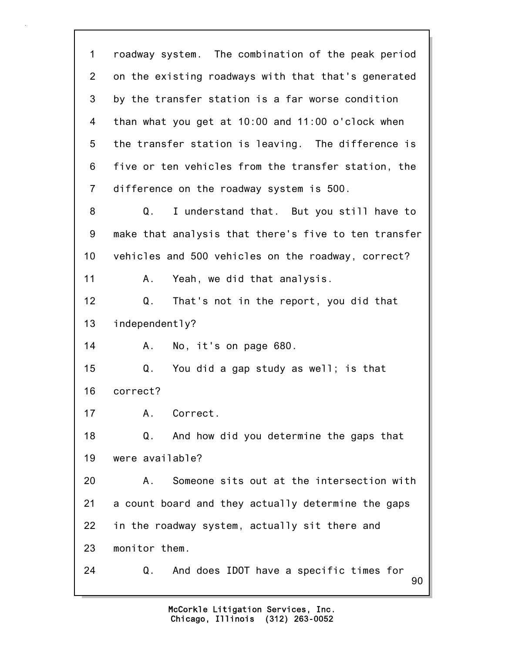90 1 roadway system. The combination of the peak period 2 on the existing roadways with that that's generated 3 by the transfer station is a far worse condition 4 than what you get at 10:00 and 11:00 o'clock when 5 the transfer station is leaving. The difference is 6 five or ten vehicles from the transfer station, the 7 difference on the roadway system is 500. 8 Q. I understand that. But you still have to 9 make that analysis that there's five to ten transfer 10 vehicles and 500 vehicles on the roadway, correct? 11 A. Yeah, we did that analysis. 12 Q. That's not in the report, you did that 13 independently? 14 A. No, it's on page 680. 15 Q. You did a gap study as well; is that 16 correct? 17 A. Correct. 18 Q. And how did you determine the gaps that 19 were available? 20 A. Someone sits out at the intersection with 21 a count board and they actually determine the gaps 22 in the roadway system, actually sit there and 23 monitor them. 24 Q. And does IDOT have a specific times for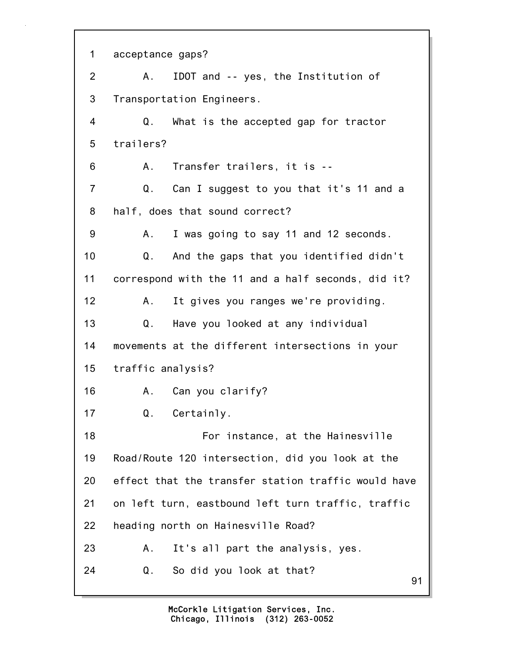91 1 acceptance gaps? 2 A. IDOT and -- yes, the Institution of 3 Transportation Engineers. 4 Q. What is the accepted gap for tractor 5 trailers? 6 A. Transfer trailers, it is -- 7 Q. Can I suggest to you that it's 11 and a 8 half, does that sound correct? 9 A. I was going to say 11 and 12 seconds. 10 Q. And the gaps that you identified didn't 11 correspond with the 11 and a half seconds, did it? 12 A. It gives you ranges we're providing. 13 Q. Have you looked at any individual 14 movements at the different intersections in your 15 traffic analysis? 16 A. Can you clarify? 17 Q. Certainly. 18 For instance, at the Hainesville 19 Road/Route 120 intersection, did you look at the 20 effect that the transfer station traffic would have 21 on left turn, eastbound left turn traffic, traffic 22 heading north on Hainesville Road? 23 A. It's all part the analysis, yes. 24 Q. So did you look at that?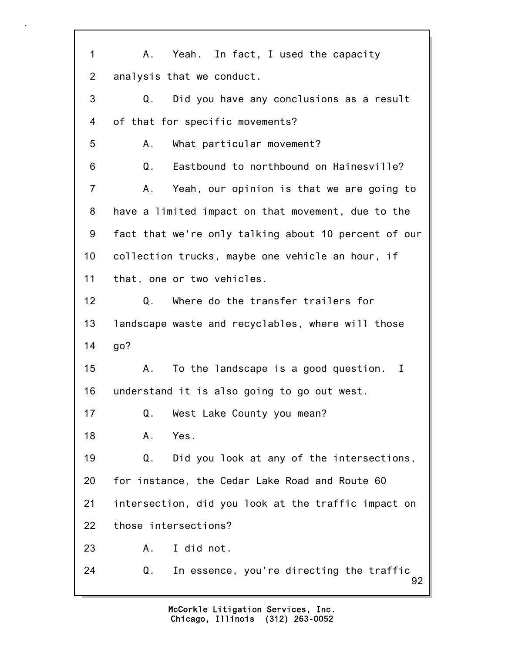92 1 A. Yeah. In fact, I used the capacity 2 analysis that we conduct. 3 Q. Did you have any conclusions as a result 4 of that for specific movements? 5 A. What particular movement? 6 Q. Eastbound to northbound on Hainesville? 7 A. Yeah, our opinion is that we are going to 8 have a limited impact on that movement, due to the 9 fact that we're only talking about 10 percent of our 10 collection trucks, maybe one vehicle an hour, if 11 that, one or two vehicles. 12 Q. Where do the transfer trailers for 13 landscape waste and recyclables, where will those 14 go? 15 A. To the landscape is a good question. I 16 understand it is also going to go out west. 17 Q. West Lake County you mean? 18 A. Yes. 19 Q. Did you look at any of the intersections, 20 for instance, the Cedar Lake Road and Route 60 21 intersection, did you look at the traffic impact on 22 those intersections? 23 A. I did not. 24 Q. In essence, you're directing the traffic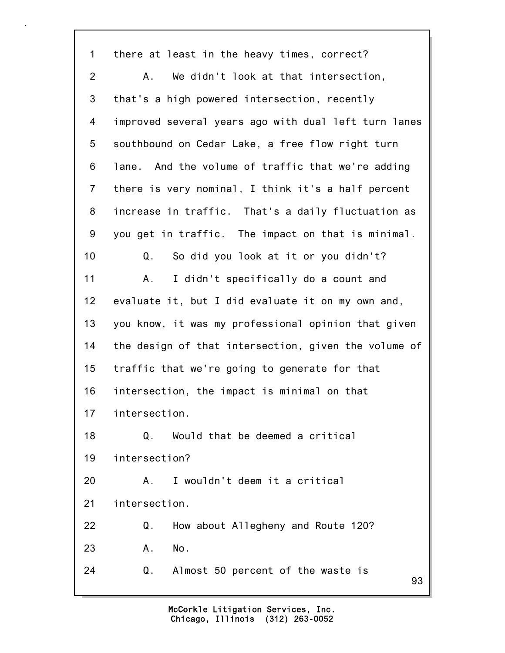93 1 there at least in the heavy times, correct? 2 A. We didn't look at that intersection, 3 that's a high powered intersection, recently 4 improved several years ago with dual left turn lanes 5 southbound on Cedar Lake, a free flow right turn 6 lane. And the volume of traffic that we're adding 7 there is very nominal, I think it's a half percent 8 increase in traffic. That's a daily fluctuation as 9 you get in traffic. The impact on that is minimal. 10 Q. So did you look at it or you didn't? 11 A. I didn't specifically do a count and 12 evaluate it, but I did evaluate it on my own and, 13 you know, it was my professional opinion that given 14 the design of that intersection, given the volume of 15 traffic that we're going to generate for that 16 intersection, the impact is minimal on that 17 intersection. 18 Q. Would that be deemed a critical 19 intersection? 20 A. I wouldn't deem it a critical 21 intersection. 22 Q. How about Allegheny and Route 120? 23 A. No. 24 Q. Almost 50 percent of the waste is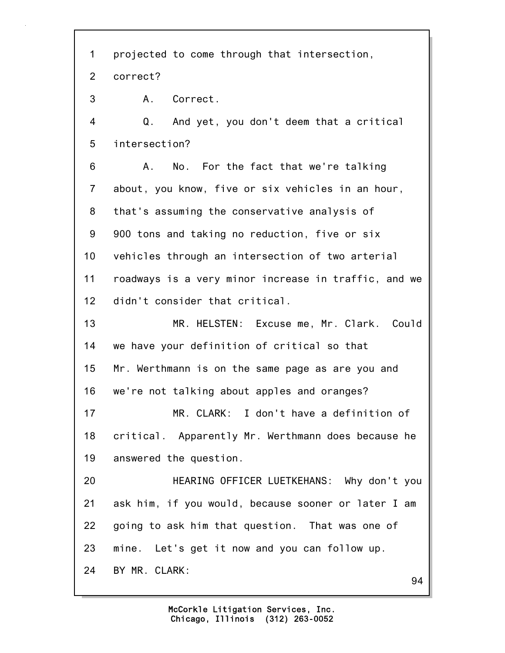94 1 projected to come through that intersection, 2 correct? 3 A. Correct. 4 Q. And yet, you don't deem that a critical 5 intersection? 6 A. No. For the fact that we're talking 7 about, you know, five or six vehicles in an hour, 8 that's assuming the conservative analysis of 9 900 tons and taking no reduction, five or six 10 vehicles through an intersection of two arterial 11 roadways is a very minor increase in traffic, and we 12 didn't consider that critical. 13 MR. HELSTEN: Excuse me, Mr. Clark. Could 14 we have your definition of critical so that 15 Mr. Werthmann is on the same page as are you and 16 we're not talking about apples and oranges? 17 MR. CLARK: I don't have a definition of 18 critical. Apparently Mr. Werthmann does because he 19 answered the question. 20 HEARING OFFICER LUETKEHANS: Why don't you 21 ask him, if you would, because sooner or later I am 22 going to ask him that question. That was one of 23 mine. Let's get it now and you can follow up. 24 BY MR. CLARK: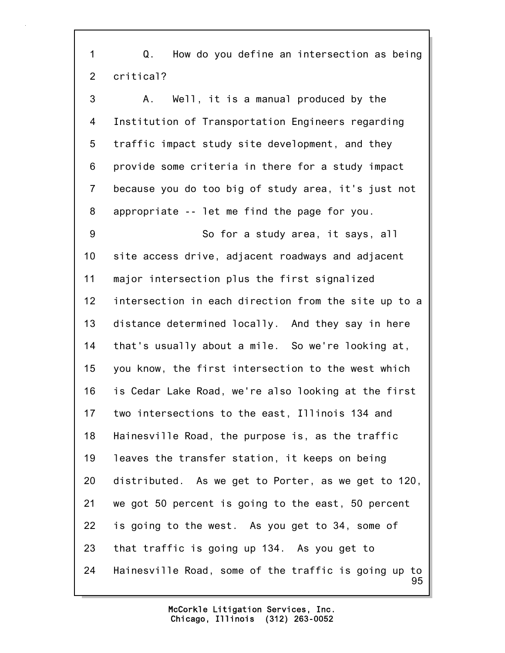1 Q. How do you define an intersection as being 2 critical?

95 3 A. Well, it is a manual produced by the 4 Institution of Transportation Engineers regarding 5 traffic impact study site development, and they 6 provide some criteria in there for a study impact 7 because you do too big of study area, it's just not 8 appropriate -- let me find the page for you. 9 So for a study area, it says, all 10 site access drive, adjacent roadways and adjacent 11 major intersection plus the first signalized 12 intersection in each direction from the site up to a 13 distance determined locally. And they say in here 14 that's usually about a mile. So we're looking at, 15 you know, the first intersection to the west which 16 is Cedar Lake Road, we're also looking at the first 17 two intersections to the east, Illinois 134 and 18 Hainesville Road, the purpose is, as the traffic 19 leaves the transfer station, it keeps on being 20 distributed. As we get to Porter, as we get to 120, 21 we got 50 percent is going to the east, 50 percent 22 is going to the west. As you get to 34, some of 23 that traffic is going up 134. As you get to 24 Hainesville Road, some of the traffic is going up to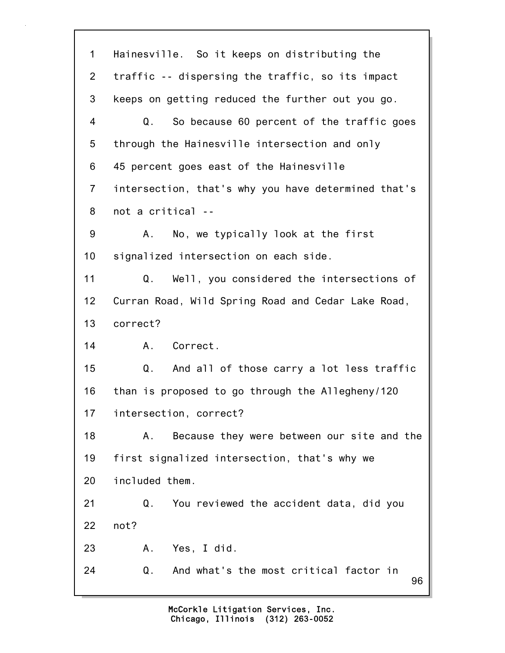96 1 Hainesville. So it keeps on distributing the 2 traffic -- dispersing the traffic, so its impact 3 keeps on getting reduced the further out you go. 4 Q. So because 60 percent of the traffic goes 5 through the Hainesville intersection and only 6 45 percent goes east of the Hainesville 7 intersection, that's why you have determined that's 8 not a critical -- 9 A. No, we typically look at the first 10 signalized intersection on each side. 11 Q. Well, you considered the intersections of 12 Curran Road, Wild Spring Road and Cedar Lake Road, 13 correct? 14 A. Correct. 15 Q. And all of those carry a lot less traffic 16 than is proposed to go through the Allegheny/120 17 intersection, correct? 18 A. Because they were between our site and the 19 first signalized intersection, that's why we 20 included them. 21 Q. You reviewed the accident data, did you 22 not? 23 A. Yes, I did. 24 Q. And what's the most critical factor in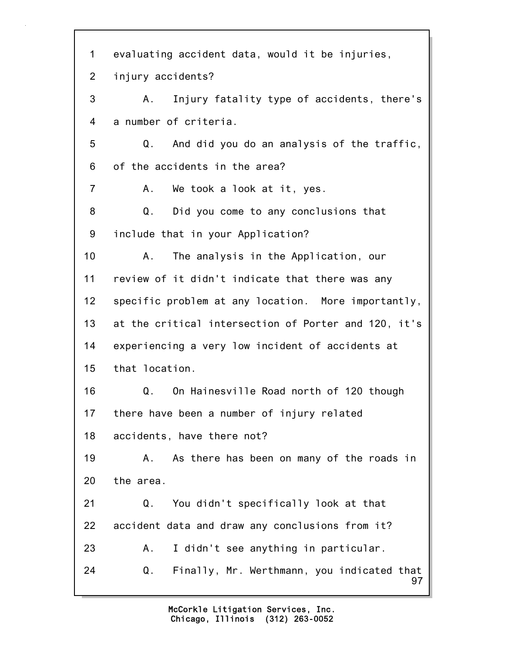97 1 evaluating accident data, would it be injuries, 2 injury accidents? 3 A. Injury fatality type of accidents, there's 4 a number of criteria. 5 Q. And did you do an analysis of the traffic, 6 of the accidents in the area? 7 A. We took a look at it, yes. 8 Q. Did you come to any conclusions that 9 include that in your Application? 10 A. The analysis in the Application, our 11 review of it didn't indicate that there was any 12 specific problem at any location. More importantly, 13 at the critical intersection of Porter and 120, it's 14 experiencing a very low incident of accidents at 15 that location. 16 Q. On Hainesville Road north of 120 though 17 there have been a number of injury related 18 accidents, have there not? 19 A. As there has been on many of the roads in 20 the area. 21 Q. You didn't specifically look at that 22 accident data and draw any conclusions from it? 23 A. I didn't see anything in particular. 24 Q. Finally, Mr. Werthmann, you indicated that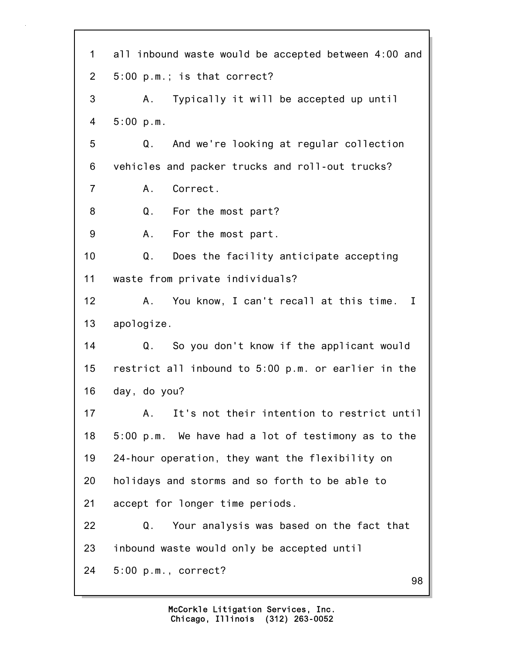98 1 all inbound waste would be accepted between 4:00 and 2 5:00 p.m.; is that correct? 3 A. Typically it will be accepted up until 4 5:00 p.m. 5 Q. And we're looking at regular collection 6 vehicles and packer trucks and roll-out trucks? 7 A. Correct. 8 Q. For the most part? 9 A. For the most part. 10 Q. Does the facility anticipate accepting 11 waste from private individuals? 12 A. You know, I can't recall at this time. I 13 apologize. 14 Q. So you don't know if the applicant would 15 restrict all inbound to 5:00 p.m. or earlier in the 16 day, do you? 17 A. It's not their intention to restrict until 18 5:00 p.m. We have had a lot of testimony as to the 19 24-hour operation, they want the flexibility on 20 holidays and storms and so forth to be able to 21 accept for longer time periods. 22 Q. Your analysis was based on the fact that 23 inbound waste would only be accepted until 24 5:00 p.m., correct?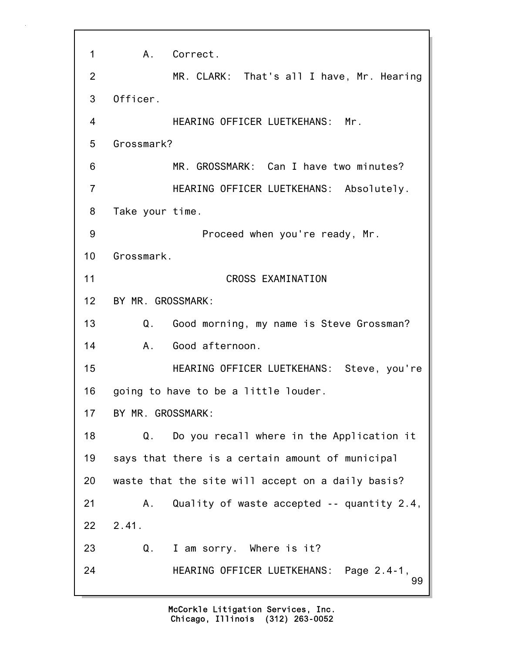99 1 A. Correct. 2 MR. CLARK: That's all I have, Mr. Hearing 3 Officer. 4 HEARING OFFICER LUETKEHANS: Mr. 5 Grossmark? 6 MR. GROSSMARK: Can I have two minutes? 7 HEARING OFFICER LUETKEHANS: Absolutely. 8 Take your time. 9 Proceed when you're ready, Mr. 10 Grossmark. 11 CROSS EXAMINATION 12 BY MR. GROSSMARK: 13 Q. Good morning, my name is Steve Grossman? 14 A. Good afternoon. 15 HEARING OFFICER LUETKEHANS: Steve, you're 16 going to have to be a little louder. 17 BY MR. GROSSMARK: 18 Q. Do you recall where in the Application it 19 says that there is a certain amount of municipal 20 waste that the site will accept on a daily basis? 21 A. Quality of waste accepted -- quantity 2.4, 22 2.41. 23 Q. I am sorry. Where is it? 24 HEARING OFFICER LUETKEHANS: Page 2.4-1,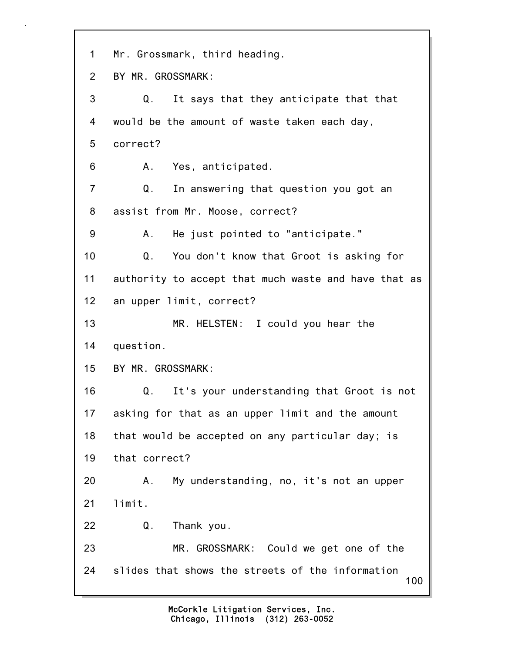100 1 Mr. Grossmark, third heading. 2 BY MR. GROSSMARK: 3 Q. It says that they anticipate that that 4 would be the amount of waste taken each day, 5 correct? 6 A. Yes, anticipated. 7 Q. In answering that question you got an 8 assist from Mr. Moose, correct? 9 A. He just pointed to "anticipate." 10 Q. You don't know that Groot is asking for 11 authority to accept that much waste and have that as 12 an upper limit, correct? 13 MR. HELSTEN: I could you hear the 14 question. 15 BY MR. GROSSMARK: 16 Q. It's your understanding that Groot is not 17 asking for that as an upper limit and the amount 18 that would be accepted on any particular day; is 19 that correct? 20 A. My understanding, no, it's not an upper 21 limit. 22 Q. Thank you. 23 MR. GROSSMARK: Could we get one of the 24 slides that shows the streets of the information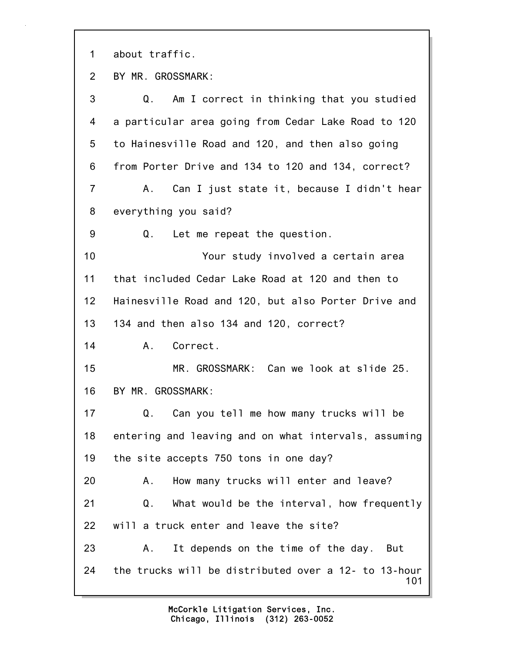1 about traffic.

2 BY MR. GROSSMARK:

101 3 Q. Am I correct in thinking that you studied 4 a particular area going from Cedar Lake Road to 120 5 to Hainesville Road and 120, and then also going 6 from Porter Drive and 134 to 120 and 134, correct? 7 A. Can I just state it, because I didn't hear 8 everything you said? 9 Q. Let me repeat the question. 10 Your study involved a certain area 11 that included Cedar Lake Road at 120 and then to 12 Hainesville Road and 120, but also Porter Drive and 13 134 and then also 134 and 120, correct? 14 A. Correct. 15 MR. GROSSMARK: Can we look at slide 25. 16 BY MR. GROSSMARK: 17 Q. Can you tell me how many trucks will be 18 entering and leaving and on what intervals, assuming 19 the site accepts 750 tons in one day? 20 A. How many trucks will enter and leave? 21 Q. What would be the interval, how frequently 22 will a truck enter and leave the site? 23 A. It depends on the time of the day. But 24 the trucks will be distributed over a 12- to 13-hour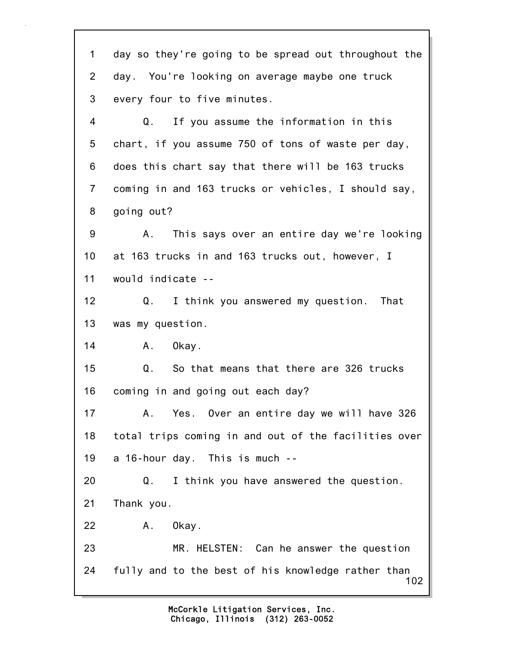102 1 day so they're going to be spread out throughout the 2 day. You're looking on average maybe one truck 3 every four to five minutes. 4 Q. If you assume the information in this 5 chart, if you assume 750 of tons of waste per day, 6 does this chart say that there will be 163 trucks 7 coming in and 163 trucks or vehicles, I should say, 8 going out? 9 A. This says over an entire day we're looking 10 at 163 trucks in and 163 trucks out, however, I 11 would indicate -- 12 Q. I think you answered my question. That 13 was my question. 14 A. Okay. 15 Q. So that means that there are 326 trucks 16 coming in and going out each day? 17 A. Yes. Over an entire day we will have 326 18 total trips coming in and out of the facilities over 19 a 16-hour day. This is much -- 20 Q. I think you have answered the question. 21 Thank you. 22 A. Okay. 23 MR. HELSTEN: Can he answer the question 24 fully and to the best of his knowledge rather than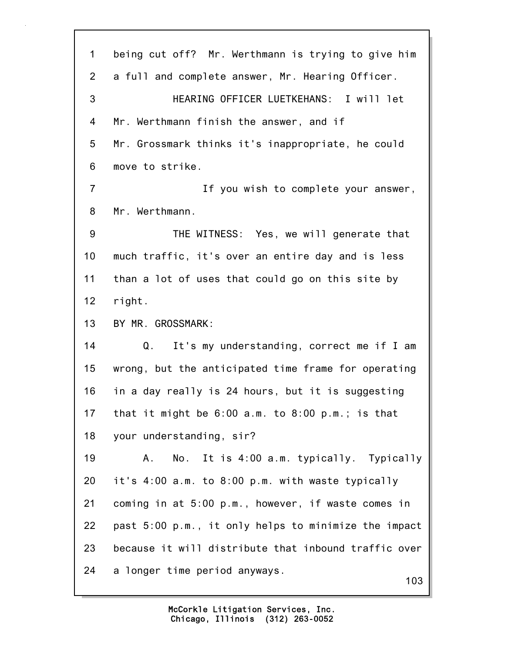103 1 being cut off? Mr. Werthmann is trying to give him 2 a full and complete answer, Mr. Hearing Officer. 3 HEARING OFFICER LUETKEHANS: I will let 4 Mr. Werthmann finish the answer, and if 5 Mr. Grossmark thinks it's inappropriate, he could 6 move to strike. 7 If you wish to complete your answer, 8 Mr. Werthmann. 9 THE WITNESS: Yes, we will generate that 10 much traffic, it's over an entire day and is less 11 than a lot of uses that could go on this site by 12 right. 13 BY MR. GROSSMARK: 14 Q. It's my understanding, correct me if I am 15 wrong, but the anticipated time frame for operating 16 in a day really is 24 hours, but it is suggesting 17 that it might be 6:00 a.m. to 8:00 p.m.; is that 18 your understanding, sir? 19 A. No. It is 4:00 a.m. typically. Typically 20 it's 4:00 a.m. to 8:00 p.m. with waste typically 21 coming in at 5:00 p.m., however, if waste comes in 22 past 5:00 p.m., it only helps to minimize the impact 23 because it will distribute that inbound traffic over 24 a longer time period anyways.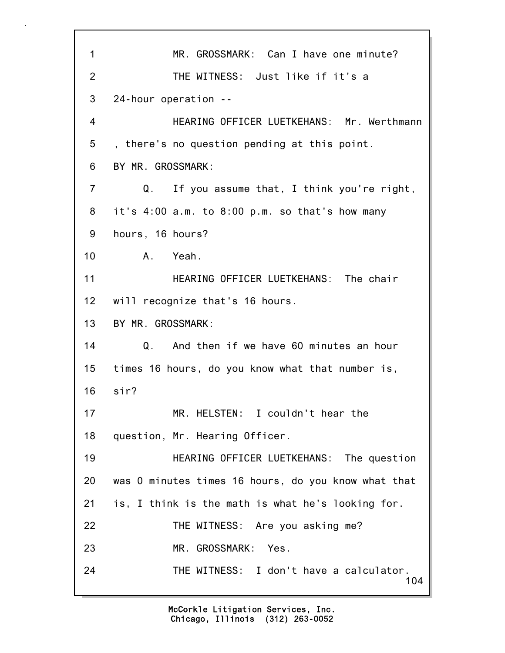104 1 MR. GROSSMARK: Can I have one minute? 2 THE WITNESS: Just like if it's a 3 24-hour operation -- 4 HEARING OFFICER LUETKEHANS: Mr. Werthmann 5 , there's no question pending at this point. 6 BY MR. GROSSMARK: 7 Q. If you assume that, I think you're right, 8 it's 4:00 a.m. to 8:00 p.m. so that's how many 9 hours, 16 hours? 10 A. Yeah. 11 **HEARING OFFICER LUETKEHANS:** The chair 12 will recognize that's 16 hours. 13 BY MR. GROSSMARK: 14 Q. And then if we have 60 minutes an hour 15 times 16 hours, do you know what that number is, 16 sir? 17 MR. HELSTEN: I couldn't hear the 18 question, Mr. Hearing Officer. 19 HEARING OFFICER LUETKEHANS: The question 20 was 0 minutes times 16 hours, do you know what that 21 is, I think is the math is what he's looking for. 22 THE WITNESS: Are you asking me? 23 MR. GROSSMARK: Yes. 24 THE WITNESS: I don't have a calculator.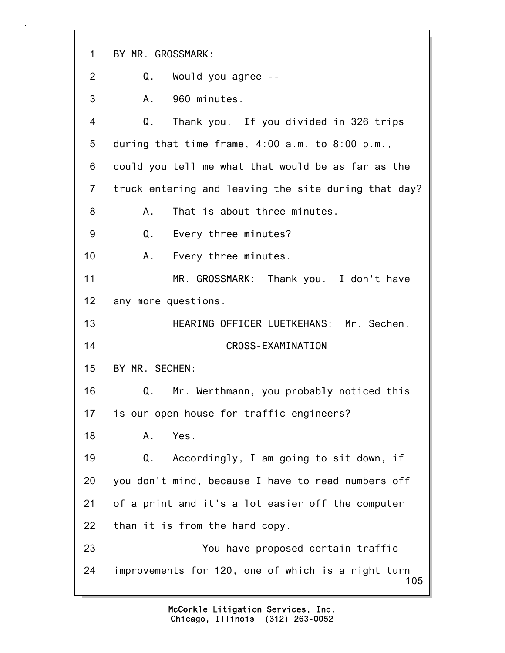105 1 BY MR. GROSSMARK: 2 Q. Would you agree -- 3 A. 960 minutes. 4 Q. Thank you. If you divided in 326 trips 5 during that time frame, 4:00 a.m. to 8:00 p.m., 6 could you tell me what that would be as far as the 7 truck entering and leaving the site during that day? 8 A. That is about three minutes. 9 Q. Every three minutes? 10 A. Every three minutes. 11 MR. GROSSMARK: Thank you. I don't have 12 any more questions. 13 HEARING OFFICER LUETKEHANS: Mr. Sechen. 14 CROSS-EXAMINATION 15 BY MR. SECHEN: 16 Q. Mr. Werthmann, you probably noticed this 17 is our open house for traffic engineers? 18 A. Yes. 19 Q. Accordingly, I am going to sit down, if 20 you don't mind, because I have to read numbers off 21 of a print and it's a lot easier off the computer 22 than it is from the hard copy. 23 You have proposed certain traffic 24 improvements for 120, one of which is a right turn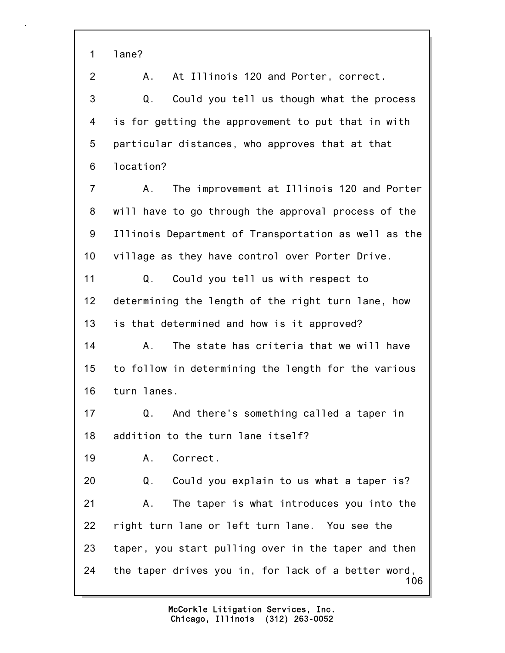1 lane?

2 A. At Illinois 120 and Porter, correct. 3 Q. Could you tell us though what the process 4 is for getting the approvement to put that in with 5 particular distances, who approves that at that 6 location? 7 A. The improvement at Illinois 120 and Porter 8 will have to go through the approval process of the 9 Illinois Department of Transportation as well as the 10 village as they have control over Porter Drive. 11 Q. Could you tell us with respect to

12 determining the length of the right turn lane, how 13 is that determined and how is it approved?

14 A. The state has criteria that we will have 15 to follow in determining the length for the various 16 turn lanes.

17 Q. And there's something called a taper in 18 addition to the turn lane itself?

19 A. Correct.

106 20 Q. Could you explain to us what a taper is? 21 A. The taper is what introduces you into the 22 right turn lane or left turn lane. You see the 23 taper, you start pulling over in the taper and then 24 the taper drives you in, for lack of a better word,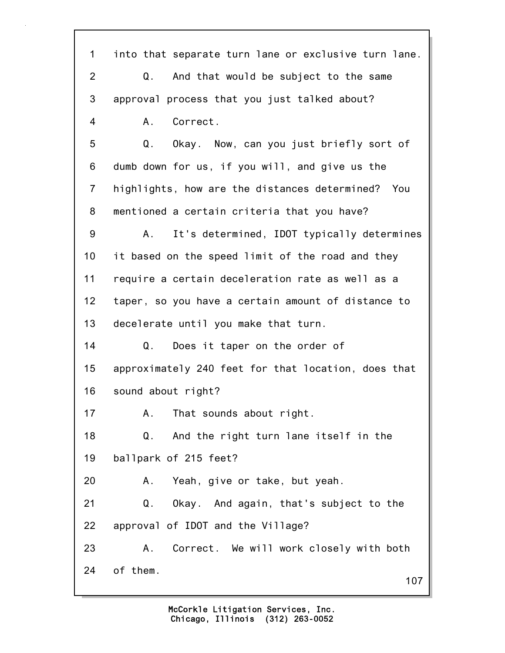107 1 into that separate turn lane or exclusive turn lane. 2 Q. And that would be subject to the same 3 approval process that you just talked about? 4 A. Correct. 5 Q. Okay. Now, can you just briefly sort of 6 dumb down for us, if you will, and give us the 7 highlights, how are the distances determined? You 8 mentioned a certain criteria that you have? 9 A. It's determined, IDOT typically determines 10 it based on the speed limit of the road and they 11 require a certain deceleration rate as well as a 12 taper, so you have a certain amount of distance to 13 decelerate until you make that turn. 14 Q. Does it taper on the order of 15 approximately 240 feet for that location, does that 16 sound about right? 17 A. That sounds about right. 18 Q. And the right turn lane itself in the 19 ballpark of 215 feet? 20 A. Yeah, give or take, but yeah. 21 Q. Okay. And again, that's subject to the 22 approval of IDOT and the Village? 23 A. Correct. We will work closely with both 24 of them.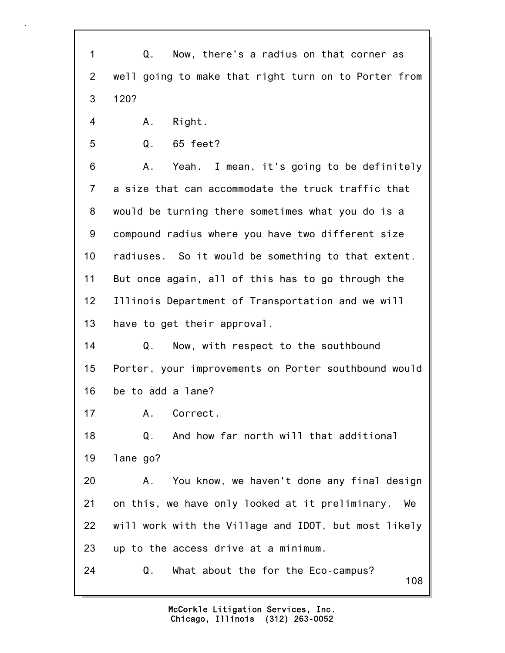108 1 Q. Now, there's a radius on that corner as 2 well going to make that right turn on to Porter from 3 120? 4 A. Right. 5 Q. 65 feet? 6 A. Yeah. I mean, it's going to be definitely 7 a size that can accommodate the truck traffic that 8 would be turning there sometimes what you do is a 9 compound radius where you have two different size 10 radiuses. So it would be something to that extent. 11 But once again, all of this has to go through the 12 Illinois Department of Transportation and we will 13 have to get their approval. 14 Q. Now, with respect to the southbound 15 Porter, your improvements on Porter southbound would 16 be to add a lane? 17 A. Correct. 18 Q. And how far north will that additional 19 lane go? 20 A. You know, we haven't done any final design 21 on this, we have only looked at it preliminary. We 22 will work with the Village and IDOT, but most likely 23 up to the access drive at a minimum. 24 Q. What about the for the Eco-campus?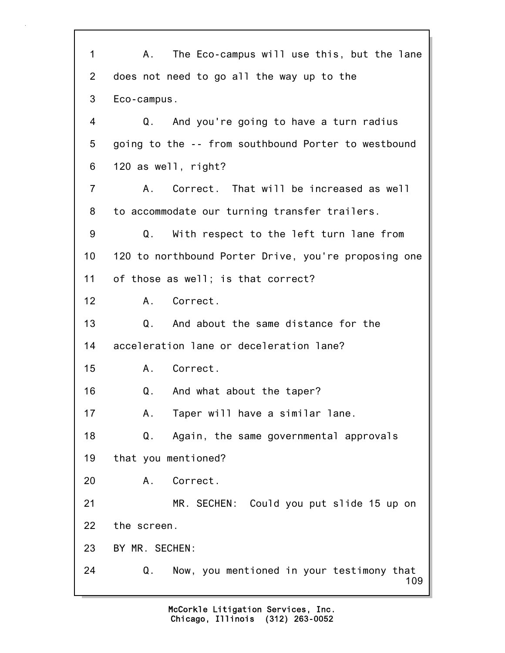109 1 A. The Eco-campus will use this, but the lane 2 does not need to go all the way up to the 3 Eco-campus. 4 Q. And you're going to have a turn radius 5 going to the -- from southbound Porter to westbound 6 120 as well, right? 7 A. Correct. That will be increased as well 8 to accommodate our turning transfer trailers. 9 Q. With respect to the left turn lane from 10 120 to northbound Porter Drive, you're proposing one 11 of those as well; is that correct? 12 A. Correct. 13 Q. And about the same distance for the 14 acceleration lane or deceleration lane? 15 A. Correct. 16 Q. And what about the taper? 17 A. Taper will have a similar lane. 18 Q. Again, the same governmental approvals 19 that you mentioned? 20 A. Correct. 21 MR. SECHEN: Could you put slide 15 up on 22 the screen. 23 BY MR. SECHEN: 24 Q. Now, you mentioned in your testimony that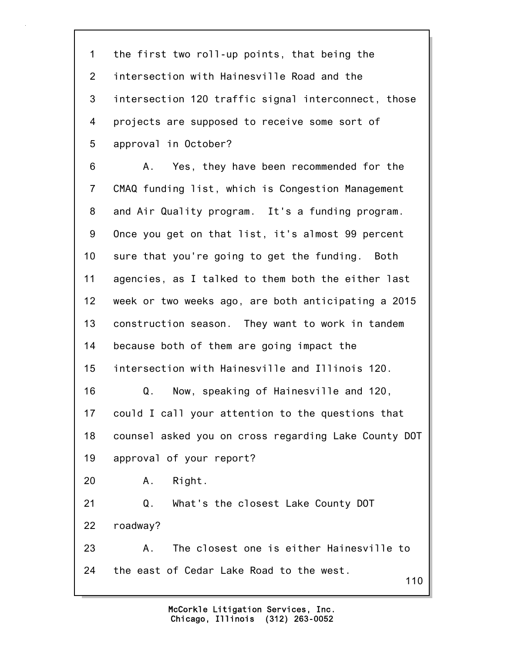110 1 the first two roll-up points, that being the 2 intersection with Hainesville Road and the 3 intersection 120 traffic signal interconnect, those 4 projects are supposed to receive some sort of 5 approval in October? 6 A. Yes, they have been recommended for the 7 CMAQ funding list, which is Congestion Management 8 and Air Quality program. It's a funding program. 9 Once you get on that list, it's almost 99 percent 10 sure that you're going to get the funding. Both 11 agencies, as I talked to them both the either last 12 week or two weeks ago, are both anticipating a 2015 13 construction season. They want to work in tandem 14 because both of them are going impact the 15 intersection with Hainesville and Illinois 120. 16 Q. Now, speaking of Hainesville and 120, 17 could I call your attention to the questions that 18 counsel asked you on cross regarding Lake County DOT 19 approval of your report? 20 A. Right. 21 Q. What's the closest Lake County DOT 22 roadway? 23 A. The closest one is either Hainesville to 24 the east of Cedar Lake Road to the west.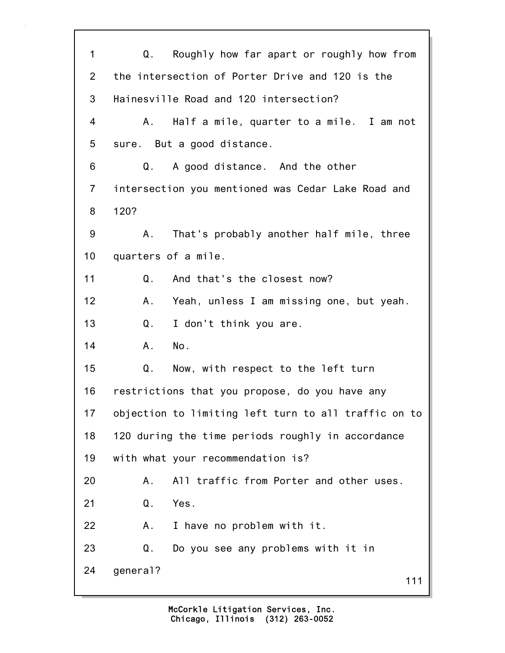111 1 Q. Roughly how far apart or roughly how from 2 the intersection of Porter Drive and 120 is the 3 Hainesville Road and 120 intersection? 4 A. Half a mile, quarter to a mile. I am not 5 sure. But a good distance. 6 Q. A good distance. And the other 7 intersection you mentioned was Cedar Lake Road and 8 120? 9 A. That's probably another half mile, three 10 quarters of a mile. 11 Q. And that's the closest now? 12 A. Yeah, unless I am missing one, but yeah. 13 Q. I don't think you are. 14 A. No. 15 Q. Now, with respect to the left turn 16 restrictions that you propose, do you have any 17 objection to limiting left turn to all traffic on to 18 120 during the time periods roughly in accordance 19 with what your recommendation is? 20 A. All traffic from Porter and other uses. 21 Q. Yes. 22 A. I have no problem with it. 23 Q. Do you see any problems with it in 24 general?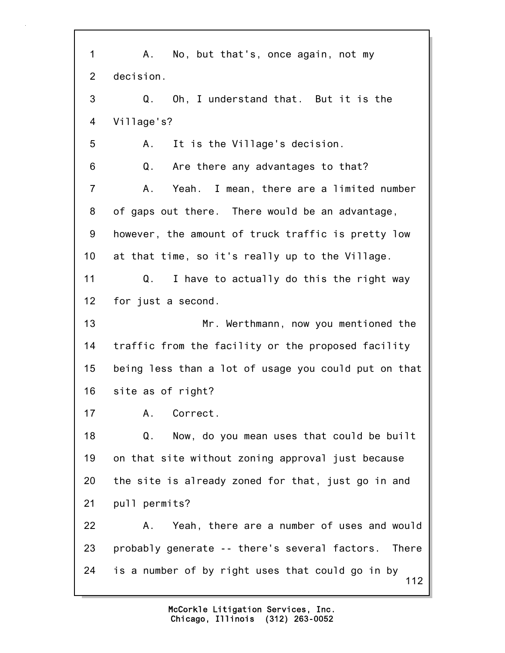112 1 A. No, but that's, once again, not my 2 decision. 3 Q. Oh, I understand that. But it is the 4 Village's? 5 A. It is the Village's decision. 6 Q. Are there any advantages to that? 7 A. Yeah. I mean, there are a limited number 8 of gaps out there. There would be an advantage, 9 however, the amount of truck traffic is pretty low 10 at that time, so it's really up to the Village. 11 Q. I have to actually do this the right way 12 for just a second. 13 Mr. Werthmann, now you mentioned the 14 traffic from the facility or the proposed facility 15 being less than a lot of usage you could put on that 16 site as of right? 17 A. Correct. 18 Q. Now, do you mean uses that could be built 19 on that site without zoning approval just because 20 the site is already zoned for that, just go in and 21 pull permits? 22 A. Yeah, there are a number of uses and would 23 probably generate -- there's several factors. There 24 is a number of by right uses that could go in by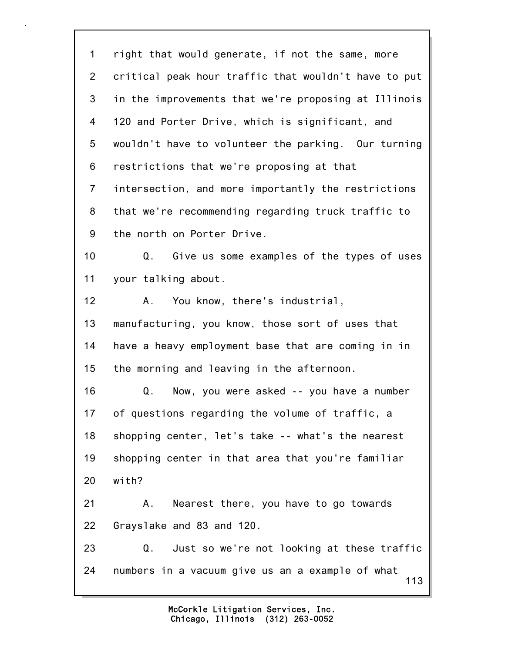113 1 right that would generate, if not the same, more 2 critical peak hour traffic that wouldn't have to put 3 in the improvements that we're proposing at Illinois 4 120 and Porter Drive, which is significant, and 5 wouldn't have to volunteer the parking. Our turning 6 restrictions that we're proposing at that 7 intersection, and more importantly the restrictions 8 that we're recommending regarding truck traffic to 9 the north on Porter Drive. 10 Q. Give us some examples of the types of uses 11 your talking about. 12 A. You know, there's industrial, 13 manufacturing, you know, those sort of uses that 14 have a heavy employment base that are coming in in 15 the morning and leaving in the afternoon. 16 Q. Now, you were asked -- you have a number 17 of questions regarding the volume of traffic, a 18 shopping center, let's take -- what's the nearest 19 shopping center in that area that you're familiar 20 with? 21 A. Nearest there, you have to go towards 22 Grayslake and 83 and 120. 23 Q. Just so we're not looking at these traffic 24 numbers in a vacuum give us an a example of what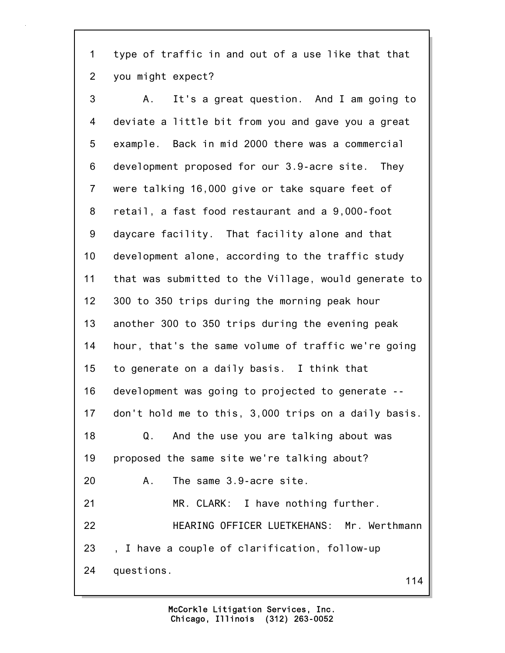1 type of traffic in and out of a use like that that 2 you might expect?

114 3 A. It's a great question. And I am going to 4 deviate a little bit from you and gave you a great 5 example. Back in mid 2000 there was a commercial 6 development proposed for our 3.9-acre site. They 7 were talking 16,000 give or take square feet of 8 retail, a fast food restaurant and a 9,000-foot 9 daycare facility. That facility alone and that 10 development alone, according to the traffic study 11 that was submitted to the Village, would generate to 12 300 to 350 trips during the morning peak hour 13 another 300 to 350 trips during the evening peak 14 hour, that's the same volume of traffic we're going 15 to generate on a daily basis. I think that 16 development was going to projected to generate -- 17 don't hold me to this, 3,000 trips on a daily basis. 18 Q. And the use you are talking about was 19 proposed the same site we're talking about? 20 A. The same 3.9-acre site. 21 MR. CLARK: I have nothing further. 22 HEARING OFFICER LUETKEHANS: Mr. Werthmann 23 , I have a couple of clarification, follow-up 24 questions.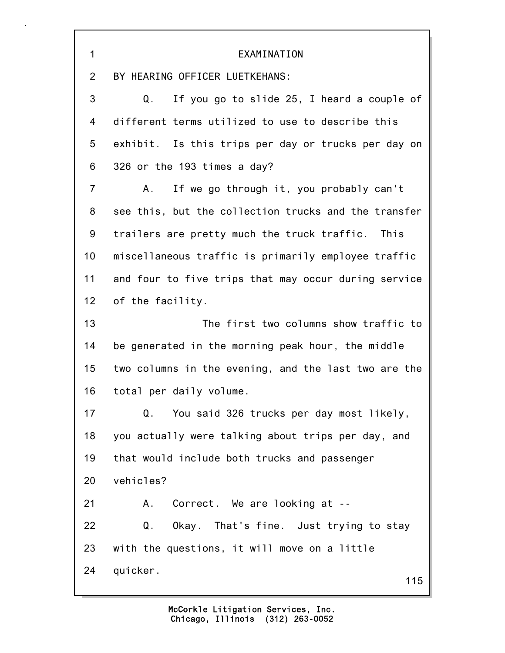| 1              | EXAMINATION                                          |  |  |  |  |
|----------------|------------------------------------------------------|--|--|--|--|
| $\overline{2}$ | BY HEARING OFFICER LUETKEHANS:                       |  |  |  |  |
| 3              | If you go to slide 25, I heard a couple of<br>Q.     |  |  |  |  |
| 4              | different terms utilized to use to describe this     |  |  |  |  |
| 5              | exhibit. Is this trips per day or trucks per day on  |  |  |  |  |
| 6              | 326 or the 193 times a day?                          |  |  |  |  |
| $\overline{7}$ | If we go through it, you probably can't<br>Α.        |  |  |  |  |
| 8              | see this, but the collection trucks and the transfer |  |  |  |  |
| 9              | trailers are pretty much the truck traffic. This     |  |  |  |  |
| 10             | miscellaneous traffic is primarily employee traffic  |  |  |  |  |
| 11             | and four to five trips that may occur during service |  |  |  |  |
| 12             | of the facility.                                     |  |  |  |  |
| 13             | The first two columns show traffic to                |  |  |  |  |
| 14             | be generated in the morning peak hour, the middle    |  |  |  |  |
| 15             | two columns in the evening, and the last two are the |  |  |  |  |
| 16             | total per daily volume.                              |  |  |  |  |
| 17             | You said 326 trucks per day most likely,<br>Q.       |  |  |  |  |
| 18             | you actually were talking about trips per day, and   |  |  |  |  |
| 19             | that would include both trucks and passenger         |  |  |  |  |
| 20             | vehicles?                                            |  |  |  |  |
| 21             | Correct. We are looking at --<br>Α.                  |  |  |  |  |
| 22             | Okay. That's fine. Just trying to stay<br>Q.         |  |  |  |  |
| 23             | with the questions, it will move on a little         |  |  |  |  |
| 24             | quicker.<br>115                                      |  |  |  |  |

 $\overline{\mathbf{1}}$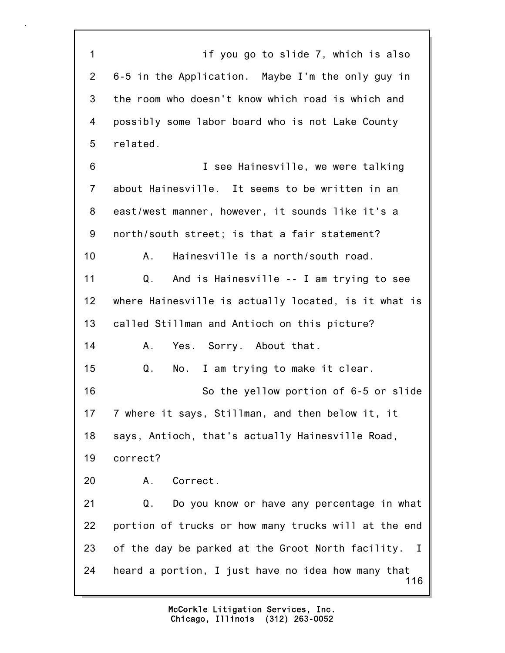116 1 if you go to slide 7, which is also 2 6-5 in the Application. Maybe I'm the only guy in 3 the room who doesn't know which road is which and 4 possibly some labor board who is not Lake County 5 related. 6 I see Hainesville, we were talking 7 about Hainesville. It seems to be written in an 8 east/west manner, however, it sounds like it's a 9 north/south street; is that a fair statement? 10 A. Hainesville is a north/south road. 11 Q. And is Hainesville -- I am trying to see 12 where Hainesville is actually located, is it what is 13 called Stillman and Antioch on this picture? 14 A. Yes. Sorry. About that. 15 Q. No. I am trying to make it clear. 16 So the yellow portion of 6-5 or slide 17 7 where it says, Stillman, and then below it, it 18 says, Antioch, that's actually Hainesville Road, 19 correct? 20 A. Correct. 21 Q. Do you know or have any percentage in what 22 portion of trucks or how many trucks will at the end 23 of the day be parked at the Groot North facility. I 24 heard a portion, I just have no idea how many that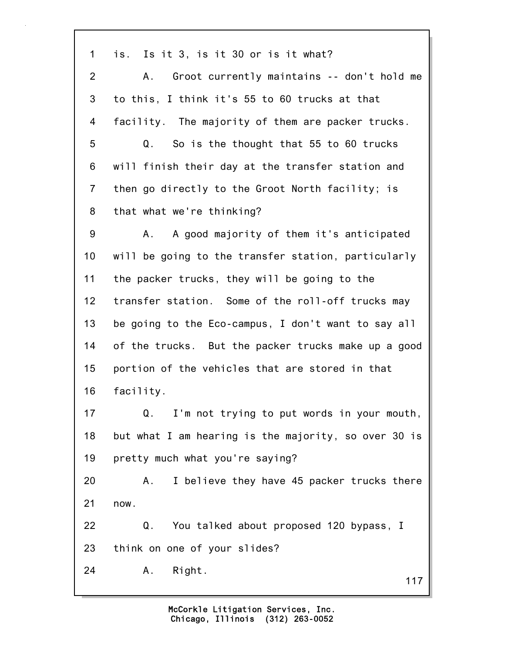1 is. Is it 3, is it 30 or is it what? 2 A. Groot currently maintains -- don't hold me 3 to this, I think it's 55 to 60 trucks at that 4 facility. The majority of them are packer trucks. 5 Q. So is the thought that 55 to 60 trucks 6 will finish their day at the transfer station and 7 then go directly to the Groot North facility; is 8 that what we're thinking? 9 A. A good majority of them it's anticipated 10 will be going to the transfer station, particularly 11 the packer trucks, they will be going to the 12 transfer station. Some of the roll-off trucks may 13 be going to the Eco-campus, I don't want to say all 14 of the trucks. But the packer trucks make up a good 15 portion of the vehicles that are stored in that 16 facility. 17 Q. I'm not trying to put words in your mouth, 18 but what I am hearing is the majority, so over 30 is 19 pretty much what you're saying? 20 A. I believe they have 45 packer trucks there 21 now. 22 Q. You talked about proposed 120 bypass, I 23 think on one of your slides? 24 A. Right.

117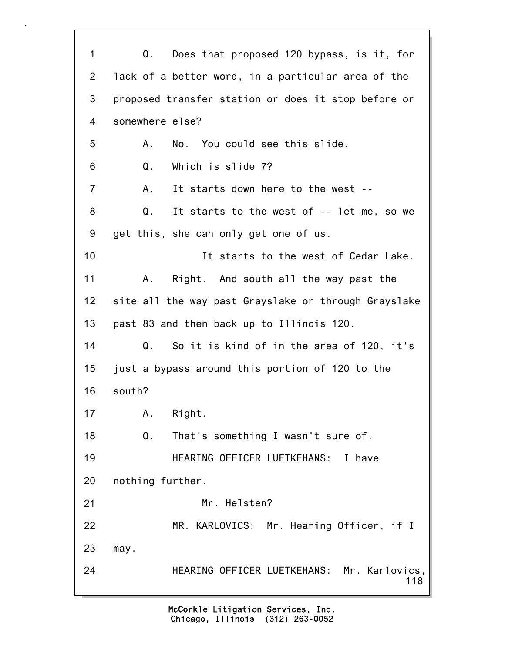118 1 Q. Does that proposed 120 bypass, is it, for 2 lack of a better word, in a particular area of the 3 proposed transfer station or does it stop before or 4 somewhere else? 5 A. No. You could see this slide. 6 Q. Which is slide 7? 7 A. It starts down here to the west -- 8 Q. It starts to the west of -- let me, so we 9 get this, she can only get one of us. 10 It starts to the west of Cedar Lake. 11 A. Right. And south all the way past the 12 site all the way past Grayslake or through Grayslake 13 past 83 and then back up to Illinois 120. 14 Q. So it is kind of in the area of 120, it's 15 just a bypass around this portion of 120 to the 16 south? 17 A. Right. 18 Q. That's something I wasn't sure of. 19 HEARING OFFICER LUETKEHANS: I have 20 nothing further. 21 Mr. Helsten? 22 MR. KARLOVICS: Mr. Hearing Officer, if I 23 may. 24 HEARING OFFICER LUETKEHANS: Mr. Karlovics,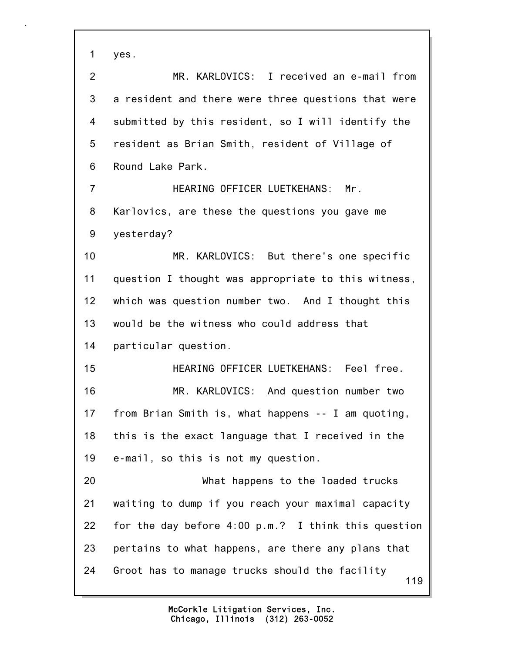1 yes.

119 2 MR. KARLOVICS: I received an e-mail from 3 a resident and there were three questions that were 4 submitted by this resident, so I will identify the 5 resident as Brian Smith, resident of Village of 6 Round Lake Park. 7 HEARING OFFICER LUETKEHANS: Mr. 8 Karlovics, are these the questions you gave me 9 yesterday? 10 MR. KARLOVICS: But there's one specific 11 question I thought was appropriate to this witness, 12 which was question number two. And I thought this 13 would be the witness who could address that 14 particular question. 15 HEARING OFFICER LUETKEHANS: Feel free. 16 MR. KARLOVICS: And question number two 17 from Brian Smith is, what happens -- I am quoting, 18 this is the exact language that I received in the 19 e-mail, so this is not my question. 20 What happens to the loaded trucks 21 waiting to dump if you reach your maximal capacity 22 for the day before 4:00 p.m.? I think this question 23 pertains to what happens, are there any plans that 24 Groot has to manage trucks should the facility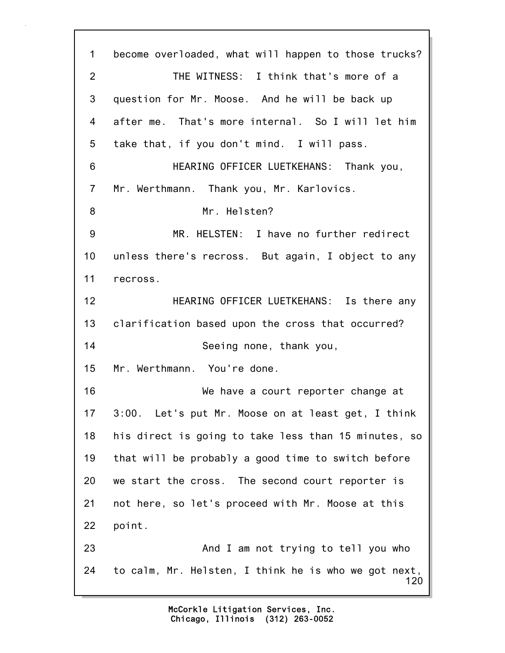120 1 become overloaded, what will happen to those trucks? 2 THE WITNESS: I think that's more of a 3 question for Mr. Moose. And he will be back up 4 after me. That's more internal. So I will let him 5 take that, if you don't mind. I will pass. 6 HEARING OFFICER LUETKEHANS: Thank you, 7 Mr. Werthmann. Thank you, Mr. Karlovics. 8 Mr. Helsten? 9 MR. HELSTEN: I have no further redirect 10 unless there's recross. But again, I object to any 11 recross. 12 HEARING OFFICER LUETKEHANS: Is there any 13 clarification based upon the cross that occurred? 14 Seeing none, thank you, 15 Mr. Werthmann. You're done. 16 We have a court reporter change at 17 3:00. Let's put Mr. Moose on at least get, I think 18 his direct is going to take less than 15 minutes, so 19 that will be probably a good time to switch before 20 we start the cross. The second court reporter is 21 not here, so let's proceed with Mr. Moose at this 22 point. 23 And I am not trying to tell you who 24 to calm, Mr. Helsten, I think he is who we got next,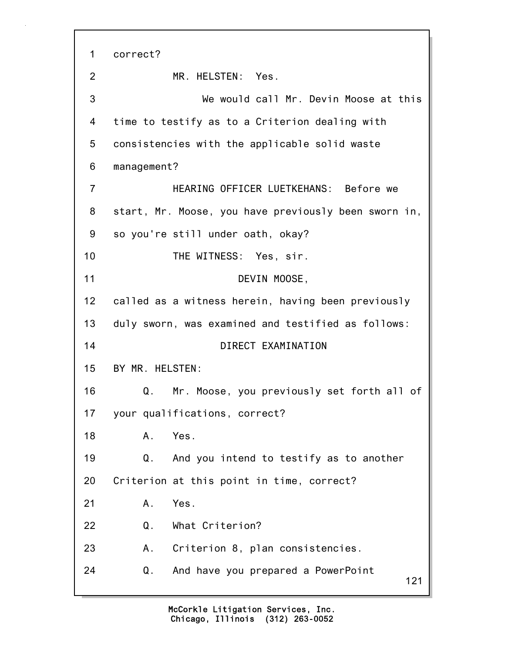121 1 correct? 2 MR. HELSTEN: Yes. 3 We would call Mr. Devin Moose at this 4 time to testify as to a Criterion dealing with 5 consistencies with the applicable solid waste 6 management? 7 HEARING OFFICER LUETKEHANS: Before we 8 start, Mr. Moose, you have previously been sworn in, 9 so you're still under oath, okay? 10 THE WITNESS: Yes, sir. 11 DEVIN MOOSE, 12 called as a witness herein, having been previously 13 duly sworn, was examined and testified as follows: 14 DIRECT EXAMINATION 15 BY MR. HELSTEN: 16 Q. Mr. Moose, you previously set forth all of 17 your qualifications, correct? 18 A. Yes. 19 Q. And you intend to testify as to another 20 Criterion at this point in time, correct? 21 A. Yes. 22 Q. What Criterion? 23 A. Criterion 8, plan consistencies. 24 Q. And have you prepared a PowerPoint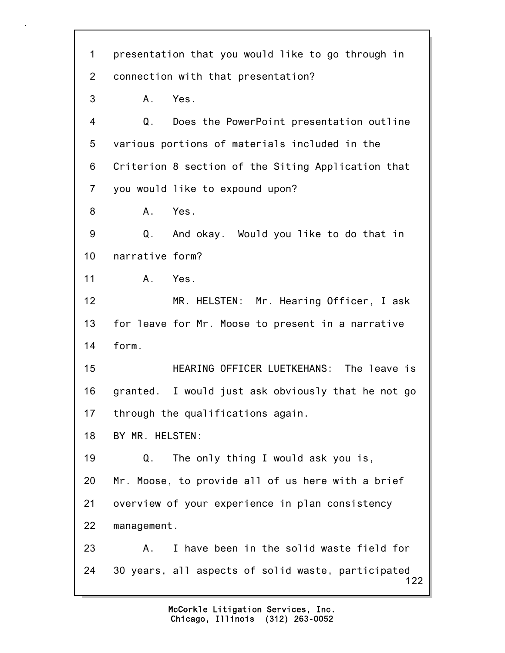122 1 presentation that you would like to go through in 2 connection with that presentation? 3 A. Yes. 4 Q. Does the PowerPoint presentation outline 5 various portions of materials included in the 6 Criterion 8 section of the Siting Application that 7 you would like to expound upon? 8 A. Yes. 9 Q. And okay. Would you like to do that in 10 narrative form? 11 A. Yes. 12 MR. HELSTEN: Mr. Hearing Officer, I ask 13 for leave for Mr. Moose to present in a narrative 14 form. 15 HEARING OFFICER LUETKEHANS: The leave is 16 granted. I would just ask obviously that he not go 17 through the qualifications again. 18 BY MR. HELSTEN: 19 Q. The only thing I would ask you is, 20 Mr. Moose, to provide all of us here with a brief 21 overview of your experience in plan consistency 22 management. 23 A. I have been in the solid waste field for 24 30 years, all aspects of solid waste, participated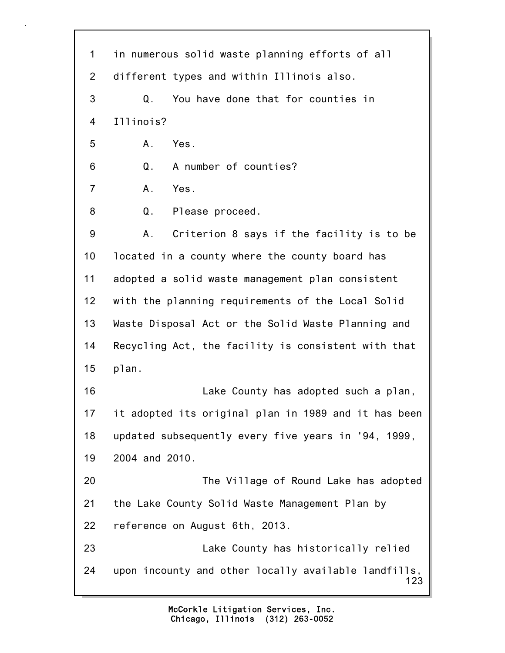123 1 in numerous solid waste planning efforts of all 2 different types and within Illinois also. 3 Q. You have done that for counties in 4 Illinois? 5 A. Yes. 6 Q. A number of counties? 7 A. Yes. 8 Q. Please proceed. 9 A. Criterion 8 says if the facility is to be 10 located in a county where the county board has 11 adopted a solid waste management plan consistent 12 with the planning requirements of the Local Solid 13 Waste Disposal Act or the Solid Waste Planning and 14 Recycling Act, the facility is consistent with that 15 plan. 16 Lake County has adopted such a plan, 17 it adopted its original plan in 1989 and it has been 18 updated subsequently every five years in '94, 1999, 19 2004 and 2010. 20 The Village of Round Lake has adopted 21 the Lake County Solid Waste Management Plan by 22 reference on August 6th, 2013. 23 Lake County has historically relied 24 upon incounty and other locally available landfills,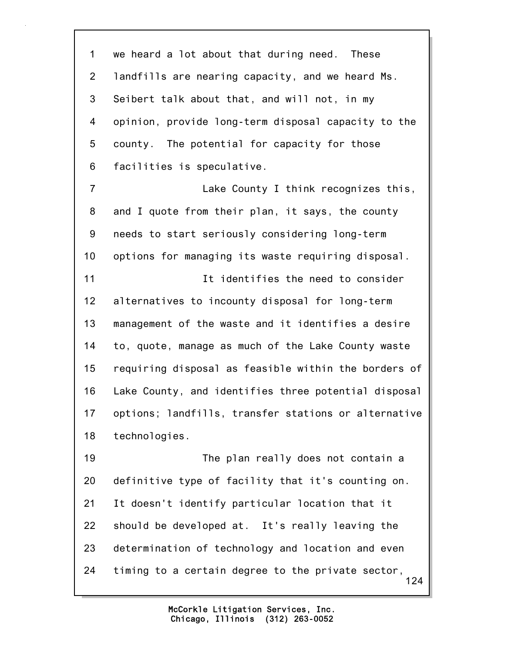1 we heard a lot about that during need. These 2 landfills are nearing capacity, and we heard Ms. 3 Seibert talk about that, and will not, in my 4 opinion, provide long-term disposal capacity to the 5 county. The potential for capacity for those 6 facilities is speculative.

7 Lake County I think recognizes this, 8 and I quote from their plan, it says, the county 9 needs to start seriously considering long-term 10 options for managing its waste requiring disposal. 11 It identifies the need to consider 12 alternatives to incounty disposal for long-term 13 management of the waste and it identifies a desire 14 to, quote, manage as much of the Lake County waste 15 requiring disposal as feasible within the borders of 16 Lake County, and identifies three potential disposal 17 options; landfills, transfer stations or alternative 18 technologies.

124 19 The plan really does not contain a 20 definitive type of facility that it's counting on. 21 It doesn't identify particular location that it 22 should be developed at. It's really leaving the 23 determination of technology and location and even 24 timing to a certain degree to the private sector,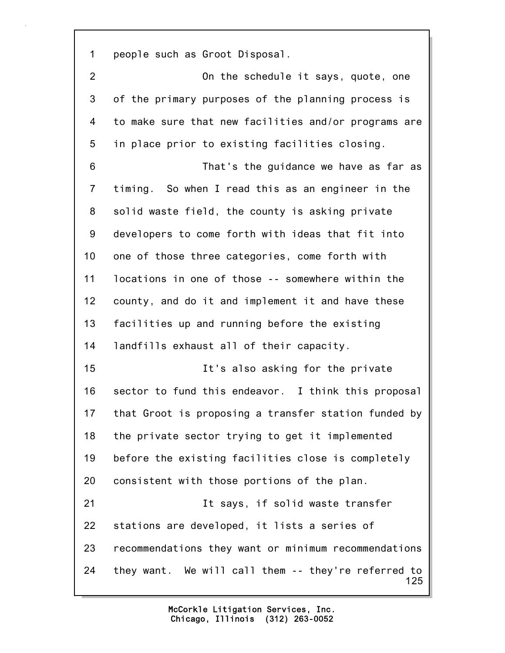1 people such as Groot Disposal.

125 2 On the schedule it says, quote, one 3 of the primary purposes of the planning process is 4 to make sure that new facilities and/or programs are 5 in place prior to existing facilities closing. 6 That's the guidance we have as far as 7 timing. So when I read this as an engineer in the 8 solid waste field, the county is asking private 9 developers to come forth with ideas that fit into 10 one of those three categories, come forth with 11 locations in one of those -- somewhere within the 12 county, and do it and implement it and have these 13 facilities up and running before the existing 14 landfills exhaust all of their capacity. 15 It's also asking for the private 16 sector to fund this endeavor. I think this proposal 17 that Groot is proposing a transfer station funded by 18 the private sector trying to get it implemented 19 before the existing facilities close is completely 20 consistent with those portions of the plan. 21 It says, if solid waste transfer 22 stations are developed, it lists a series of 23 recommendations they want or minimum recommendations 24 they want. We will call them -- they're referred to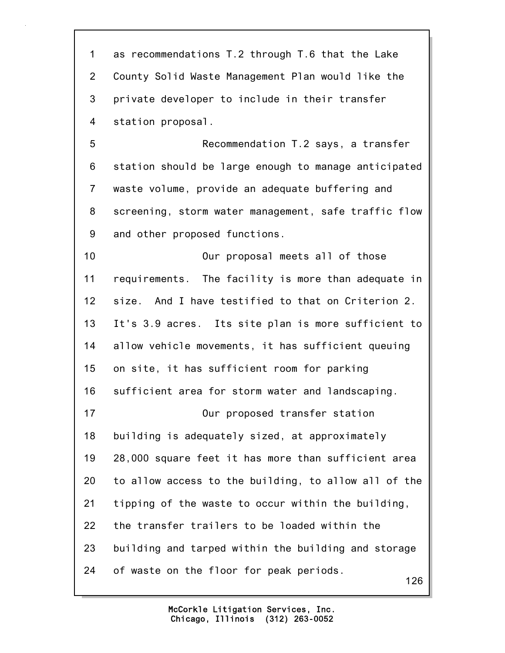126 1 as recommendations T.2 through T.6 that the Lake 2 County Solid Waste Management Plan would like the 3 private developer to include in their transfer 4 station proposal. 5 Recommendation T.2 says, a transfer 6 station should be large enough to manage anticipated 7 waste volume, provide an adequate buffering and 8 screening, storm water management, safe traffic flow 9 and other proposed functions. 10 Our proposal meets all of those 11 requirements. The facility is more than adequate in 12 size. And I have testified to that on Criterion 2. 13 It's 3.9 acres. Its site plan is more sufficient to 14 allow vehicle movements, it has sufficient queuing 15 on site, it has sufficient room for parking 16 sufficient area for storm water and landscaping. 17 Our proposed transfer station 18 building is adequately sized, at approximately 19 28,000 square feet it has more than sufficient area 20 to allow access to the building, to allow all of the 21 tipping of the waste to occur within the building, 22 the transfer trailers to be loaded within the 23 building and tarped within the building and storage 24 of waste on the floor for peak periods.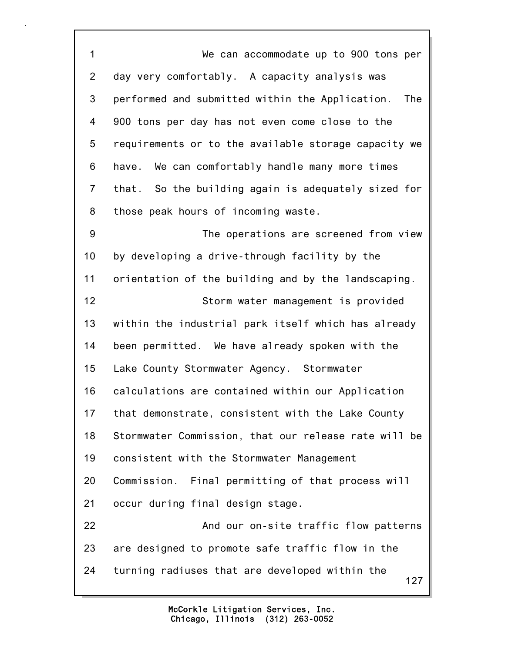127 1 We can accommodate up to 900 tons per 2 day very comfortably. A capacity analysis was 3 performed and submitted within the Application. The 4 900 tons per day has not even come close to the 5 requirements or to the available storage capacity we 6 have. We can comfortably handle many more times 7 that. So the building again is adequately sized for 8 those peak hours of incoming waste. 9 The operations are screened from view 10 by developing a drive-through facility by the 11 orientation of the building and by the landscaping. 12 Storm water management is provided 13 within the industrial park itself which has already 14 been permitted. We have already spoken with the 15 Lake County Stormwater Agency. Stormwater 16 calculations are contained within our Application 17 that demonstrate, consistent with the Lake County 18 Stormwater Commission, that our release rate will be 19 consistent with the Stormwater Management 20 Commission. Final permitting of that process will 21 occur during final design stage. 22 And our on-site traffic flow patterns 23 are designed to promote safe traffic flow in the 24 turning radiuses that are developed within the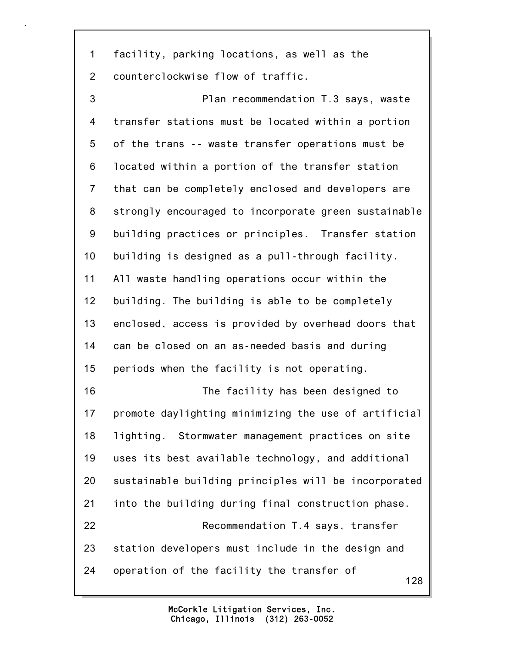1 facility, parking locations, as well as the 2 counterclockwise flow of traffic.

128 3 Plan recommendation T.3 says, waste 4 transfer stations must be located within a portion 5 of the trans -- waste transfer operations must be 6 located within a portion of the transfer station 7 that can be completely enclosed and developers are 8 strongly encouraged to incorporate green sustainable 9 building practices or principles. Transfer station 10 building is designed as a pull-through facility. 11 All waste handling operations occur within the 12 building. The building is able to be completely 13 enclosed, access is provided by overhead doors that 14 can be closed on an as-needed basis and during 15 periods when the facility is not operating. 16 The facility has been designed to 17 promote daylighting minimizing the use of artificial 18 lighting. Stormwater management practices on site 19 uses its best available technology, and additional 20 sustainable building principles will be incorporated 21 into the building during final construction phase. 22 Recommendation T.4 says, transfer 23 station developers must include in the design and 24 operation of the facility the transfer of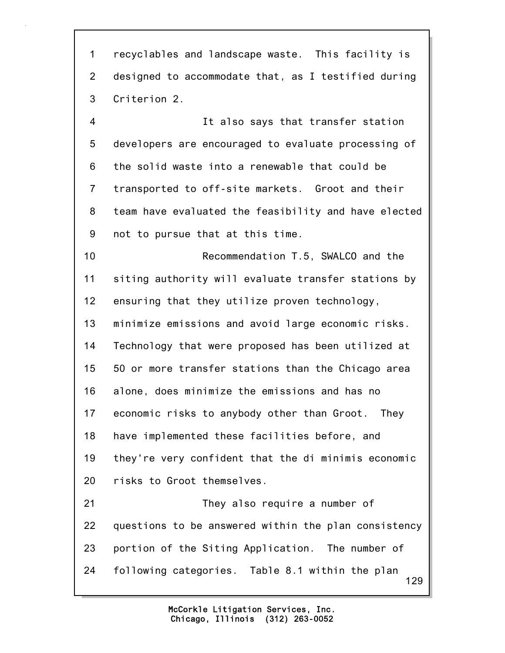129 1 recyclables and landscape waste. This facility is 2 designed to accommodate that, as I testified during 3 Criterion 2. 4 It also says that transfer station 5 developers are encouraged to evaluate processing of 6 the solid waste into a renewable that could be 7 transported to off-site markets. Groot and their 8 team have evaluated the feasibility and have elected 9 not to pursue that at this time. 10 Recommendation T.5, SWALCO and the 11 siting authority will evaluate transfer stations by 12 ensuring that they utilize proven technology, 13 minimize emissions and avoid large economic risks. 14 Technology that were proposed has been utilized at 15 50 or more transfer stations than the Chicago area 16 alone, does minimize the emissions and has no 17 economic risks to anybody other than Groot. They 18 have implemented these facilities before, and 19 they're very confident that the di minimis economic 20 risks to Groot themselves. 21 They also require a number of 22 questions to be answered within the plan consistency 23 portion of the Siting Application. The number of 24 following categories. Table 8.1 within the plan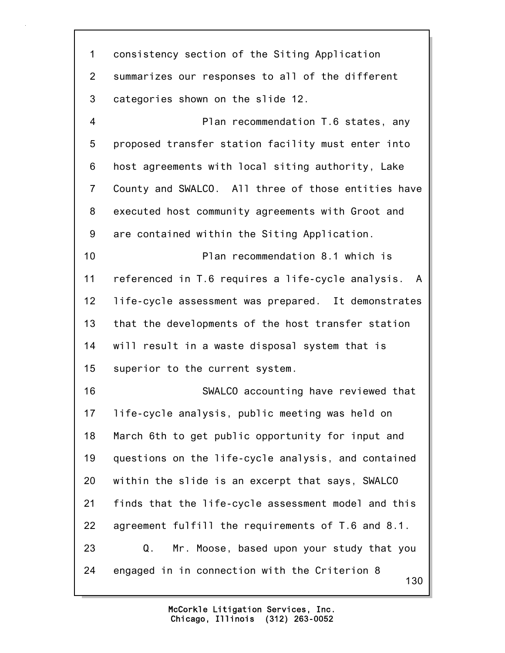130 1 consistency section of the Siting Application 2 summarizes our responses to all of the different 3 categories shown on the slide 12. 4 Plan recommendation T.6 states, any 5 proposed transfer station facility must enter into 6 host agreements with local siting authority, Lake 7 County and SWALCO. All three of those entities have 8 executed host community agreements with Groot and 9 are contained within the Siting Application. 10 Plan recommendation 8.1 which is 11 referenced in T.6 requires a life-cycle analysis. A 12 life-cycle assessment was prepared. It demonstrates 13 that the developments of the host transfer station 14 will result in a waste disposal system that is 15 superior to the current system. 16 SWALCO accounting have reviewed that 17 life-cycle analysis, public meeting was held on 18 March 6th to get public opportunity for input and 19 questions on the life-cycle analysis, and contained 20 within the slide is an excerpt that says, SWALCO 21 finds that the life-cycle assessment model and this 22 agreement fulfill the requirements of T.6 and 8.1. 23 Q. Mr. Moose, based upon your study that you 24 engaged in in connection with the Criterion 8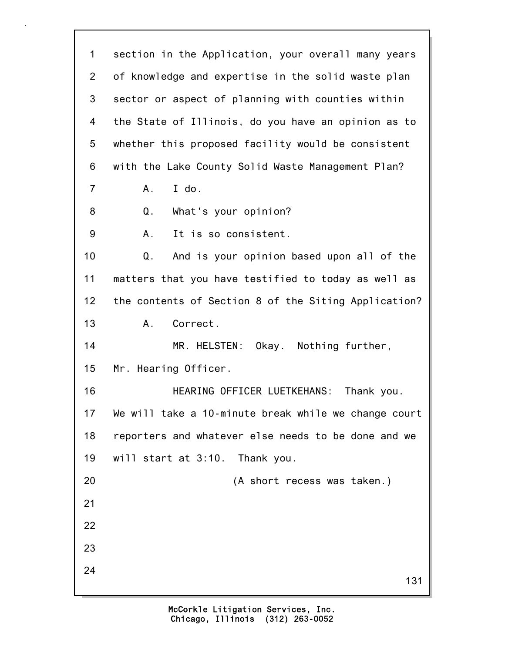131 1 section in the Application, your overall many years 2 of knowledge and expertise in the solid waste plan 3 sector or aspect of planning with counties within 4 the State of Illinois, do you have an opinion as to 5 whether this proposed facility would be consistent 6 with the Lake County Solid Waste Management Plan? 7 A. I do. 8 Q. What's your opinion? 9 A. It is so consistent. 10 Q. And is your opinion based upon all of the 11 matters that you have testified to today as well as 12 the contents of Section 8 of the Siting Application? 13 A. Correct. 14 MR. HELSTEN: Okay. Nothing further, 15 Mr. Hearing Officer. 16 HEARING OFFICER LUETKEHANS: Thank you. 17 We will take a 10-minute break while we change court 18 reporters and whatever else needs to be done and we 19 will start at 3:10. Thank you. 20 (A short recess was taken.) 21 22 23 24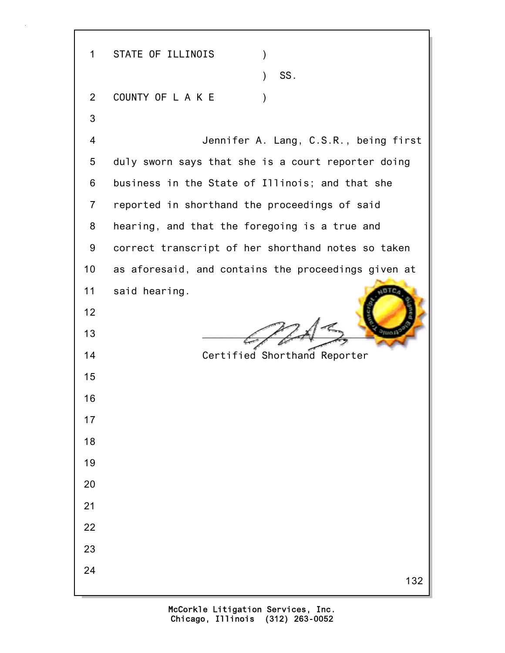132 1 STATE OF ILLINOIS )  $\sim$  SS. 2 COUNTY OF LAKE ) 3 4 Jennifer A. Lang, C.S.R., being first 5 duly sworn says that she is a court reporter doing 6 business in the State of Illinois; and that she 7 reported in shorthand the proceedings of said 8 hearing, and that the foregoing is a true and 9 correct transcript of her shorthand notes so taken 10 as aforesaid, and contains the proceedings given at 11 said hearing. 12 13  $\left( \begin{array}{cc} \begin{array}{cc} \end{array} & \end{array} \right)$ 14 Certified Shorthand Reporter 15 16 17 18 19 20 21 22 23 24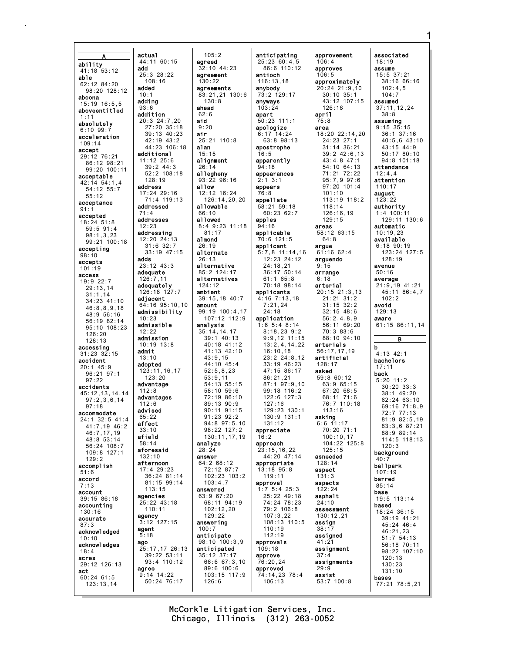actual A **ability**<br>41:18 53:12 add able 62:12 84:20 added 98:20 128:12 aboona adding  $15.10$   $16.55$  $93.6$ aboveentitled addition absolutely  $6:10$  99:7 acceleration  $109.14$ accept additional 29:12 76:21 86:12 98:21 99:20 100:11 acceptable 42:14 54:1.4 address 54:12 55:7  $55:12$ acceptance addressed  $91:1$ accepted addresses  $18:24$  51:8  $59:5$   $91:4$ addressing  $98:1,3,23$ 99:21 100:18 accepting  $98:10$ adds accepts  $101 \cdot 19$ adequate **ACCASS**  $19:922:7$ adequately  $29:13.14$  $31:1.14$ adjacent  $34:23$  41:10  $46.88918$  $48:956:16$ 56:19 82:14 admissible  $95:10$   $108:23$  $126.20$ admission  $128.13$ accessing admit  $31:23$   $32:15$ accident adopted  $20:1$  45:9 96:21 97:1  $07.22$ advantage accidents  $45:12, 13, 14, 14$ advantages  $97:2.3.6.14$  $97:18$ advised accommodate  $65.22$ 24:1 32:5 41:4 affect 41:7,19 46:2  $33:10$  $46:7.17.19$ afield  $48:8.53:14$ 56:24 108:7 aforesaid  $109.8127.1$  $129:2$ afternoon accomplish  $51:6$ accord  $7:13$ account agencies 39:15 86:18 accounting  $130:16$ agency accurate  $87.3$ agent acknowledged  $10:10$ ago acknowledges  $18:4$ acres 29:12 126:13 agree act  $60:24$  61:5  $123:13.14$ 

 $105:2$ 44:11 60:15 agreed  $32:10$  44:23 agreement  $130:22$ agreements  $83:21.21$  130:6  $130:8$ ahead  $62.6$  $20:3$   $24:7.20$ aid 27:20 35:18  $9:20$  $39:13$   $40:23$ air  $25:21$  110:8  $42:19$   $43:2$ 44:23 106:18 alan  $15:15$ alignment  $26:14$  $52:2$  108:18 allegheny  $93:2296:16$ allow 12:12 16:24 17:24 29:16 71:4 119:13  $126:14, 20, 20$ allowable 66:10 allowed 8:4 9:23 11:18  $81:17$ 12:20 24:13 almond  $26:19$  $33:19$  47:15 alternate alternative 85:2 124:17 alternatives 124:12 126:18 127:7 ambient 39:15,18 40:7 64:16 95:10,10 amount admissibility 99:19 100:4,17  $107:12$  112:9 analysis  $35:14, 14, 17$  $39:1$  40:13  $40:18$   $41:12$  $41:13$   $42:10$  $43:9.15$  $44:10$   $45:4$  $123:11.16.17$  $52:5.8.23$  $53:9.11$ 54:13 55:15  $58:10.59:6$  $72:19.86:10$  $89.1390.9$  $90:11$   $91:15$  $91:23$   $92:2$  $94.897.510$  $98:22$  127:2 130:11,17,19 analyze  $28:24$ answer  $64:2$  68.12  $72:12$  87:7 36:24 81:14 102:23 103:2 81:15 99:14  $103:4.7$ answered  $63:967:20$ 25:22 43:18 68:11 94:19  $102:12,20$  $129.22$ 127:15 answering  $100:7$ anticipate 98:10 100:3,9 25:17,17 26:13 anticipated  $39:22$  53:11  $35:12$  37:17  $93:4$  110:12 66:6 67:3,10 89:6 100:6 103:15 117:9 50:24 76:17  $126:6$ 

 $25:3$  28:22

 $108:16$ 

11:12 25:6

 $128:19$ 

 $71:4$ 

 $12:23$ 

 $31:6$  32:7

 $23:12$  43:3

 $126:7.11$ 

 $10:23$ 

 $13:10$ 

 $112:8$ 

 $112.6$ 

 $58.14$ 

 $132:10$ 

 $17:4$  29:23

 $113:15$ 

 $110:11$ 

 $9:14$  14:22

 $3:12$ 

 $5:18$ 

 $10:19$   $13:8$ 

 $123:20$ 

 $39.244.3$ 

 $10.1$ 

anticipating  $25:23.60:4.5$ 86:6 110:12 antioch  $116:13.18$  $anybody$ <br> $73:2 129:17$ anyways  $103:24$ apart  $50:23:111:1$ apologize  $6:17$  14:24  $63:8$  98:13 apostrophe  $16:5$ apparently  $94.18$ appearances  $2:1$  3:1 appears  $76:8$ appellate  $58:21$  59:18  $60:2362:7$ apples  $94:16$ applicable  $70:6$  121:5 applicant  $5:7,8$  11:14,16  $12:23$  24:12  $24:18.21$ 36:17 50:14  $61:1$   $65:8$ 70:18 98:14 applicants  $4:16$  7:13,18  $7:21,24$  $24:18$ application  $1:6$  5:4 8:14  $8:18,23$  9:2  $9:9.12$  11:15  $13:2.4.14.22$  $16:10.18$  $23:224:8.12$  $33:19$  46:23  $47:1586:17$  $86:21.21$ 87:1 97:9.10  $99:18$  116:2  $122:6$  127:3  $127.16$  $129:23$  130:1 130:9 131:1  $131.12$ appreciate  $16:2$ approach 23:15,16,22 44:20 47:14 appropriate  $13:18$   $95:8$  $119:11$ approval  $1:7$  5:4 25:3  $25:22$  49:18 74:24 78:23 79:2 106:8  $107:3.22$ 108:13 110:5  $110:19$  $112:19$ approvals  $109:18$ approve  $76:20,24$ approved 74:14,23 78:4

approvement  $106:4$ approves  $106:5$ approximately  $20:24$   $21:9.10$  $30:10.35:1$  $43:12$  107:15  $126.18$ april  $75:8$ area  $18:20$   $22:14.20$  $24:23$  27:1 31:14 36:21  $39:2$  42:6.13  $43:4,8$  47:1 54:10 64:13 71:21 72:22 95:7,9 97:6  $97:20$  101:4  $101:10$ 113:19 118:2  $118:14$  $126:16,19$  $129:15$ areas 58:12 63:15  $64:8$ argue  $61:16$  62:4 arguendo  $9:15$ arrange  $6:18$ arterial  $20:15$   $21:3.13$ 21:21 31:2  $31:15$   $32:2$  $32:15$  48:6  $56:2,4,8,9$  $56:11.69:20$  $70:383:6$ 88:10 94:10 arterials 56:17.17.19 artificial  $128:17$ asked  $59:860:12$ 63:9 65:15  $67:20.68:5$ 68:11 71:6<br>76:7 110:18  $113:16$ asking  $6:6$  11:17  $70:20.71:1$  $100:10,17$  $104.22.125:8$  $125.15$ asneeded  $128:14$ aspect  $131:3$ aspects asphalt  $24:10$ assessment  $130:12.21$ assign  $38:17$ assigned  $41:21$ assignment  $37:4$ assignments  $29:9$ assist  $53:7$  100:8

associated  $18:19$ assume  $15:5$  37:21  $38:16$  66:16  $102:4.5$  $104.7$ assumed  $37:11.12.24$  $38.8$ assuming  $9:15$   $35:15$  $36:1$   $37:16$  $40:5.643:10$  $43:15$   $44:9$ <br> $50:17$   $80:10$  $94:8$  101:18 attendance  $12:4.4$ attention  $110:17$ august  $3:22$ authority  $1:4$  100:11 129:11 130:6 automatic  $10:19.23$ available  $6:18$  90:19 123:24 127:5  $128:19$ avenue  $50:16$ average  $21:9,19$  41:21 45:11 86:4,7  $102:2$ avoid  $129:13$ aware 61:15 86:11.14 B  $\mathbf b$  $4:13$  42:1 bachelors  $17:11$ back  $5:20$  11:2  $30:20$   $33:3$ 38:1 49:20  $62:24$   $63:10$ 69:16 71:8,9  $72.777.13$  $81:982:5,19$ 83:3,6 87:21 88:9 89:14 114:5 118:13  $120:3$ background  $40:$ ballpark  $107:19$ barred  $85:14$ base 19:5 113:14 based 18:24 36:15 39:19 41:21  $45:24$  46:4  $46:21,23$  $51:7$   $54:13$ 56:18 70:11 98:22 107:10  $120:13$  $130:23$  $131:10$ bases  $77:21$   $78:5.21$ 

McCorkle Litigation Services, Inc. Chicago, Illinois (312) 263-0052

 $106:13$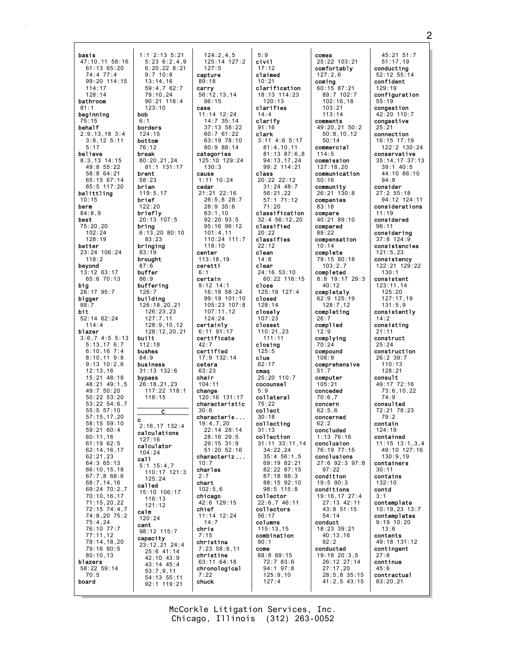basis 47:10.11 58:16  $61:13.65:20$  $74:4$  77:4  $99:20$  114:15  $114:17$  $128.14$ bathroom  $81:1$ beginning behalf  $2:9.13.18$  3:4  $3:8.12$  5:11  $5:17$ believe  $8:3,13$  14:15  $49.85.22$  $58:864:21$ 65:15 67:14  $85:5$  117:20 belittling  $10:15$ berm  $84:8,9$ best  $75:20,20$  $102:24$  $128.19$ better 23:24 106:24  $118.2$ beyond  $13:12$  63:17  $65:670:13$ big 26:17 95:7 building bigger  $88:7$ bit. 52:14 62:24  $114:4$ blazer  $3:6.74:55:13$ built.  $5:13,176:7$ <br>6:10,167:4 bushes  $8:10.11$  9:8  $9:13$  10:2,6  $12:13,16$  $15:21$   $48:18$ bypass 48:21 49:1.5  $49:7$  50:20 50:22 53:20<br>53:22 54:6,7  $55:557:10$  $57:15,17,20$  $58.15$  59.10 59:21 60:4  $60:11,16$  $61.10 62.5$  $62:14, 16, 17$  $62:21,23$ 64:3 65:13  $66:10, 15, 18$  $67:7,868:6$  $68:7, 14, 16$ 69:24 70:2,7 70:10,16,17  $71:15,20,22$ 72:15 74:4,7  $74:8,2075:2$  $75:4,24$ 76:10 77:7  $77:11.12$ 78:14,18,20 79:16 80:5  $80:10,13$ blazers 58:22 59:14  $70:5$ board

 $124:2,4,5$  $1:1$  2:13 5:21  $5:236:2.4.9$  $125:14$  127:2  $6:20.22$   $8:21$  $127:5$ capture  $89:18$  $59:4.762:7$ carry<br> $56:12.13.14$  $90:21$  116:4  $96:15$ CASA  $11 \cdot 14$   $12 \cdot 24$  $14:7$  35:14  $37:13.58:22$  $60:761:22$ 63:19 78:10 80:9 88:14 categories 80:20.21.24 125:10 129:24  $81 \cdot 1$  131  $\cdot 17$  $130.3$ cause  $1:11$   $10:24$ cedar 21:21 22:16  $26:5, 8 28:7$  $28:9$  35:6  $83:1,10$  $20:13$  107:5 92:20 93:5 95:16 96:12  $6:13,2080:10$  $101:4,11$ 110:24 111:7  $118:10$ center  $113:18.19$ ceretti  $6:1$ certain  $9:12$  14:1 16:18 58:24  $99:19$  101:10 126:18, 20, 21 105:23 107:8  $126:23.23$  $107:11.12$  $124:24$  $128:9.10.12$ certainly 128:12,20,21  $6:11$   $91:17$ certificate  $42:7$ certified  $17:9$  132:14 cetera  $31:13$   $132:6$  $63.23$ chair  $26:18.21.23$  $104.11$  $117:22$  118:1 change 120:16 131:17 characteristic  $30:6$ characteris ...  $19:4,7,20$  $2:16,17$  132:4  $22:14$   $28:14$ calculations 28:16 29:5  $20.15.31.0$  $51:20.52:16$ characteriz...  $10.7$ charles  $110:17$  121:3  $2:7$ chart  $102:5.6$ 15:10 106:17 chicago  $42:6$  129:15 chief  $11:14$  12:24  $14:7$ chris 98:12 115:7  $7:15$ christina  $23:12, 21$  24:4  $7:23$  58:8,11  $25:6$  41:14 christine  $42:10$   $43:9$ 63:11 64:18  $43:14$   $45:4$ chronological  $53:7.9.11$ 54:13 55:11 chuck  $92:1$  119:21

 $9:7$  10:8

 $13:14.16$ 

 $79.10.24$ 

 $123 \cdot 10$ 

hoh

 $6:1$ 

borders

 $124.15$ 

bottom

 $76:12$ 

break

brent

 $58:23$ 

brian

brief

 $122:20$ 

briefly

83:23

bringing

 $83:19$ 

 $87:6$ 

 $86:9$ 

 $126:7$ 

 $112:18$ 

business

 $118:15$ 

 $127:16$ 

 $104:24$ 

called

calm

cant

 $120:24$ 

capacity

ca11

calculator

 $5:1$  15:4,7

 $125:24$ 

 $116:13$ 

 $121:12$ 

 $\overline{c}$ 

 $84:9$ 

buffer

buffering

 $127:7,11$ 

brought

bring

 $119:5,17$ 

 $5:9$ civil  $17:12$ claimed  $10:21$ clarification  $18.13$   $114.23$  $120:13$ clarifies  $14.4$ clarify  $91:16$ clark  $3:11$  4:6 5:17  $81:4,10,11$ 81:13 87:6.8 94:13,17,24 99:2 114:21 class 20:22 22:12  $31:24$  48:7  $56:21,22$  $57:171:12$  $71:20$ classification  $32:4 56:12,20$ classified  $20:22$ classifies  $22:12$ clean  $14:8$ clear  $24:16$  53:10  $60:22$  116:15 close 125:19 127:4 closed  $128:14$ closely  $107:23$ closest  $110:21,23$  $111:11$ closing  $125:5$ clue  $62:17$  $\frac{\text{cmaq}}{25:20 \cdot 110:7}$ cocounsel  $5.9$ collateral  $75.22$ collect  $30.18$ collecting  $31:13$ collection  $31 \cdot 11$   $33 \cdot 11$  14  $34:22.24$  $35:456:1,5$ 69:19 82:21 82:22 87:15 87:18 88:3 88:15 92:10 98:5 115:8 collector  $22:6,746:11$ collectors  $56:17$ columns  $115:13.15$ combination  $90:1$ come 68:8 69:15  $72:783:6$  $94:1$   $97:8$  $125:9,10$  $127:4$ 

comes 25:22 103:21 comfortably  $127:2.6$ coming  $60:15$   $87:21$  $89:7$  102:7  $102:16.18$  $103.21$  $113.14$ comments 49:20,21 50:2  $50:8.10.12$  $50.14$ commercial  $114:5$ commission  $127:18.20$ communication  $50:16$ community 26:21 130:8 companies  $83:18$ compare 40:21 89:10 compared  $89:22$ compensation  $10:14$ complete 79:15 80:18  $103:2.7$ completed  $8:8$  19:17 29:3  $40:12$ completely 62:9 125:19  $128:7,12$ completing  $26:7$ complied  $12.0$ complving  $70:24$ compound  $108:9$ comprehensive  $51.7$ computer  $105:21$ conceded  $70:6.7$ concern  $62:5.6$ concerned  $62.2$ concluded  $1:13$  76:16 conclusion 76:19 77:15 conclusions 27:6 92:3 97:8  $97:22$ condition  $19:590:3$ conditions 19:16.17 27:4  $27:13$  42:11 43:8 51:15  $54.14$ conduct 18:23 39:21  $40:13,16$  $92:2$ conducted 19:18 20:3,5 26:12 27:14  $27:17,20$  $28:5, 8$  35:15  $41:2,5$  43:15

45:21 51:7  $51:17.19$ conducting  $52:12$   $55:14$ confident  $129:19$ configuration  $55:19$ congestion  $42:20$  110:7 congestive  $25:21$ connection 16:15 17:19 122:2 130:24 conservative  $35:14, 17$   $37:13$ <br> $39:1$   $40:5$  $44:10.86:10$  $94.8$ consider  $27:2 55:18$ 94:12 124:11 considerations  $11:19$ considered  $96:11$ considering  $37:8$  124:9 consistencies  $121:5.23$ consistency 122:21 129:22  $130:1$ consistent  $123:11,14$  $125:20$  $127:17,19$  $131:5,9$ consistently  $14:2$ consisting  $21:11$ construct  $25:24$ construction  $26:2.39:7$  $110:13$  $128.21$ consult 49:17 72:16<br>73:6,10,22  $74:9$ consulted 72:21 78:23  $79.2$ contain  $124:19$ contained  $11 \cdot 15$   $13 \cdot 1$  3 4 49:10 127:16  $130:9.19$ containers  $30:11$ contains  $132:10$ contd contemplate  $10:19,23$  13:7 contemplates  $9:19$  10:20  $13:6$ contents 49:18 131:12 contingent  $27:8$ continue  $45:6$ contractual  $83:20.21$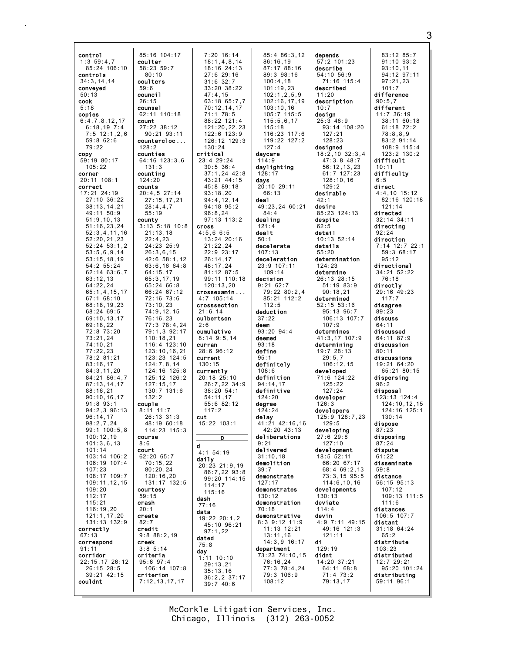| control                           | 85:16 104:17                   | $7:20$ 16:14                 | 85:4 86:3,12                   | depends                        | 83:12 85:7                   |
|-----------------------------------|--------------------------------|------------------------------|--------------------------------|--------------------------------|------------------------------|
| 1:3,59:4,7                        | coulter                        | 18:1,4,8,14                  | 86:16,19                       | $57:2$ 101:23                  | $91:10$ $93:2$               |
| 85:24 106:10<br>controls          | 58:23 59:7<br>80:10            | 18:16 24:13<br>$27:6$ 29:16  | 87:17 88:16<br>$89:3$ $98:16$  | describe<br>54:10 56:9         | 93:10,11<br>94:12 97:11      |
| 34:3, 14, 14                      | coulters                       | $31:6$ $32:7$                | 100:4,18                       | 71:16 115:4                    | 97:21,23                     |
| conveyed                          | 59:6                           | $33:20$ $38:22$              | 101:19.23                      | described                      | 101:7                        |
| 50:13                             | counci1                        | 47:4,15                      | 102:1, 2, 5, 9                 | 11:20                          | difference                   |
| cook                              | 26:15                          | 63:18 65:7,7                 | 102:16,17,19                   | description                    | 90:5,7                       |
| 5:18<br>copies                    | counse1<br>62:11 110:18        | 70:12,14,17<br>$71:1$ 78:5   | 103:10,16<br>105:7 115:5       | 10:7<br>design                 | different<br>$11:7$ 36:19    |
| 6:4,7,8,12,17                     | count                          | 88:22 121:4                  | 115:5,6,17                     | $25:3$ 48:9                    | $38:11$ 60:18                |
| $6:18,19$ 7:4                     | $27:22$ 38:12                  | 121:20,22,23                 | 115:18                         | 93:14 108:20                   | $61:18$ $72:2$               |
| $7:5$ 12:1,2,6                    | $90:21$ $93:11$                | $122:6$ $123:9$              | 116:23 117:6                   | 127:21                         | 78:8,8,9                     |
| $59:8$ 62:6                       | countercloc                    | $126:12$ $129:3$             | 119:22 127:2                   | 128:23                         | 83:2 91:14                   |
| 79:22<br>copy                     | 128:2<br>counties              | 130:24<br>critical           | 127:4<br>daycare               | designed<br>$18:2,10$ $32:3,4$ | $108:9$ 115:4<br>123:2 130:2 |
| 59:19 80:17                       | 64:16 123:3,6                  | 23:4 29:24                   | 114:9                          | $47:3,8$ $48:7$                | difficult                    |
| 105:22                            | 131:3                          | $30:5$ 36:4                  | daylighting                    | 56:12, 13, 23                  | 10:11                        |
| corner                            | counting                       | $37:1,24$ 42:8               | 128:17                         | 61:7 127:23                    | difficulty                   |
| 20:11 108:1<br>correct            | 124:20<br>counts               | 43:21 44:15<br>45:8 89:18    | days<br>20:10 29:11            | 128:10,16<br>129:2             | 6:5<br>direct                |
| 17:21 24:19                       | 20:4,527:14                    | 93:18,20                     | 66:13                          | desirable                      | $4:4,10$ 15:12               |
| 27:10 36:22                       | 27:15,17,21                    | 94:4,12,14                   | dea1                           | 42:1                           | 82:16 120:18                 |
| 38:13,14,21                       | 28:4,4,7                       | 94:18 95:2                   | 49:23.24 60:21                 | desire                         | 121:14                       |
| 49:11 50:9                        | 55:19                          | 96:8,24                      | 84:4                           | 85:23 124:13                   | directed<br>$32:14$ $34:11$  |
| 51:9, 10, 13<br>51:16,23,24       | county<br>$3:13$ $5:18$ $10:8$ | $97:13$ 113:2<br>cross       | dealing<br>121:4               | despite<br>62:5                | directing                    |
| 52:3,4,11,16                      | 21:13.18                       | 4:5.66:5                     | dealt                          | detail                         | 92:24                        |
| 52:20,21,23                       | 22:4,23                        | $13:24$ $20:16$              | 50:1                           | $10:13$ 52:14                  | direction                    |
| $52:24$ $53:1,2$                  | 24:23 25:9                     | 21:22.24                     | decelerate                     | details                        | $7:14$ 12:7 22:1             |
| 53:5,6,9,14<br>53:15,18,19        | 26:3,6,15<br>42:6 58:1,12      | 22:9 23:17<br>26:14,17       | 107:13<br>deceleration         | 55:20<br>determination         | 59:368:17<br>95:12           |
| 54:2 55:24                        | 63:6,16 64:8                   | 48:17,24                     | 23:9 107:11                    | 124:23                         | directional                  |
| $62:14$ $63:6.7$                  | 64:15,17                       | 81:12 87:5                   | 109:14                         | determine                      | 34:21 52:22                  |
| 63:12.13<br>64:22,24              | 65:3,17,19<br>65:2466:8        | 99:11 110:18<br>120:13,20    | decision<br>9:2162:7           | 26:13 28:15<br>51:19 83:9      | 76:18<br>directly            |
| 65:1, 4, 15, 17                   | 66:24 67:12                    | crossexamin                  | 79:22 80:2,4                   | 90:18,21                       | 29:16 49:23                  |
| 67:1 68:10                        | 72:16 73:6                     | $4:7$ 105:14                 | 85:21 112:2                    | determined                     | 117:7                        |
| 68:18,19,23                       | 73:10,23                       | crosssection                 | 112:5                          | $52:15$ $53:16$                | disagree                     |
| 68:24 69:5<br>69:10,13,17         | 74:9,12,15<br>76:16,23         | 21:6, 14<br>culbertson       | deduction<br>37:22             | 95:13 96:7<br>106:13 107:7     | 89:23<br>discuss             |
| 69:18,22                          | 77:3 78:4,24                   | 2:6                          | deem                           | 107:9                          | 64:11                        |
| 72:8 73:20                        | 79:1,3 92:17                   | cumulative                   | $93:20$ $94:4$                 | determines                     | discussed                    |
| 73:21,24<br>74:10,21              | 110:18,21                      | $8:14$ 9:5,14                | deemed<br>93:18                | 41:3,17 107:9                  | 64:11 87:9                   |
| 77:22.23                          | 116:4 123:10<br>123:10, 16, 21 | curran<br>28:6 96:12         | define                         | determining<br>19:7 28:13      | discussion<br>80:11          |
| 78:2 81:21                        | 123:23 124:5                   | current                      | 95:1                           | 29:5.7                         | discussions                  |
| 83:16,17                          | 124:7,8,14                     | 130:15                       | definitely                     | 106:12,15                      | 19:21 64:20                  |
| 84:3,11,20<br>84:21 86:4,7        | 124:16 125:8<br>125:12 126:2   | currently<br>20:18 25:10     | 108:6<br>definition            | developed<br>71:6 124:22       | 65:21 80:15<br>dispersing    |
| 87:13,14,17                       | 127:15,17                      | 26:7,22 34:9                 | 94:14,17                       | 125:22                         | 96:2                         |
| 88:16,21                          | 130:7 131:6                    | $38:20$ 54:1                 | definitive                     | 127:24                         | disposal                     |
| 90:10, 16, 17                     | 132:2                          | 54:11,17                     | 124:20                         | developer                      | 123:13 124:4                 |
| $91:8$ $93:1$<br>$94:2,3$ $96:13$ | couple<br>$8:11$ 11:7          | 55:6 82:12<br>117:2          | degree<br>124:24               | 126:3<br>developers            | 124:10,12,15<br>124:16 125:1 |
| 96:14,17                          | $26:13$ $31:3$                 | cut                          | delay                          | 125:9 128:7,23                 | 130:14                       |
| 98:2,7,24                         | 48:19 60:18                    | 15:22 103:1                  | 41:21 42:16,16                 | 129:5                          | dispose                      |
| $99:1$ 100:5,8<br>100:12,19       | 114:23 115:3<br>course         |                              | 42:20 43:13<br>deliberations   | developing<br>27:629:8         | 87:23<br>disposing           |
| 101:3,6,13                        | 8:6                            | D<br>d                       | 9:21                           | 127:10                         | 87:24                        |
| 101:14                            | court                          | $4:1$ 54:19                  | delivered                      | development                    | dispute                      |
| 103:14 106:2<br>106:19 107:4      | 62:20 65:7                     | daily                        | 31:10,18                       | 18:5 52:11                     | 61:22<br>disseminate         |
| 107:23                            | 70:15,22<br>80:20,24           | 20:23 21:9,19                | demolition<br>39:7             | 66:20 67:17<br>68:4 69:2,13    | 59:8                         |
| 108:17 109:7                      | 120:16,20                      | 86:7,22 93:8<br>99:20 114:15 | demonstrate                    | $73:3.15$ $95:5$               | distance                     |
| 109:11,12,15                      | 131:17 132:5                   | 114:17                       | 127:17                         | 114:6, 10, 16                  | $56:15$ $95:13$              |
| 109:20                            | courtesy<br>59:15              | 115:16                       | demonstrates<br>130:12         | developments<br>130:13         | 107:12                       |
| 112:17<br>115:21                  | crash                          | dash                         | demonstration                  | deviate                        | 109:13 111:5<br>111:6        |
| 116:19,20                         | 20:1                           | 77:16<br>data                | 70:18                          | 114:4                          | distances                    |
| 121:1, 17, 20                     | create                         | $19:22$ $20:1,2$             | demonstrative                  | devin                          | $106:5$ 107:7                |
| 131:13 132:9<br>correctly         | 82:7<br>credit                 | 45:10 96:21                  | $8:3$ 9:12 11:9<br>11:13 12:21 | 4:9 7:11 49:15<br>49:16 121:3  | distant<br>$31:18$ 64:24     |
| 67:13                             | 9:888:2,19                     | 97:1,22<br>dated             | 13:11,16                       | 121:11                         | 65:2                         |
| correspond                        | creek                          | 75:8                         | $14:3,9$ 16:17                 | di                             | distribute                   |
| 91:11<br>corridor                 | $3:8$ 5:14                     | day                          | department                     | 129:19<br>didnt                | 103:23<br>distributed        |
| 22:15,17 26:12                    | criteria<br>$95:6$ $97:4$      | $1:11$ $10:10$               | 73:23 74:10,15<br>76:16,24     | 14:20 37:21                    | 12:7 29:21                   |
| 26:15 28:5                        | 106:14 107:8                   | 29:13,21<br>35:13,16         | 77:3 78:4,24                   | 64:11 68:8                     | 95:20 101:24                 |
| 39:21 42:15<br>couldnt            | criterion<br>7:12, 13, 17, 17  | $36:2, 2$ 37:17              | 79:3 106:9<br>108:12           | 71:4 73:2<br>79:13,17          | distributing<br>59:11 96:1   |
|                                   |                                | 39:740:6                     |                                |                                |                              |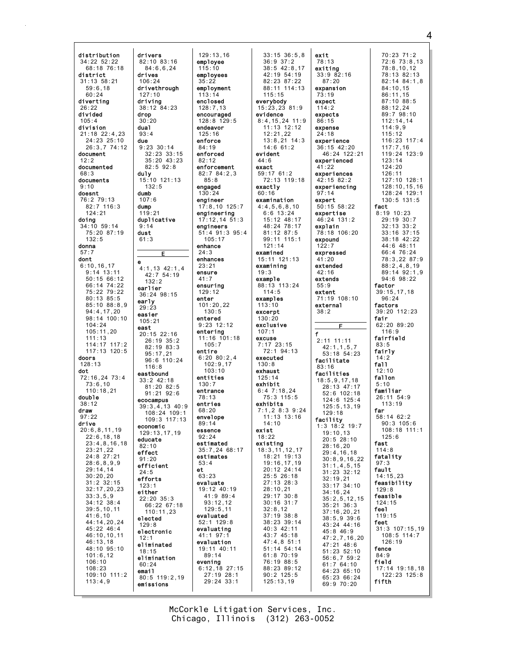distribution drivers 82:10 83:16  $34:22$  52:22 68:18 76:18 84:6.6.24 district drives  $31:13$   $58:21$  $106:24$  $59:6.18$ drivethrough  $60.24$  $127.10$ driving divertina  $26.22$  $38:12$   $84:23$ hebivib drop  $30:20$  $105:4$ division dua1  $21:18$   $22:4.23$  $93:4$ 24:23 25:10 due 26:3.7 74:12 9:23 30:14 document  $32:23$   $33:15$  $12:2$ 35:20 43:23  $82.592.8$ documented duly  $68:3$ 15:10 121:13 documents  $9:10$  $132:5$ doesnt dumb 76:2 79:13  $107:6$  $82:7$  116:3 dump  $124:21$  $119:21$ duplicative doing  $34:10$  59:14  $9:14$ 75:20 87:19 dust  $132.5$  $61:3$ donna dont ė  $6:10.16.17$  $4:1,13$   $42:1,4$  $9:14$  13:11  $42:7$  54:19  $50:1566:12$  $132:2$  $66:14$  74:22 earlier 75:22 79:22  $36:24.98:15$  $80:13$   $85:5$ early 85:10 88:8,9  $29:23$  $94:4.17.20$ easier 98:14 100:10  $105.21$  $104:24$ east  $105:11,20$  $20:15$  22:16  $111:13$  $26:19.35:2$  $114:17$   $117:2$ 82:19 83:3  $117:13$   $120:5$  $95:17,21$ <br> $96:6$  110:24 doors  $128:13$  $116.8$ dot eastbound  $72:16.24$  73:4  $33:2$  42:18  $73:6.10$ 81:20 82:5  $110:18.21$  $91:21$   $92:6$ double ecocampus  $38.12$  $39:3,4,13$  40:9 draw  $97.22$ drive economic  $20:6, 8, 11, 19$ 129:13,17,19  $22:6, 18, 18$ educate  $23:4.8.16.18$  $82:10$  $23:21.22$ effect 24:8 27:21  $91:20$  $28:6.8.9.9$ efficient  $29:14,14$  $24:5$  $30:20,20$ efforts  $31:2$   $32:15$  $123:1$  $32:17,20,23$ either  $33:3.5.9$ 22:20 35:3  $34:12$  38:4 66:22 67:18  $39:5, 10, 11$  $110:11,23$  $41:6,10$ elected 44:14,20,24  $129.8$  $45:22$   $46:4$ electronic  $46:10, 10, 11$  $46:13,18$ eliminated 48:10 95:10  $18:15$  $101:6, 12$ elimination  $106:10$  $60:24$  $108:23$ email 109:10 111:2 80:5 119:2,19  $113:4,9$ emissions

 $129:13.16$ employee  $115:10$ employees  $35:22$ employment  $113:14$ enclosed  $128:7.13$ encouraged  $128:8$   $129:5$ endeavor  $125:16$ enforce 84:19 enforced  $82:12$ enforcement  $82:784:2.3$  $85.8$ engaged engineer  $17:8,10$  125:7 engineering  $17:12,1451:3$ engineers 51:4 91:3 95:4  $105 \cdot 17$ enhance  $24:3$ enhances  $23:21$ ensure  $41:7$ ensuring  $129:12$ enter  $101:20,22$  $130:5$ entered  $9:23$  12:12 entering  $11:16$  101:18  $105:7$ entire  $6:20$   $80:2.4$  $102:9.17$  $103 \cdot 10$ entities  $130.7$ entrance 78:13 entries  $68:20$  $108:24$  109:1 envelope 109:3 117:13  $89:14$ essence  $92:24$ estimated 35:7.24 68:17 estimates  $53:4$  $e<sub>t</sub>$ 63:23 evaluate 19:12 40:19  $41:989:4$  $93:12,12$  $129:5,11$ evaluated  $52:1$  129:8 evaluating  $41:1$  97:1 evaluation 19:11 40:11 89:14 evening  $6:12.18$  27:15  $27:19$  28:1 29:24 33:1

Е

 $33:15$   $36:5.8$  $36:9$   $37:2$  $38:5$  42:8.17  $42:19$  54:19  $82:23$   $87:22$ 88:11 114:13  $115.15$ everybody 15:23,23 81:9 evidence  $8:4.15.24$  11.9 11:13 12:12  $12.21$  22  $13:8,21$  14:3  $14:661:2$ evident  $44:6$ exact 59:17 61:2 72:13 119:18 exactly  $60:16$ examination  $4:4,5,6,8,10$  $6:6$  13:24 15:12 48:17 48:24 78:17 81:12 87:5  $99.11$   $115.1$  $121:14$ examined 15:11 121:13 examining  $19:3$ example 88:13 113:24  $114:5$ examples  $113:10$ excerpt  $130:20$ exclusive  $107:1$ excuse 7:17 23:15<br>72:1 94:13 executed  $130:8$ exhaust  $125:14$ exhibit  $6:47:18.24$ 75:3 115:5 exhibits  $7:1.28:39:24$  $11:13$   $13:16$  $14.10$ exist  $18:22$ existing  $18:3, 11, 12, 17$ 18:21 19:13 19:16.17.19  $20:12$   $24:14$  $25:5$  26:18  $27:13$   $28:3$  $28:10, 21$  $29:17.30:8$  $30:16$   $31:7$  $32:8,12$  $37:19.38:8$ 38:23 39:14 40:3 42:11 43:7 45:18  $47:4.851:1$ 51:14 54:14  $61:870:19$ 76:19 88:5 88:23 89:12  $90:2$  125:5  $125:13,19$ 

£

exit 70:23 71:2 78:13  $72:6$   $73:8.13$ exitina  $78:8.10.12$  $33:982:16$ 78:13 82:13  $87:20$  $82:14$   $84:1.8$ expansion  $84:10.15$  $73.19$  $86.11$  15  $87:10.88:5$ expect  $114:2$ 88:12.24  $89.798.10$ expects  $112:14.14$  $86:15$ expense  $114:9.9$  $24:18$  $115.12$ experience  $116:23$   $117:4$ 36:15 42:20 117:7,16<br>119:24 123:9 46:24 122:21 experienced  $123:14$  $121.20$  $41.22$ experiences  $126:11$ 42:15 82:2 127:10 128:1 experiencing  $128:10.15.16$  $97:14$ 128:24 129:1 expert 130:5 131:5  $50:15$   $58:22$ fact expertise  $8:19$  10:23 29:19 30:7 46:24 131:2  $32:13$   $33:2$ explain 78:18 106:20 33:16 37:15 expound 38:18 42:22 44:6 48:11  $122:7$ expressed 66:4 76:24 78:3,22 87:9 extended  $88:2.4.8.19$ 89:14 92:1,9  $42:16$  $94:698:22$ extends factor  $55:9$  $39:15, 17, 18$ extent 71:19 108:10  $96.24$ external factors 39:20 112:23  $38:2$ fair 62:20 89:20 F  $116:9$ fairfield  $2.11$   $11.11$  $83:5$  $42:1, 1, 5, 7$ fairly 53:18 54:23  $14:2$ facilitate fall  $83:16$  $12.10$ facilities fallon  $18:5, 9, 17, 18$  $5:10$ 28:13 47:17 familiar 52:6 102:18  $26:11.54:9$  $124:6$  125:4  $113:19$  $125:5, 13, 19$ far  $129.18$ 58:14 62:2 facility<br>1:3 18:2 19:7  $90.3105.6$  $108.18$   $111.1$  $19:10.13$  $125:6$  $20:5$  28:10 fast  $28:16,20$  $114:8$  $29:4, 16, 18$ fatality  $30:8,9,16,22$  $97:3$  $31:1,4,5,15$ fault  $31:23 \ \ 32:12$  $14:15.23$  $32:19,21$ feasibility  $33:17^{6}34:10$  $129:8$  $34:16.24$ feasible  $35:2, 5, 12, 15$  $124:15$  $35:21 \ 36:3$ fee1  $37:16, 20, 21$  $119:15$  $38:5,939:6$ feet 43:24 44:16  $31:3$  107:15.19 45:8 46:9  $108:5$  114:7  $47:2,7,16,20$ 126:19  $47:21$  48:6 fence  $51:23$   $52:10$  $84:9$  $56:6.759:2$ field  $61:7$  64:10 17:14 19:18.18 64:23 65:10  $122:23$   $125:8$  $65:2366:24$ fifth  $69:970:20$ 

McCorkle Litigation Services, Inc. Chicago, Illinois (312) 263-0052

 $\overline{\mathbf{A}}$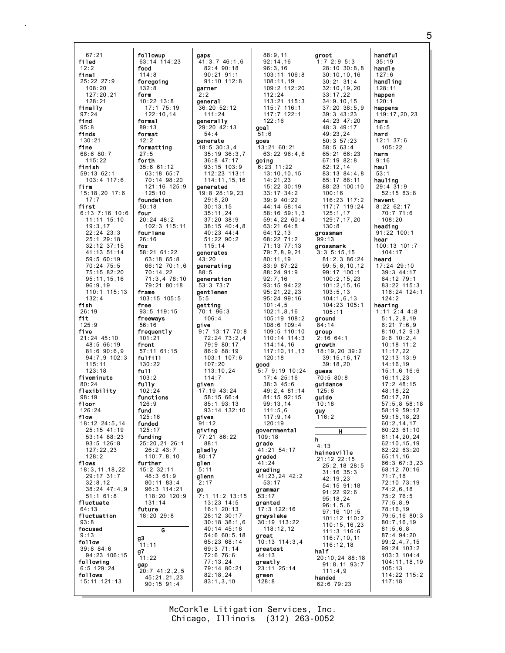$67:21$ followup filed 63:14 114:23 food  $12:2$  $114:8$ final  $25:22$  27:9 foregoing  $108:20$  $132:8$  $127.20$  21 form  $10:22$   $13:8$  $128:21$ finally  $17:175:19$  $122:10.14$  $97.24$ find formal  $95:8$  $89:13$ finds format  $130:21$  $12:2$ fine formatting  $68:680:7$  $27:5$  $115:22$ forth finish  $35:661:12$  $59:1362:1$  $63:1865:7$ 103:4 117:6 70:14 98:20 firm  $121:16$   $125:9$ 15:18,20 17:6  $125:10$  $17:7$ foundation first  $50:18$  $6:13$  7:16 10:6 four  $11:11$   $15:10$  $20:24$  48:2  $19:3,17$ 102:3 115:11  $22:24$   $23:3$ fourlane  $25:1$  29:18  $26:16$ 32:12 37:15 fox 58:21 61:22 41:13 51:14  $59:560:19$ 63:18 65:8  $70:24$  75:5 66:12 70:1.6 75:15 82:20  $70:14,22$  $71:3,478:10$ 95:11,15,16 79:21 80:18  $96:9,19$ 110:1 115:13 frame  $132:4$  $103:15$  105:5 fish free  $26:19$ 93:5 119:15 fit freeways  $125:9$  $56:16$ five frequently  $21:24$  45:10  $101:21$ 48:5 66:19 front  $81:690:6.9$  $57:11$  61:15  $full$  $94:7.9.102:3$  $115:11$  $130:22$  $123.18$  $f<sub>II</sub>11$ fiveminute  $103:2$  $80.24$ fully flexibility 102:24 functions  $98:19$ floor  $126.9$  $126:24$ fund flow  $125.16$  $18:12$  24:5.14 funded  $25:15$  41:19  $125.17$ funding  $53:1488:23$  $93.5 126:8$  $25:20.21$  26:1  $127:22.23$  $26:2$  43:7  $128.2$  $110:7.8.10$ flows further  $18:3.11.18.22$ 15:2 32:11 29:17 31:7 48:3 61:9  $32:8.12$  $80:11$   $83:4$  $38:24$   $47:4,9$ 96:3 114:21  $51:161:8$  $118:20$   $120:9$ fluctuate  $131:14$ future 4:13 fluctuation  $18:2029:8$ focused  $9:13$  $\frac{1}{11:11}$ follow  $39:8$   $84:6$  $g7$ 94:23 106:15  $11:22$ following gap  $6:5$  129:24  $20:7$  41:2.2.5 follows  $45:21,21,23$ 15:11 121:13  $90:15.91:4$ 

 $\overline{c}$ 

gaps  $41:3.746:1.6$  $82:490:18$  $90:21$   $91:1$  $91:10$   $112:8$ darner general 36:20 52:12  $111.24$ denerally 29:20 42:13  $54:4$ generate  $18:5 30:3,4$  $35:19.36:3.7$  $36:8$  47:17  $93:15$   $103:9$  $112:23$   $113:1$ 114:11,15,16 generated 19:8 28:19,23  $29:8,20$  $30:13.15$  $35:11,24$ 37:20 38:9  $38:15$  40:4,8  $40:23$   $44:4$  $51:22$  90:2  $115:14$ generates  $43:20$ generating  $88:5$ generation 53:3 73:7 **gentlemen**  $5:5$ getting  $70:1$  96:3  $106:4$ give  $9:7$  13:17 70:8 72:24 73:2.4 79:9 80:17 86:9 88:19  $103:1$   $107:6$  $107:20$  $113:10.24$  $114:7$ given  $17:19$  43:24  $58:15.66:4$  $85 \cdot 1$  93  $\cdot 13$ 93:14 132:10 gives  $91.12$ giving  $77:21$  86:22  $88.1$ gladly  $80:17$ glen  $5:11$ glenn  $2:17$ **go**  $7:1$  11:2 13:15  $13:23$   $14:5$ 16:1 20:13 28:12 30:17  $30:18$   $38:1,6$  $40:14$   $45:18$  $54:660:5,18$ 65:23 68:14 69:3 71:14 72:6 76:6  $77:13,24$ 79:14 80:21  $82:18,24$  $83:1.3.10$ 

 $88:9.11$  $92:14.16$  $96:3.16$ 103:11 106:8  $108:11.19$ 109:2 112:20  $112.24$  $113:21$   $115:3$ 115:7 116:1<br>117:7 122:1  $122:16$ goa1  $51.6$ goes 13:21 60:21  $63:22$   $96:4.6$ going  $6:23$  11:22  $13:10, 10, 15$  $14:21,23$  $15:22$  30:19  $33:17$   $34:2$ 39:9 40:22 44:14 58:14  $58:16$   $59:1,3$ 59:4,22 60:4  $63:2164:8$  $64:12,13$ 68:22 71:2 71:13 77:13  $79:7,8,9,21$  $80:11.19$  $83:987:22$ 88:24 91:9  $92:7.16$  $93:15$   $94:22$ 95:21,22,23 95:24 99:16  $101:4,5$  $102:1.8.16$ 105:19 108:2  $108:6$  109:4  $109:5$  110:10  $110:14$   $114:3$  $114:14.16$ 117:10.11.13  $120:18$ good  $5:79:1910:24$  $17:4$   $25:16$  $38:3$  45:6  $49:2.4$  81:14 81:15 92:15  $99:13.14$  $111:5.6$  $117:9.14$  $120.19$ governmental  $109:18$ grade 41:21 54:17 graded -<br>41 : 24 grading 41:23,24 42:2  $53:17$ grammar  $53 \cdot 17$ granted 17:3 122:16 grayslake 30:19 113:22  $118:12,12$ great  $10:13$  114:3.4 greatest 44:13 greatly 23:11 25:14 areen  $128:8$ 

groot  $1:7,2:9,5:3$  $28:10$  30:8.8  $30:10, 10, 16$  $30:21.31:4$  $32:10, 19, 20$ <br> $33:17.22$  $34:9.10.15$  $37:20$   $38:5.9$  $39.343.23$  $44:23$   $47:20$ 48:3 49:17  $49.2324$  $50:3$   $57:23$  $58:563:4$ 65:21 66:23 67:19 82:8  $82 \cdot 12$  14 83:13 84:4.8 85:17 88:11 88:23 100:10  $100:16$ 116:23 117:2 117:7 119:24  $125:1,17$  $129:7, 17, 20$  $130.8$ grossman  $99:13$ grossmark  $3:3, 5:15, 15$ 81:2,3 86:24  $99:5.6.10.12$ 99:17 100:1  $100:2, 15, 23$  $101:2, 15, 16$  $103:5,13$  $104:1,6.13$ 104:23 105:1  $105:11$ around  $84:14$ group  $2:16$  64:1 arowth 18:19,20 39:2  $39:15.16.17$  $39:18.20$ quess  $70:5.80:8$ guidance  $125:6$ quide  $10:18$ guy  $116:2$  $\overline{\mathbf{H}}$  $\mathbf h$  $4:13$ hainesville 21:12 22:15  $25:2,18$  28:5  $31:16$   $35:3$  $42:19,23$  $54:15$  91:18  $91:22$   $92:6$  $95:18,24$  $96:1, 5, 6$  $97:16$  101:5 101:12 110:2  $110:15, 16, 23$  $111:3$  116:6  $116:7, 10, 11$  $116:12,18$ half 20:10.24 88:18  $91:8.11$   $93:7$  $111:4.9$ handed  $62:679:23$ 

handful  $35:19$ handle  $127:6$ handling  $128:11$ happen  $120:1$ happens  $119:17,20.23$ hara  $16:5$ hard  $12:1$  37:6  $105:22$ harm  $9:16$ hau1  $53:1$ hauling  $29:4$   $31:9$  $52:15$   $83:8$ havent  $8:2262:17$  $70:771:6$  $108:20$ heading  $91:22$   $100:1$ hear  $100:13$   $101:7$  $104:17$ heard 17:24 29:10 39:3 44:17  $64:12$  79:1  $83:22$  115:3 116:24 124:1  $124.2$ hearing  $1:11 \t2:4 \t4:8$  $5:1,2,8,19$  $6:21$   $7:6.9$  $8:10, 12, 9:3$  $9:6$  10:2.4  $10:18$  11:2<br>11:17,22  $12:13:13:9$ 14:16,19  $15 \cdot 1616 \cdot 6$  $16:11.23$  $17:2$  48:15  $48:18.22$  $50:17.20$  $57.5$   $8.58.18$ 58:19 59:12  $59:15.18.23$  $60:2.14.17$  $60:23$  61:10  $61:14, 20, 24$  $62 \cdot 10$  15 19  $62:22$   $63:20$  $65:11,16$ 66:3 67:3.23 68:12 70:16  $71:7,18$ 72:10 73:19  $74:2,6,18$  $75:276:5$  $77:5,8,9$  $78:16,19$ 79:5,16 80:3  $80:7,16,19$  $81:5,6,8$  $87:4.94:20$  $99:2,4,7,15$ 99:24 103:2  $103:3$   $104:4$ 104:11,18,19  $105:13$ 

114:22 115:2

 $117:18$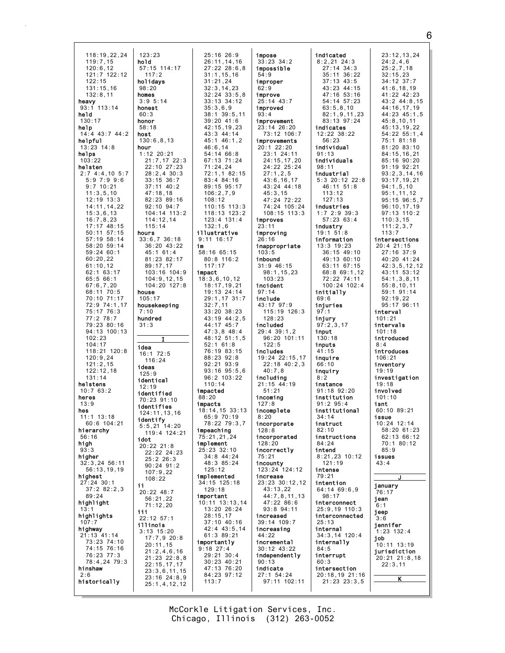118:19,22,24  $123:23$  $119:7,15$ hold 57:15 114:17  $120:6, 12$ <br> $121:7$   $122:12$ holidays  $122:15$  $131:15.16$  $98:20$  $132.811$ homes  $3:9.5:14$ heavy  $93:1$  113:14 honest held  $60.3$  $130:17$ honor help  $58:18$  $14:4$  43:7 44:2 host helpful  $130:6.8.13$  $13:23$   $14:8$ hour  $1:12$  20:21 helps  $103:22$ helsten  $2:74::4,105:7$ 5:9 7:9 9:6<br>9:7 10:21  $11:3,5,10$  $12:19$   $13:3$ 14:11.14.22  $15:3,6,13$  $16:7,8,23$  $17:17.48:15$  $50:11$   $57:15$ hours  $57.19$   $58.14$  $33:6.736:18$ 58:20 59:14 59:24 60:1  $60:20.22$  $61:10.12$ 62:1 63:17  $65:566:1$  $67:6,7,20$ 68:11 70:5 house 70:10 71:17  $105:17$ 72:9 74:1,17 housekeeping  $75:1776:3$  $7:10$  $77:278:7$ hundred 79:23 80:16  $31:3$ 94:13 100:13  $102:23$  $104:17$ idea 118:21 120:8 16:1 72:5  $120:9.24$  $121:2.15$ ideas  $122:12.18$  $125:9$  $131:14$ identical helstens  $12:19$  $10:763:2$ identified heres 70:23 91:10  $13.9$ identifies hes 124:11.13.16  $11:1$   $13:18$ identify  $60.6104.21$  $5:5,21$  14:20 hierarchy  $56:16$ idot high 20:22 21:8  $93:3$ higher  $32:3,24$  56:11  $56:13,19,19$ highest  $27:24$  30:1  $37:282:2,3$  $20:22$  48:7  $89.24$ highlight iii highlights 22:12 57:1 illinois highway  $3:13$  15:20  $21:13$  41:14 73:23 74:10 74:15 76:16 76:23 77:3 78:4,24 79:3 hinshaw  $2:6$ historically

 $117:2$ 

21:7,17 22:3

 $22.10$   $27.23$ 

 $28:2,4$  30:3

 $33:15$   $36:7$ 

 $37:11$   $40:2$ 

82:23 89:16

104:14 113:2

 $36:20$  43:22

81:23 82:17

103:16 104:9

 $104:20$   $127:8$ 

 $104:9.12.15$ 

 $45:161:4$ 

89:17,17

 $116.24$ 

 $119:4$  124:21

22:22 24:23

 $25:226:3$ 

 $107:9,22$ 

 $56:21,22$ 

 $71:12,20$ 

 $17:7.920:8$ 

 $21:2.4.6.16$ 

 $21:23$   $22:8.8$ 

 $23:3,6,11,15$ 

 $23:16$   $24:8.9$ 

 $25:1, 4, 12, 12$ 

 $22:15.17.17$ 

 $20:11.15$ 

 $108:22$ 

 $90:24$   $91:2$ 

 $92:10$   $94:7$ 

114:12.14

 $115:14$ 

 $47:18,18$ 

25:16 26:9  $26:11, 14, 16$  $27:22$   $28:6.8$  $31:1.15.16$  $31:21.24$  $32:3, 14, 23$  $32.24$   $33.5$  8  $33:13$   $34:12$  $35:3.6.9$  $38.139.511$  $39:20$  41:6 42:15.19.23  $43.3$   $44.14$  $45:1$   $46:1.2$  $46:6,14$ 54:14 66:8 67:13 71:24  $71.24.24$ 72:1,1 82:15 83:4 84:16 89:15 95:17  $106:2,7,9$  $108:12$  $110:15$   $113:3$ 118:13 123:2 123:4 131:4  $132:1,6$ illustrative  $9:11$  16:17 im  $58:1665:15$ 80:8 116:2  $117:17$ impact  $18:3,6,10,12$  $18:17,19,21$ 19:13 24:14 29:1,17 31:7  $32:7,11$  $33:20.38:23$ 43:19 44:2,5 44:17 45:7  $47:3.848:4$ 48:12 51:1.5  $52:161:8$ 76:19 83:15 88:23 92:8  $92:21$   $93:9$  $93.1695.56$  $96:2 103:22$  $110.14$ impacted  $88:20$ impacts  $18:14, 15$  33:13  $65:970:19$ impeaching 75:21,21,24 implement  $25:23$  32:10 34:8 44:24 48:3 85:24  $125:12$ implemented 34:15 125:18  $129:18$ important 10:11 13:13,14 13:20 26:24  $28:15.17$  $37:10$  40:16 42:4 43:5,14  $61:389:21$ importantly  $9:18$  27:4  $29:21$  30:4 30:23 40:21 47:13 76:20 84:23 97:12  $113:7$ 

impose  $33:23$   $34:2$ impossible  $54:9$ improper  $62:9$ improve  $25:14$  43:7 improved  $93 \cdot 4$ improvement 23:14 26:20  $73.12$   $106.7$ improvements  $20:1$   $22:20$  $23:1$  24:11  $24:15, 17, 20$ 24:22 25:24  $27:1, 2, 5$  $43:6, 16, 17$  $43:24$   $44:18$  $45:3,15$ 47:24 72:22 74:24 105:24 108:15 113:3 improves improving  $26:16$ inappropriate  $103:$ inbound  $31:9$  46:15  $98:1, 15, 23$  $103:23$ incident  $97:14$ include 43:17 97:9 115:19 126:3  $128:23$ included  $29:4$  39:1.2  $96:20$  101:11  $122:5$ includes  $19:24$   $22:15.17$  $22:18$  40:2,3  $40.78$ including  $21:15$  44:19  $51:21$ incomina  $127:8$ incomplete  $8:20$ incorporate  $128:8$ incorporated  $128.20$ incorrectly  $75:21$ incounty  $123:24$   $124:12$ increase 23:23 30:12,12  $43:13,22$  $44:7.8.11.13$  $47:2286:6$ 93:8 94:11 increased  $39:14$  109:7 increasing  $44:22$ incremental  $30:12$   $43:22$ independently  $90:13$ indicate 27:1 54:24 97:11 102:11

indicated  $8:2.21$  24:3  $27:14.34:3$  $35:11 \ \ 36:22$  $37:13$  43:5  $43:23$   $44:15$  $47.16$  53.16  $54:14$   $57:23$  $63:5, 8, 10$  $82:1,9,11,23$  $83:13.97:24$ indicates  $12.22 38.22$  $56.23$ individual  $91:13$ individuals  $98.11$ industrial 5:3 20:12 22:8  $46:11 \quad 51:8$  $113:12$  $127:13$ industries  $1:7$  2:9 39:3  $57:2363:4$ industry  $19:1$   $51:8$ information  $13:3$   $19:23$  $36:15$  49:10 49:13 60:10  $63:11$   $67:15$ 68:8 69:1,12 72:22 74:11  $100:24$   $102:4$ initially  $69.6$ injuries  $97.1$ iniury  $97:2.3.17$ input  $130:18$ inputs  $41:15$ inguire 66:10 inguiry  $8:2$ instance  $91:18$   $92:20$ institution  $91.295.4$ institutional  $34:14$ instruct  $82:10$ instructions  $81.21$ intend  $8:21,23$  10:12  $121:19$ intense  $79:21$ intention  $64:14$  69:6,9  $98.17$ interconnect 25:9,19 110:3 interconnected  $25:13$ internal  $34:3,14$  120:4 internally  $84:5$ interrupt  $60:3$ intersection 20:18,19 21:16  $21:23$   $23:3,5$ 

 $23:12,13,24$  $24:2.4.6$  $25:2.7.18$  $32:15,23$  $34:12$   $37:7$  $41:6, 18, 19$ <br> $41:22$   $42:23$  $43:2$   $44:8.15$ 44:16,17,19  $44.23$   $45.1$  5  $45:8.10.11$ 45:13,19,22  $54:22$   $55:1.4$ 75:1 81:18 81:20 83:10  $84:15.16.21$ 85:16 90:20  $91.1992.21$  $93:2.3.14.16$  $93:17,19,21$  $94:1.5.10$  $95:1, 11, 12$  $95:15$   $96:5,7$ 96:10.17.19 97:13 110:2  $110:3,15$  $111:2,3,7$  $113:7$ intersections  $20:421:15$  $27:16$  37:9 40:20 41:24  $42:3,5,12,12$ 43:11 53:12  $54:1,3,8,11$  $55:8,10,11$ 59:1 91:14  $92:19,22$ 95:17 96:11 interval  $101:21$ intervals  $101:18$ introduced  $8:4$ introduces  $106:21$ inventory  $19.19$ investigation  $19:18$ involved  $101:10$ isnt  $60:10.89:21$ issue  $10.24$  12.14  $58:20.61:23$ 62:13 66:12  $70.180.12$  $85.9$ issues  $43:4$ january  $76:17$ jean  $6:1$ ieep  $3:6$ iennifer  $1:23$  132:4 job  $10:11$  13:19 jurisdiction  $\begin{bmatrix} 20:21 & 21:8,18 \\ 22:3.11 \end{bmatrix}$ К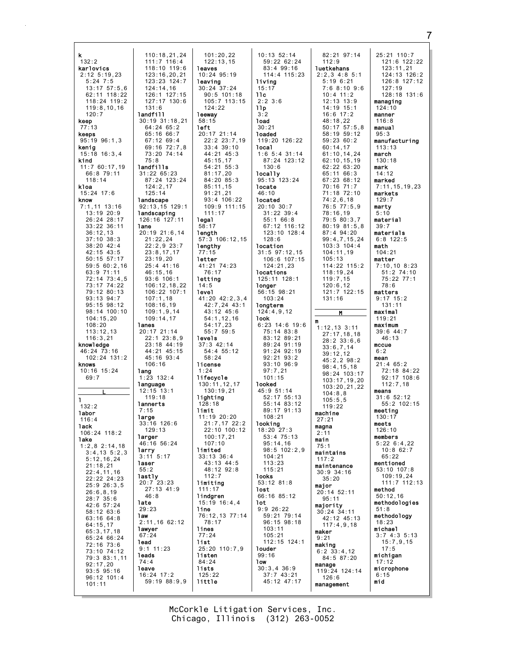| ĸ                | 110:18,21,24     | 101:20.22        | $10:13$ $52:14$   | 82:21 97:14       |
|------------------|------------------|------------------|-------------------|-------------------|
| 132:2            |                  | 122:13.15        |                   | 112:9             |
|                  | 111:7 116:4      |                  | 59:22 62:24       |                   |
| karlovics        | 118:10 119:6     | leaves           | 83:4 99:16        | luetkehans        |
| $2:12 \t5:19,23$ | 123:16,20,21     | $10:24$ $95:19$  | 114:4 115:23      | $2:2,3$ 4:8 5:    |
| $5:24$ 7:5       | 123:23 124:7     | leaving          | living            | 5:196:21          |
|                  |                  |                  |                   |                   |
| $13:17$ $57:5,6$ | 124:14.16        | $30:24$ 37:24    | 15:17             | 7:68:109          |
| 62:11 118:22     | 126:1 127:15     | $90:5$ 101:18    | 11c               | $10:4$ 11:2       |
| 118:24 119:2     | 127:17 130:6     | $105:7$ 113:15   | $2:2$ 3:6         | $12:13$ $13:9$    |
| 119:8,10,16      | 131:6            | 124:22           | 11p               | $14:19$ 15:1      |
| 120:7            | landfill         | leeway           | 3:2               | $16:6$ 17:2       |
|                  |                  |                  |                   |                   |
| keep             | 30:19 31:18,21   | 58:15            | load              | 48:18,22          |
| 77:13            | $64:24$ $65:2$   | left             | 30:21             | $50:17$ $57:5$ ,  |
| keeps            | 65:16 66:7       | 20:17 21:14      | loaded            | 58:19 59:12       |
| $95:19$ $96:1,3$ | $67:12$ 69:4     | 22:2 23:7,19     | 119:20 126:22     | 59:2360:2         |
| kenig            | 69:16 72:7,8     | $33:4$ 39:10     | local             | 60:14,17          |
| $15:18$ $16:3,4$ | 73:20 74:14      | 44:21 45:3       | $1:6$ 5:4 31:14   | 61:10, 14, 24     |
|                  |                  |                  |                   |                   |
| kind             | 75:8             | 45:15,17         | 87:24 123:12      | 62:10, 15, 19     |
| 11:760:17,19     | landfills        | $54:21$ $55:3$   | 130:6             | 62:22 63:20       |
| 66:8 79:11       | 31:2265:23       | 81:17,20         | locally           | 65:11 66:3        |
| 118:14           | 87:24 123:24     | 84:20 85:3       | 95:13 123:24      | 67:23 68:12       |
| kloa             | 124:2,17         | 85:11,15         | locate            | 70:16 71:7        |
| $15:24$ 17:6     | 125:14           | 91:21,21         | 46:10             | 71:18 72:10       |
|                  |                  |                  |                   |                   |
| know             | landscape        | $93:4$ 106:22    | located           | 74:2,6,18         |
| $7:1,11$ 13:16   | 92:13,15 129:1   | 109:9 111:15     | $20:10$ $30:7$    | $76:5$ $77:5$ , 9 |
| 13:1920:9        | landscaping      | 111:17           | $31:22$ $39:4$    | 78:16,19          |
| 26:24 28:17      | 126:16 127:11    | legal            | 55:1 66:8         | 79:5 80:3,7       |
| 33:22 36:11      | lane             | 58:17            | 67:12 116:12      | $80:19$ $81:5$    |
|                  |                  |                  |                   |                   |
| 36:12,13         | 20:19 21:6,14    | length           | 123:10 128:4      | 87:4 94:20        |
| $37:10$ $38:3$   | 21:22,24         | 57:3 106:12.15   | 128:6             | 99:4,7,15,2       |
| 38:20 42:4       | $22:2,9$ $23:7$  | lengthy          | location          | 103:3 104:4       |
| 42:15 43:5       | 23:8,17,17       | 77:15            | $31:5$ $97:12,15$ | 104:11,19         |
| $50:15$ $57:17$  | 23:19,20         | letter           | 106:6 107:15      | 105:13            |
|                  | 25:4 41:16       | 41:21 74:23      |                   | 114:22 115:       |
| 59:560:2,16      |                  |                  | 124:21,23         |                   |
| 63:9 71:11       | 46:15,16         | 76:17            | locations         | 118:19,24         |
| $72:14$ $73:4,5$ | $93:6$ 106:1     | letting          | 125:11 128:1      | 119:7,15          |
| 73:17 74:22      | 106:12,18,22     | 14:5             | longer            | 120:6,12          |
| 79:12 80:13      | $106:22$ $107:1$ | level            | 56:15 98:21       | 121:7 122:1       |
| $93:13$ $94:7$   | 107:1,18         | 41:20 42:2,3,4   | 103:24            | 131:16            |
| 95:15 98:12      | 108:16,19        | 42:7,24 43:1     |                   |                   |
|                  |                  |                  | longterm          |                   |
| 98:14 100:10     | 109:1,9,14       | 43:12 45:6       | 124:4,9,12        | M                 |
| 104:15,20        | 109:14,17        | 54:1, 12, 16     | look              | m                 |
| 108:20           | lanes            | 54:17,23         | $6:23$ 14:6 19:6  | $1:12,13$ 3:11    |
| 113:12,13        | 20:17 21:14      | 55:759:5         | 75:14 83:8        |                   |
| 116:3,21         | 22:123:8.9       | levels           | 83:12 89:21       | 27:17,18,18       |
|                  |                  |                  | 89:24 91:19       | $28:2$ 33:6,6     |
| knowledge        | 23:18 44:19      | $37:3$ 42:14     |                   | 33:6,7,14         |
| 46:24 73:16      | 44:21 45:15      | 54:4 55:12       | 91:24 92:19       | 39:12,12          |
| 102:24 131:2     | 45:16 93:4       | 58:24            | $92:21$ $93:2$    | 45:2,2 98:2       |
| knows            | 106:16           | license          | 93:10 96:9        |                   |
| $10:16$ $15:24$  | lang             | 1:24             | 97:7,21           | 98:4,15,18        |
| 69:7             | $1:23$ $132:4$   | lifecycle        | 101:15            | 98:24 103:1       |
|                  |                  |                  |                   | 103:17,19,2       |
|                  | language         | 130:11,12,17     | looked            | 103:20,21,2       |
|                  | $12:15$ $13:1$   | 130:19,21        | 45:9 51:14        | 104:8,8           |
| ı                | 119:18           | lighting         | 52:17 55:13       | 105:5,5           |
| 132:2            | lannerts         | 128:18           | 55:14 83:12       | 119:22            |
|                  | 7:15             | limit            | 89:17 91:13       | machine           |
| labor            | large            | 11:19 20:20      | 108:21            |                   |
| 116:4            | 33:16 126:6      | 21:7,17 22:2     | looking           | 27:21             |
| 1ack             | 129:13           | 22:10 100:12     | 18:20 27:3        | magna             |
| 106:24 118:2     |                  |                  |                   | 2:11              |
| lake             | larger           | 100:17,21        | $53:4$ $75:13$    | main              |
| $1:2,8$ 2:14,18  | 46:16 56:24      | 107:10           | 95:14,16          | 75:1              |
| $3:4,13$ $5:2,3$ | larry            | limited          | 98:5 102:2,9      | maintains         |
| 5:12, 16, 24     | $3:11$ $5:17$    | $33:13$ $36:4$   | 104:21            | 117:2             |
|                  | laser            | 43:13 44:5       | 113:23            |                   |
| 21:18,21         | 55:2             | 48:12 92:8       | 115:21            | maintenance       |
| 22:4,11,16       | lastly           | 112:7            | <b>looks</b>      | $30:9$ 34:16      |
| 22:22 24:23      | 20:723:23        | limiting         | 53:12 81:8        | 35:20             |
| 25:9 26:3,5      |                  |                  |                   | maior             |
| 26:6, 8, 19      | $27:13$ 41:9     | 111:17           | lost              | 20:14 52:11       |
| 28:735:6         | 46:8             | lindgren         | 66:16 85:12       | 95:11             |
| 42:6 57:24       | late             | $15:19$ $16:4,4$ | 1ot               |                   |
|                  | 29:23            | line             | 9:926:22          | majority          |
| $58:12$ 63:6     | 1 aw             | 76:12.13 77:14   | 59:21 79:14       | $30:24$ 34:11     |
| 63:16 64:8       | 2:11,1662:12     | 78:17            | 96:15 98:18       | 42:12 45:13       |
| 64:15,17         |                  |                  |                   | 117:4,9,18        |
| 65:3,17,18       | lawyer           | lines            | 103:11            | maker             |
| 65:24 66:24      | 67:24            | 77:24            | 105:21            | 9:21              |
| 72:16 73:6       | 1ead             | list             | 112:15 124:1      | making            |
|                  | $9:1$ 11:23      | 25:20 110:7,9    | louder            |                   |
| 73:10 74:12      | leads            | listen           | 99:16             | $6:2$ 33:4,12     |
| 79:3 83:1,11     | 74:4             | 84:24            | 1ow               | 84:5 87:20        |
| 92:17,20         |                  |                  |                   | manage            |
| $93:5$ $95:16$   |                  |                  |                   |                   |
|                  | leave            | lists            | $30:3,4$ 36:9     | 119:24 124:1      |
| $96:12$ 101:4    | 16:24 17:2       | 125:22           | 37:743:21         | 126:6             |
| 101:11           | 59:19 88:9,9     | little           | 45:12 47:17       | management        |

25:21 110:7<br>121:6 122:22  $97:14$  $121.0$ <br> $123:11,21$ <br> $124:13$   $126:2$ ans<br>∷85:1  $126:8$   $127:12$  $120.0$ <br> $127:19$ <br> $128:18$   $131:6$  $: 109:6$ managing  $124:10$ manner  $116:8$  $57:5,8$ manual  $59:12$  $95:3$ manufacturing  $113:13$ 14,24  $\texttt{march}$  $\frac{1}{63}$ : 19<br>63: 20  $130:18$  $mark$  $14:12$ 68:12 marked  $7:11, 15, 19, 23$  $72:10$ markets . . \_. . . <del>.</del><br>; , 18<br><sup>77 : 5 , 9</sup>  $129:7$ marty  $5:10$  $30:3,7$ material  $81:5,8$  $39:7$ materials  $, 15, 24$  $6:8$  122:5  $104:4$ math  $104:21$ matter  $115:2$  $7:10,108:23$  $51:2$  74:10 75:22 77:1  $78:6$ 122:15 matters  $9:17$  15:2  $131:11$  $maximal$  $119:21$ maximum  $3:11$  $39:6$  44:7 , 18 , 18<br>33 : 6 , 6  $46:13$  $m$ ccue  $6:2$  $mean$  $98:2$ 21:4 65:2<br>72:18 84:22<br>92:17 108:6  $5,18$  $103:17$  $, 19, 20$  $112:7,18$  $, 21, 22$ means  $31:6$  52:12<br>55:2 102:15 meeting  $130:17$ meets 126:10 members  $5:226:4,22$  $10:8$  62:7 65:22 mentioned 53:10 107:8  $109:19,24$ 111:7 112:13 method  $50:12,16$ methodologies  $51:8$ methodology  $45:13$  $18:23$ michael  $3:74:35:13$  $15:7,9,15$  $17:5$ michigan  $17:12$ microphone  $124:14$  $6:15$ mid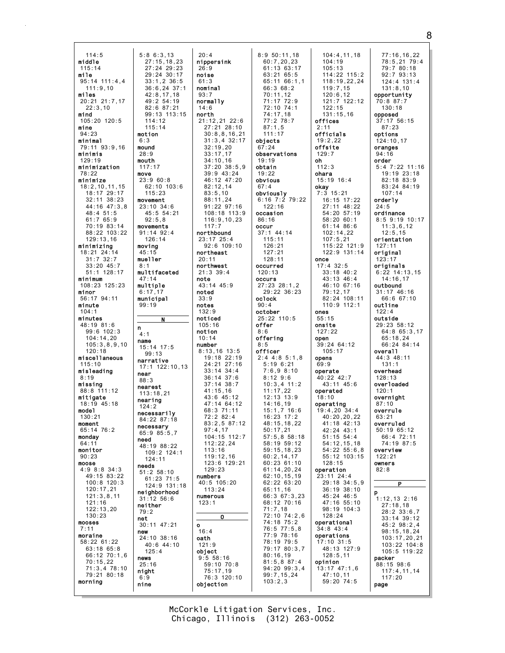114:5 middle 115:14 mile  $95:14$  111:4.4 111:9,10 miles 20:21 21:7,17 22:3,10 mind 105:20 120:5 mine 94:23 minimal 79:11 93:9,16 minimis 129:19 minimization 78:22 minimize 18:2,10,11,15 18:17 29:17 32:11 38:23 44:16 47:3,8 48:4 51:5 61:7 65:9 70:19 83:14 88:22 103:22 129:13,16 minimizing 18:21 24:14 31:7 32:7 33:20 45:7 51:1 128:17 minimum 108:23 125:23 minor 56:17 94:11 minute 104:1 minutes 48:19 81:6 99:6 102:3 104:14,20 105:3,8,9,10 120:18 miscellaneous 115:10 misleading 8:19 missing 88:8 111:12 mitigate 18:19 45:18 model 130:21 moment 65:14 76:2 monday  $64:11$ monitor 90:23 moose 4:9 8:8 34:3 49:15 83:22 100:8 120:3 120:17,21 121:3,8,11 121:16 122:13,20 130:23 mooses 7:11 moraine 58:22 61:22 63:18 65:8 66:12 70:1,6 70:15,22 71:3,4 78:10 79:21 80:18 morning

5:8 6:3,13 27:15,18,23 27:24 29:23 29:24 30:17 33:1,2 36:5

> 49:2 54:19 82:6 87:21

> > N

n 4:1 name 15:14 17:5 99:13 narrative

near 88:3 nearest 113:18,21 nearing 124:2 necessarily 84:22 87:18 necessary 65:9 85:5,7 need 48:19 88:22 109:2 124:1 124:11 needs 51:2 58:10 61:23 71:5

neighborhood 31:12 56:6 neither 79:2 net 30:11 47:21

24:10 38:16 40:6 44:10 125:4 news 25:16 night 6:9 nine

new

114:12 115:14 motion 6:3 mound 28:9 mouth 117:17 move 23:9 60:8 62:10 103:6 115:23 movement 23:10 34:6 45:5 54:21 92:5,8 movements 91:14 92:4 126:14 moving 45:15 mueller 8:1 multifaceted 47:14 multiple 6:17,17 municipal 99:19

36:6,24 37:1 42:8,17,18 99:13 113:15 17:1 122:10,13 124:9 131:18 20:4 nippersink 26:9 noise 61:3 nominal  $93.7$ normally 14:6 north 21:12,21 22:6 27:21 28:10 30:8,8,16,21 31:3,4 32:17 32:19,20 33:17,17 34:10,16  $37 \cdot 20$   $38 \cdot 5$  9 39:9 43:24 46:12 47:20 82:12,14 83:5,10 88:11,24 91:22 97:16 108:18 113:9 116:9,10,23 117:7 northbound 23:17 25:4 92:6 109:10 northeast 20:11 northwest 21:3 39:4 note 43:14 45:9 noted 33:9 notes 132:9 noticed 105:16 notion 10:14 number 8:13,16 13:5 19:18 22:19 24:21 27:16  $33 \cdot 14$   $34 \cdot 4$ 36:14 37:6 37:14 38:7 41:15,16 43:6 45:12 47:14 64:12 68:3 71:11 72:2 82:4  $83 \cdot 2, 5, 87 \cdot 12$ 97:4,17 104:15 112:7  $112.22.24$ 113:16 119:12,16 123:6 129:21 129:23 numbers 40:5 105:20 113:24 numerous 123:1 O o 16:4 oath 121:9 object 9:5 58:16 59:10 70:8 75:17,19 76:3 120:10 objection

8:9 50:11,18 60:7,20,23 61:13 63:17 63:21 65:5 65:11 66:1,1 66:3 68:2 70:11,12 71:17 72:9 72:10 74:1 74:17,18 77:2 78:7 87:1,5 111:17 objects 67:24 observations 19:19 obtain  $19.22$ obvious  $67:4$ obviously 6:16 7:2 79:22  $122.16$ occasion 86:16 occur 37:1 44:14 115:11 126:21 127:21 128:11 occurred 120:13 occurs 27:23 28:1,2 29:22 36:23 oclock 90:4 october 25:22 110:5 offer 8:6 offering 8:5 officer 2:4 4:8 5:1,8 5:19 6:21  $7.698.10$ 8:12 9:6 10:3,4 11:2 11:17,22 12:13 13:9  $14.16,19$ 15:1,7 16:6 16:23 17:2 48:15,18,22 50:17,21 57:5,8 58:18 58:19 59:12 59:15,18,23 60:2,14,17 60:23 61:10 61:14,20,24 62:10,15,19 62:22 63:20 65:11,16 66:3 67:3,23 68:12 70:16 71:7,18 72:10 74:2,6 74:18 75:2 76:5 77:5,8 77:9 78:16 78:19 79:5 79:17 80:3,7 80:16,19 81:5,8 87:4 94:20 99:3,4 99:7,15,24 103:2,3

104:4,11,18 104:19 105:13 114:22 115:2 118:19,22,24 119:7,15  $120.6, 12$ 121:7 122:12  $122.15$ 131:15,16 offices 2:11 officials 19:2,22 offsite 129:7 oh  $112.3$ ohara 15:19 16:4 okay 7:3 15:21 16:15 17:22 27:11 48:22 54:20 57:19 58:20 60:1 61:14 86:6 102:14,22 107:5,21 115:22 121:9 122:9 131:14 once 17:4 32:5 33:18 40:2 43:13 46:4 46:10 67:16 79:12,17 82:24 108:11 110:9 112:1 ones 55:15 onsite 127:22 open 39:24 64:12 105:17 opens 69:9 operate 40:22 42:7  $43 \cdot 11$   $45 \cdot 6$ operated 18:10 operating 19:4,20 34:4 40:20,20,22  $41 \cdot 18$   $42 \cdot 13$ 42:24 43:1 51:15 54:4 54:12,15,18 54:22 55:6,8 55:12 103:15  $128.15$ operation 23:11 24:4 29:18 34:5,9 36:19 38:10  $45.24$   $46.5$ 47:16 55:10 98:19 104:3  $128.24$ operational 34:8 43:4 operations 17:10 31:5 48:13 127:9 128:5,11 opinion 13:17 47:1,6 47:10,11 59:20 74:5

77:16,16,22 78:5,21 79:4 79:7 80:18 92:7 93:13 124:4 131:4 131:8,10 opportunity 70:8 87:7 130:18 opposed 37:17 56:15 87:23 options 124:10,17 oranges 94:16 order 5:4 7:22 11:16 19:19 23:18 82:18 83:9 83:24 84:19 107:14 orderly  $24.5$ ordinance 8:5 9:19 10:17 11:3,6,12 12:5,15 orientation 127:11 original 123:17 originals 6:22 14:13,15 14:16,17 outbound 31:17 46:16 66:6 67:10 outline 122:4 outside 29:23 58:12 64:8 65:3,17 65:18,24 66:24 84:14 overall 44:3 48:11 131:1 overhead 128:13 overloaded 120:1 overnight 87:10 overrule 63:21 overruled 50:19 65:12 66:4 72:11 74:19 87:5 overview 122:21 owners 82:8 P p 1:12,13 2:16 27:18,18 28:2 33:6,7 33:14 39:12 45:2 98:2,4 98:15,18,24 103:17,20,21 103:22 104:8 105:5 119:22 packer 88:15 98:6 117:4,11,14 117:20 page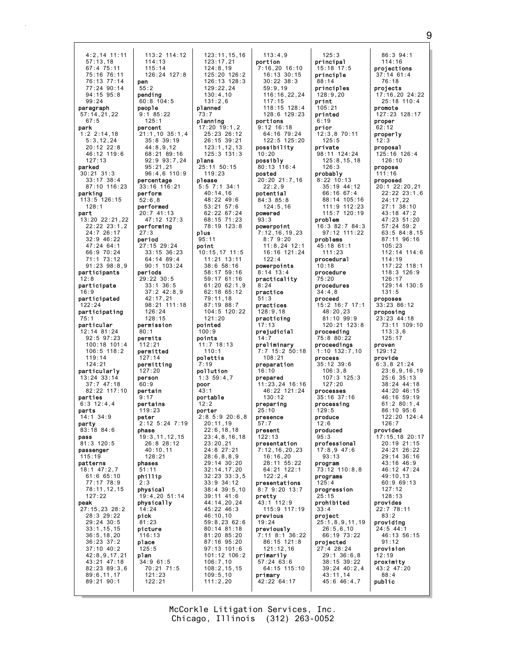4:2,14 11:11 57:13,18 67:4 75:11 75:16 76:11 76:13 77:14 77:24 90:14  $94.15$   $95.8$ 99:24 paragraph  $57 \cdot 14$ , 21, 22 67:5 park 1:2 2:14,18 5:3,12,24 20:12 22:8 46:12 119:6 127:13 parked 30:21 31:3 33:17 38:4 87:10 116:23 parking 113:5 126:15 128:1 part 13:20 22:21,22 22:22 23:1,2 24:7 26:17  $32.9 46.22$ 47:24 64:1 66:9 70:24 71:1 73:12 91:23 98:8,9 participants 12:8 participate 16:9 participated 122:24 participating 75:1 particular 12:14 81:24 92:5 97:23 100:18 101:4 106:5 118:2 119:14 124:21 particularly 13:24 33:14 37:7 47:18 82:22 117:10 parties  $6:3$  12:4,4 parts 14:1 34:9 party 83:18 84:6 pass  $81:3$  120 $\cdot$ 5 passenger 115:19 patterns 18:1 47:2,7 61:6 65:10 77:17 78:9 78:11,12,15 127:22 peak 27:15,23 28:2 28:3 29:22 29:24 30:5 33:1,15,15 36:5,18,20 36:23 37:2 37:10 40:2 42:8,9,17,21 43:21 47:18 82:23 89:3,6 89:6,11,17 89:21 90:1 114:13 115:14 pen 55:2 pending 60:8 104:5 people 9:1 85:22 125:1 percent 44:8,9,12  $95 \cdot 21$ , 21 percentage 33:16 116:21 perform 52:6,8 performed 20:7 41:13 performing 27:3 period 27:15 29:24 periods 29:22 30:5 33:1 36:5 42:17,21 126:24 128:15 permission 80:1 permits 112:21 permitted 127:14 permitting  $127:20$ person  $60.9$ pertain 9:17 pertains 119:23 peter phase 26:8 28:12 40:10,11 128:21 phases 51:11 phillip 2:3 physical physically 14:24 pick 81:23 picture 116:13 place 125:5 plan 34:9 61:5 121:23 122:21

113:2 114:12 126:24 127:8 21:1,10 35:1,4 35:8 39:19 68:21 89:16 92:9 93:7,24 96:4,6 110:9 47:12 127:3 33:15 36:23 64:14 89:4 90:1 103:24 37:2 42:8,9 98:21 111:18  $2.125327.19$ 19:3,11,12,15 19:4,20 51:14 70:21 71:5 123:11,15,16 123:17,21 124:8,19 125:20 126:2 126:13 128:3 129:22,24  $130 \cdot 4$ , 10 131:2,6 planned 73:7 planning 17:20 19:1,2 25:23 26:12 26:15 39:21 123:1,12,13 125:3 131:3 plans 25:11 50:15 119:23 please 5:5 7:1 34:1 40:14,16 48:22 49:6 53:21 57:6 62:22 67:24 68:15 71:23 78:19 123:8 plus 95:11 point 10:15,17 11:5 11:21 13:11 38:6 58:16 58:17 59:16 59:17 61:16 61:20 62:1,9 62:18 65:12 79:11,18 87:19 88:7 104:5 120:22 121:20 pointed  $100.9$ points 11:7 18:13 110:1 polettis 7:19 pollution 1:3 59:4,7 poor 43:1 portable  $12.2$ porter 2:8 5:9 20:6,8 20:11,19 22:6,18,18 23:4,8,16,18  $23 \cdot 20, 21$ 24:8 27:21 28:6,8,8,9 29:14 30:20 32:14,17,20 32:23 33:3,5 33:9 34:12 38:4 39:5,10 39:11 41:6 44:14,20,24 45:22 46:3 46:10,10 59:8,23 62:6 80:14 81:18 81:20 85:20 87:16 95:20 97:13 101:6 101:12 106:2 106:7,10 108:2,15,15 109:5,10 111:2,20

113:4,9 portion 7:16,20 16:10 16:13 30:15 30:22 38:3 59:9,19 116:16,22,24 117:15 118:15 128:4 128:6 129:23 portions 9:12 16:18 64:16 79:24 122:5 125:20 possibility 10:20 possibly 80:13 116:4 posted 20:20 21:7,16 22:2,9 potential 84:3 85:8 124:5,16 powered 93:3 powerpoint 7:12,16,19,23 8:7 9:20 11:8,24 12:1 16:16 121:24 122:4 powerpoints 8:14 13:4 practicality 8:24 practice 51:3 practices 128:9,18 practicing 17:13 prejudicial 14:7 preliminary 7:7 15:2 50:18 108:21 preparation 16:10 prepared 11:23,24 16:16 46:22 121:24 130:12 preparing 25:10 presence 57:7 present 122:13 presentation 7:12,16,20,23 16:16,20 28:11 55:22 64:21 122:1 122:2,4 presentations 8:7 9:20 13:7 pretty 43:1 112:9 115:9 117:19 previous 19:24 previously 7:11 8:1 36:22 86:15 121:8 121:12,16 primarily 57:24 63:6 64:15 115:10 primary 42:22 64:17

principal 15:18 17:5 principle 88:14 principles  $128.9.20$ print  $105 \cdot 21$ printed  $6:19$ prior 12:3,8 70:11  $125.5$ private 98:11 124:24 125:8,15,18  $126.3$ probably 8:22 10:13 35:19 44:12 66:16 67:4 88:14 105:16 111:9 112:23 115:7 120:19 problem 16:3 82:7 84:3 97:12 111:22 problems 45:18 61:1 111:23 procedural 10:18 procedure 75:20 procedures 34:4,8 proceed 15:2 16:7 17:1 48:20,23 81:10 99:9 120:21 123:8 proceeding 75:8 80:22 proceedings 1:10 132:7,10 process 35:12 39:6  $106:3,8$ 107:3 125:3  $127:20$ processes 35:16 37:16 processing 129:5 produce  $12.6$ produced 95:3 professional 17:8,9 47:6 93:13 program 73:12 110:8,8 programs 125:4 progression 25:15 prohibited 33:4 project 25:1,8,9,11,19 26:5,6,10 66:19 73:22 projected 27:4 28:24 29:1 36:6,8 38:15 39:22 39:24 40:2,4 43:11,14 45:6 46:4,7

125:3

86:3 94:1 114:16 projections 37:14 61:4 76:18 projects 17:16,20 24:22 25:18 110:4 promote 127:23 128:17 proper 62:12 properly 12:3 proposal 125:16 126:4 126:10 propose 111:16 proposed 20:1 22:20,21 22:22 23:1,6 24:17,22 27:1 38:10 43:18 47:2 47:23 51:20 57:24 59:2 63:5 84:8,15 87:11 96:16 105:23 112:14 114:6 114:19 117:22 118:1 118:3 126:9 126:17 129:14 130:5 131:5 proposes 33:23 86:12 proposing 23:23 44:18 73:11 109:10 113:3,6 125:17 proven 129:12 provide 6:3,8 21:24  $23.6, 9, 16, 19$ 25:6 35:13 38:24 44:18 44:20 46:15 46:16 59:19  $61:2$   $80:1$   $4$ 86:10 95:6 122:20 124:4  $126:7$ provided 17:15,18 20:17  $20.19$   $21.15$ 24:21 26:22 29:14 36:16 43:16 46:9 46:12 47:24 49:10,13 60:9 69:13 127:12  $128.13$ provides 22:7 78:11 83:2 providing 24:5 44:1 46:13 56:15 91:12 provision 12:19 proximity 43:2 47:20 88:4 public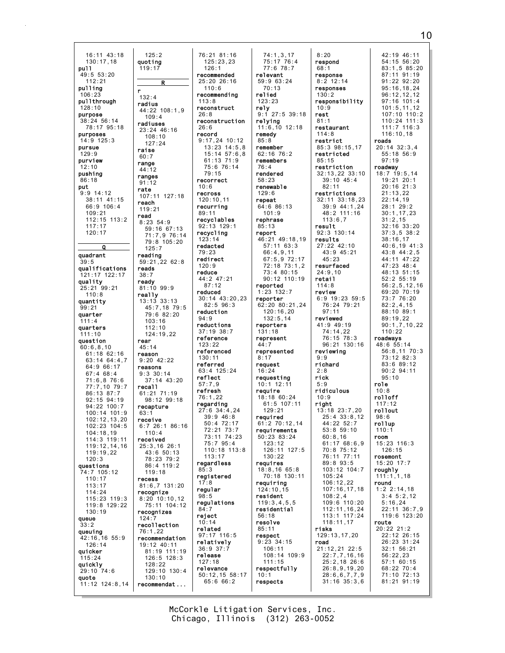$16:11$   $43:18$  $130:17.18$ pull  $49:5$  53:20  $112:21$ pulling  $\mathbf{r}$  $106.23$  $132:4$ pullthrough radius  $128:10$ purpose  $38:24$  56:14 78:17 95:18 purposes  $14:9$  125:3 pursue raise  $129.9$  $60:7$ purview range  $12.10$ 44:12 pushing ranges 86:18  $91:12$ put rate  $9:9$  14:12 38:11 41:15 reach  $66:9$  106:4  $109:21$ read 112:15 113:2  $117:17$  $120:17$  $\Omega$ quadrant  $39.5$ qualifications reads  $121:17$  122:17  $38:7$ quality ready  $25:21$  99:21  $110:8$ really quantity  $99:21$ quarter  $111 \cdot 4$ quarters  $111:10$ question rear  $60:6.8.10$  $45:14$  $61:18$   $62:16$ reason  $63:1464:37$  $64:966:17$  $67:468:4$  $71:6.876:6$ 77:7.10 79:7 recal1 86:13 87:7  $92:15$   $94:19$ 94:22 100:7  $100:14$  101:9  $63.7$  $102:12,13,20$ 102:23 104:5  $104.18$  19 114:3 119:11 119:12,14,16  $119:19.22$  $120:3$ questions  $4:7$  105:12  $110:17$ recess  $113:17$  $114:24$ 115:23 119:3 119:8 129:22  $130:19$ queue  $124:7$  $33.2$ queuing  $42:16, 16$  55:9<br>126:14 quicker  $115:24$ auickly  $29:10.74:6$ auote  $11:12$  124:8.14

 $125:2$ quotina  $126:1$  $119:17$ R  $110:6$  $113:8$ 44:22 108:1.9  $26.8$  $109:4$ radiuses  $26:6$ 23:24 46:16 record  $108:10$  $127:24$  $79:15$ recorrect  $10.6$ recross 107:11 127:18 recurring 119:21  $89:11$  $8:23.54:9$ 59:16 67:13 recycling 71:7,9 76:14  $123 \cdot 14$ 79:8 105:20 redacted  $125.7$ reading redirect  $59:21,2262:8$  $120:9$ reduce  $87:12$  $81:10.99:9$ reduced  $13:13.33:13$  $45:7.18.79:5$ reduction  $79:6 82:20$  $94:9$  $103.16$  $112:10$  $124:19.22$ reference  $123:22$  $130:11$  $9.2042.22$ referred reasons  $9:3$  30:14 reflect  $37:14$  43:20  $57:7.9$ refresh 61:21 71:19  $76:1.22$ 98:12 99:18 regarding recapture receive  $6:726:186:16$  $110 \cdot 4$ received 25:3,16 26:1  $43:650:13$ 78:23 79:2 86:4 119:2  $85.3$  $119:18$  $17:8$  $81:6.7$  131:20 regular recognize  $QQ$  $8:20$  10:10, 12 75:11 104:12  $84:7$ recognizes reject  $10:14$ recollection related 76:1.22 recommendation 19:12 40:11  $36:9$   $37:7$ 81:19 111:19 release  $126:5$   $128:3$  $127:18$  $128:22$ relevance  $129:10$   $130:4$  $130:10$ recommendat...

76:21 81:16  $125:23.23$ recommended relevant  $25:20$  26:16 recommending relied  $123:23$ reconstruct rely reconstruction relying remedy 9:17,24 10:12  $85:8$  $13:23$   $14:5,8$ remember  $15:14$   $57:6.8$  $61:13$   $71:9$  $75.676.14$  $76 \cdot A$ rendered  $58:23$  $129:6$  $120:10,11$ repeat recyclables rephrase 92:13 129:1  $85:13$ report 44:2 47:21 reported reporter 30:14 43:20.23  $82:5$  96:3 reductions  $37:19.38:7$  $131:18$  $44:7$ referenced  $8:17$ request  $63 \cdot 4$  125  $\cdot$  24  $16.24$ require 27:6 34:4.24  $39:9$  46:8 required  $50:370:50$  $72:21$   $73:7$ 73:11 74:23  $75.795:4$  $110:18$   $113:8$  $113:17$ regardless requires registered resident regulations  $56:18$  $resolve$  $85:11$ 97:17 116:5 respect relatively  $50:12, 15 58:17$  $10:1$  $65:666:2$ respects

74:1,3,17<br>75:17 76:4  $8:20$ respond  $77:6$  78:7  $68:1$ response  $59:963:24$  $70:13$  $130.2$  $10:9$  $9:1$  27:5 39:18 rest  $81:1$  $11:6,10$  12:18  $114:8$ restrict 62:16 76:2 remembers  $85:15$ renewable  $64:686:13$  $101:9$ result 46:21 49:18.19 results  $57:11$  63:3  $66:4,9,11$  $67:5.972:17$ 72:18 73:1.2 73:4 80:15  $24:9.10$  $90:12$  110:19 retail  $114:8$  $1:23$   $132:7$ review 62:20 80:21,24  $120:16,20$  $132:5.14$ reviewed reporters represent represented  $9:9$ richard  $2.8$ requesting rick  $10:1$  12:11  $5.9$ 18:18 60:24  $10:9$  $61:5$  107:11 right  $129:21$  $61.270.1214$ requirements  $50:23$   $83:24$  $123.12$ 126:11 127:5  $130:22$  $18:8,1665:8$ 70:18 130:11 requiring  $124:10.15$  $119:3,4,5,5$ residential risks  $9:23$  34:15 road  $106:11$ 108:14 109:9  $111:15$ respectfully

42:19 46:11  $54:15$  56:20  $83:1.585:20$ 87:11 91:19  $91:22$   $92:20$  $8:2$  12:14 responses  $95:16.18.24$  $96.12$  12 12 responsibility  $97:16$  101:4  $101:5, 11, 12$  $107 \cdot 10$   $110 \cdot 2$  $110:24$  111:3 restaurant  $111:7$  116:3  $116:10.18$ roads 85:3 98:15,17  $20:14$  32:3,4 restricted  $55:18$   $56:9$  $97:19$ restriction roadway 32:13,22 33:10  $18:7$  19:5, 14  $39:10$  45:4 19:21 20:1  $82.11$  $20:16$  21:3 restrictions  $21:13,22$ 32:11 33:18,23  $22:14,19$ 39:9 44:1.24  $28:1$  29:2 48:2 111:16  $30:1, 17, 23$  $113:6.7$  $31:2,15$  $32:16$   $33:20$  $92:3$  130:14  $37:3.5$   $38:2$  $38:16.17$ 27:22 42:10  $40:6, 19$   $41:3$  $43:9$   $45:21$  $43:8.44:2.5$  $45:23$ 44:11 47:22 resurfaced  $47:23$   $48:4$ 48:13 51:15  $52:2$   $55:19$  $56:2, 5, 12, 16$ 69:20 70:19  $73:776:20$  $6:9$  19:23 59:5 76:24 79:21  $82:2,4,15$  $97:11$ 88:10 89:1 89:19.22  $41:9$  49:19  $90:1.7.10.22$  $74:14.22$  $110.22$ 76:15 78:3 roadways  $96:21$  130:16  $48:655:14$  $56:8,1170:3$ reviewing  $73:12.82:3$  $83:689:12$  $90.294.11$  $95:10$ role ridiculous  $10:8$ rolloff  $117.12$  $13:18$   $23:7.20$ rollout  $25:4$  33:8.12  $98.6$  $44.2257$ rollup  $53:8$   $59:10$  $110:1$  $60:8,16$ room  $15:23$   $116:3$  $61.17$   $68.6$  0 70:8 75:12  $126:15$ 76:11 77:11 rosemont  $89:8.93:5$ 15:20 17:7  $103:12$   $104:7$ roughly  $105:24$  $111:1,1,18$  $106:12.22$ round 107:16,17,18  $1:2$  2:14,18  $108:2,4$  $3:45:2.12$ 109:6 110:20  $5:16,24$ 112:11, 16, 24 22:11 36:7,9 113:1 117:24  $119:6$  123:20  $118:11,17$ route 20:22 21:2 129:13,17,20 22:12 26:15 26:23 31:24 21:12,21 22:5  $32:1$  56:21  $22:7,7,16,16$  $56:22,23$  $25:2,18$  26:6  $57:1$  60:15  $26:8,9,19,20$ 68:22 70:4  $28:6,6,7,7,9$ 71:10 72:13  $31:16$   $35:3,6$ 81:21 91:19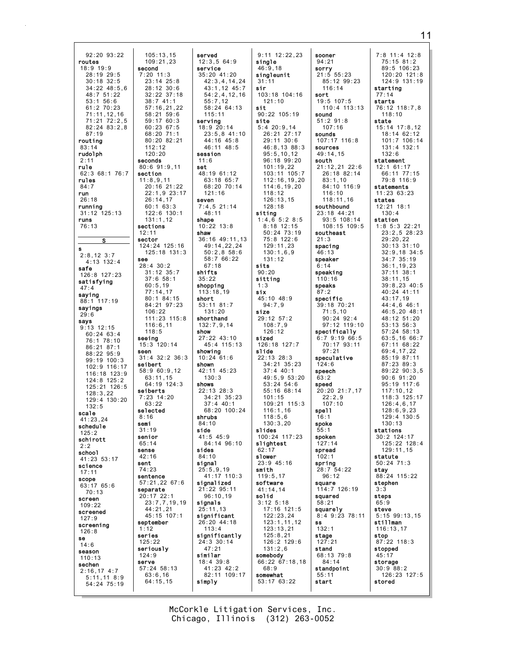92:20 93:22 routes  $18:9$  19:9 second  $28:19$   $29:5$  $7:20$  11:3  $30:18$  32:5  $34:22$   $48:5.6$  $48:7$  51:22  $53:1$  56:6  $61:2$  70:23  $71:11, 12, 16$  $71:21$   $72:2.5$  $82:24$   $83:2.8$  $87:19$ routina  $83:14$ rudolph seconds  $2:11$ rule  $62:368:176:7$ section rules  $11:8,9,11$  $84.7$ run  $26:18$ running  $31:12$   $125:13$ runs 76:13 sections  $12:11$ sector S. s  $2:8,12 \ 3:7$ see  $4:13$  132:4  $28:4$  30:2 safe 126:8 127:23 satisfying  $47:4$ saying 88:1 117:19 sayings  $29:6$ says  $9:13$  12:15  $60:24$   $63:4$ seeing 76:1 78:10  $86:21.87:1$ seen 88:22 95:9<br>99:19 100:3 seibert  $102:9$  116:17 116:18 123:9  $124:8$   $125:2$ 125:21 126:5 seiberts  $128:3,22$  $129:4$  130:20  $132:5$ selected scale  $8:16$ 41:23,24 semi schedule  $31:19$  $125.2$ senior schirott  $65.11$  $2:2$ sense schoo1  $42:16$ 41:23 53:17 sent science  $74:23$  $17:11$ sentence scope 63:17 65:6 separate  $70:13$ 20:17 22:1 screen  $109:22$ screened  $127:9$ september screening  $1:12$  $126:8$ series se  $125:22$  $14:6$ seriously season  $124:9$  $110:13$ serve sechen  $2:16,17$  4:7  $5:11,118:9$  $54:24$  75:19

105:13,15<br>109:21,23 served  $12:3.564:9$ service  $35:20$  41:20  $23:14$   $25:8$  $42:3,4,14,24$  $28:12.30:6$ 43:1.12 45:7  $32:22$  37:18  $54.2$   $4$  12 16  $38:741:1$  $55:7.12$  $57:16,21,22$ 58:24 64:13  $58.21$   $59.6$  $115.11$  $59:1760:3$ serving  $60:23$  67:5 18:9 20:14  $23:5.8$  41:10  $68.2071.1$  $44:16$   $45:8$  $80:20.82:21$ 46:11 48:5 session  $11:6$  $80:691:911$ set  $48:1961:12$  $63:18$   $65:7$ <br> $68:20$   $70:14$  $20:16$  21:22  $22:1.9.23:17$  $121:16$  $26:14,17$ seven  $7:4.5$  21:14  $60:163:3$  $122:6$  130:1  $48:11$  $131:1.12$ shape  $10:22$   $13:8$ shaw 36:16 49:11.13 124:24 125:16 49:14,22,24  $125:18$   $131:3$  $50:2,858:6$ 58:7 66:22  $67:18$  $31:12$   $35:7$ shifts  $37:658:1$  $35:22$ shopping  $77:14.17$ 113:18.19  $80:1$  84:15 short  $53:11$  81:7 84:21 97:23  $131:20$ 111:23 115:8 shorthand  $116:6.11$  $132:7.9.14$ show  $27:22$  43:10  $15:3$  120:14  $45:4$  115:13 showing  $31:4$  32:2 36:3  $10:24$  61:6 shown 58:9 60:9.12  $42:11$   $45:23$  $63:11.15$  $130:3$ shows  $64:19$  124:3  $22:13$   $28:3$  $7:23$  14:20  $34:21$   $35:23$  $37:4$  40:1 68:20 100:24 shrubs  $84.10$ side  $41:5$  45:9  $84.1496.10$ sides 84:10 signal  $25:5,9,19$ 41:17 110:3 57:21,22 67:6 signalized 21:22 95:11  $96:10.19$  $23:7,7,19,19$ signals 44:21,21  $25:11,13$  $45.15 \times 107.1$ significant 26:20 44:18  $113:4$ significantly  $24:3$  30:14  $47:21$ similar  $18:4$  39:8 57:24 58:13  $41:23$   $42:2$ 82:11 109:17  $64:15,15$ simply

 $112:12$ 

 $120.20$ 

 $60:5,19$ 

 $106:22$ 

 $118:5$ 

 $63:22$ 

 $63:6,16$ 

 $9:11$   $12:22.23$ single  $46:9.18$ singleunit  $31:11$ sir  $103:18$  104:16  $121:10$  $e i f$  $90:22$  105:19 site  $5:4$  20:9.14  $26.21$   $27.17$ 29:11 30:6 46:8,13 88:3  $95:5.10.12$  $96:18.99:20$  $101:19.22$ 103:11 105:7  $112:16, 19, 20$  $114:6.19.20$  $118:12$  $126:13,15$  $128:18$ sitina  $1:4,6.5:2.8:5$  $8:18$  12:15 50:24 73:19 75:8 122:6  $129:11,23$  $130:1,6,9$  $131:12$ sits  $90:20$ sitting  $1:3$ six 45:10 48:9  $94:7,9$ size  $29:12$  57:2  $108:7.9$  $126:12$ sized 126:18 127:7 slide  $22:13$   $28:3$ 34:21 35:23  $37:4$  40:1  $49:5.9.53:20$  $53:24$   $54:6$  $55:16$  68:14  $101:15$ 109:21 115:3  $116:1.16$  $118:5,6$  $130.320$ slides 100:24 117:23 slightest  $62:17$ slower  $23.945.16$ smith  $119:5.17$ software 41:14,14 solid  $3:12$   $5:18$ 17:16 121:5  $122:23.24$  $123:1, 11, 12$  $123:13.21$  $125:8,21$ 126:2 129:6  $131:2,6$ somebody  $66:22$  67:18,18  $6.89$ somewhat 53:17 63:22

sooner  $94:21$ sorry  $21:5$  55:23  $85:12$  99:23  $116:14$ sort  $19:5$  107:5  $110:4$  113:13 sound  $51:291:8$  $107:16$ sounds 107:17 116:8 sources  $49:14.15$ south  $21:12,21$  22:6 26:18 82:14  $83:1,10$  $84.10$  116.9  $116:10$  $118:11,16$ southbound 23:18 44:21 93:5 108:14 108:15 109:5 southeast  $21:3$ spacing  $46:13$ speaker  $6:14$ speaking  $110:16$ speaks  $87:2$ specific 39:18 70:21  $71:5.10$  $90:24$  92:4 97:12 119:10 specifically  $6:79:1966:5$ 70:17 93:11  $97.21$ speculative  $124:6$ sneech  $63:2$ speed 20:20 21:7.17  $22:2.9$  $107:10$ spe11  $16:1$ spoke  $55.1$ spoken  $127.14$ spread  $102:1$ spring 28:7 54:22  $96:12$ square 114:7 126:19 squared  $58:21$ squarely 8:4 9:23 78:11 SS  $132:7$ stage  $127:21$ stand 68:13 79:8  $84:14$ standpoint  $55:11$ start

7:8 11:4 12:8  $75:15$  81:2  $89:5$  106:23  $120:20$   $121:8$  $124:9$   $131:19$ starting  $77.14$ starts 76:12 118:7,8  $118.10$ state 15:14 17:8,12  $18.14$  62.12 101:7 106:14 131:4 132:1  $132.6$ statement 12:1 61:17 66:11 77:15 79:8 116:9 statements  $11:23.63:23$ states  $12:21$   $18:1$  $130:4$ station  $1:8$  5:3 22:21  $23:2,5$  28:23  $29:20,22$  $30:13$  31:10  $32:9,18$  34:5  $34:7^{6}35:19$  $36:1, 19, 23$  $37:11$   $38:1$  $38:11.15$  $39:8, 23$  40:5 40:24 41:11 43:17.19  $44:4,6$  46:1  $46:5, 20$  48:1 48:12 51:20  $53:13.56:3$  $57:24$   $58:13$  $63:5.1666:7$  $67:11.68:22$ 69:4.17.22  $85:19.87:11$  $87:23$   $89:3$  $89.2290.35$  $90:6.91:20$  $95:19$  117:6  $117:10.12$  $118:3$   $125:17$  $126:4,6,17$  $128:6.9.23$  $129:4$  130:5  $130 \cdot 13$ stations 30:2 124:17  $125.22 128.1$  $129:11.15$ statute  $50:24$  71:3 stay 88:24 115:22 stephen  $3:3$ steps  $65:9$ steve  $5:15$  99:13.15 stillman  $116:13.17$ stop  $87:22$  118:3 stopped  $45:17$ storage  $30:9$   $88:2$ 126:23 127:5 stored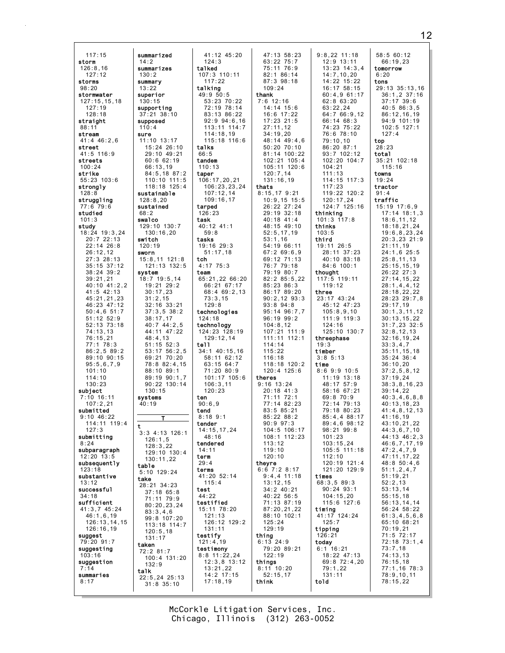| 117:15                         | summarized                      | 41:12 45:20                  | 47:13 58:23                      | $9:8,22$ 11:18                   | 58:5 60:12                        |
|--------------------------------|---------------------------------|------------------------------|----------------------------------|----------------------------------|-----------------------------------|
| storm                          | 14:2                            | 124:3                        | 63:22 75:7                       | $12:9$ $13:11$                   | 66:19,23                          |
| 126:8,16<br>127:12             | summarizes<br>130:2             | talked<br>107:3 110:11       | 75:11 76:9<br>82:1 86:14         | $13:23$ $14:3,4$<br>14:7, 10, 20 | tomorrow<br>6:20                  |
| storms                         | summary                         | 117:22                       | 87:3 98:18                       | 14:22 15:22                      | tons                              |
| 98:20<br>stormwater            | 13:22<br>superior               | talking<br>49:9 50:5         | 109:24<br>thank                  | 16:17 58:15<br>60:4.961:17       | 29:13 35:13,16<br>$36:1, 2$ 37:16 |
| 127:15,15,18                   | 130:15                          | 53:23 70:22                  | $7:6$ 12:16                      | $62:8$ $63:20$                   | $37:17$ 39:6                      |
| 127:19<br>128:18               | supporting<br>$37:21$ $38:10$   | 72:19 78:14<br>83:13 86:22   | 14:14 15:6<br>16:6 17:22         | 63:22,24<br>64:7 66:9,12         | 40:5 86:3,5<br>86:12,16,19        |
| straight                       | supposed                        | $92:9$ $94:6,16$             | $17:23$ 21:5                     | 66:14 68:3                       | 94:9 101:19                       |
| 88:11                          | 110:4                           | $113:11$ $114:7$             | 27:11,12                         | 74:23 75:22                      | $102:5$ 127:1                     |
| stream<br>$41:4$ $46:2,6$      | sure<br>$11:10$ $13:17$         | 114:18,19<br>115:18 116:6    | 34:19,20<br>48:14 49:4,6         | 76:6 78:10<br>79:10,10           | 127:4<br>top                      |
| street                         | 15:24 26:10                     | talks                        | $50:20$ $70:10$                  | 86:20 87:1                       | 28:23                             |
| 41:5 116:9<br>streets          | 29:10 49:21<br>60:662:19        | 66:5<br>tandem               | 81:14 100:22<br>102:21 105:4     | 93:7 102:12<br>102:20 104:7      | total<br>35:21 102:18             |
| 100:24                         | 66:13,19                        | 110:13                       | 105:11 120:6                     | 104:21                           | 115:16                            |
| strike<br>55:23 103:6          | 84:5,18 87:2<br>110:10 111:5    | taper<br>106:17,20,21        | 120:7,14<br>131:16,19            | 111:13<br>$114:15$ $117:3$       | towns<br>19:24                    |
| strongly                       | 118:18 125:4                    | 106:23,23,24                 | thats                            | 117:23                           | tractor                           |
| 128:8<br>struggling            | sustainable<br>128:8,20         | 107:12,14<br>109:16,17       | $8:15,17$ 9:21<br>$10:9,15$ 15:5 | 119:22 120:2<br>120:17,24        | 91:4<br>traffic                   |
| 77:6 79:6                      | sustained                       | tarped                       | 26:22 27:24                      | 124:7 125:16                     | $15:19$ $17:6,9$                  |
| studied<br>101:3               | 68:2<br>swalco                  | 126:23<br>task               | 29:19 32:18<br>40:18 41:4        | thinking<br>$101:3$ $117:8$      | $17:14$ $18:1,3$<br>18:6, 11, 12  |
| study                          | 129:10 130:7                    | 40:12 41:1                   | 48:15 49:10                      | thinks                           | 18:18,21,24                       |
| 18:24 19:3,24<br>20:722:13     | 130:16,20<br>switch             | 59:8<br>tasks                | 52:5, 17, 19<br>53:1,16          | 103:5<br>third                   | 19:6, 8, 23, 24<br>20:3,23 21:9   |
| $22:14$ $26:8$                 | 120:19                          | $19:16$ 29:3                 | 54:19 66:11                      | 19:11 26:5                       | 21:11,19                          |
| 26:12,12<br>27:3 28:13         | sworn<br>$15:8,11$ $121:8$      | 51:17,18<br>tch              | 67:269:6,9<br>69:12 71:13        | 28:11 37:23<br>40:10 83:18       | 24:1,6 25:5<br>25:8,11,13         |
| $35:15$ $37:12$                | 121:13 132:5                    | $4:17$ 75:3                  | 76:7 79:18                       | $84:6$ 100:1                     | 25:15,15,19                       |
| $38:24$ $39:2$<br>39:21,21     | system<br>$18:7$ 19:5,14        | team<br>65:21,22 66:20       | 79:19 80:7<br>82:2 85:5,22       | thought<br>117:5 119:11          | 26:22 27:3<br>27:14,15,22         |
| 40:10 41:2.2                   | 19:21 29:2                      | 66:21 67:17                  | 85:23 86:3                       | 119:12                           | 28:1, 4, 4, 12                    |
| 41:5 42:13<br>45:21,21,23      | 30:17,23<br>31:2,15             | 68:4 69:2,13<br>73:3,15      | 86:17 89:20<br>$90:2,12$ $93:3$  | three<br>23:17 43:24             | 28:18,22,22<br>28:23 29:7,8       |
| 46:23 47:12                    | $32:16$ $33:21$                 | 129:8                        | $93:8$ $94:8$                    | 45:12 47:23                      | 29:17,19                          |
| 50:4,651:7<br>$51:12$ $52:9$   | 37:3,538:2<br>38:17,17          | technologies<br>124:18       | 95:14 96:7,7<br>$96:19$ $99:2$   | 105:8,9,10<br>$111:9$ $119:3$    | 30:1,3,11,12<br>30:13, 15, 22     |
| 52:13 73:18                    | $40:7$ $44:2.5$                 | technology                   | 104:8,12                         | 124:16                           | $31:7,23$ $32:5$                  |
| 74:13,13<br>76:15,21           | 44:11 47:22<br>48:4,13          | 124:23 128:19<br>129:12,14   | 107:21 111:9<br>111:11 112:1     | 125:10 130:7<br>threephase       | 32:8,12,13<br>32:16, 19, 24       |
| 77:1 78:3                      | $51:15$ $52:3$                  | te11                         | 114:14                           | 19:3                             | 33:3,4,7                          |
| 86:2,589:2<br>89:10 90:15      | $53:17$ $56:2,5$<br>69:21 70:20 | 34:1 40:15,16<br>58:11 62:12 | 115:22<br>116:18                 | timber<br>$3:8$ 5:13             | 35:11, 15, 18<br>$35:24$ $36:4$   |
| 95:5,6,7,9                     | 78:8 82:4,15                    | 63:15 64:7                   | 118:18 120:2                     | time                             | 36:10,20                          |
| 101:10<br>114:10               | 88:10 89:1<br>89:19 90:1,7      | 71:20 80:9<br>101:17 105:6   | $120:4$ 125:6<br>theres          | 8:69:910:5<br>$11:19$ $13:18$    | 37:2,5,8,12<br>37:19,24           |
| 130:23                         | $90:22$ 130:14                  | 106:3,11                     | $9:16$ 13:24                     | 48:17 57:9                       | 38:3,8,16,23                      |
| subject<br>$7:10$ 16:11        | 130:15<br>systems               | 120:23<br>ten                | 20:18 41:3<br>71:11 72:1         | 58:16 67:21<br>69:8 70:9         | 39:14,22<br>40:3,4,6,8,8          |
| 107:2,21                       | 40:19                           | 90:6,9                       | 77:14 82:23                      | 72:14 79:13                      | 40:13,18,23                       |
| submitted<br>$9:10$ 46:22      | T                               | tend<br>$8:18$ 9:1           | 83:5 85:21<br>85:22 88:2         | 79:18 80:23<br>85:4,488:17       | 41:4,8,12,13<br>41:16.19          |
| 114:11 119:4                   | t                               | tender                       | $90:9$ $97:3$                    | $89:4,6$ $98:12$                 | 43:10,21,22                       |
| 127:3<br>submitting            | $3:3$ 4:13 126:1<br>126:1,5     | 14:15,17,24<br>48:16         | 104:5 106:17<br>108:1 112:23     | 98:21 99:8<br>101:23             | 44:3,6,7,10<br>44:13 46:2,3       |
| 8:24                           | 128:3,22                        | tendered                     | 113:12                           | 103:15,24<br>$105:5$ 111:18      | 46:6,7,17,19                      |
| subparagraph<br>$12:20$ $13:5$ | 129:10 130:4<br>130:11,22       | 14:11<br>term                | 119:10<br>120:10                 | 112:10                           | 47:2,4,7,9<br>47:11,17,22         |
| subsequently<br>123:18         | table                           | 29:4                         | theyre                           | 120:19 121:4                     | 48:8 50:4,6                       |
| substantive                    | 5:10 129:24<br>take             | terms<br>41:20 52:14         | $6:6$ 7:2 8:17<br>$9:4,4$ 11:18  | 121:20 129:9<br>times            | 51:1, 2, 4, 7<br>51:19,21         |
| 13:12                          | 28:21 34:23                     | 115:4                        | 13:12.15                         | 68:3,589:3                       | 52:2,13                           |
| successful<br>34:18            | $37:18$ $65:8$<br>71:11 79:9    | test<br>44:22                | 34:2 40:21<br>40:22 56:5         | $90:24$ $93:1$<br>104:15,20      | 53:13.14<br>55:15,18              |
| sufficient                     | 80:20,23,24                     | testified                    | 71:13 87:19                      | 115:6 127:6                      | 56:13,14,14                       |
| $41:3,7$ $45:24$<br>46:1,6,19  | 83:3,4,6<br>99:8 107:20         | 15:11 78:20<br>121:13        | 87:20,21,22<br>88:10 102:1       | timing<br>41:17 124:24           | 56:24 58:22<br>61:3,4,5,6,8       |
| 126:13,14,15                   | 113:18 114:7                    | 126:12 129:2                 | 125:24                           | 125:7                            | 65:10 68:21                       |
| 126:16,19<br>suggest           | 120:5,18<br>131:17              | 131:11<br>testify            | 129:19<br>thing                  | tipping<br>126:21                | 70:19,21<br>71:5 72:17            |
| 79:20 91:7                     | taken                           | 121:4,19                     | $6:13$ 24:9                      | today                            | 72:18 73:1,4                      |
| suggesting<br>103:16           | 72:2 81:7<br>100:4 131:20       | testimony<br>$8:8$ 11:22,24  | 79:20 89:21<br>122:19            | $6:1$ 16:21<br>18:22 47:13       | 73:7,18<br>74:13,13               |
| suggestion                     | 132:9                           | $12:3,8$ $13:12$             | things                           | 69:8 72:4,20                     | 76:15,18                          |
| 7:14<br>summaries              | talk<br>22:5,24 25:13           | 13:21,22<br>14:2 17:15       | $8:11$ 10:20<br>52:15,17         | 79:1,22<br>131:11                | 77:1,16 78:3<br>78:9,10,11        |
| 8:17                           | $31:8$ $35:10$                  | 17:18,19                     | think                            | told                             | 78:15,22                          |
|                                |                                 |                              |                                  |                                  |                                   |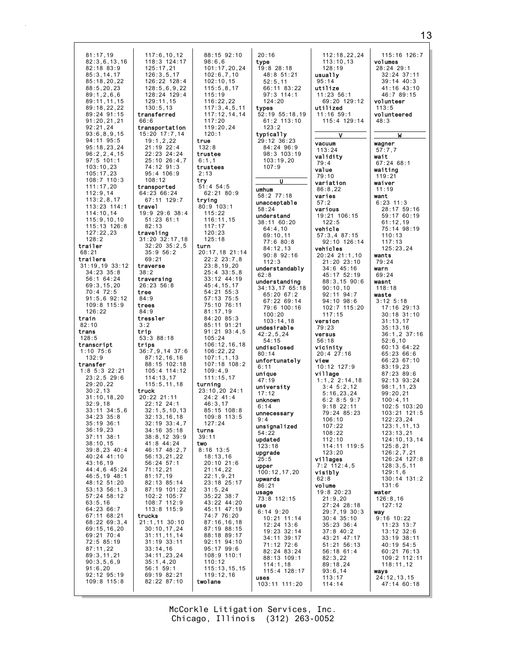| 81:17,19                                                                                                                                                                                                                                                                                                                                                                                                                                                                                                                                                                                                                                                                                                                                | 117:6, 10, 12                                                                                                                                                                                                                                                                                                                                                                                                                                                                                                                                                                                                                                                                                                          | 88:15 92:10                                                                                                                                                                                                                                                                                                                                                                                                                                                                                                                                                                                                                                                                                                                   |
|-----------------------------------------------------------------------------------------------------------------------------------------------------------------------------------------------------------------------------------------------------------------------------------------------------------------------------------------------------------------------------------------------------------------------------------------------------------------------------------------------------------------------------------------------------------------------------------------------------------------------------------------------------------------------------------------------------------------------------------------|------------------------------------------------------------------------------------------------------------------------------------------------------------------------------------------------------------------------------------------------------------------------------------------------------------------------------------------------------------------------------------------------------------------------------------------------------------------------------------------------------------------------------------------------------------------------------------------------------------------------------------------------------------------------------------------------------------------------|-------------------------------------------------------------------------------------------------------------------------------------------------------------------------------------------------------------------------------------------------------------------------------------------------------------------------------------------------------------------------------------------------------------------------------------------------------------------------------------------------------------------------------------------------------------------------------------------------------------------------------------------------------------------------------------------------------------------------------|
| 82:3,6,13,16                                                                                                                                                                                                                                                                                                                                                                                                                                                                                                                                                                                                                                                                                                                            | 118:3 124:17                                                                                                                                                                                                                                                                                                                                                                                                                                                                                                                                                                                                                                                                                                           | 98:6,6                                                                                                                                                                                                                                                                                                                                                                                                                                                                                                                                                                                                                                                                                                                        |
| 82:18 83:9                                                                                                                                                                                                                                                                                                                                                                                                                                                                                                                                                                                                                                                                                                                              | 125:17,21                                                                                                                                                                                                                                                                                                                                                                                                                                                                                                                                                                                                                                                                                                              | 101:17,20,24                                                                                                                                                                                                                                                                                                                                                                                                                                                                                                                                                                                                                                                                                                                  |
| 85:3, 14, 17                                                                                                                                                                                                                                                                                                                                                                                                                                                                                                                                                                                                                                                                                                                            | 126:3,5,17                                                                                                                                                                                                                                                                                                                                                                                                                                                                                                                                                                                                                                                                                                             | 102:6,7,10                                                                                                                                                                                                                                                                                                                                                                                                                                                                                                                                                                                                                                                                                                                    |
| 85:18,20,22                                                                                                                                                                                                                                                                                                                                                                                                                                                                                                                                                                                                                                                                                                                             | 126:22 128:4                                                                                                                                                                                                                                                                                                                                                                                                                                                                                                                                                                                                                                                                                                           | 102:10.15                                                                                                                                                                                                                                                                                                                                                                                                                                                                                                                                                                                                                                                                                                                     |
| 88:5, 20, 23                                                                                                                                                                                                                                                                                                                                                                                                                                                                                                                                                                                                                                                                                                                            | 128:5,6,9,22                                                                                                                                                                                                                                                                                                                                                                                                                                                                                                                                                                                                                                                                                                           | 115:5,8,17                                                                                                                                                                                                                                                                                                                                                                                                                                                                                                                                                                                                                                                                                                                    |
| 89:1, 2, 6, 6                                                                                                                                                                                                                                                                                                                                                                                                                                                                                                                                                                                                                                                                                                                           | 128:24 129:4                                                                                                                                                                                                                                                                                                                                                                                                                                                                                                                                                                                                                                                                                                           | 115:19                                                                                                                                                                                                                                                                                                                                                                                                                                                                                                                                                                                                                                                                                                                        |
| 89:11,11,15                                                                                                                                                                                                                                                                                                                                                                                                                                                                                                                                                                                                                                                                                                                             | 129:11,15                                                                                                                                                                                                                                                                                                                                                                                                                                                                                                                                                                                                                                                                                                              | 116:22,22                                                                                                                                                                                                                                                                                                                                                                                                                                                                                                                                                                                                                                                                                                                     |
| 89:18,22,22                                                                                                                                                                                                                                                                                                                                                                                                                                                                                                                                                                                                                                                                                                                             | 130:5.13                                                                                                                                                                                                                                                                                                                                                                                                                                                                                                                                                                                                                                                                                                               | 117:3,4,5,11                                                                                                                                                                                                                                                                                                                                                                                                                                                                                                                                                                                                                                                                                                                  |
| 89:24 91:15                                                                                                                                                                                                                                                                                                                                                                                                                                                                                                                                                                                                                                                                                                                             | transferred                                                                                                                                                                                                                                                                                                                                                                                                                                                                                                                                                                                                                                                                                                            | 117:12,14,14                                                                                                                                                                                                                                                                                                                                                                                                                                                                                                                                                                                                                                                                                                                  |
| 91:20,21,21                                                                                                                                                                                                                                                                                                                                                                                                                                                                                                                                                                                                                                                                                                                             | 66:6                                                                                                                                                                                                                                                                                                                                                                                                                                                                                                                                                                                                                                                                                                                   | 117:20                                                                                                                                                                                                                                                                                                                                                                                                                                                                                                                                                                                                                                                                                                                        |
| 92:21,24                                                                                                                                                                                                                                                                                                                                                                                                                                                                                                                                                                                                                                                                                                                                | transportation                                                                                                                                                                                                                                                                                                                                                                                                                                                                                                                                                                                                                                                                                                         | 119:20,24                                                                                                                                                                                                                                                                                                                                                                                                                                                                                                                                                                                                                                                                                                                     |
| 93:6,8,9,15                                                                                                                                                                                                                                                                                                                                                                                                                                                                                                                                                                                                                                                                                                                             | 15:20 17:7,14                                                                                                                                                                                                                                                                                                                                                                                                                                                                                                                                                                                                                                                                                                          | 120:1                                                                                                                                                                                                                                                                                                                                                                                                                                                                                                                                                                                                                                                                                                                         |
| 94:11 95:5                                                                                                                                                                                                                                                                                                                                                                                                                                                                                                                                                                                                                                                                                                                              | 19:1,2,22                                                                                                                                                                                                                                                                                                                                                                                                                                                                                                                                                                                                                                                                                                              | true                                                                                                                                                                                                                                                                                                                                                                                                                                                                                                                                                                                                                                                                                                                          |
| 95:18,23,24                                                                                                                                                                                                                                                                                                                                                                                                                                                                                                                                                                                                                                                                                                                             | $21:19$ $22:4$                                                                                                                                                                                                                                                                                                                                                                                                                                                                                                                                                                                                                                                                                                         | 132:8                                                                                                                                                                                                                                                                                                                                                                                                                                                                                                                                                                                                                                                                                                                         |
| 96:2, 2, 4, 15                                                                                                                                                                                                                                                                                                                                                                                                                                                                                                                                                                                                                                                                                                                          | 22:23 24:24                                                                                                                                                                                                                                                                                                                                                                                                                                                                                                                                                                                                                                                                                                            | trustee                                                                                                                                                                                                                                                                                                                                                                                                                                                                                                                                                                                                                                                                                                                       |
| $97:5$ 101:1                                                                                                                                                                                                                                                                                                                                                                                                                                                                                                                                                                                                                                                                                                                            | 25:10 26:4,7                                                                                                                                                                                                                                                                                                                                                                                                                                                                                                                                                                                                                                                                                                           | 6:1,1                                                                                                                                                                                                                                                                                                                                                                                                                                                                                                                                                                                                                                                                                                                         |
| 103:10,23                                                                                                                                                                                                                                                                                                                                                                                                                                                                                                                                                                                                                                                                                                                               | 74:12 91:3                                                                                                                                                                                                                                                                                                                                                                                                                                                                                                                                                                                                                                                                                                             | trustees                                                                                                                                                                                                                                                                                                                                                                                                                                                                                                                                                                                                                                                                                                                      |
| 105:17,23                                                                                                                                                                                                                                                                                                                                                                                                                                                                                                                                                                                                                                                                                                                               | 95:4 106:9                                                                                                                                                                                                                                                                                                                                                                                                                                                                                                                                                                                                                                                                                                             | 2:13                                                                                                                                                                                                                                                                                                                                                                                                                                                                                                                                                                                                                                                                                                                          |
| 108:7 110:3                                                                                                                                                                                                                                                                                                                                                                                                                                                                                                                                                                                                                                                                                                                             | 108:12                                                                                                                                                                                                                                                                                                                                                                                                                                                                                                                                                                                                                                                                                                                 | try                                                                                                                                                                                                                                                                                                                                                                                                                                                                                                                                                                                                                                                                                                                           |
| 111:17,20                                                                                                                                                                                                                                                                                                                                                                                                                                                                                                                                                                                                                                                                                                                               | transported                                                                                                                                                                                                                                                                                                                                                                                                                                                                                                                                                                                                                                                                                                            | $51:4$ $54:5$                                                                                                                                                                                                                                                                                                                                                                                                                                                                                                                                                                                                                                                                                                                 |
| 112:9,14                                                                                                                                                                                                                                                                                                                                                                                                                                                                                                                                                                                                                                                                                                                                | 64:23 66:24                                                                                                                                                                                                                                                                                                                                                                                                                                                                                                                                                                                                                                                                                                            | 62:21 80:9                                                                                                                                                                                                                                                                                                                                                                                                                                                                                                                                                                                                                                                                                                                    |
| 113:2,8,17                                                                                                                                                                                                                                                                                                                                                                                                                                                                                                                                                                                                                                                                                                                              | 67:11 129:7                                                                                                                                                                                                                                                                                                                                                                                                                                                                                                                                                                                                                                                                                                            | trying                                                                                                                                                                                                                                                                                                                                                                                                                                                                                                                                                                                                                                                                                                                        |
| 113:23 114:1                                                                                                                                                                                                                                                                                                                                                                                                                                                                                                                                                                                                                                                                                                                            | travel                                                                                                                                                                                                                                                                                                                                                                                                                                                                                                                                                                                                                                                                                                                 | 80:9 103:1                                                                                                                                                                                                                                                                                                                                                                                                                                                                                                                                                                                                                                                                                                                    |
| 114:10,14                                                                                                                                                                                                                                                                                                                                                                                                                                                                                                                                                                                                                                                                                                                               | 19:9 29:6 38:4                                                                                                                                                                                                                                                                                                                                                                                                                                                                                                                                                                                                                                                                                                         | 115:22                                                                                                                                                                                                                                                                                                                                                                                                                                                                                                                                                                                                                                                                                                                        |
| 115:9, 10, 10                                                                                                                                                                                                                                                                                                                                                                                                                                                                                                                                                                                                                                                                                                                           | $51:23$ 61:1                                                                                                                                                                                                                                                                                                                                                                                                                                                                                                                                                                                                                                                                                                           | 116:11,15                                                                                                                                                                                                                                                                                                                                                                                                                                                                                                                                                                                                                                                                                                                     |
| 115:13 126:8                                                                                                                                                                                                                                                                                                                                                                                                                                                                                                                                                                                                                                                                                                                            | 82:13                                                                                                                                                                                                                                                                                                                                                                                                                                                                                                                                                                                                                                                                                                                  | 117:17                                                                                                                                                                                                                                                                                                                                                                                                                                                                                                                                                                                                                                                                                                                        |
| 127:22,23                                                                                                                                                                                                                                                                                                                                                                                                                                                                                                                                                                                                                                                                                                                               | traveling                                                                                                                                                                                                                                                                                                                                                                                                                                                                                                                                                                                                                                                                                                              | 120:23                                                                                                                                                                                                                                                                                                                                                                                                                                                                                                                                                                                                                                                                                                                        |
| 128:2                                                                                                                                                                                                                                                                                                                                                                                                                                                                                                                                                                                                                                                                                                                                   | 31:20 32:17,18                                                                                                                                                                                                                                                                                                                                                                                                                                                                                                                                                                                                                                                                                                         | 125:18                                                                                                                                                                                                                                                                                                                                                                                                                                                                                                                                                                                                                                                                                                                        |
| trailer                                                                                                                                                                                                                                                                                                                                                                                                                                                                                                                                                                                                                                                                                                                                 | $32:20$ $35:2,5$                                                                                                                                                                                                                                                                                                                                                                                                                                                                                                                                                                                                                                                                                                       | turn                                                                                                                                                                                                                                                                                                                                                                                                                                                                                                                                                                                                                                                                                                                          |
| 68:21<br>trailers<br>$31:19,19$ $33:12$<br>34:23 35:8<br>56:1 64:24<br>69:3,15,20<br>70:4 72:5<br>$91:5,6$ $92:12$<br>109:8 115:9<br>126:22<br>train<br>82:10<br>trans<br>128:5<br>transcript<br>$1:10$ $75:6$<br>132:9<br>transfer<br>$1:8$ 5:3 22:21<br>23:2,529:6<br>29:20,22<br>30:2,13<br>31:10, 18, 20<br>32:9,18<br>33:11<br>34:5,6<br>$34:23$ $35:8$<br>35:19 36:1<br>36:19,23<br>37:11 38:1<br>38:10, 15<br>$39:8,23$ 40:4<br>40:24 41:10<br>43:16,19<br>44:4,6 45:24<br>46:5,19 48:1<br>48:12 51:20<br>53:13:56:1,3<br>$57:24$ $58:12$<br>63:5,16<br>64:23 66:7<br>67:11<br>68:21<br>68:22 69:3,4<br>69:15,16,20<br>69:21 70:4<br>72:5 85:19<br>87:11,22<br>89:3,11,21<br>90:3,5,6,9<br>91:6,20<br>92:12 95:19<br>109:8 115:8 | 35:9 56:2<br>69:21<br>traverse<br>38:2<br>traversing<br>26:23 56:8<br>tree<br>84:9<br>trees<br>84:9<br>tressler<br>3:2<br>trip<br>53:3 88:18<br>trips<br>$36:7,9,14$ 37:6<br>87:12,16,16<br>88:15 102:18<br>105:4 114:12<br>114:13,17<br>115:5, 11, 18<br>truck<br>20:22 21:11<br>22:12 24:1<br>32:1,5,10,13<br>32:13,16,18<br>32:19 33:4,7<br>$34:16$ $35:18$<br>$38:8,12$ 39:9<br>41:8 44:24<br>46:17 48:2,7<br>56:13,21,22<br>$56:24$ $57:1$<br>71:12,21<br>81:17,19<br>82:13 85:14<br>87:19 101:22<br>102:2 105:7<br>112:9<br>108:7<br>113:8<br>115:9<br>trucks<br>21:1,11 30:10<br>30:10, 17, 24<br>31:11,11,14<br>31:19 33:11<br>33:14,16<br>34:11,23,24<br>35:1,4,20<br>56:1 59:1<br>69:19 82:21<br>82:22 87:10 | 20:17,18 21:14<br>22:2 23:7,8<br>23:8,19,20<br>$25:4$ $33:5,8$<br>33:12 44:19<br>45:4, 15, 17<br>54:21 55:3<br>57:13 75:5<br>75:10 76:11<br>81:17,19<br>84:20 85:3<br>85:11 91:21<br>91:21 93:4,5<br>105:24<br>106:12,16,18<br>106:22,22<br>107:1,1,13<br>107:18 108:2<br>109:4,9<br>111:15.17<br>turning<br>23:10,20 24:1<br>$24:2$ 41:4<br>46:3,17<br>85:15 108:8<br>109:8 113:5<br>127:24<br>turns<br>39:11<br>two<br>8:16 13:5<br>18:13,16<br>20:10 21:6<br>21:14,22<br>22:1,9,21<br>23:18 25:17<br>31:5,24<br>$35:22$ $38:7$<br>43:22 44:20<br>45:11 47:19<br>74:7 76:20<br>87:16, 16, 18<br>87:19 88:15<br>88:18 89:17<br>92:11<br>94:10<br>95:17 99:6<br>108:9 110:1<br>110:12<br>115:13,15,15<br>119:12,16<br>twolane |

 $\overline{a}$ 

20:16 type 19:8 28:18 48:8 51:21 52:5,11 66:11 83:22 97:3 114:1 124:20 types 52:19 55:18,19 61:2 113:10 123:2 typically 29:12 36:23 84:24 96:9 98:3 103:19 103:19,20  $107.9$ U umhum 58:2 77:18 unacceptable 58:24 understand 38:11 60:20 64:4,10 69:10,11 77:6 80:8 84:12,13 90:8 92:16 112:3 understandably 62:8 understanding 34:13,17 65:18 65:20 67:2 67:22 69:14 79:6 100:16 100:20  $103 \cdot 14$ , 18 undesirable 42:2,5,24 54:15 undisclosed 80:14 unfortunately 6:11 unique 47:19 university 17:12 unknown 6:14 unnecessary 9:4 unsignalized 54:22 updated 123:18 upgrade  $25:5$ upper 100:12,17,20 upwards 86:21 usage 73:8 112:15 use 6:14 9:20 10:21 11:14 12:24 13:6 19:23 32:14 34:11 39:17 71:12 72:6 82:24 83:24 88:13 109:1 114:1,18 115:4 128:17 uses 103:11 111:20

112:18,22,24 113:10,13 128:19 usually 95:14 utilize  $11:23$  56:1 69:20 129:12 utilized 11:16 59:1 115:4 129:14 V vacuum 113:24 validity 79:4 value 79:10 variation 86:8,22 varies 57:2 various 19:21 106:15 122:5 vehicle 57:3,4 87:15 92:10 126:14 vehicles 20:24 21:1,10 21:20 23:10 34:6 45:16 45:17 52:19 88:3,15 90:6 90:10,10 92:11 94:7 94:10 98:6 102:7 115:20 117:15 version 79:23 versus 56:18 vicinity 20:4 27:16 view 10:12 127:9 village 1:1,2 2:14,18 3:4 5:2,12 5:16,23,24 6:2 8:5 9:7 9:18 22:11 79:24 85:23 106:10 107:22 108:22 112:10 114:11 119:5 123:20 villages 7:2 112:4,5 visibly 62:8 volume 19:8 20:23 21:9,20 27:24 28:18 29:7,19 30:3 30:4 35:10 35:23 36:4 37:8 40:2 43:21 47:17 51:21 56:13 56:18 61:4 82:3,22 89:18,24 93:6,14 113:17 114:14 113:5 48:3 wait want wants 79:24 warn 69:24 wasnt waste water way ways 47:14 60:18

115:16 126:7 volumes 28:24 29:1 32:24 37:11 39:14 40:3 41:16 43:10 46:7 89:15 volunteer volunteered W wagner 57:7,7 67:24 68:1 waiting 119:21 waiver 11:19 6:23 11:3 28:17 59:16 59:17 60:19 61:12,19 75:14 98:19 110:13 117:13 125:23,24 118:18 3:12 5:18 17:16 29:13 30:18 31:10 31:13,17 35:13,16 36:1,2 37:16 52:6,10 60:13 64:22 65:23 66:6 66:23 67:10 83:19,23 87:23 89:6 92:13 93:24 98:1,11,23 99:20,21 100:4,11 102:5 103:20 103:21 121:5 122:23,24 123:1,11,13 123:13,21 124:10,13,14 125:8,21 126:2,7,21 126:24 127:8 128:3,5,11 129:1,6 130:14 131:2 131:6 126:8,16 127:12 9:16 10:22 11:23 13:7 13:12 32:6 33:19 38:11 40:19 54:5 60:21 76:13 109:2 112:11 118:11,12  $24:12,13,15$ 

Chicago, Illinois (312) 263-0052 McCorkle Litigation Services, Inc.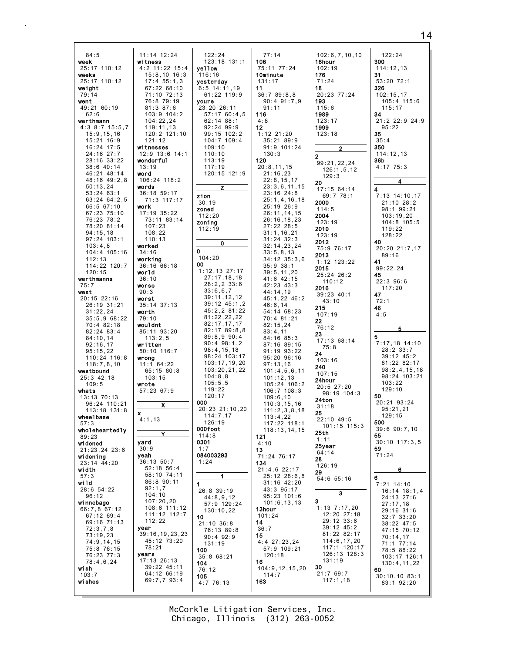| 84:5                           | 11:14 12:24                  | 122:24                         | 77:14                          | 102:6,7,10,10                 | 122:24                        |
|--------------------------------|------------------------------|--------------------------------|--------------------------------|-------------------------------|-------------------------------|
| week                           | witness                      | 123:18 131:1                   | 106                            | 16hour                        | 300                           |
| 25:17 110:12                   | 4:2 11:22 15:4               | yellow                         | 75:11 77:24                    | 102:19                        | 114:12,13                     |
| weeks<br>25:17 110:12          | $15:8,10$ 16:3<br>17:455:1,3 | 116:16<br>yesterday            | <b>10minute</b><br>131:17      | 176<br>71:24                  | 31<br>53:20 72:1              |
| weight                         | 67:22 68:10                  | $6:5$ 14:11,19                 | 11                             | 18                            | 326                           |
| 79:14                          | 71:10 72:13                  | 61:22 119:9                    | 36:789:8,8                     | 20:23 77:24                   | 102:15,17                     |
| went                           | 76:8 79:19                   | youre                          | $90:4$ $91:7,9$                | 193                           | 105:4 115:6                   |
| 49:21 60:19                    | $81:3$ $87:6$                | 23:20 26:11                    | 91:11                          | 115:6                         | 115:17                        |
| 62:6                           | $103:9$ $104:2$              | 57:17 60:4,5                   | 116                            | 1989                          | 34                            |
| werthmann<br>$4:3$ 8:7 15:5,7  | 104:22,24<br>119:11,13       | 62:14 88:1<br>$92:24$ $99:9$   | 4:8<br>12                      | 123:17<br>1999                | 21:2 22:9 24:9<br>95:22       |
| 15:9, 15, 16                   | 120:2 121:10                 | $99:15$ 102:2                  | $1:12$ $21:20$                 | 123:18                        | 35                            |
| $15:21$ $16:9$                 | 121:12                       | $104:7$ $109:4$                | 35:2189:9                      |                               | 35:4                          |
| $16:24$ 17:5                   | witnesses                    | 109:10                         | $91:9$ 101:24                  | $\overline{2}$                | 350                           |
| 24:16 27:7                     | $12:9$ $13:6$ $14:1$         | 110:10                         | 130:3                          | 2                             | 114:12,13                     |
| 28:16 33:22<br>38:6 40:14      | wonderful<br>13:19           | 113:19<br>117:19               | 120<br>20:8,11,15              | 99:21,22,24                   | 36b<br>4:17 75:3              |
| 46:21 48:14                    | word                         | 120:15 121:9                   | 21:16,23                       | 126:1,5,12                    |                               |
| 48:16 49:2,8                   | 106:24 118:2                 |                                | 22:8,15,17                     | 129:3<br>20                   | 4                             |
| 50:13,24                       | words                        | z                              | 23:3,6,11,15                   | 17:1564:14                    | 4                             |
| $53:24$ $63:1$                 | 36:18 59:17                  | zion                           | $23:16$ $24:8$                 | 69:7 78:1                     | 7:13 14:10,17                 |
| $63:24$ $64:2,5$<br>66:5 67:10 | 71:3 117:17<br>work          | 30:19                          | 25:1, 4, 16, 18<br>25:19 26:9  | 2000                          | 21:10 28:2                    |
| 67:23 75:10                    | $17:19$ $35:22$              | zoned                          | 26:11,14,15                    | 114:5                         | 98:1 99:21                    |
| 76:23 78:2                     | 73:11 83:14                  | 112:20<br>zoning               | 26:16,18,23                    | 2004<br>123:19                | 103:19,20<br>104:8 105:5      |
| 78:20 81:14                    | 107:23                       | 112:19                         | 27:22 28:5                     | 2010                          | 119:22                        |
| 94:15,18                       | 108:22                       |                                | 31:1, 16, 21                   | 123:19                        | 128:22                        |
| $97:24$ 103:1<br>103:4,8       | 110:13<br>worked             | 0                              | $31:24$ $32:3$<br>32:14,23,24  | 2012                          | 40                            |
| 104:4 105:16                   | 34:16                        | 0                              | 33:5.8.13                      | 75:9 76:17                    | 20:20 21:7,17                 |
| 112:13                         | working                      | 104:20                         | $34:12 \ 35:3,6$               | 2013<br>$1:12$ $123:22$       | 89:16<br>41                   |
| 114:22 120:7                   | 36:1666:18                   | 00                             | $35:9$ $38:1$                  | 2015                          | 99:22,24                      |
| 120:15                         | world                        | $1:12,13$ 27:17<br>27:17,18,18 | 39:5, 11, 20                   | 25:24 26:2                    | 45                            |
| werthmanns<br>75:7             | 36:10<br>worse               | $28:2,2$ 33:6                  | 41:6 42:15<br>42:23 43:3       | 110:12                        | $22:3$ 96:6                   |
| west                           | 90:3                         | 33:6,6,7                       | 44:14,19                       | 2016                          | 117:20                        |
| $20:15$ 22:16                  | worst                        | 39:11,12,12                    | 45:1,22 46:2                   | $39:23$ 40:1<br>43:10         | 47<br>72:1                    |
| 26:19 31:21                    | $35:14$ $37:13$              | $39:12$ $45:1,2$               | 46:6,14                        | 215                           | 48                            |
| 31:22,24                       | worth                        | 45:2,2 81:22<br>81:22,22,22    | 54:14 68:23                    | 107:19                        | 4:5                           |
| 35:5,968:22<br>70:4 82:18      | 79:10<br>wouldnt             | 82:17,17,17                    | 70:4 81:21<br>82:15,24         | 22                            |                               |
| $82:24$ $83:4$                 | 85:11 93:20                  | 82:17 89:8,8                   | 83:4,11                        | 76:12                         | 5                             |
| 84:10,14                       | 113:2,5                      | 89:8,990:4                     | 84:16 85:3                     | 23<br>17:1368:14              | 5                             |
| 92:16,17                       | written                      | $90:4$ $98:1,2$                | 87:16 89:15                    | 75:8                          | 7:17,18 14:10                 |
| 95:15,22                       | 50:10 116:7                  | 98:4,15,18<br>98:24 103:17     | $91:19$ $93:22$                | 24                            | $28:2$ 33:7<br>39:12 45:2     |
| 110:24 116:8<br>118:7,8,10     | wrong<br>$11:1$ 64:22        | 103:17,19,20                   | $95:20$ $96:16$<br>97:13,16    | 103:16                        | 81:22 82:17                   |
| westbound                      | $65:15$ 80:8                 | 103:20,21,22                   | 101:4,5,6,11                   | 240                           | 98:2, 4, 15, 18               |
| $25:3$ 42:18                   | 103:15                       | 104:8.8                        | 101:12,13                      | 107:15<br>24hour              | 98:24 103:21                  |
| 109:5                          | wrote                        | 105:5,5                        | 105:24 106:2                   | $20:5$ 27:20                  | 103:22                        |
| whats                          | 57:23 67:9                   | 119:22<br>120:17               | $106:7$ $108:3$                | $98:19$ 104:3                 | 129:10<br>50                  |
| 13:13 70:13<br>96:24 110:21    |                              | 000                            | 109:6,10<br>110:3, 15, 16      | 24ton                         | 20:21 93:24                   |
| $113:18$ $131:8$               | x                            | 20:23 21:10,20                 | 111:2,3,8,18                   | 31:18                         | 95:21,21                      |
| wheelbase                      | x<br>4:1,13                  | 114:7,17                       | 113:4,22                       | 25<br>$22:10$ 49:5            | 129:15                        |
| 57:3                           |                              | 126:19                         | 117:22 118:1                   | $101:15$ $115:3$              | 500                           |
| wholeheartedly                 | Y                            | 000foot<br>114:8               | 118:13,14,15<br>121            | 25th                          | $39:6$ $90:7,10$<br>55        |
| 89:23<br>widened               | yard                         | 0301                           | 4:10                           | 1:11                          | $30:10$ $117:3.5$             |
| 21:23.24 23:6                  | 30:9                         | 1:7                            | 13                             | 25year<br>64:14               | 59                            |
| widening                       | yeah                         | 084003293                      | 71:24 76:17                    | 28                            | 71:24                         |
| 23:14 44:20                    | 36:13:50:7<br>$52:18$ $56:4$ | 1:24                           | 134                            | 126:19                        |                               |
| width<br>57:3                  | 58:10 74:11                  | 1                              | $21:4,6$ 22:17<br>25:12 28:6,8 | 29                            | 6                             |
| wild                           | 86:8 90:11                   | 1                              | 31:16 42:20                    | 54:6 55:16                    | 6<br>$7:21$ 14:10             |
| 28:6 54:22                     | 92:1,7                       | 26:8 39:19                     | 43:3 95:17                     |                               | $16:14$ $18:1,4$              |
| 96:12                          | 104:10                       | 44:8,9,12                      | $95:23$ 101:6                  | <u>3</u>                      | 24:13 27:6                    |
| winnebago<br>66:7,8 67:12      | 107:20,20<br>108:6 111:12    | 57:9 129:24                    | 101:6, 13, 13<br>13hour        | 3<br>$1:13$ $7:17,20$         | 27:17.18                      |
| 67:12 69:4                     | 111:12 112:7                 | 130:10,22<br>10                | 101:24                         | 12:20 27:18                   | 29:16 31:6<br>$32:7$ $33:20$  |
| 69:16 71:13                    | 112:22                       | $21:10$ $36:8$                 | 14                             | 29:12 33:6                    | $38:22$ 47:5                  |
| 72:3,7,8                       | year                         | 76:13 89:8                     | 36:7                           | $39:12$ $45:2$                | 47:15 70:12                   |
| 73:19,23                       | 39:16,19,23,23               | $90:4$ $92:9$                  | 15                             | 81:22 82:17                   | 70:14,17                      |
| 74:9,14,15                     | 45:12 73:20<br>78:21         | 131:19                         | $4:4$ 27:23,24                 | 114:6, 17, 20<br>117:1 120:17 | 71:1 77:14                    |
| 75:8 76:15<br>76:23 77:3       | years                        | 100                            | 57:9 109:21<br>120:18          | 126:13 128:3                  | 78:5 88:22                    |
| 78:4,6,24                      | $17:13$ 26:13                | 35:868:21<br>104               | 16                             | 131:19                        | 103:17 126:1<br>130:4, 11, 22 |
| wish                           | 39:22 45:11                  | 76:12                          | 104:9, 12, 15, 20              | 30                            | 60                            |
| 103:7                          | 64:12 66:19<br>69:7,7 93:4   | 105                            | 114:7                          | 21:769:7<br>117:1,18          | 30:10,10.83:1                 |
| wishes                         |                              | 4:7 76:13                      | 163                            |                               | 83:1 92:20                    |
|                                |                              |                                |                                |                               |                               |

Chicago, Illinois (312) 263-0052 McCorkle Litigation Services, Inc.